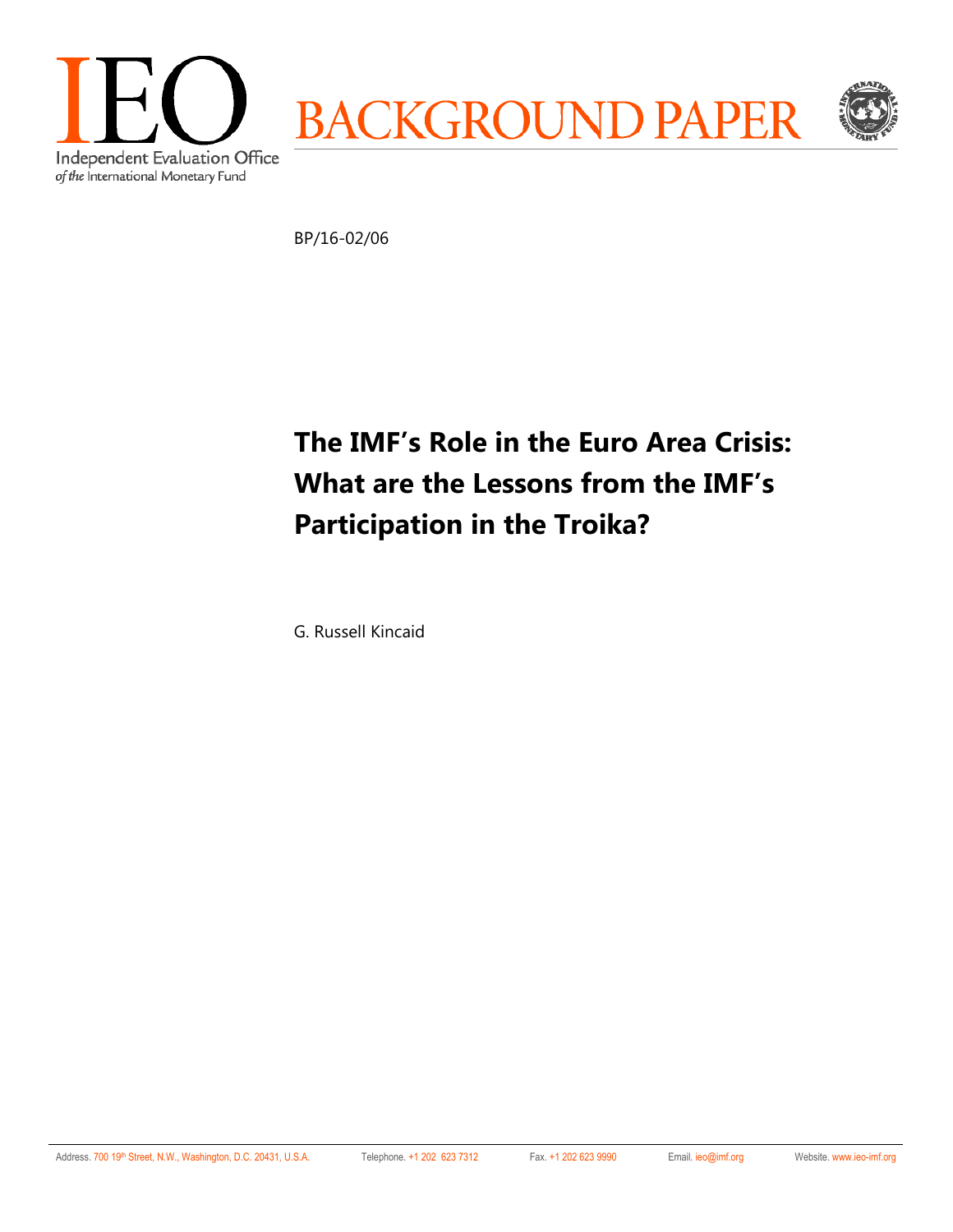

BP/16-02/06

# **The IMF's Role in the Euro Area Crisis: What are the Lessons from the IMF's Participation in the Troika?**

G. Russell Kincaid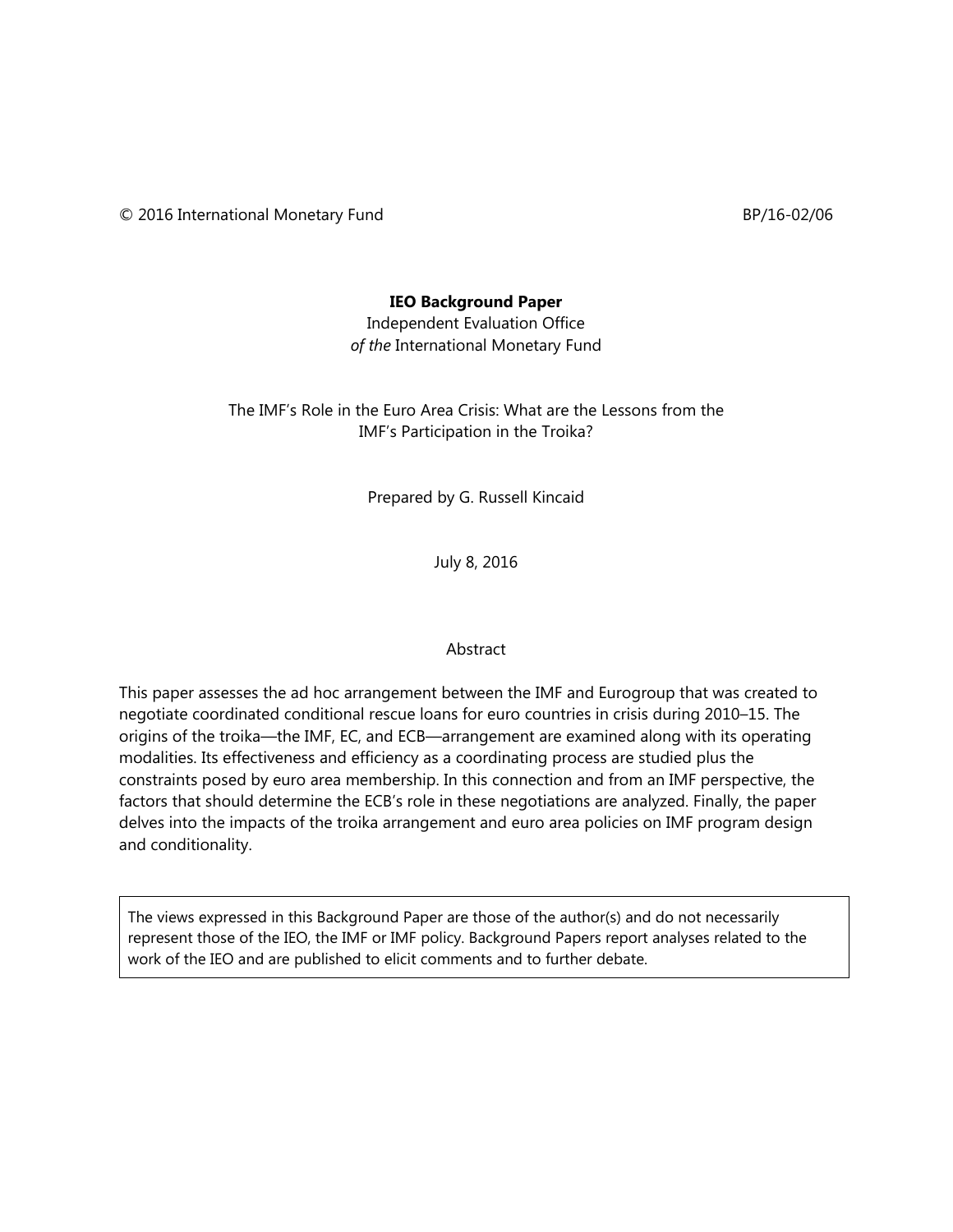© 2016 International Monetary Fund BP/16-02/06

#### **IEO Background Paper**

Independent Evaluation Office *of the* International Monetary Fund

The IMF's Role in the Euro Area Crisis: What are the Lessons from the IMF's Participation in the Troika?

Prepared by G. Russell Kincaid

July 8, 2016

#### Abstract

This paper assesses the ad hoc arrangement between the IMF and Eurogroup that was created to negotiate coordinated conditional rescue loans for euro countries in crisis during 2010–15. The origins of the troika—the IMF, EC, and ECB—arrangement are examined along with its operating modalities. Its effectiveness and efficiency as a coordinating process are studied plus the constraints posed by euro area membership. In this connection and from an IMF perspective, the factors that should determine the ECB's role in these negotiations are analyzed. Finally, the paper delves into the impacts of the troika arrangement and euro area policies on IMF program design and conditionality.

The views expressed in this Background Paper are those of the author(s) and do not necessarily represent those of the IEO, the IMF or IMF policy. Background Papers report analyses related to the work of the IEO and are published to elicit comments and to further debate.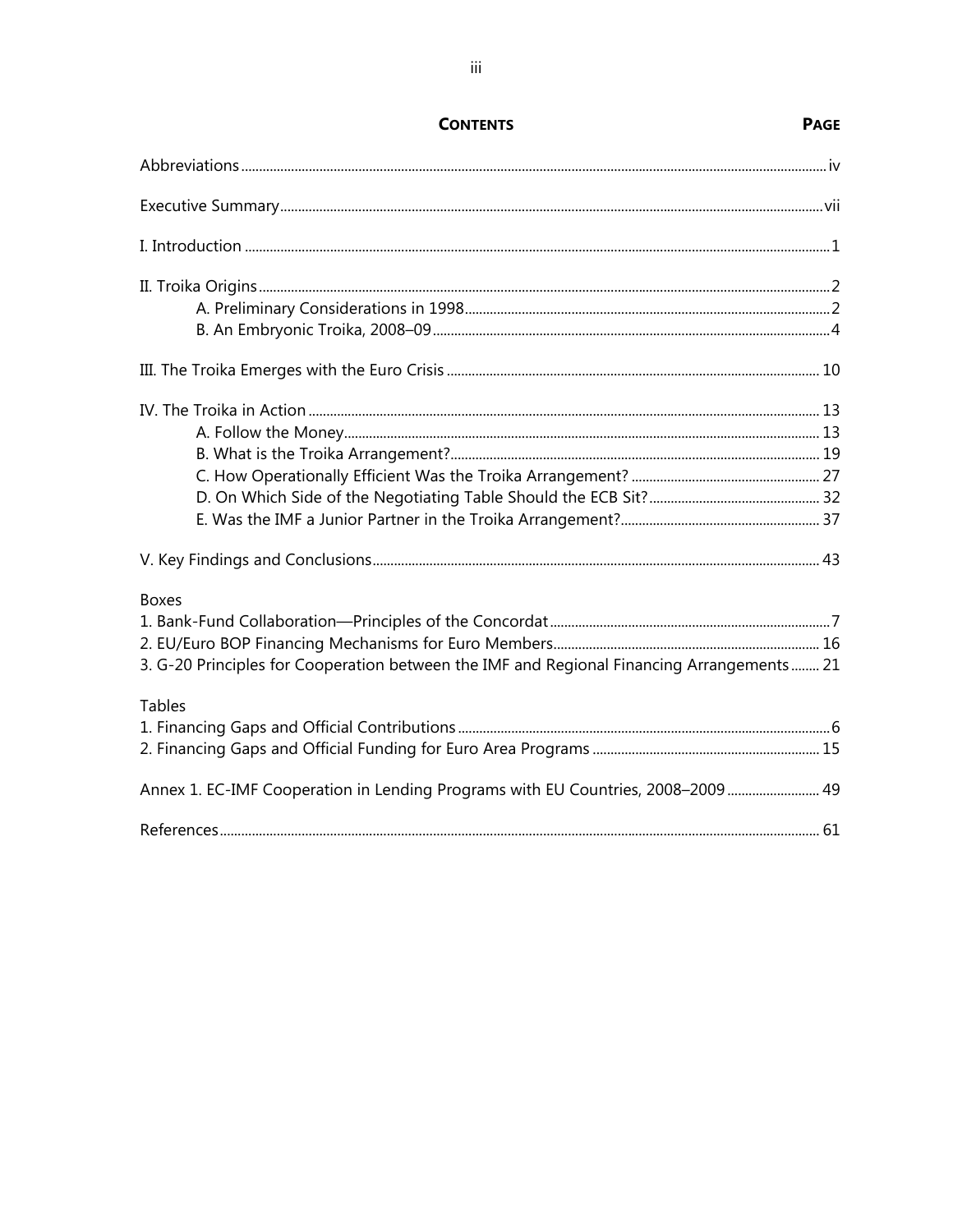| <b>Boxes</b>                                                                              |  |
|-------------------------------------------------------------------------------------------|--|
|                                                                                           |  |
|                                                                                           |  |
| 3. G-20 Principles for Cooperation between the IMF and Regional Financing Arrangements 21 |  |
| <b>Tables</b>                                                                             |  |
|                                                                                           |  |
|                                                                                           |  |
| Annex 1. EC-IMF Cooperation in Lending Programs with EU Countries, 2008-2009 49           |  |
|                                                                                           |  |

# **CONTENTS**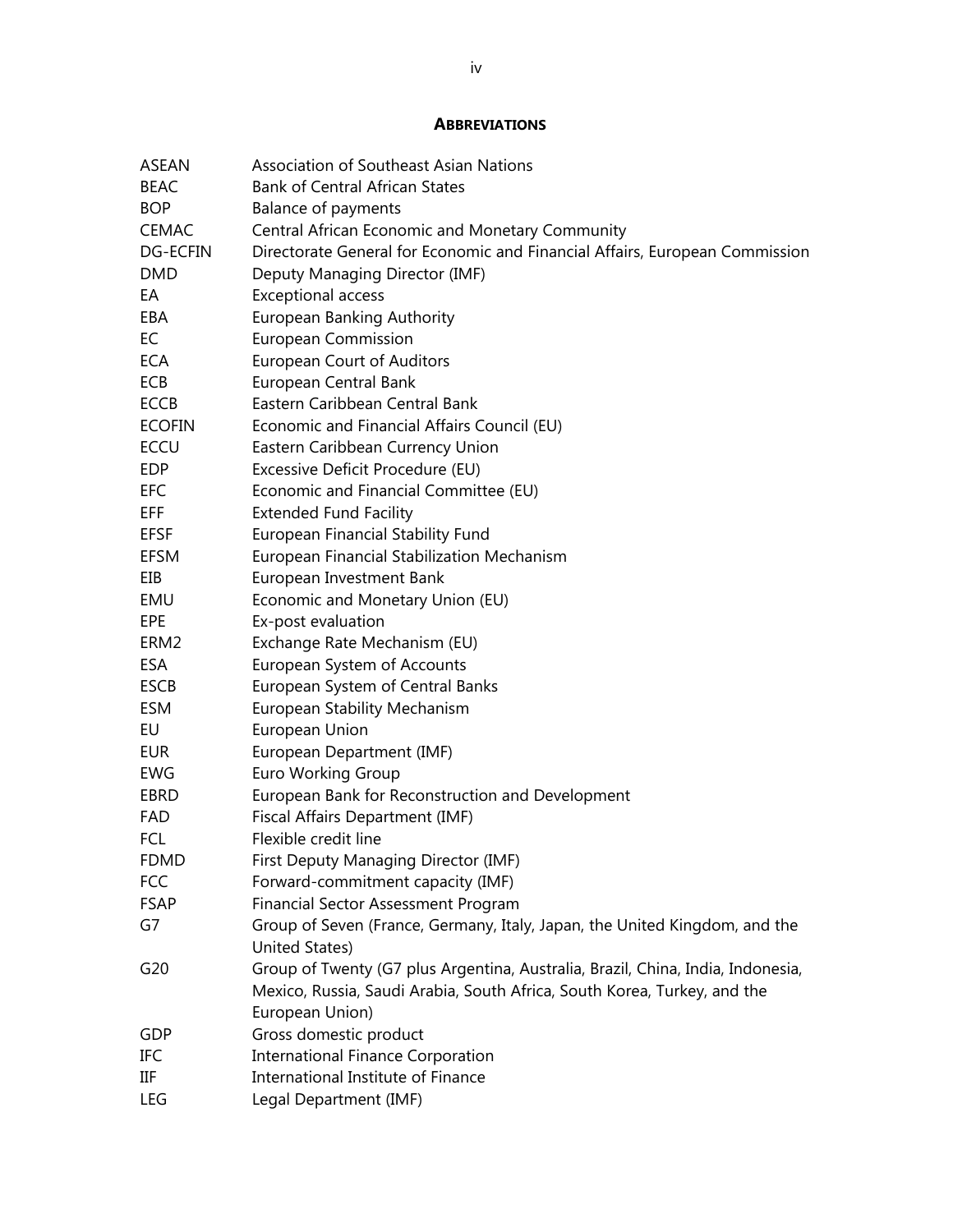#### **ABBREVIATIONS**

| <b>Association of Southeast Asian Nations</b><br>ASEAN                                  |  |
|-----------------------------------------------------------------------------------------|--|
| <b>Bank of Central African States</b><br><b>BEAC</b>                                    |  |
| <b>BOP</b><br><b>Balance of payments</b>                                                |  |
| Central African Economic and Monetary Community<br><b>CEMAC</b>                         |  |
| Directorate General for Economic and Financial Affairs, European Commission<br>DG-ECFIN |  |
| <b>DMD</b><br>Deputy Managing Director (IMF)                                            |  |
| EA<br><b>Exceptional access</b>                                                         |  |
| <b>European Banking Authority</b><br>EBA                                                |  |
| <b>European Commission</b><br>EC                                                        |  |
| <b>European Court of Auditors</b><br><b>ECA</b>                                         |  |
| European Central Bank<br><b>ECB</b>                                                     |  |
| Eastern Caribbean Central Bank<br><b>ECCB</b>                                           |  |
| Economic and Financial Affairs Council (EU)<br><b>ECOFIN</b>                            |  |
| <b>ECCU</b><br>Eastern Caribbean Currency Union                                         |  |
| Excessive Deficit Procedure (EU)<br><b>EDP</b>                                          |  |
| Economic and Financial Committee (EU)<br><b>EFC</b>                                     |  |
| <b>Extended Fund Facility</b><br>EFF                                                    |  |
| European Financial Stability Fund<br><b>EFSF</b>                                        |  |
| European Financial Stabilization Mechanism<br>EFSM                                      |  |
| EIB<br>European Investment Bank                                                         |  |
| Economic and Monetary Union (EU)<br>EMU                                                 |  |
| Ex-post evaluation<br>EPE                                                               |  |
| Exchange Rate Mechanism (EU)<br>ERM <sub>2</sub>                                        |  |
| European System of Accounts<br><b>ESA</b>                                               |  |
| European System of Central Banks<br><b>ESCB</b>                                         |  |
| <b>European Stability Mechanism</b><br>ESM                                              |  |
| EU<br>European Union                                                                    |  |
| <b>EUR</b><br>European Department (IMF)                                                 |  |
| <b>Euro Working Group</b><br>EWG                                                        |  |
| European Bank for Reconstruction and Development<br>EBRD                                |  |
| Fiscal Affairs Department (IMF)<br>FAD                                                  |  |
| Flexible credit line<br><b>FCL</b>                                                      |  |
| First Deputy Managing Director (IMF)<br><b>FDMD</b>                                     |  |
| Forward-commitment capacity (IMF)<br><b>FCC</b>                                         |  |
| <b>Financial Sector Assessment Program</b><br><b>FSAP</b>                               |  |
| Group of Seven (France, Germany, Italy, Japan, the United Kingdom, and the<br>G7        |  |
| United States)                                                                          |  |
| Group of Twenty (G7 plus Argentina, Australia, Brazil, China, India, Indonesia,<br>G20  |  |
| Mexico, Russia, Saudi Arabia, South Africa, South Korea, Turkey, and the                |  |
| European Union)                                                                         |  |
| Gross domestic product<br>GDP                                                           |  |
| <b>International Finance Corporation</b><br>IFC                                         |  |
| International Institute of Finance<br>IIF                                               |  |
| Legal Department (IMF)<br>LEG                                                           |  |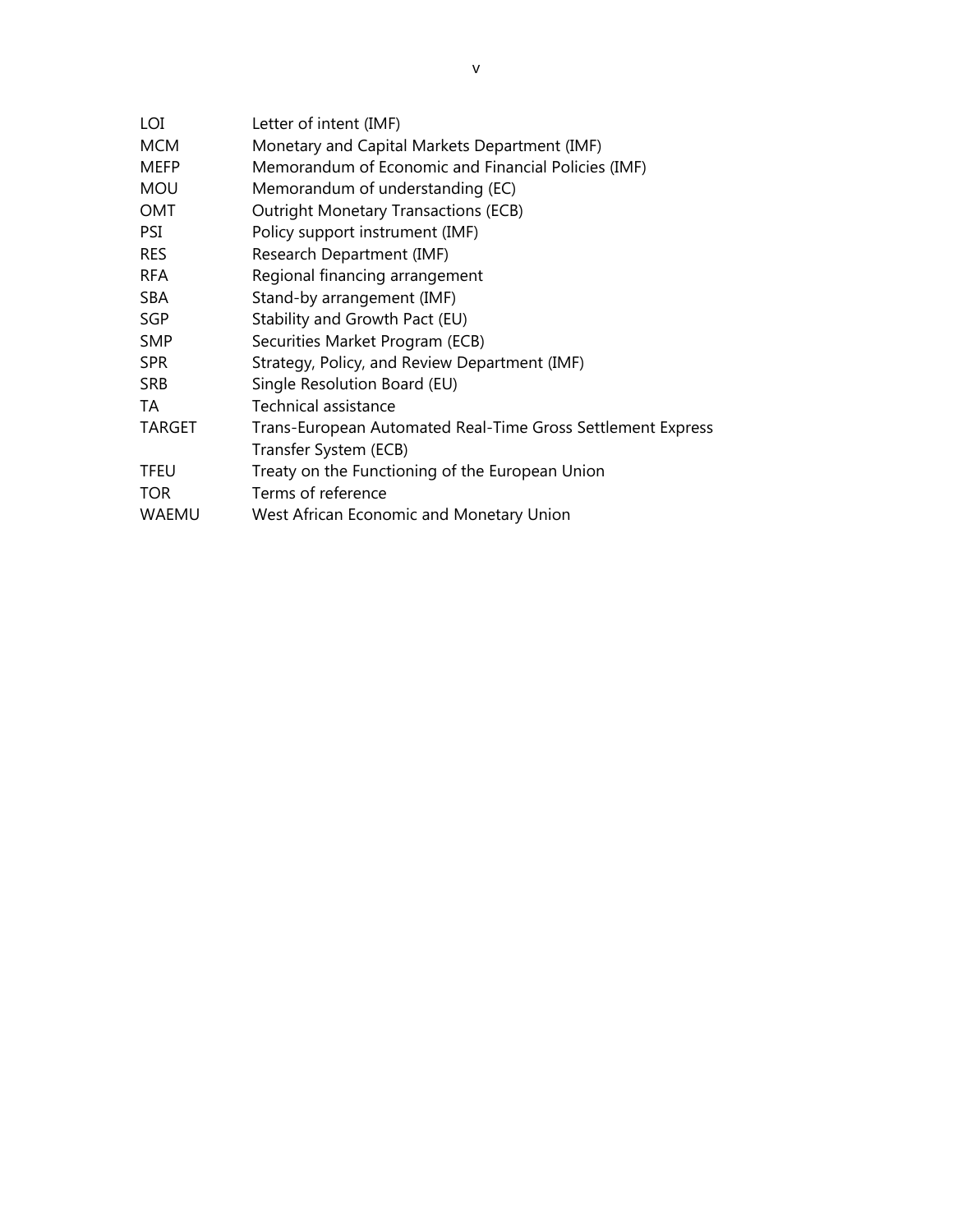| LOI           | Letter of intent (IMF)                                      |
|---------------|-------------------------------------------------------------|
| <b>MCM</b>    | Monetary and Capital Markets Department (IMF)               |
| <b>MEFP</b>   | Memorandum of Economic and Financial Policies (IMF)         |
| <b>MOU</b>    | Memorandum of understanding (EC)                            |
| OMT           | <b>Outright Monetary Transactions (ECB)</b>                 |
| <b>PSI</b>    | Policy support instrument (IMF)                             |
| <b>RES</b>    | Research Department (IMF)                                   |
| <b>RFA</b>    | Regional financing arrangement                              |
| <b>SBA</b>    | Stand-by arrangement (IMF)                                  |
| <b>SGP</b>    | Stability and Growth Pact (EU)                              |
| <b>SMP</b>    | Securities Market Program (ECB)                             |
| <b>SPR</b>    | Strategy, Policy, and Review Department (IMF)               |
| <b>SRB</b>    | Single Resolution Board (EU)                                |
| TA            | Technical assistance                                        |
| <b>TARGET</b> | Trans-European Automated Real-Time Gross Settlement Express |
|               | Transfer System (ECB)                                       |
| <b>TFEU</b>   | Treaty on the Functioning of the European Union             |
| <b>TOR</b>    | Terms of reference                                          |
| WAEMU         | West African Economic and Monetary Union                    |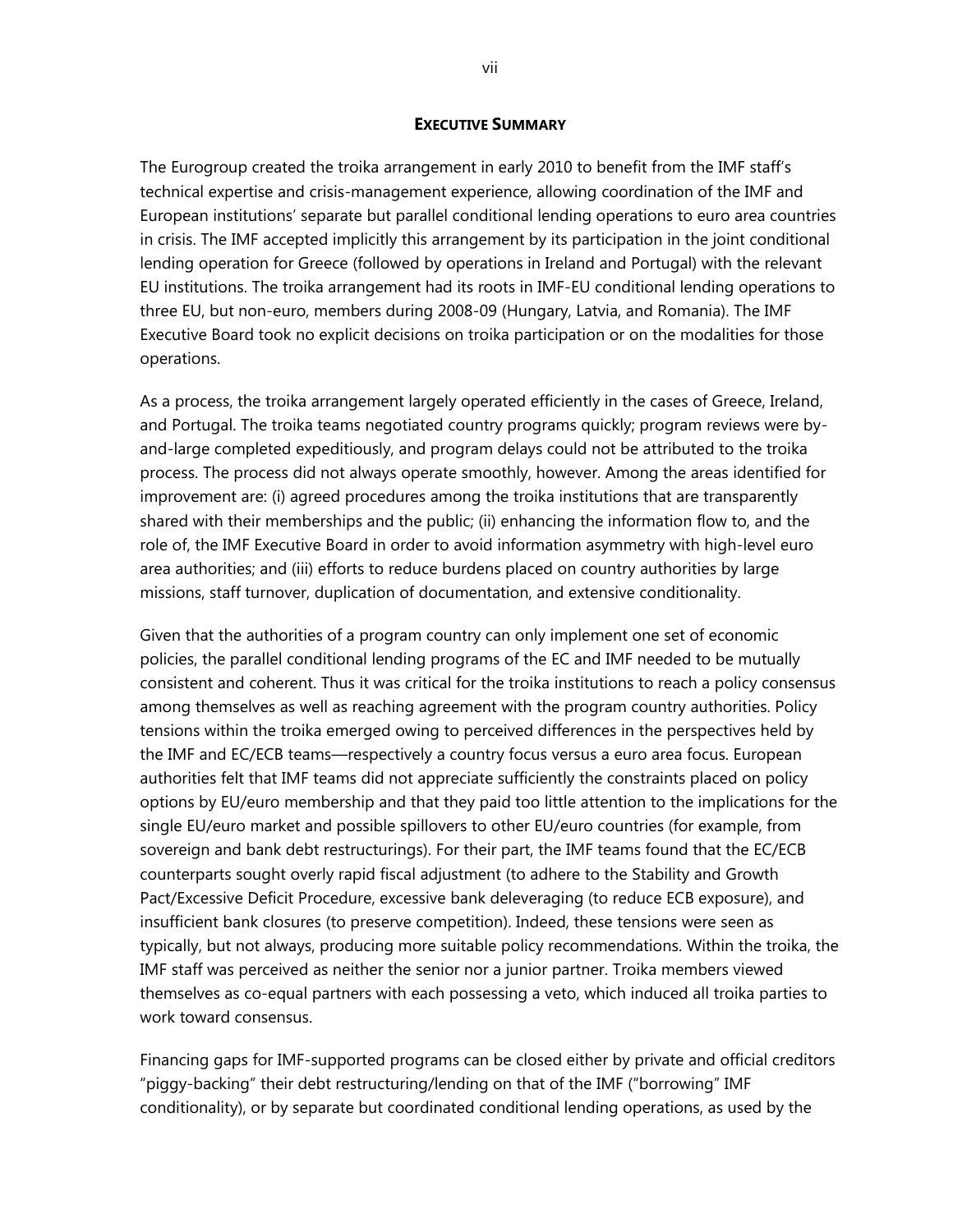#### **EXECUTIVE SUMMARY**

The Eurogroup created the troika arrangement in early 2010 to benefit from the IMF staff's technical expertise and crisis-management experience, allowing coordination of the IMF and European institutions' separate but parallel conditional lending operations to euro area countries in crisis. The IMF accepted implicitly this arrangement by its participation in the joint conditional lending operation for Greece (followed by operations in Ireland and Portugal) with the relevant EU institutions. The troika arrangement had its roots in IMF-EU conditional lending operations to three EU, but non-euro, members during 2008-09 (Hungary, Latvia, and Romania). The IMF Executive Board took no explicit decisions on troika participation or on the modalities for those operations.

As a process, the troika arrangement largely operated efficiently in the cases of Greece, Ireland, and Portugal. The troika teams negotiated country programs quickly; program reviews were byand-large completed expeditiously, and program delays could not be attributed to the troika process. The process did not always operate smoothly, however. Among the areas identified for improvement are: (i) agreed procedures among the troika institutions that are transparently shared with their memberships and the public; (ii) enhancing the information flow to, and the role of, the IMF Executive Board in order to avoid information asymmetry with high-level euro area authorities; and (iii) efforts to reduce burdens placed on country authorities by large missions, staff turnover, duplication of documentation, and extensive conditionality.

Given that the authorities of a program country can only implement one set of economic policies, the parallel conditional lending programs of the EC and IMF needed to be mutually consistent and coherent. Thus it was critical for the troika institutions to reach a policy consensus among themselves as well as reaching agreement with the program country authorities. Policy tensions within the troika emerged owing to perceived differences in the perspectives held by the IMF and EC/ECB teams—respectively a country focus versus a euro area focus. European authorities felt that IMF teams did not appreciate sufficiently the constraints placed on policy options by EU/euro membership and that they paid too little attention to the implications for the single EU/euro market and possible spillovers to other EU/euro countries (for example, from sovereign and bank debt restructurings). For their part, the IMF teams found that the EC/ECB counterparts sought overly rapid fiscal adjustment (to adhere to the Stability and Growth Pact/Excessive Deficit Procedure, excessive bank deleveraging (to reduce ECB exposure), and insufficient bank closures (to preserve competition). Indeed, these tensions were seen as typically, but not always, producing more suitable policy recommendations. Within the troika, the IMF staff was perceived as neither the senior nor a junior partner. Troika members viewed themselves as co-equal partners with each possessing a veto, which induced all troika parties to work toward consensus.

Financing gaps for IMF-supported programs can be closed either by private and official creditors "piggy-backing" their debt restructuring/lending on that of the IMF ("borrowing" IMF conditionality), or by separate but coordinated conditional lending operations, as used by the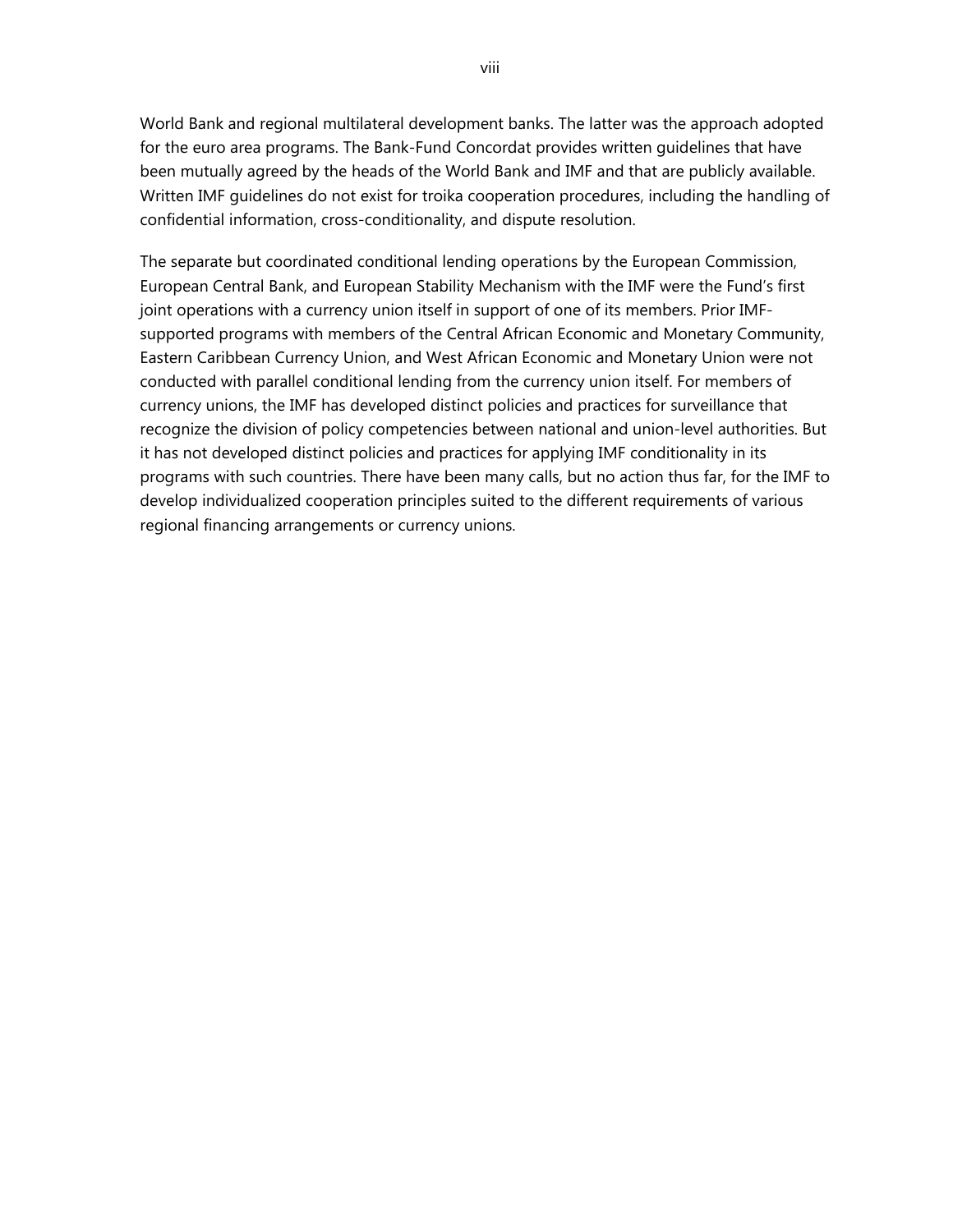World Bank and regional multilateral development banks. The latter was the approach adopted for the euro area programs. The Bank-Fund Concordat provides written guidelines that have been mutually agreed by the heads of the World Bank and IMF and that are publicly available. Written IMF guidelines do not exist for troika cooperation procedures, including the handling of confidential information, cross-conditionality, and dispute resolution.

The separate but coordinated conditional lending operations by the European Commission, European Central Bank, and European Stability Mechanism with the IMF were the Fund's first joint operations with a currency union itself in support of one of its members. Prior IMFsupported programs with members of the Central African Economic and Monetary Community, Eastern Caribbean Currency Union, and West African Economic and Monetary Union were not conducted with parallel conditional lending from the currency union itself. For members of currency unions, the IMF has developed distinct policies and practices for surveillance that recognize the division of policy competencies between national and union-level authorities. But it has not developed distinct policies and practices for applying IMF conditionality in its programs with such countries. There have been many calls, but no action thus far, for the IMF to develop individualized cooperation principles suited to the different requirements of various regional financing arrangements or currency unions.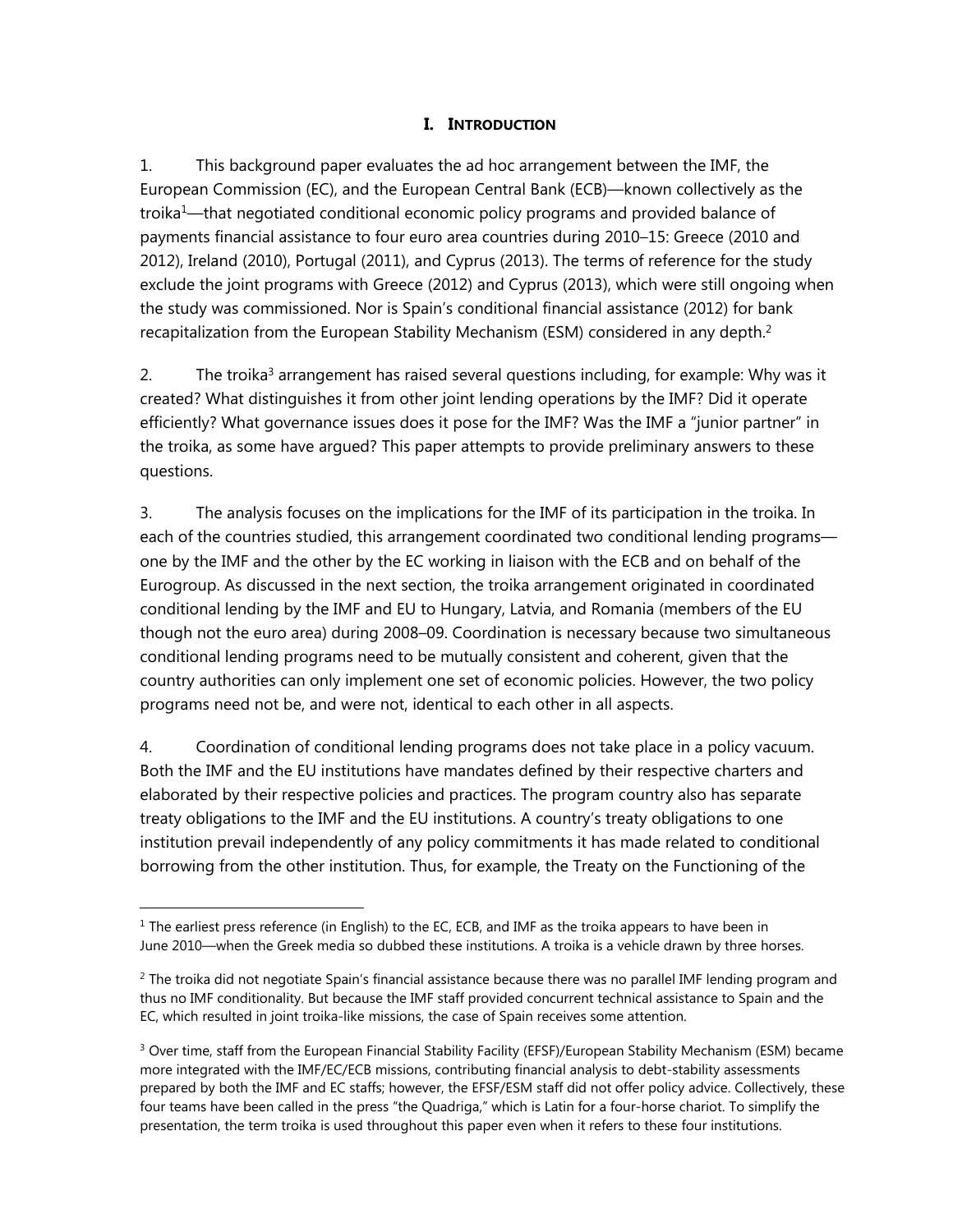## **I. INTRODUCTION**

1. This background paper evaluates the ad hoc arrangement between the IMF, the European Commission (EC), and the European Central Bank (ECB)—known collectively as the troika<sup>1</sup>—that negotiated conditional economic policy programs and provided balance of payments financial assistance to four euro area countries during 2010–15: Greece (2010 and 2012), Ireland (2010), Portugal (2011), and Cyprus (2013). The terms of reference for the study exclude the joint programs with Greece (2012) and Cyprus (2013), which were still ongoing when the study was commissioned. Nor is Spain's conditional financial assistance (2012) for bank recapitalization from the European Stability Mechanism (ESM) considered in any depth.<sup>2</sup>

2. The troika<sup>3</sup> arrangement has raised several questions including, for example: Why was it created? What distinguishes it from other joint lending operations by the IMF? Did it operate efficiently? What governance issues does it pose for the IMF? Was the IMF a "junior partner" in the troika, as some have argued? This paper attempts to provide preliminary answers to these questions.

3. The analysis focuses on the implications for the IMF of its participation in the troika. In each of the countries studied, this arrangement coordinated two conditional lending programs one by the IMF and the other by the EC working in liaison with the ECB and on behalf of the Eurogroup. As discussed in the next section, the troika arrangement originated in coordinated conditional lending by the IMF and EU to Hungary, Latvia, and Romania (members of the EU though not the euro area) during 2008–09. Coordination is necessary because two simultaneous conditional lending programs need to be mutually consistent and coherent, given that the country authorities can only implement one set of economic policies. However, the two policy programs need not be, and were not, identical to each other in all aspects.

4. Coordination of conditional lending programs does not take place in a policy vacuum. Both the IMF and the EU institutions have mandates defined by their respective charters and elaborated by their respective policies and practices. The program country also has separate treaty obligations to the IMF and the EU institutions. A country's treaty obligations to one institution prevail independently of any policy commitments it has made related to conditional borrowing from the other institution. Thus, for example, the Treaty on the Functioning of the

 $<sup>1</sup>$  The earliest press reference (in English) to the EC, ECB, and IMF as the troika appears to have been in</sup> June 2010—when the Greek media so dubbed these institutions. A troika is a vehicle drawn by three horses.

 $<sup>2</sup>$  The troika did not negotiate Spain's financial assistance because there was no parallel IMF lending program and</sup> thus no IMF conditionality. But because the IMF staff provided concurrent technical assistance to Spain and the EC, which resulted in joint troika-like missions, the case of Spain receives some attention.

<sup>&</sup>lt;sup>3</sup> Over time, staff from the European Financial Stability Facility (EFSF)/European Stability Mechanism (ESM) became more integrated with the IMF/EC/ECB missions, contributing financial analysis to debt-stability assessments prepared by both the IMF and EC staffs; however, the EFSF/ESM staff did not offer policy advice. Collectively, these four teams have been called in the press "the Quadriga," which is Latin for a four-horse chariot. To simplify the presentation, the term troika is used throughout this paper even when it refers to these four institutions.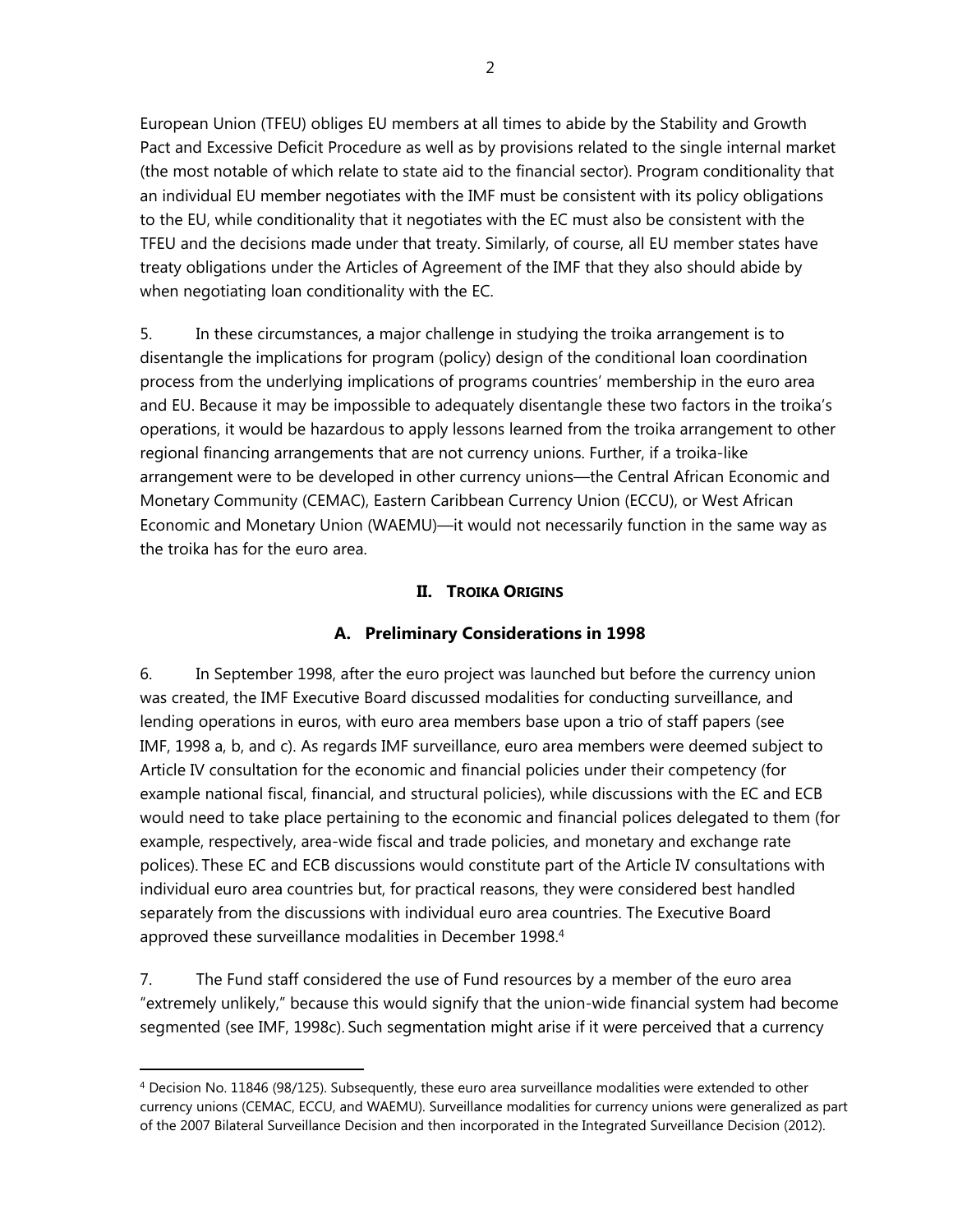European Union (TFEU) obliges EU members at all times to abide by the Stability and Growth Pact and Excessive Deficit Procedure as well as by provisions related to the single internal market (the most notable of which relate to state aid to the financial sector). Program conditionality that an individual EU member negotiates with the IMF must be consistent with its policy obligations to the EU, while conditionality that it negotiates with the EC must also be consistent with the TFEU and the decisions made under that treaty. Similarly, of course, all EU member states have treaty obligations under the Articles of Agreement of the IMF that they also should abide by when negotiating loan conditionality with the EC.

5. In these circumstances, a major challenge in studying the troika arrangement is to disentangle the implications for program (policy) design of the conditional loan coordination process from the underlying implications of programs countries' membership in the euro area and EU. Because it may be impossible to adequately disentangle these two factors in the troika's operations, it would be hazardous to apply lessons learned from the troika arrangement to other regional financing arrangements that are not currency unions. Further, if a troika-like arrangement were to be developed in other currency unions—the Central African Economic and Monetary Community (CEMAC), Eastern Caribbean Currency Union (ECCU), or West African Economic and Monetary Union (WAEMU)—it would not necessarily function in the same way as the troika has for the euro area.

## **II. TROIKA ORIGINS**

## **A. Preliminary Considerations in 1998**

6. In September 1998, after the euro project was launched but before the currency union was created, the IMF Executive Board discussed modalities for conducting surveillance, and lending operations in euros, with euro area members base upon a trio of staff papers (see IMF, 1998 a, b, and c). As regards IMF surveillance, euro area members were deemed subject to Article IV consultation for the economic and financial policies under their competency (for example national fiscal, financial, and structural policies), while discussions with the EC and ECB would need to take place pertaining to the economic and financial polices delegated to them (for example, respectively, area-wide fiscal and trade policies, and monetary and exchange rate polices). These EC and ECB discussions would constitute part of the Article IV consultations with individual euro area countries but, for practical reasons, they were considered best handled separately from the discussions with individual euro area countries. The Executive Board approved these surveillance modalities in December 1998.4

7. The Fund staff considered the use of Fund resources by a member of the euro area "extremely unlikely," because this would signify that the union-wide financial system had become segmented (see IMF, 1998c). Such segmentation might arise if it were perceived that a currency

<sup>&</sup>lt;sup>4</sup> Decision No. 11846 (98/125). Subsequently, these euro area surveillance modalities were extended to other currency unions (CEMAC, ECCU, and WAEMU). Surveillance modalities for currency unions were generalized as part of the 2007 Bilateral Surveillance Decision and then incorporated in the Integrated Surveillance Decision (2012).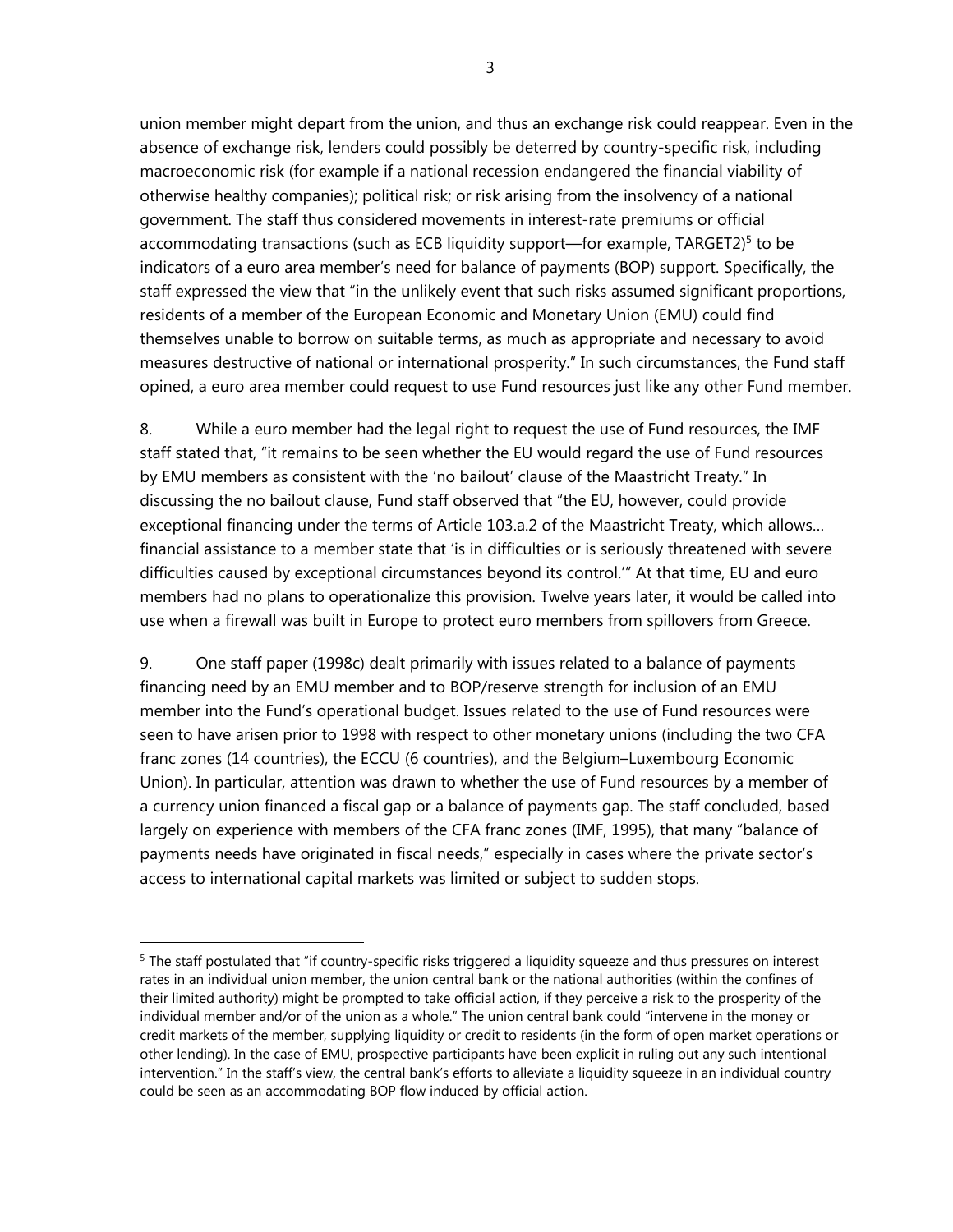union member might depart from the union, and thus an exchange risk could reappear. Even in the absence of exchange risk, lenders could possibly be deterred by country-specific risk, including macroeconomic risk (for example if a national recession endangered the financial viability of otherwise healthy companies); political risk; or risk arising from the insolvency of a national government. The staff thus considered movements in interest-rate premiums or official accommodating transactions (such as ECB liquidity support—for example, TARGET2)<sup>5</sup> to be indicators of a euro area member's need for balance of payments (BOP) support. Specifically, the staff expressed the view that "in the unlikely event that such risks assumed significant proportions, residents of a member of the European Economic and Monetary Union (EMU) could find themselves unable to borrow on suitable terms, as much as appropriate and necessary to avoid measures destructive of national or international prosperity." In such circumstances, the Fund staff opined, a euro area member could request to use Fund resources just like any other Fund member.

8. While a euro member had the legal right to request the use of Fund resources, the IMF staff stated that, "it remains to be seen whether the EU would regard the use of Fund resources by EMU members as consistent with the 'no bailout' clause of the Maastricht Treaty." In discussing the no bailout clause, Fund staff observed that "the EU, however, could provide exceptional financing under the terms of Article 103.a.2 of the Maastricht Treaty, which allows… financial assistance to a member state that 'is in difficulties or is seriously threatened with severe difficulties caused by exceptional circumstances beyond its control.'" At that time, EU and euro members had no plans to operationalize this provision. Twelve years later, it would be called into use when a firewall was built in Europe to protect euro members from spillovers from Greece.

9. One staff paper (1998c) dealt primarily with issues related to a balance of payments financing need by an EMU member and to BOP/reserve strength for inclusion of an EMU member into the Fund's operational budget. Issues related to the use of Fund resources were seen to have arisen prior to 1998 with respect to other monetary unions (including the two CFA franc zones (14 countries), the ECCU (6 countries), and the Belgium–Luxembourg Economic Union). In particular, attention was drawn to whether the use of Fund resources by a member of a currency union financed a fiscal gap or a balance of payments gap. The staff concluded, based largely on experience with members of the CFA franc zones (IMF, 1995), that many "balance of payments needs have originated in fiscal needs," especially in cases where the private sector's access to international capital markets was limited or subject to sudden stops.

 $\overline{a}$ 

3

<sup>&</sup>lt;sup>5</sup> The staff postulated that "if country-specific risks triggered a liquidity squeeze and thus pressures on interest rates in an individual union member, the union central bank or the national authorities (within the confines of their limited authority) might be prompted to take official action, if they perceive a risk to the prosperity of the individual member and/or of the union as a whole." The union central bank could "intervene in the money or credit markets of the member, supplying liquidity or credit to residents (in the form of open market operations or other lending). In the case of EMU, prospective participants have been explicit in ruling out any such intentional intervention." In the staff's view, the central bank's efforts to alleviate a liquidity squeeze in an individual country could be seen as an accommodating BOP flow induced by official action.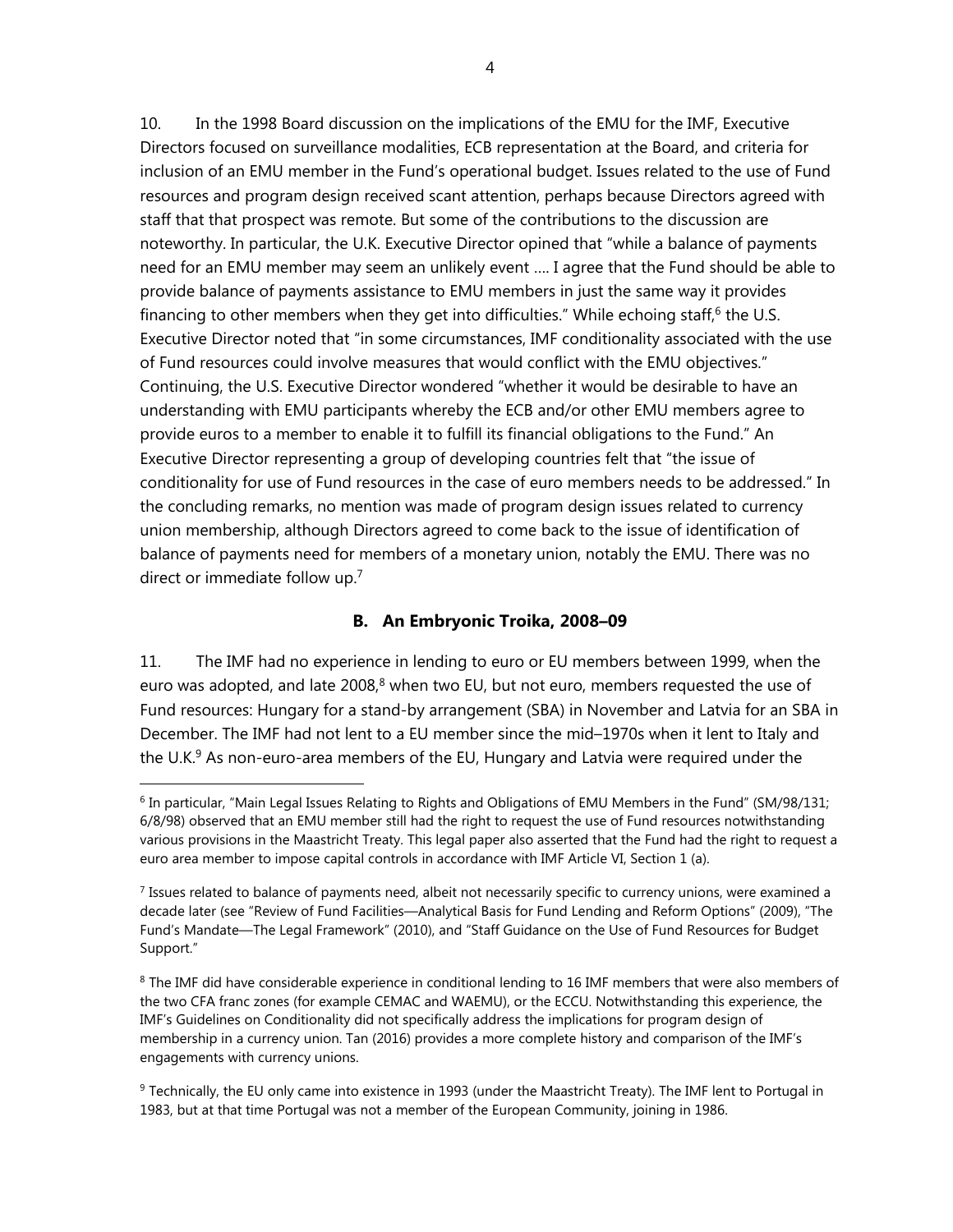10. In the 1998 Board discussion on the implications of the EMU for the IMF, Executive Directors focused on surveillance modalities, ECB representation at the Board, and criteria for inclusion of an EMU member in the Fund's operational budget. Issues related to the use of Fund resources and program design received scant attention, perhaps because Directors agreed with staff that that prospect was remote. But some of the contributions to the discussion are noteworthy. In particular, the U.K. Executive Director opined that "while a balance of payments need for an EMU member may seem an unlikely event …. I agree that the Fund should be able to provide balance of payments assistance to EMU members in just the same way it provides financing to other members when they get into difficulties." While echoing staff,<sup>6</sup> the U.S. Executive Director noted that "in some circumstances, IMF conditionality associated with the use of Fund resources could involve measures that would conflict with the EMU objectives." Continuing, the U.S. Executive Director wondered "whether it would be desirable to have an understanding with EMU participants whereby the ECB and/or other EMU members agree to provide euros to a member to enable it to fulfill its financial obligations to the Fund." An Executive Director representing a group of developing countries felt that "the issue of conditionality for use of Fund resources in the case of euro members needs to be addressed." In the concluding remarks, no mention was made of program design issues related to currency union membership, although Directors agreed to come back to the issue of identification of balance of payments need for members of a monetary union, notably the EMU. There was no direct or immediate follow up.7

#### **B. An Embryonic Troika, 2008–09**

11. The IMF had no experience in lending to euro or EU members between 1999, when the euro was adopted, and late  $2008$ ,<sup>8</sup> when two EU, but not euro, members requested the use of Fund resources: Hungary for a stand-by arrangement (SBA) in November and Latvia for an SBA in December. The IMF had not lent to a EU member since the mid–1970s when it lent to Italy and the U.K.<sup>9</sup> As non-euro-area members of the EU, Hungary and Latvia were required under the

 $6$  In particular, "Main Legal Issues Relating to Rights and Obligations of EMU Members in the Fund" (SM/98/131; 6/8/98) observed that an EMU member still had the right to request the use of Fund resources notwithstanding various provisions in the Maastricht Treaty. This legal paper also asserted that the Fund had the right to request a euro area member to impose capital controls in accordance with IMF Article VI, Section 1 (a).

 $<sup>7</sup>$  Issues related to balance of payments need, albeit not necessarily specific to currency unions, were examined a</sup> decade later (see "Review of Fund Facilities—Analytical Basis for Fund Lending and Reform Options" (2009), "The Fund's Mandate—The Legal Framework" (2010), and "Staff Guidance on the Use of Fund Resources for Budget Support."

<sup>&</sup>lt;sup>8</sup> The IMF did have considerable experience in conditional lending to 16 IMF members that were also members of the two CFA franc zones (for example CEMAC and WAEMU), or the ECCU. Notwithstanding this experience, the IMF's Guidelines on Conditionality did not specifically address the implications for program design of membership in a currency union. Tan (2016) provides a more complete history and comparison of the IMF's engagements with currency unions.

<sup>&</sup>lt;sup>9</sup> Technically, the EU only came into existence in 1993 (under the Maastricht Treaty). The IMF lent to Portugal in 1983, but at that time Portugal was not a member of the European Community, joining in 1986.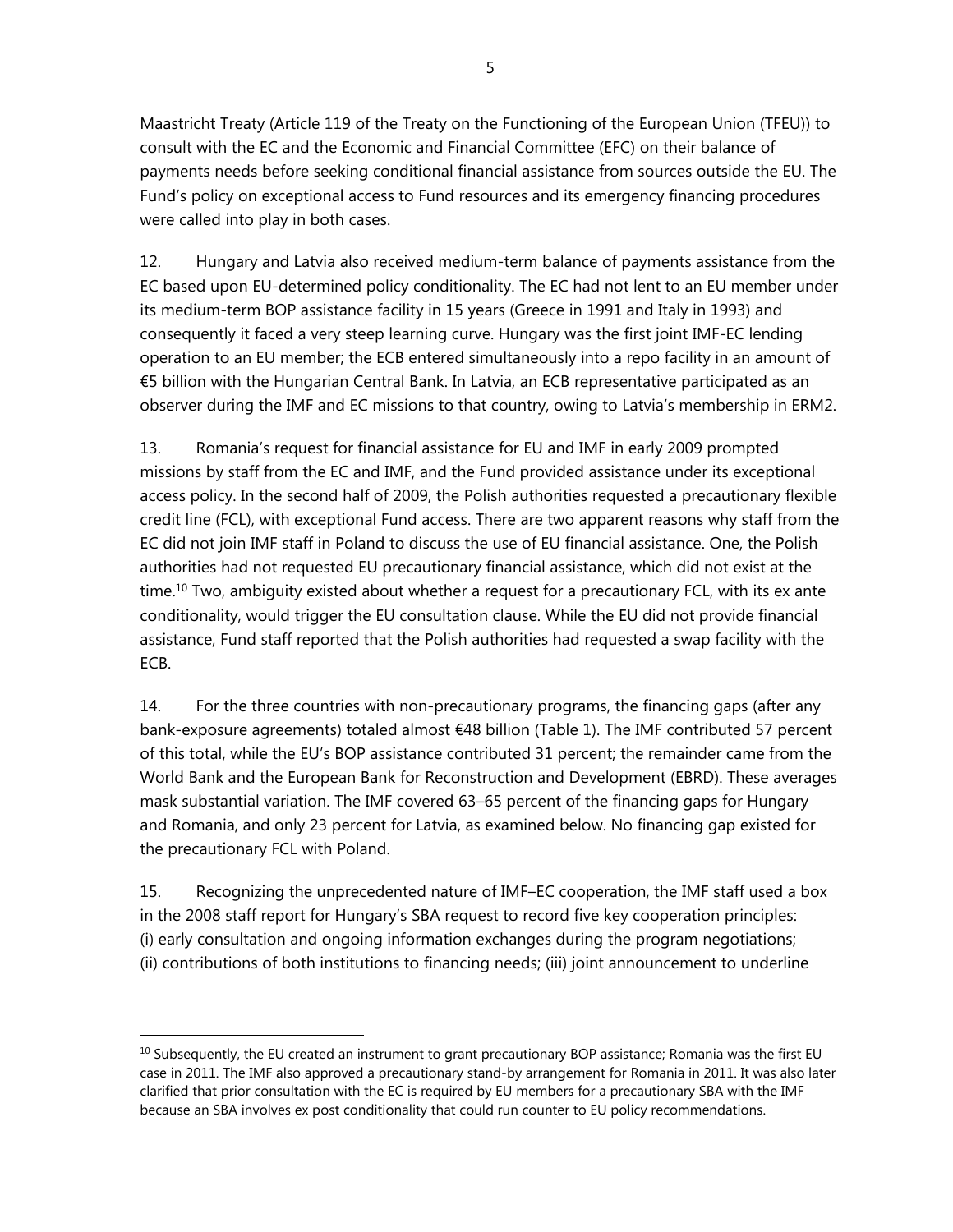Maastricht Treaty (Article 119 of the Treaty on the Functioning of the European Union (TFEU)) to consult with the EC and the Economic and Financial Committee (EFC) on their balance of payments needs before seeking conditional financial assistance from sources outside the EU. The Fund's policy on exceptional access to Fund resources and its emergency financing procedures were called into play in both cases.

12. Hungary and Latvia also received medium-term balance of payments assistance from the EC based upon EU-determined policy conditionality. The EC had not lent to an EU member under its medium-term BOP assistance facility in 15 years (Greece in 1991 and Italy in 1993) and consequently it faced a very steep learning curve. Hungary was the first joint IMF-EC lending operation to an EU member; the ECB entered simultaneously into a repo facility in an amount of €5 billion with the Hungarian Central Bank. In Latvia, an ECB representative participated as an observer during the IMF and EC missions to that country, owing to Latvia's membership in ERM2.

13. Romania's request for financial assistance for EU and IMF in early 2009 prompted missions by staff from the EC and IMF, and the Fund provided assistance under its exceptional access policy. In the second half of 2009, the Polish authorities requested a precautionary flexible credit line (FCL), with exceptional Fund access. There are two apparent reasons why staff from the EC did not join IMF staff in Poland to discuss the use of EU financial assistance. One, the Polish authorities had not requested EU precautionary financial assistance, which did not exist at the time.<sup>10</sup> Two, ambiguity existed about whether a request for a precautionary FCL, with its ex ante conditionality, would trigger the EU consultation clause. While the EU did not provide financial assistance, Fund staff reported that the Polish authorities had requested a swap facility with the ECB.

14. For the three countries with non-precautionary programs, the financing gaps (after any bank-exposure agreements) totaled almost €48 billion (Table 1). The IMF contributed 57 percent of this total, while the EU's BOP assistance contributed 31 percent; the remainder came from the World Bank and the European Bank for Reconstruction and Development (EBRD). These averages mask substantial variation. The IMF covered 63–65 percent of the financing gaps for Hungary and Romania, and only 23 percent for Latvia, as examined below. No financing gap existed for the precautionary FCL with Poland.

15. Recognizing the unprecedented nature of IMF–EC cooperation, the IMF staff used a box in the 2008 staff report for Hungary's SBA request to record five key cooperation principles: (i) early consultation and ongoing information exchanges during the program negotiations; (ii) contributions of both institutions to financing needs; (iii) joint announcement to underline

 $10$  Subsequently, the EU created an instrument to grant precautionary BOP assistance; Romania was the first EU case in 2011. The IMF also approved a precautionary stand-by arrangement for Romania in 2011. It was also later clarified that prior consultation with the EC is required by EU members for a precautionary SBA with the IMF because an SBA involves ex post conditionality that could run counter to EU policy recommendations.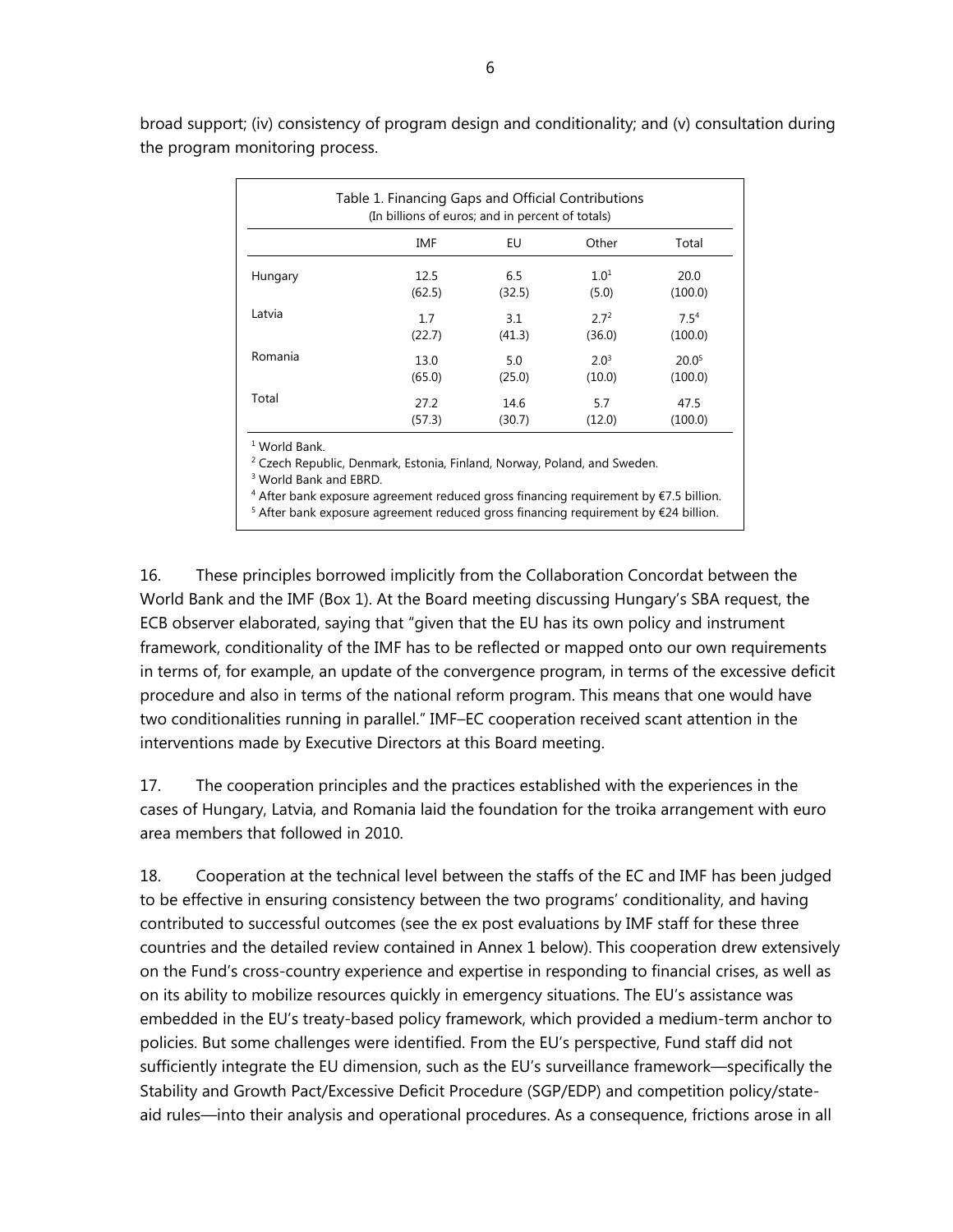| Table 1. Financing Gaps and Official Contributions<br>(In billions of euros; and in percent of totals) |        |        |                  |                   |  |
|--------------------------------------------------------------------------------------------------------|--------|--------|------------------|-------------------|--|
|                                                                                                        | IMF    | EU     | Other            | Total             |  |
| Hungary                                                                                                | 12.5   | 6.5    | 1.0 <sup>1</sup> | 20.0              |  |
|                                                                                                        | (62.5) | (32.5) | (5.0)            | (100.0)           |  |
| Latvia                                                                                                 | 1.7    | 3.1    | 2.7 <sup>2</sup> | 7.5 <sup>4</sup>  |  |
|                                                                                                        | (22.7) | (41.3) | (36.0)           | (100.0)           |  |
| Romania                                                                                                | 13.0   | 5.0    | $2.0^{3}$        | 20.0 <sup>5</sup> |  |
|                                                                                                        | (65.0) | (25.0) | (10.0)           | (100.0)           |  |
| Total                                                                                                  | 27.2   | 14.6   | 5.7              | 47.5              |  |
|                                                                                                        | (57.3) | (30.7) | (12.0)           | (100.0)           |  |

broad support; (iv) consistency of program design and conditionality; and (v) consultation during the program monitoring process.

1 World Bank.

<sup>2</sup> Czech Republic, Denmark, Estonia, Finland, Norway, Poland, and Sweden.

3 World Bank and EBRD.

<sup>4</sup> After bank exposure agreement reduced gross financing requirement by €7.5 billion.

 $5$  After bank exposure agreement reduced gross financing requirement by  $\epsilon$ 24 billion.

16. These principles borrowed implicitly from the Collaboration Concordat between the World Bank and the IMF (Box 1). At the Board meeting discussing Hungary's SBA request, the ECB observer elaborated, saying that "given that the EU has its own policy and instrument framework, conditionality of the IMF has to be reflected or mapped onto our own requirements in terms of, for example, an update of the convergence program, in terms of the excessive deficit procedure and also in terms of the national reform program. This means that one would have two conditionalities running in parallel." IMF–EC cooperation received scant attention in the interventions made by Executive Directors at this Board meeting.

17. The cooperation principles and the practices established with the experiences in the cases of Hungary, Latvia, and Romania laid the foundation for the troika arrangement with euro area members that followed in 2010.

18. Cooperation at the technical level between the staffs of the EC and IMF has been judged to be effective in ensuring consistency between the two programs' conditionality, and having contributed to successful outcomes (see the ex post evaluations by IMF staff for these three countries and the detailed review contained in Annex 1 below). This cooperation drew extensively on the Fund's cross-country experience and expertise in responding to financial crises, as well as on its ability to mobilize resources quickly in emergency situations. The EU's assistance was embedded in the EU's treaty-based policy framework, which provided a medium-term anchor to policies. But some challenges were identified. From the EU's perspective, Fund staff did not sufficiently integrate the EU dimension, such as the EU's surveillance framework—specifically the Stability and Growth Pact/Excessive Deficit Procedure (SGP/EDP) and competition policy/stateaid rules—into their analysis and operational procedures. As a consequence, frictions arose in all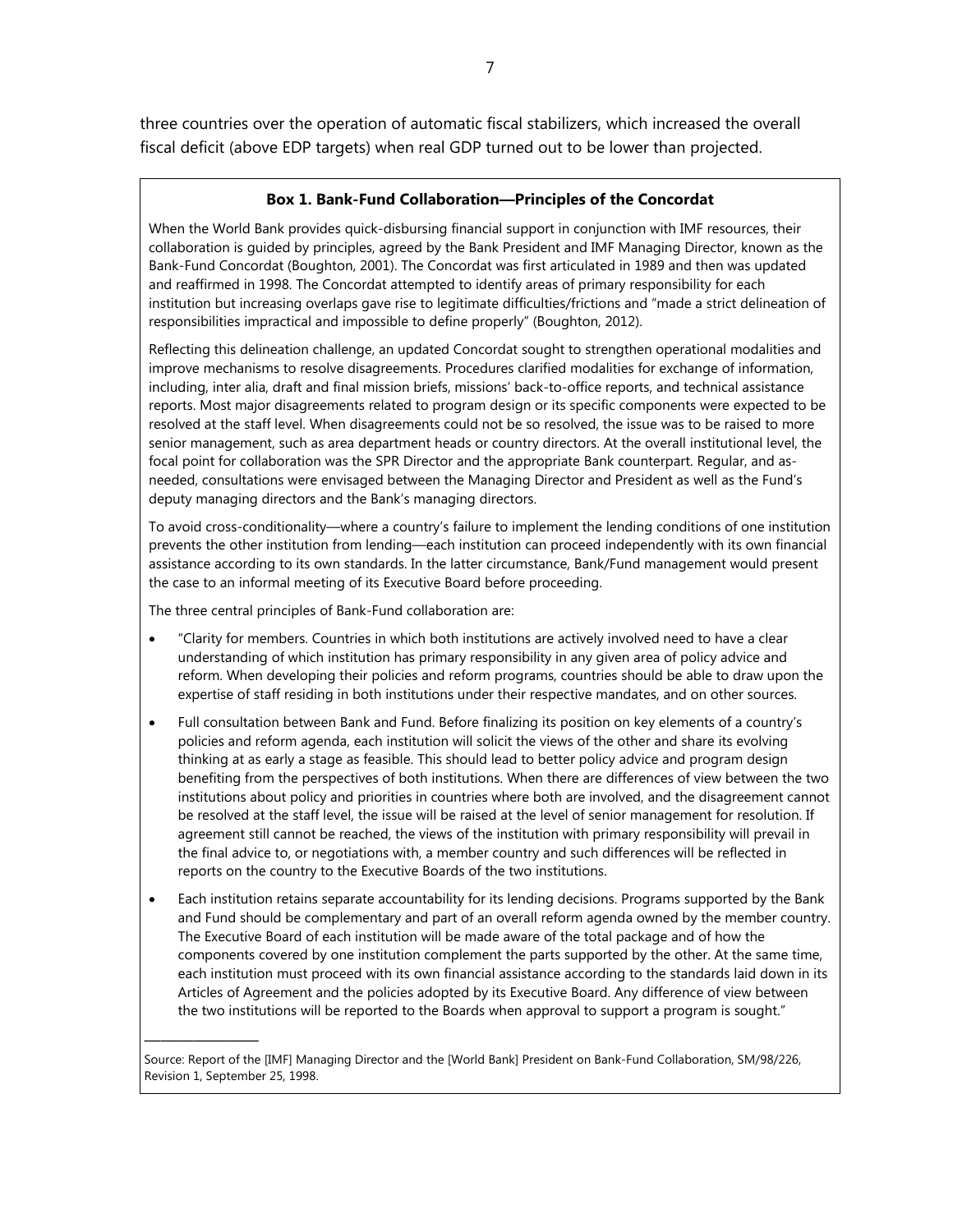three countries over the operation of automatic fiscal stabilizers, which increased the overall fiscal deficit (above EDP targets) when real GDP turned out to be lower than projected.

#### **Box 1. Bank-Fund Collaboration—Principles of the Concordat**

When the World Bank provides quick-disbursing financial support in conjunction with IMF resources, their collaboration is guided by principles, agreed by the Bank President and IMF Managing Director, known as the Bank-Fund Concordat (Boughton, 2001). The Concordat was first articulated in 1989 and then was updated and reaffirmed in 1998. The Concordat attempted to identify areas of primary responsibility for each institution but increasing overlaps gave rise to legitimate difficulties/frictions and "made a strict delineation of responsibilities impractical and impossible to define properly" (Boughton, 2012).

Reflecting this delineation challenge, an updated Concordat sought to strengthen operational modalities and improve mechanisms to resolve disagreements. Procedures clarified modalities for exchange of information, including, inter alia, draft and final mission briefs, missions' back-to-office reports, and technical assistance reports. Most major disagreements related to program design or its specific components were expected to be resolved at the staff level. When disagreements could not be so resolved, the issue was to be raised to more senior management, such as area department heads or country directors. At the overall institutional level, the focal point for collaboration was the SPR Director and the appropriate Bank counterpart. Regular, and asneeded, consultations were envisaged between the Managing Director and President as well as the Fund's deputy managing directors and the Bank's managing directors.

To avoid cross-conditionality—where a country's failure to implement the lending conditions of one institution prevents the other institution from lending—each institution can proceed independently with its own financial assistance according to its own standards. In the latter circumstance, Bank/Fund management would present the case to an informal meeting of its Executive Board before proceeding.

The three central principles of Bank-Fund collaboration are:

———————

- "Clarity for members. Countries in which both institutions are actively involved need to have a clear understanding of which institution has primary responsibility in any given area of policy advice and reform. When developing their policies and reform programs, countries should be able to draw upon the expertise of staff residing in both institutions under their respective mandates, and on other sources.
- Full consultation between Bank and Fund. Before finalizing its position on key elements of a country's policies and reform agenda, each institution will solicit the views of the other and share its evolving thinking at as early a stage as feasible. This should lead to better policy advice and program design benefiting from the perspectives of both institutions. When there are differences of view between the two institutions about policy and priorities in countries where both are involved, and the disagreement cannot be resolved at the staff level, the issue will be raised at the level of senior management for resolution. If agreement still cannot be reached, the views of the institution with primary responsibility will prevail in the final advice to, or negotiations with, a member country and such differences will be reflected in reports on the country to the Executive Boards of the two institutions.
- Each institution retains separate accountability for its lending decisions. Programs supported by the Bank and Fund should be complementary and part of an overall reform agenda owned by the member country. The Executive Board of each institution will be made aware of the total package and of how the components covered by one institution complement the parts supported by the other. At the same time, each institution must proceed with its own financial assistance according to the standards laid down in its Articles of Agreement and the policies adopted by its Executive Board. Any difference of view between the two institutions will be reported to the Boards when approval to support a program is sought."

Source: Report of the [IMF] Managing Director and the [World Bank] President on Bank-Fund Collaboration, SM/98/226, Revision 1, September 25, 1998.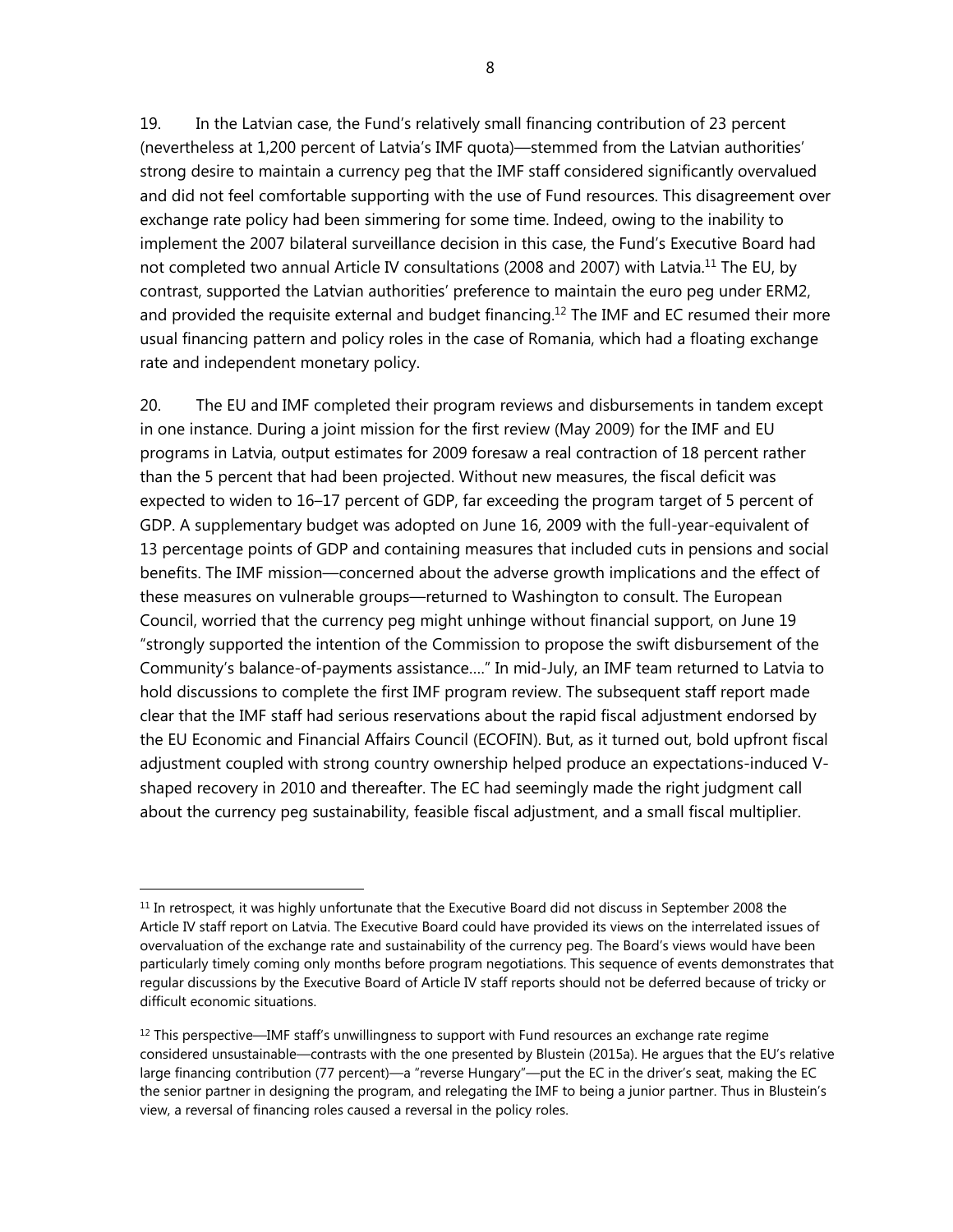19. In the Latvian case, the Fund's relatively small financing contribution of 23 percent (nevertheless at 1,200 percent of Latvia's IMF quota)—stemmed from the Latvian authorities' strong desire to maintain a currency peg that the IMF staff considered significantly overvalued and did not feel comfortable supporting with the use of Fund resources. This disagreement over exchange rate policy had been simmering for some time. Indeed, owing to the inability to implement the 2007 bilateral surveillance decision in this case, the Fund's Executive Board had not completed two annual Article IV consultations (2008 and 2007) with Latvia.<sup>11</sup> The EU, by contrast, supported the Latvian authorities' preference to maintain the euro peg under ERM2, and provided the requisite external and budget financing.<sup>12</sup> The IMF and EC resumed their more usual financing pattern and policy roles in the case of Romania, which had a floating exchange rate and independent monetary policy.

20. The EU and IMF completed their program reviews and disbursements in tandem except in one instance. During a joint mission for the first review (May 2009) for the IMF and EU programs in Latvia, output estimates for 2009 foresaw a real contraction of 18 percent rather than the 5 percent that had been projected. Without new measures, the fiscal deficit was expected to widen to 16–17 percent of GDP, far exceeding the program target of 5 percent of GDP. A supplementary budget was adopted on June 16, 2009 with the full-year-equivalent of 13 percentage points of GDP and containing measures that included cuts in pensions and social benefits. The IMF mission—concerned about the adverse growth implications and the effect of these measures on vulnerable groups—returned to Washington to consult. The European Council, worried that the currency peg might unhinge without financial support, on June 19 "strongly supported the intention of the Commission to propose the swift disbursement of the Community's balance-of-payments assistance…." In mid-July, an IMF team returned to Latvia to hold discussions to complete the first IMF program review. The subsequent staff report made clear that the IMF staff had serious reservations about the rapid fiscal adjustment endorsed by the EU Economic and Financial Affairs Council (ECOFIN). But, as it turned out, bold upfront fiscal adjustment coupled with strong country ownership helped produce an expectations-induced Vshaped recovery in 2010 and thereafter. The EC had seemingly made the right judgment call about the currency peg sustainability, feasible fiscal adjustment, and a small fiscal multiplier.

 $11$  In retrospect, it was highly unfortunate that the Executive Board did not discuss in September 2008 the Article IV staff report on Latvia. The Executive Board could have provided its views on the interrelated issues of overvaluation of the exchange rate and sustainability of the currency peg. The Board's views would have been particularly timely coming only months before program negotiations. This sequence of events demonstrates that regular discussions by the Executive Board of Article IV staff reports should not be deferred because of tricky or difficult economic situations.

 $12$  This perspective—IMF staff's unwillingness to support with Fund resources an exchange rate regime considered unsustainable—contrasts with the one presented by Blustein (2015a). He argues that the EU's relative large financing contribution (77 percent)—a "reverse Hungary"—put the EC in the driver's seat, making the EC the senior partner in designing the program, and relegating the IMF to being a junior partner. Thus in Blustein's view, a reversal of financing roles caused a reversal in the policy roles.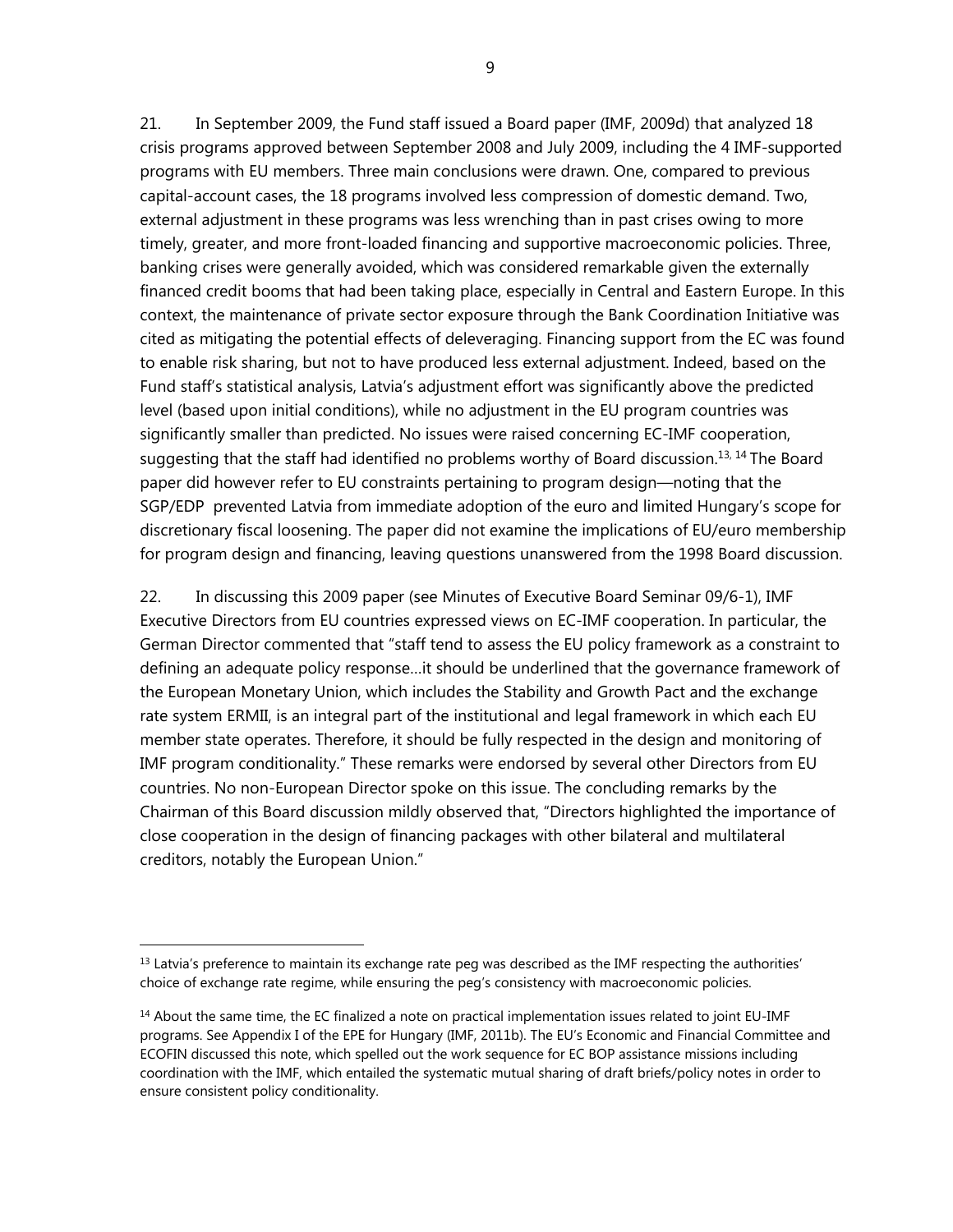21. In September 2009, the Fund staff issued a Board paper (IMF, 2009d) that analyzed 18 crisis programs approved between September 2008 and July 2009, including the 4 IMF-supported programs with EU members. Three main conclusions were drawn. One, compared to previous capital-account cases, the 18 programs involved less compression of domestic demand. Two, external adjustment in these programs was less wrenching than in past crises owing to more timely, greater, and more front-loaded financing and supportive macroeconomic policies. Three, banking crises were generally avoided, which was considered remarkable given the externally financed credit booms that had been taking place, especially in Central and Eastern Europe. In this context, the maintenance of private sector exposure through the Bank Coordination Initiative was cited as mitigating the potential effects of deleveraging. Financing support from the EC was found to enable risk sharing, but not to have produced less external adjustment. Indeed, based on the Fund staff's statistical analysis, Latvia's adjustment effort was significantly above the predicted level (based upon initial conditions), while no adjustment in the EU program countries was significantly smaller than predicted. No issues were raised concerning EC-IMF cooperation, suggesting that the staff had identified no problems worthy of Board discussion.<sup>13, 14</sup> The Board paper did however refer to EU constraints pertaining to program design—noting that the SGP/EDP prevented Latvia from immediate adoption of the euro and limited Hungary's scope for discretionary fiscal loosening. The paper did not examine the implications of EU/euro membership for program design and financing, leaving questions unanswered from the 1998 Board discussion.

22. In discussing this 2009 paper (see Minutes of Executive Board Seminar 09/6-1), IMF Executive Directors from EU countries expressed views on EC-IMF cooperation. In particular, the German Director commented that "staff tend to assess the EU policy framework as a constraint to defining an adequate policy response…it should be underlined that the governance framework of the European Monetary Union, which includes the Stability and Growth Pact and the exchange rate system ERMII, is an integral part of the institutional and legal framework in which each EU member state operates. Therefore, it should be fully respected in the design and monitoring of IMF program conditionality." These remarks were endorsed by several other Directors from EU countries. No non-European Director spoke on this issue. The concluding remarks by the Chairman of this Board discussion mildly observed that, "Directors highlighted the importance of close cooperation in the design of financing packages with other bilateral and multilateral creditors, notably the European Union."

 $<sup>13</sup>$  Latvia's preference to maintain its exchange rate peg was described as the IMF respecting the authorities'</sup> choice of exchange rate regime, while ensuring the peg's consistency with macroeconomic policies.

 $14$  About the same time, the EC finalized a note on practical implementation issues related to joint EU-IMF programs. See Appendix I of the EPE for Hungary (IMF, 2011b). The EU's Economic and Financial Committee and ECOFIN discussed this note, which spelled out the work sequence for EC BOP assistance missions including coordination with the IMF, which entailed the systematic mutual sharing of draft briefs/policy notes in order to ensure consistent policy conditionality.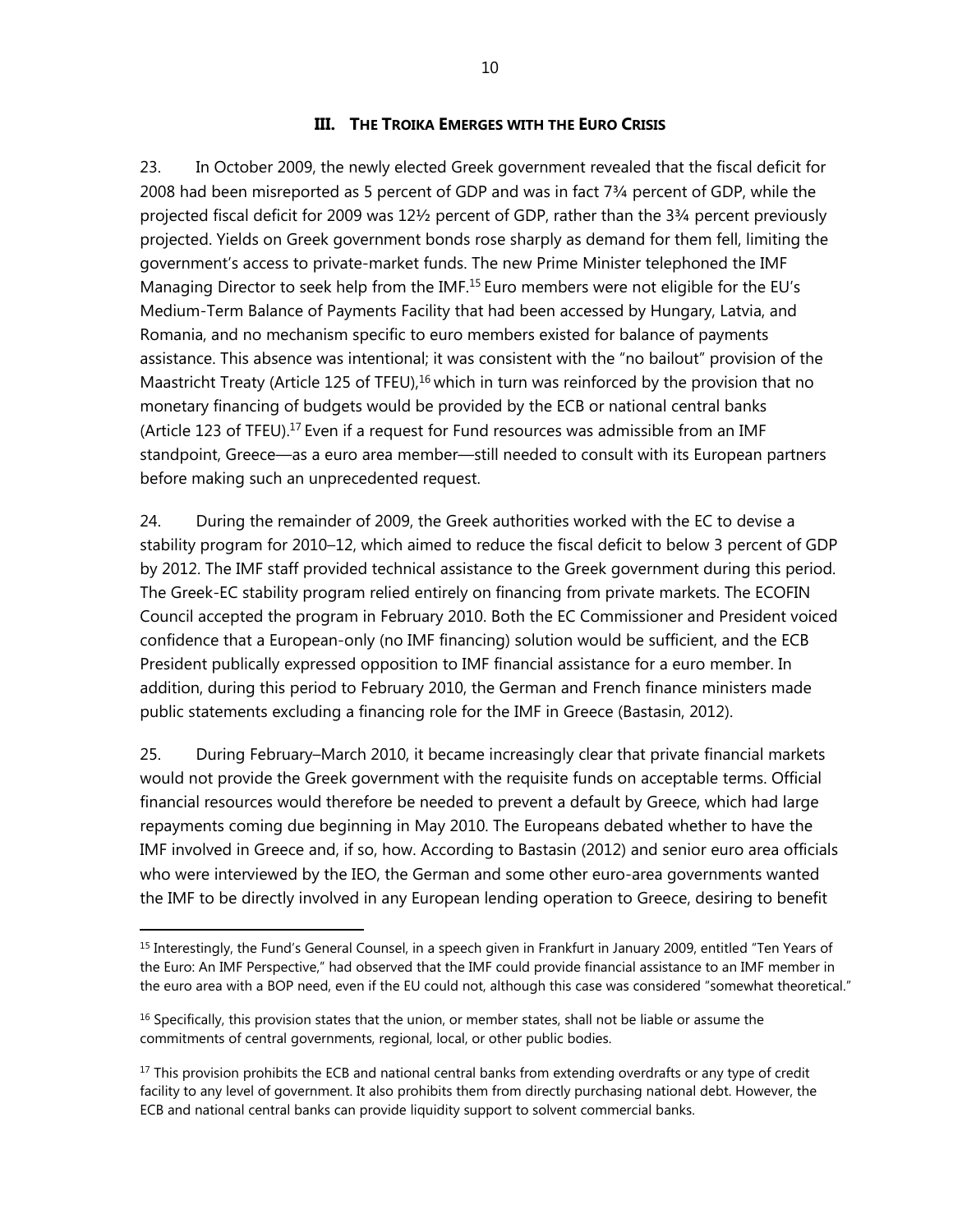#### **III. THE TROIKA EMERGES WITH THE EURO CRISIS**

23. In October 2009, the newly elected Greek government revealed that the fiscal deficit for 2008 had been misreported as 5 percent of GDP and was in fact 7¾ percent of GDP, while the projected fiscal deficit for 2009 was 12½ percent of GDP, rather than the 3¾ percent previously projected. Yields on Greek government bonds rose sharply as demand for them fell, limiting the government's access to private-market funds. The new Prime Minister telephoned the IMF Managing Director to seek help from the IMF.<sup>15</sup> Euro members were not eligible for the EU's Medium-Term Balance of Payments Facility that had been accessed by Hungary, Latvia, and Romania, and no mechanism specific to euro members existed for balance of payments assistance. This absence was intentional; it was consistent with the "no bailout" provision of the Maastricht Treaty (Article 125 of TFEU), $16$  which in turn was reinforced by the provision that no monetary financing of budgets would be provided by the ECB or national central banks (Article 123 of TFEU).<sup>17</sup> Even if a request for Fund resources was admissible from an IMF standpoint, Greece—as a euro area member—still needed to consult with its European partners before making such an unprecedented request.

24. During the remainder of 2009, the Greek authorities worked with the EC to devise a stability program for 2010–12, which aimed to reduce the fiscal deficit to below 3 percent of GDP by 2012. The IMF staff provided technical assistance to the Greek government during this period. The Greek-EC stability program relied entirely on financing from private markets. The ECOFIN Council accepted the program in February 2010. Both the EC Commissioner and President voiced confidence that a European-only (no IMF financing) solution would be sufficient, and the ECB President publically expressed opposition to IMF financial assistance for a euro member. In addition, during this period to February 2010, the German and French finance ministers made public statements excluding a financing role for the IMF in Greece (Bastasin, 2012).

25. During February–March 2010, it became increasingly clear that private financial markets would not provide the Greek government with the requisite funds on acceptable terms. Official financial resources would therefore be needed to prevent a default by Greece, which had large repayments coming due beginning in May 2010. The Europeans debated whether to have the IMF involved in Greece and, if so, how. According to Bastasin (2012) and senior euro area officials who were interviewed by the IEO, the German and some other euro-area governments wanted the IMF to be directly involved in any European lending operation to Greece, desiring to benefit

<sup>&</sup>lt;sup>15</sup> Interestingly, the Fund's General Counsel, in a speech given in Frankfurt in January 2009, entitled "Ten Years of the Euro: An IMF Perspective," had observed that the IMF could provide financial assistance to an IMF member in the euro area with a BOP need, even if the EU could not, although this case was considered "somewhat theoretical."

 $16$  Specifically, this provision states that the union, or member states, shall not be liable or assume the commitments of central governments, regional, local, or other public bodies.

<sup>&</sup>lt;sup>17</sup> This provision prohibits the ECB and national central banks from extending overdrafts or any type of credit facility to any level of government. It also prohibits them from directly purchasing national debt. However, the ECB and national central banks can provide liquidity support to solvent commercial banks.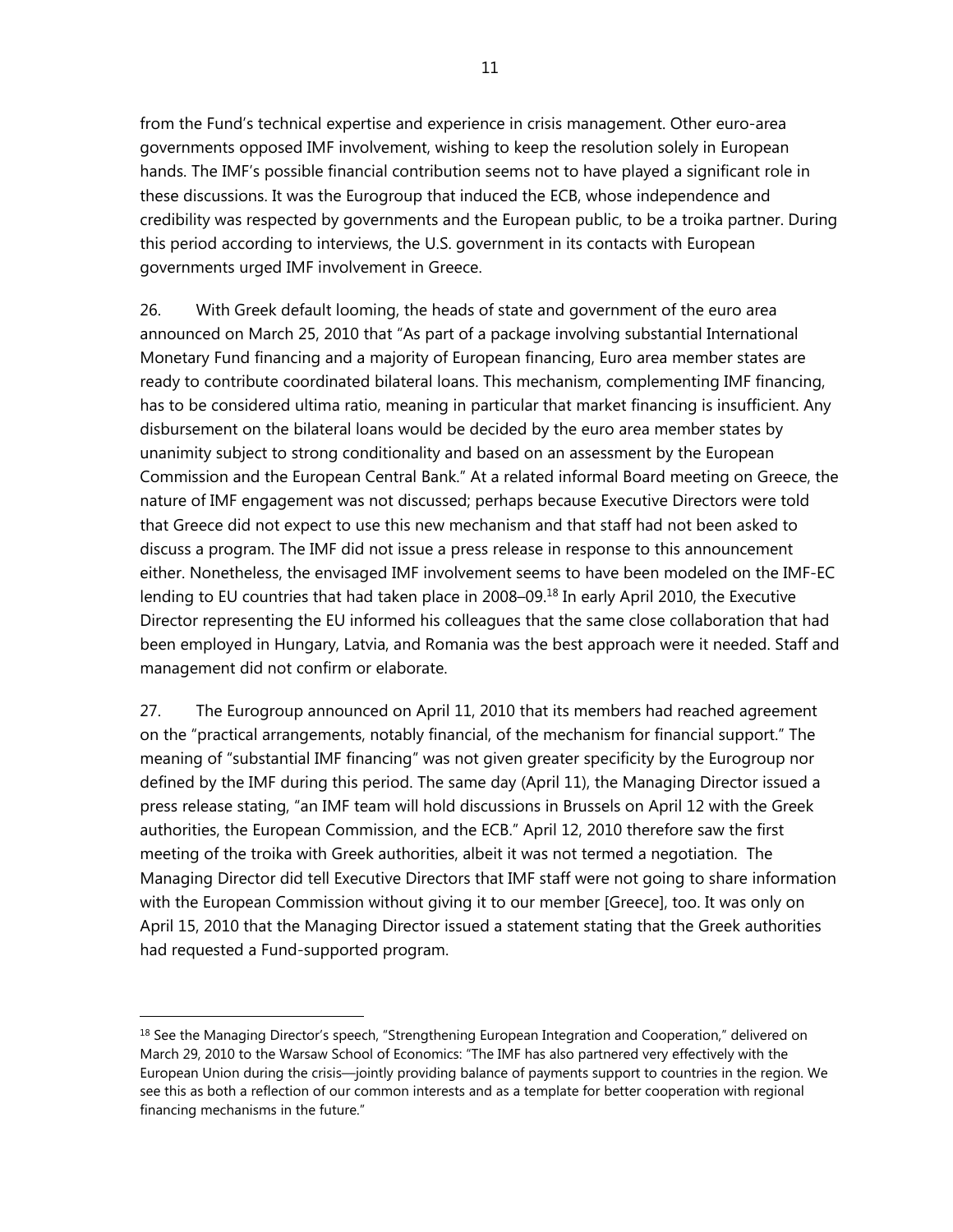from the Fund's technical expertise and experience in crisis management. Other euro-area governments opposed IMF involvement, wishing to keep the resolution solely in European hands. The IMF's possible financial contribution seems not to have played a significant role in these discussions. It was the Eurogroup that induced the ECB, whose independence and credibility was respected by governments and the European public, to be a troika partner. During this period according to interviews, the U.S. government in its contacts with European governments urged IMF involvement in Greece.

26. With Greek default looming, the heads of state and government of the euro area announced on March 25, 2010 that "As part of a package involving substantial International Monetary Fund financing and a majority of European financing, Euro area member states are ready to contribute coordinated bilateral loans. This mechanism, complementing IMF financing, has to be considered ultima ratio, meaning in particular that market financing is insufficient. Any disbursement on the bilateral loans would be decided by the euro area member states by unanimity subject to strong conditionality and based on an assessment by the European Commission and the European Central Bank." At a related informal Board meeting on Greece, the nature of IMF engagement was not discussed; perhaps because Executive Directors were told that Greece did not expect to use this new mechanism and that staff had not been asked to discuss a program. The IMF did not issue a press release in response to this announcement either. Nonetheless, the envisaged IMF involvement seems to have been modeled on the IMF-EC lending to EU countries that had taken place in 2008–09.<sup>18</sup> In early April 2010, the Executive Director representing the EU informed his colleagues that the same close collaboration that had been employed in Hungary, Latvia, and Romania was the best approach were it needed. Staff and management did not confirm or elaborate.

27. The Eurogroup announced on April 11, 2010 that its members had reached agreement on the "practical arrangements, notably financial, of the mechanism for financial support." The meaning of "substantial IMF financing" was not given greater specificity by the Eurogroup nor defined by the IMF during this period. The same day (April 11), the Managing Director issued a press release stating, "an IMF team will hold discussions in Brussels on April 12 with the Greek authorities, the European Commission, and the ECB." April 12, 2010 therefore saw the first meeting of the troika with Greek authorities, albeit it was not termed a negotiation. The Managing Director did tell Executive Directors that IMF staff were not going to share information with the European Commission without giving it to our member [Greece], too. It was only on April 15, 2010 that the Managing Director issued a statement stating that the Greek authorities had requested a Fund-supported program.

<sup>&</sup>lt;sup>18</sup> See the Managing Director's speech, "Strengthening European Integration and Cooperation," delivered on March 29, 2010 to the Warsaw School of Economics: "The IMF has also partnered very effectively with the European Union during the crisis—jointly providing balance of payments support to countries in the region. We see this as both a reflection of our common interests and as a template for better cooperation with regional financing mechanisms in the future."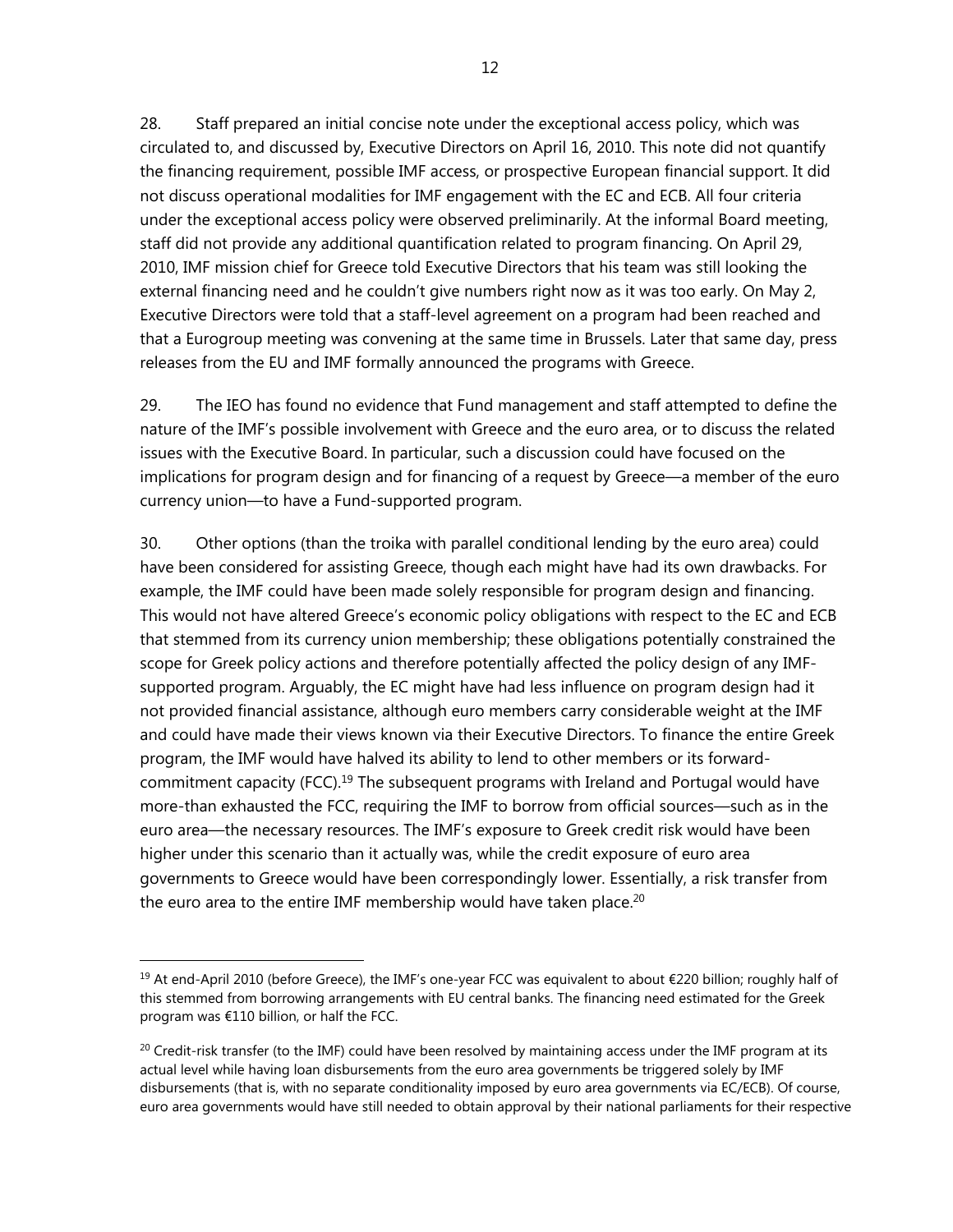28. Staff prepared an initial concise note under the exceptional access policy, which was circulated to, and discussed by, Executive Directors on April 16, 2010. This note did not quantify the financing requirement, possible IMF access, or prospective European financial support. It did not discuss operational modalities for IMF engagement with the EC and ECB. All four criteria under the exceptional access policy were observed preliminarily. At the informal Board meeting, staff did not provide any additional quantification related to program financing. On April 29, 2010, IMF mission chief for Greece told Executive Directors that his team was still looking the external financing need and he couldn't give numbers right now as it was too early. On May 2, Executive Directors were told that a staff-level agreement on a program had been reached and that a Eurogroup meeting was convening at the same time in Brussels. Later that same day, press releases from the EU and IMF formally announced the programs with Greece.

29. The IEO has found no evidence that Fund management and staff attempted to define the nature of the IMF's possible involvement with Greece and the euro area, or to discuss the related issues with the Executive Board. In particular, such a discussion could have focused on the implications for program design and for financing of a request by Greece—a member of the euro currency union—to have a Fund-supported program.

30. Other options (than the troika with parallel conditional lending by the euro area) could have been considered for assisting Greece, though each might have had its own drawbacks. For example, the IMF could have been made solely responsible for program design and financing. This would not have altered Greece's economic policy obligations with respect to the EC and ECB that stemmed from its currency union membership; these obligations potentially constrained the scope for Greek policy actions and therefore potentially affected the policy design of any IMFsupported program. Arguably, the EC might have had less influence on program design had it not provided financial assistance, although euro members carry considerable weight at the IMF and could have made their views known via their Executive Directors. To finance the entire Greek program, the IMF would have halved its ability to lend to other members or its forwardcommitment capacity (FCC).<sup>19</sup> The subsequent programs with Ireland and Portugal would have more-than exhausted the FCC, requiring the IMF to borrow from official sources—such as in the euro area—the necessary resources. The IMF's exposure to Greek credit risk would have been higher under this scenario than it actually was, while the credit exposure of euro area governments to Greece would have been correspondingly lower. Essentially, a risk transfer from the euro area to the entire IMF membership would have taken place.<sup>20</sup>

<sup>19</sup> At end-April 2010 (before Greece), the IMF's one-year FCC was equivalent to about €220 billion; roughly half of this stemmed from borrowing arrangements with EU central banks. The financing need estimated for the Greek program was €110 billion, or half the FCC.

 $^{20}$  Credit-risk transfer (to the IMF) could have been resolved by maintaining access under the IMF program at its actual level while having loan disbursements from the euro area governments be triggered solely by IMF disbursements (that is, with no separate conditionality imposed by euro area governments via EC/ECB). Of course, euro area governments would have still needed to obtain approval by their national parliaments for their respective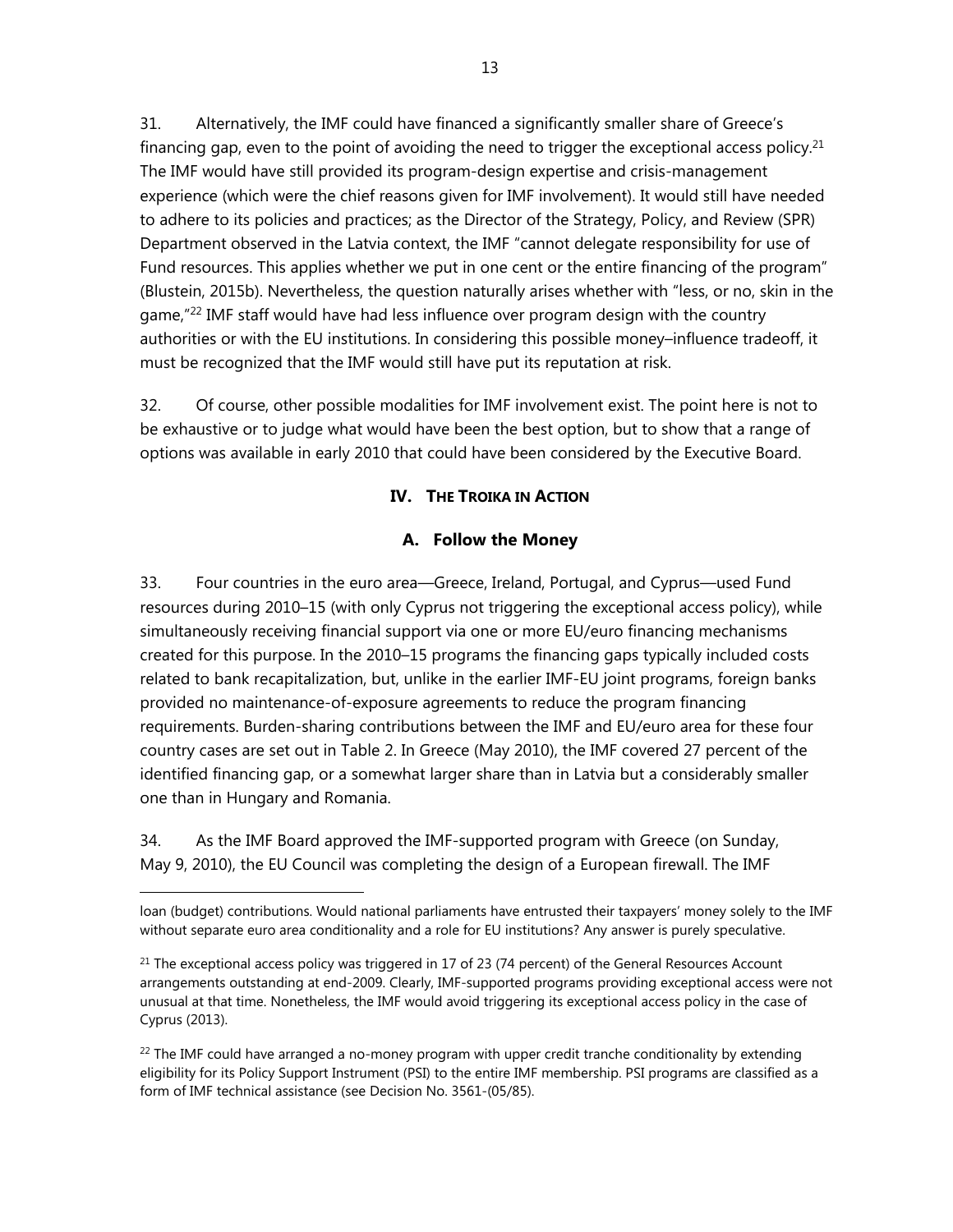31. Alternatively, the IMF could have financed a significantly smaller share of Greece's financing gap, even to the point of avoiding the need to trigger the exceptional access policy.<sup>21</sup> The IMF would have still provided its program-design expertise and crisis-management experience (which were the chief reasons given for IMF involvement). It would still have needed to adhere to its policies and practices; as the Director of the Strategy, Policy, and Review (SPR) Department observed in the Latvia context, the IMF "cannot delegate responsibility for use of Fund resources. This applies whether we put in one cent or the entire financing of the program" (Blustein, 2015b). Nevertheless, the question naturally arises whether with "less, or no, skin in the game,"<sup>22</sup> IMF staff would have had less influence over program design with the country authorities or with the EU institutions. In considering this possible money–influence tradeoff, it must be recognized that the IMF would still have put its reputation at risk.

32. Of course, other possible modalities for IMF involvement exist. The point here is not to be exhaustive or to judge what would have been the best option, but to show that a range of options was available in early 2010 that could have been considered by the Executive Board.

## **IV. THE TROIKA IN ACTION**

## **A. Follow the Money**

33. Four countries in the euro area—Greece, Ireland, Portugal, and Cyprus—used Fund resources during 2010–15 (with only Cyprus not triggering the exceptional access policy), while simultaneously receiving financial support via one or more EU/euro financing mechanisms created for this purpose. In the 2010–15 programs the financing gaps typically included costs related to bank recapitalization, but, unlike in the earlier IMF-EU joint programs, foreign banks provided no maintenance-of-exposure agreements to reduce the program financing requirements. Burden-sharing contributions between the IMF and EU/euro area for these four country cases are set out in Table 2. In Greece (May 2010), the IMF covered 27 percent of the identified financing gap, or a somewhat larger share than in Latvia but a considerably smaller one than in Hungary and Romania.

34. As the IMF Board approved the IMF-supported program with Greece (on Sunday, May 9, 2010), the EU Council was completing the design of a European firewall. The IMF

 $\overline{a}$ 

 $^{22}$  The IMF could have arranged a no-money program with upper credit tranche conditionality by extending eligibility for its Policy Support Instrument (PSI) to the entire IMF membership. PSI programs are classified as a form of IMF technical assistance (see Decision No. 3561-(05/85).

loan (budget) contributions. Would national parliaments have entrusted their taxpayers' money solely to the IMF without separate euro area conditionality and a role for EU institutions? Any answer is purely speculative.

 $^{21}$  The exceptional access policy was triggered in 17 of 23 (74 percent) of the General Resources Account arrangements outstanding at end-2009. Clearly, IMF-supported programs providing exceptional access were not unusual at that time. Nonetheless, the IMF would avoid triggering its exceptional access policy in the case of Cyprus (2013).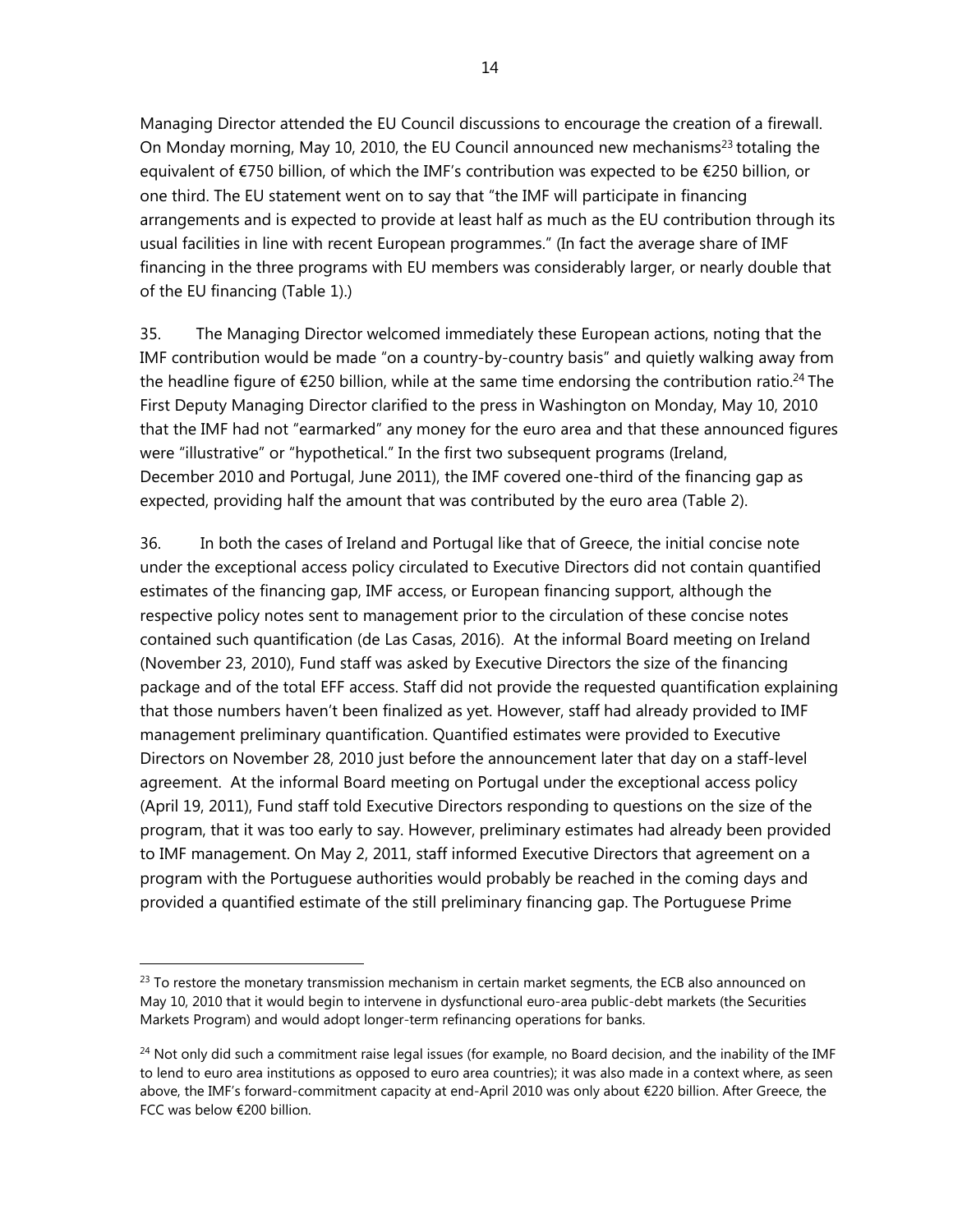Managing Director attended the EU Council discussions to encourage the creation of a firewall. On Monday morning, May 10, 2010, the EU Council announced new mechanisms<sup>23</sup> totaling the equivalent of €750 billion, of which the IMF's contribution was expected to be €250 billion, or one third. The EU statement went on to say that "the IMF will participate in financing arrangements and is expected to provide at least half as much as the EU contribution through its usual facilities in line with recent European programmes." (In fact the average share of IMF financing in the three programs with EU members was considerably larger, or nearly double that of the EU financing (Table 1).)

35. The Managing Director welcomed immediately these European actions, noting that the IMF contribution would be made "on a country-by-country basis" and quietly walking away from the headline figure of  $\epsilon$ 250 billion, while at the same time endorsing the contribution ratio.<sup>24</sup> The First Deputy Managing Director clarified to the press in Washington on Monday, May 10, 2010 that the IMF had not "earmarked" any money for the euro area and that these announced figures were "illustrative" or "hypothetical." In the first two subsequent programs (Ireland, December 2010 and Portugal, June 2011), the IMF covered one-third of the financing gap as expected, providing half the amount that was contributed by the euro area (Table 2).

36. In both the cases of Ireland and Portugal like that of Greece, the initial concise note under the exceptional access policy circulated to Executive Directors did not contain quantified estimates of the financing gap, IMF access, or European financing support, although the respective policy notes sent to management prior to the circulation of these concise notes contained such quantification (de Las Casas, 2016). At the informal Board meeting on Ireland (November 23, 2010), Fund staff was asked by Executive Directors the size of the financing package and of the total EFF access. Staff did not provide the requested quantification explaining that those numbers haven't been finalized as yet. However, staff had already provided to IMF management preliminary quantification. Quantified estimates were provided to Executive Directors on November 28, 2010 just before the announcement later that day on a staff-level agreement. At the informal Board meeting on Portugal under the exceptional access policy (April 19, 2011), Fund staff told Executive Directors responding to questions on the size of the program, that it was too early to say. However, preliminary estimates had already been provided to IMF management. On May 2, 2011, staff informed Executive Directors that agreement on a program with the Portuguese authorities would probably be reached in the coming days and provided a quantified estimate of the still preliminary financing gap. The Portuguese Prime

 $^{23}$  To restore the monetary transmission mechanism in certain market segments, the ECB also announced on May 10, 2010 that it would begin to intervene in dysfunctional euro-area public-debt markets (the Securities Markets Program) and would adopt longer-term refinancing operations for banks.

<sup>&</sup>lt;sup>24</sup> Not only did such a commitment raise legal issues (for example, no Board decision, and the inability of the IMF to lend to euro area institutions as opposed to euro area countries); it was also made in a context where, as seen above, the IMF's forward-commitment capacity at end-April 2010 was only about €220 billion. After Greece, the FCC was below €200 billion.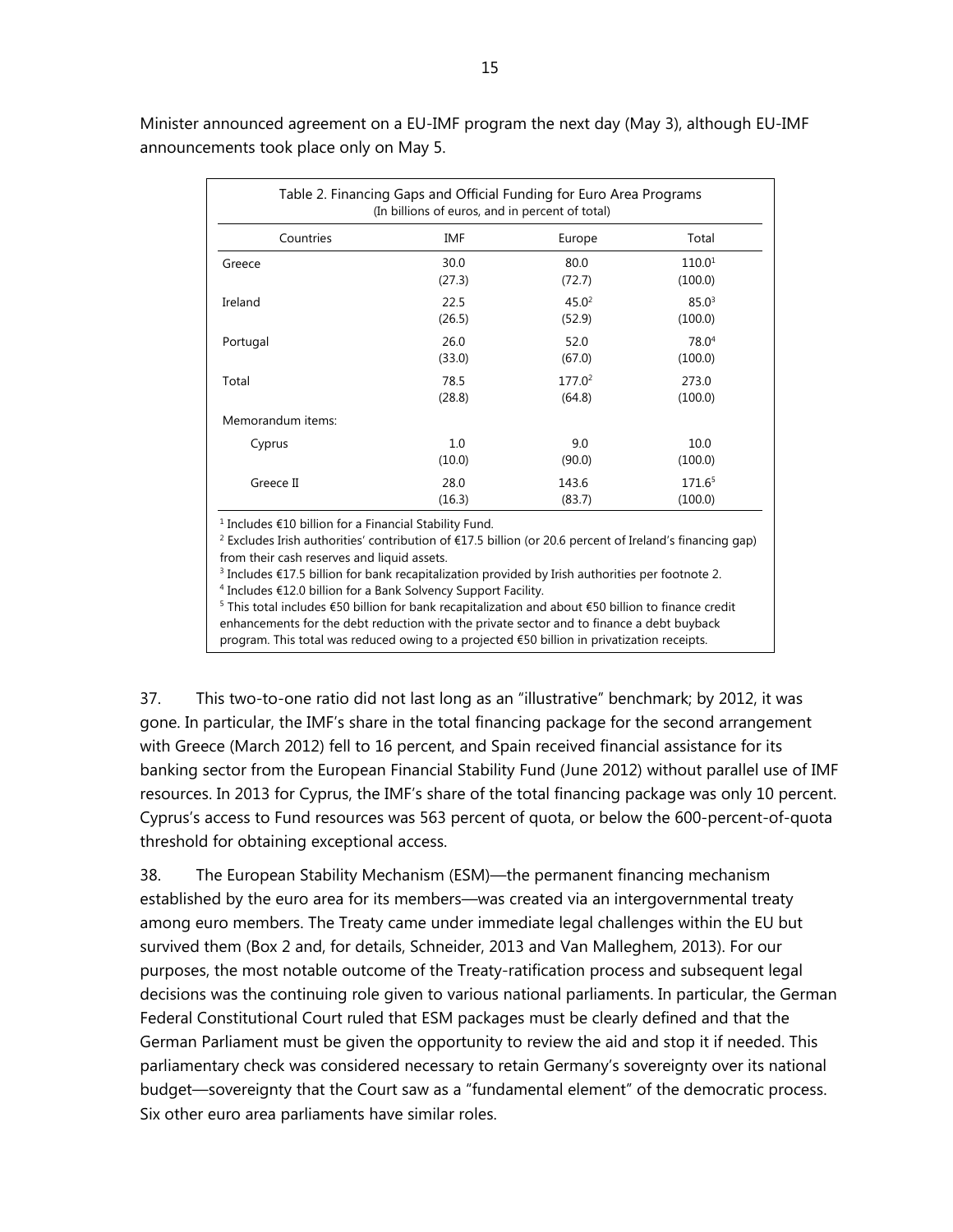Minister announced agreement on a EU-IMF program the next day (May 3), although EU-IMF announcements took place only on May 5.

| Table 2. Financing Gaps and Official Funding for Euro Area Programs<br>(In billions of euros, and in percent of total) |        |                    |                    |  |  |
|------------------------------------------------------------------------------------------------------------------------|--------|--------------------|--------------------|--|--|
| Countries                                                                                                              | IMF    | Europe             | Total              |  |  |
| Greece                                                                                                                 | 30.0   | 80.0               | 110.0 <sup>1</sup> |  |  |
|                                                                                                                        | (27.3) | (72.7)             | (100.0)            |  |  |
| Ireland                                                                                                                | 22.5   | 45.0 <sup>2</sup>  | $85.0^3$           |  |  |
|                                                                                                                        | (26.5) | (52.9)             | (100.0)            |  |  |
| Portugal                                                                                                               | 26.0   | 52.0               | 78.0 <sup>4</sup>  |  |  |
|                                                                                                                        | (33.0) | (67.0)             | (100.0)            |  |  |
| Total                                                                                                                  | 78.5   | 177.0 <sup>2</sup> | 273.0              |  |  |
|                                                                                                                        | (28.8) | (64.8)             | (100.0)            |  |  |
| Memorandum items:                                                                                                      |        |                    |                    |  |  |
| Cyprus                                                                                                                 | 1.0    | 9.0                | 10.0               |  |  |
|                                                                                                                        | (10.0) | (90.0)             | (100.0)            |  |  |
| Greece II                                                                                                              | 28.0   | 143.6              | 171.65             |  |  |
|                                                                                                                        | (16.3) | (83.7)             | (100.0)            |  |  |

<sup>1</sup> Includes €10 billion for a Financial Stability Fund.<br><sup>2</sup> Excludes Irish authorities' contribution of €17.5 bi

 Excludes Irish authorities' contribution of €17.5 billion (or 20.6 percent of Ireland's financing gap) from their cash reserves and liquid assets.

<sup>3</sup> Includes €17.5 billion for bank recapitalization provided by Irish authorities per footnote 2.<br><sup>4</sup> Includes €12.0 billion for 3 Bank Solvency Sunport Facility.

<sup>4</sup> Includes €12.0 billion for a Bank Solvency Support Facility.

<sup>5</sup> This total includes €50 billion for bank recapitalization and about €50 billion to finance credit enhancements for the debt reduction with the private sector and to finance a debt buyback program. This total was reduced owing to a projected €50 billion in privatization receipts.

37. This two-to-one ratio did not last long as an "illustrative" benchmark; by 2012, it was gone. In particular, the IMF's share in the total financing package for the second arrangement with Greece (March 2012) fell to 16 percent, and Spain received financial assistance for its banking sector from the European Financial Stability Fund (June 2012) without parallel use of IMF resources. In 2013 for Cyprus, the IMF's share of the total financing package was only 10 percent. Cyprus's access to Fund resources was 563 percent of quota, or below the 600-percent-of-quota threshold for obtaining exceptional access.

38. The European Stability Mechanism (ESM)—the permanent financing mechanism established by the euro area for its members—was created via an intergovernmental treaty among euro members. The Treaty came under immediate legal challenges within the EU but survived them (Box 2 and, for details, Schneider, 2013 and Van Malleghem, 2013). For our purposes, the most notable outcome of the Treaty-ratification process and subsequent legal decisions was the continuing role given to various national parliaments. In particular, the German Federal Constitutional Court ruled that ESM packages must be clearly defined and that the German Parliament must be given the opportunity to review the aid and stop it if needed. This parliamentary check was considered necessary to retain Germany's sovereignty over its national budget—sovereignty that the Court saw as a "fundamental element" of the democratic process. Six other euro area parliaments have similar roles.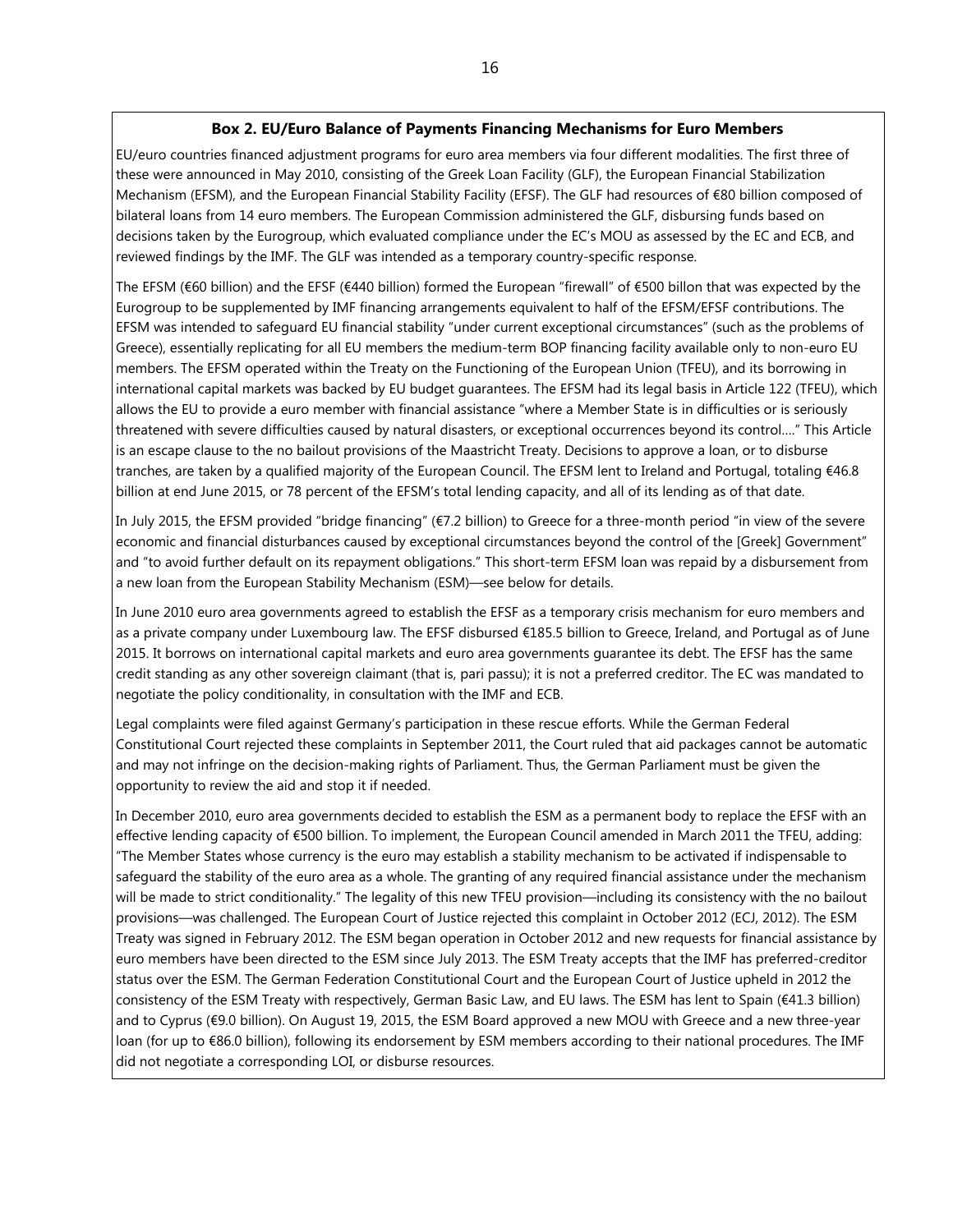#### **Box 2. EU/Euro Balance of Payments Financing Mechanisms for Euro Members**

EU/euro countries financed adjustment programs for euro area members via four different modalities. The first three of these were announced in May 2010, consisting of the Greek Loan Facility (GLF), the European Financial Stabilization Mechanism (EFSM), and the European Financial Stability Facility (EFSF). The GLF had resources of €80 billion composed of bilateral loans from 14 euro members. The European Commission administered the GLF, disbursing funds based on decisions taken by the Eurogroup, which evaluated compliance under the EC's MOU as assessed by the EC and ECB, and reviewed findings by the IMF. The GLF was intended as a temporary country-specific response.

The EFSM (€60 billion) and the EFSF (€440 billion) formed the European "firewall" of €500 billon that was expected by the Eurogroup to be supplemented by IMF financing arrangements equivalent to half of the EFSM/EFSF contributions. The EFSM was intended to safeguard EU financial stability "under current exceptional circumstances" (such as the problems of Greece), essentially replicating for all EU members the medium-term BOP financing facility available only to non-euro EU members. The EFSM operated within the Treaty on the Functioning of the European Union (TFEU), and its borrowing in international capital markets was backed by EU budget guarantees. The EFSM had its legal basis in Article 122 (TFEU), which allows the EU to provide a euro member with financial assistance "where a Member State is in difficulties or is seriously threatened with severe difficulties caused by natural disasters, or exceptional occurrences beyond its control…." This Article is an escape clause to the no bailout provisions of the Maastricht Treaty. Decisions to approve a loan, or to disburse tranches, are taken by a qualified majority of the European Council. The EFSM lent to Ireland and Portugal, totaling €46.8 billion at end June 2015, or 78 percent of the EFSM's total lending capacity, and all of its lending as of that date.

In July 2015, the EFSM provided "bridge financing" (€7.2 billion) to Greece for a three-month period "in view of the severe economic and financial disturbances caused by exceptional circumstances beyond the control of the [Greek] Government" and "to avoid further default on its repayment obligations." This short-term EFSM loan was repaid by a disbursement from a new loan from the European Stability Mechanism (ESM)—see below for details.

In June 2010 euro area governments agreed to establish the EFSF as a temporary crisis mechanism for euro members and as a private company under Luxembourg law. The EFSF disbursed €185.5 billion to Greece, Ireland, and Portugal as of June 2015. It borrows on international capital markets and euro area governments guarantee its debt. The EFSF has the same credit standing as any other sovereign claimant (that is, pari passu); it is not a preferred creditor. The EC was mandated to negotiate the policy conditionality, in consultation with the IMF and ECB.

Legal complaints were filed against Germany's participation in these rescue efforts. While the German Federal Constitutional Court rejected these complaints in September 2011, the Court ruled that aid packages cannot be automatic and may not infringe on the decision-making rights of Parliament. Thus, the German Parliament must be given the opportunity to review the aid and stop it if needed.

In December 2010, euro area governments decided to establish the ESM as a permanent body to replace the EFSF with an effective lending capacity of €500 billion. To implement, the European Council amended in March 2011 the TFEU, adding: "The Member States whose currency is the euro may establish a stability mechanism to be activated if indispensable to safeguard the stability of the euro area as a whole. The granting of any required financial assistance under the mechanism will be made to strict conditionality." The legality of this new TFEU provision—including its consistency with the no bailout provisions—was challenged. The European Court of Justice rejected this complaint in October 2012 (ECJ, 2012). The ESM Treaty was signed in February 2012. The ESM began operation in October 2012 and new requests for financial assistance by euro members have been directed to the ESM since July 2013. The ESM Treaty accepts that the IMF has preferred-creditor status over the ESM. The German Federation Constitutional Court and the European Court of Justice upheld in 2012 the consistency of the ESM Treaty with respectively, German Basic Law, and EU laws. The ESM has lent to Spain (€41.3 billion) and to Cyprus (€9.0 billion). On August 19, 2015, the ESM Board approved a new MOU with Greece and a new three-year loan (for up to €86.0 billion), following its endorsement by ESM members according to their national procedures. The IMF did not negotiate a corresponding LOI, or disburse resources.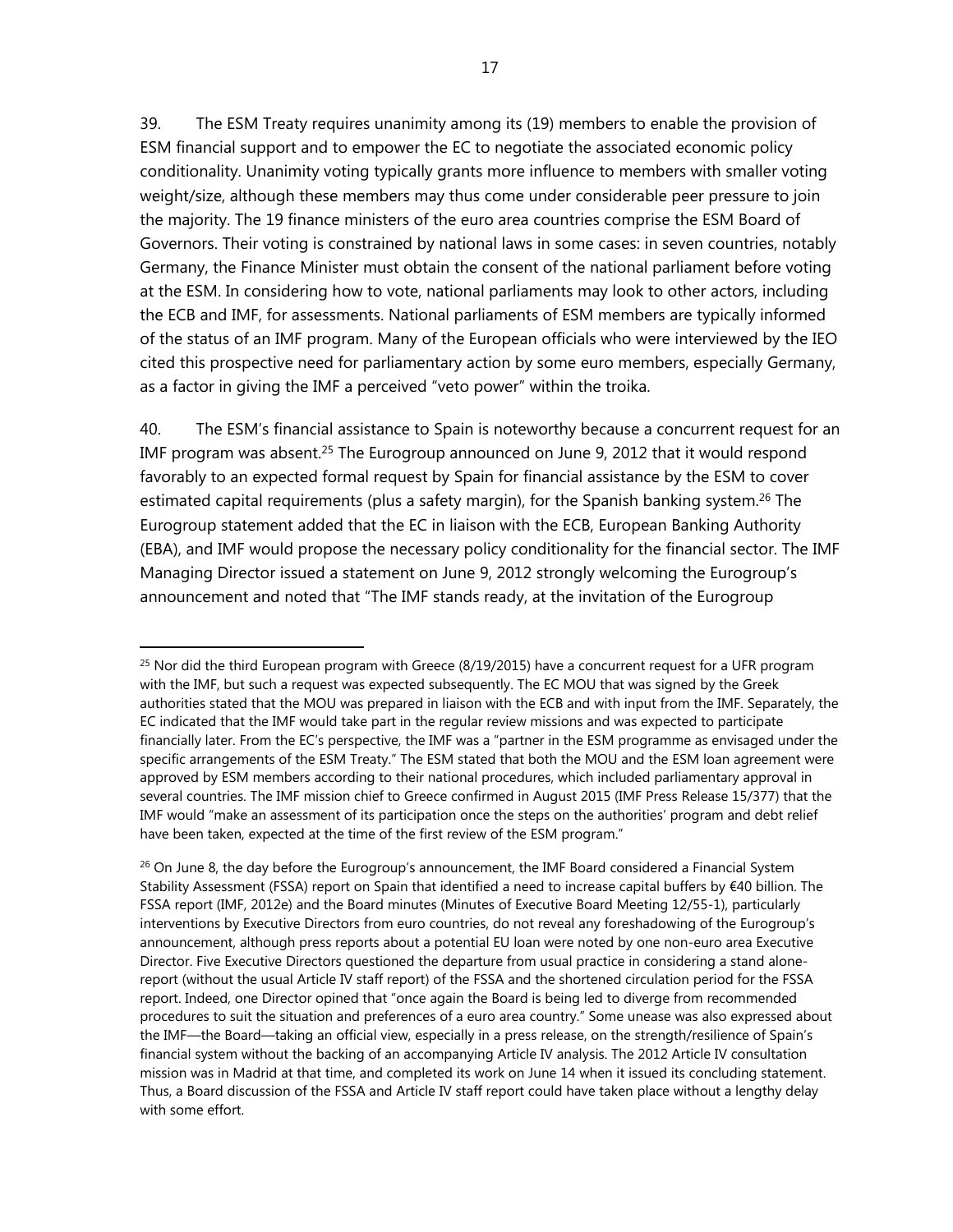39. The ESM Treaty requires unanimity among its (19) members to enable the provision of ESM financial support and to empower the EC to negotiate the associated economic policy conditionality. Unanimity voting typically grants more influence to members with smaller voting weight/size, although these members may thus come under considerable peer pressure to join the majority. The 19 finance ministers of the euro area countries comprise the ESM Board of Governors. Their voting is constrained by national laws in some cases: in seven countries, notably Germany, the Finance Minister must obtain the consent of the national parliament before voting at the ESM. In considering how to vote, national parliaments may look to other actors, including the ECB and IMF, for assessments. National parliaments of ESM members are typically informed of the status of an IMF program. Many of the European officials who were interviewed by the IEO cited this prospective need for parliamentary action by some euro members, especially Germany, as a factor in giving the IMF a perceived "veto power" within the troika.

40. The ESM's financial assistance to Spain is noteworthy because a concurrent request for an IMF program was absent.<sup>25</sup> The Eurogroup announced on June 9, 2012 that it would respond favorably to an expected formal request by Spain for financial assistance by the ESM to cover estimated capital requirements (plus a safety margin), for the Spanish banking system.<sup>26</sup> The Eurogroup statement added that the EC in liaison with the ECB, European Banking Authority (EBA), and IMF would propose the necessary policy conditionality for the financial sector. The IMF Managing Director issued a statement on June 9, 2012 strongly welcoming the Eurogroup's announcement and noted that "The IMF stands ready, at the invitation of the Eurogroup

 $25$  Nor did the third European program with Greece (8/19/2015) have a concurrent request for a UFR program with the IMF, but such a request was expected subsequently. The EC MOU that was signed by the Greek authorities stated that the MOU was prepared in liaison with the ECB and with input from the IMF. Separately, the EC indicated that the IMF would take part in the regular review missions and was expected to participate financially later. From the EC's perspective, the IMF was a "partner in the ESM programme as envisaged under the specific arrangements of the ESM Treaty." The ESM stated that both the MOU and the ESM loan agreement were approved by ESM members according to their national procedures, which included parliamentary approval in several countries. The IMF mission chief to Greece confirmed in August 2015 (IMF Press Release 15/377) that the IMF would "make an assessment of its participation once the steps on the authorities' program and debt relief have been taken, expected at the time of the first review of the ESM program."

<sup>&</sup>lt;sup>26</sup> On June 8, the day before the Eurogroup's announcement, the IMF Board considered a Financial System Stability Assessment (FSSA) report on Spain that identified a need to increase capital buffers by €40 billion. The FSSA report (IMF, 2012e) and the Board minutes (Minutes of Executive Board Meeting 12/55-1), particularly interventions by Executive Directors from euro countries, do not reveal any foreshadowing of the Eurogroup's announcement, although press reports about a potential EU loan were noted by one non-euro area Executive Director. Five Executive Directors questioned the departure from usual practice in considering a stand alonereport (without the usual Article IV staff report) of the FSSA and the shortened circulation period for the FSSA report. Indeed, one Director opined that "once again the Board is being led to diverge from recommended procedures to suit the situation and preferences of a euro area country." Some unease was also expressed about the IMF—the Board—taking an official view, especially in a press release, on the strength/resilience of Spain's financial system without the backing of an accompanying Article IV analysis. The 2012 Article IV consultation mission was in Madrid at that time, and completed its work on June 14 when it issued its concluding statement. Thus, a Board discussion of the FSSA and Article IV staff report could have taken place without a lengthy delay with some effort.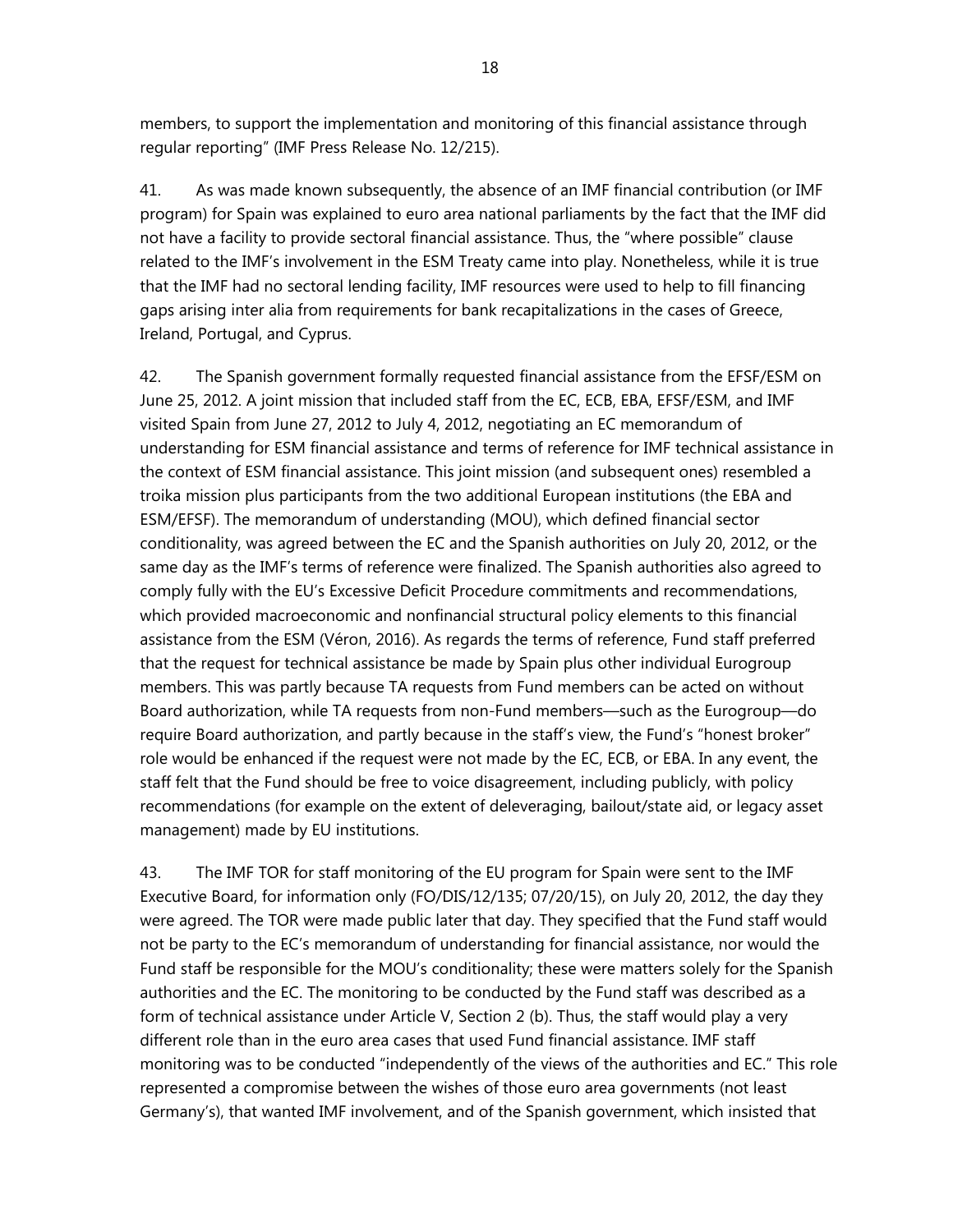members, to support the implementation and monitoring of this financial assistance through regular reporting" (IMF Press Release No. 12/215).

41. As was made known subsequently, the absence of an IMF financial contribution (or IMF program) for Spain was explained to euro area national parliaments by the fact that the IMF did not have a facility to provide sectoral financial assistance. Thus, the "where possible" clause related to the IMF's involvement in the ESM Treaty came into play. Nonetheless, while it is true that the IMF had no sectoral lending facility, IMF resources were used to help to fill financing gaps arising inter alia from requirements for bank recapitalizations in the cases of Greece, Ireland, Portugal, and Cyprus.

42. The Spanish government formally requested financial assistance from the EFSF/ESM on June 25, 2012. A joint mission that included staff from the EC, ECB, EBA, EFSF/ESM, and IMF visited Spain from June 27, 2012 to July 4, 2012, negotiating an EC memorandum of understanding for ESM financial assistance and terms of reference for IMF technical assistance in the context of ESM financial assistance. This joint mission (and subsequent ones) resembled a troika mission plus participants from the two additional European institutions (the EBA and ESM/EFSF). The memorandum of understanding (MOU), which defined financial sector conditionality, was agreed between the EC and the Spanish authorities on July 20, 2012, or the same day as the IMF's terms of reference were finalized. The Spanish authorities also agreed to comply fully with the EU's Excessive Deficit Procedure commitments and recommendations, which provided macroeconomic and nonfinancial structural policy elements to this financial assistance from the ESM (Véron, 2016). As regards the terms of reference, Fund staff preferred that the request for technical assistance be made by Spain plus other individual Eurogroup members. This was partly because TA requests from Fund members can be acted on without Board authorization, while TA requests from non-Fund members—such as the Eurogroup—do require Board authorization, and partly because in the staff's view, the Fund's "honest broker" role would be enhanced if the request were not made by the EC, ECB, or EBA. In any event, the staff felt that the Fund should be free to voice disagreement, including publicly, with policy recommendations (for example on the extent of deleveraging, bailout/state aid, or legacy asset management) made by EU institutions.

43. The IMF TOR for staff monitoring of the EU program for Spain were sent to the IMF Executive Board, for information only (FO/DIS/12/135; 07/20/15), on July 20, 2012, the day they were agreed. The TOR were made public later that day. They specified that the Fund staff would not be party to the EC's memorandum of understanding for financial assistance, nor would the Fund staff be responsible for the MOU's conditionality; these were matters solely for the Spanish authorities and the EC. The monitoring to be conducted by the Fund staff was described as a form of technical assistance under Article V, Section 2 (b). Thus, the staff would play a very different role than in the euro area cases that used Fund financial assistance. IMF staff monitoring was to be conducted "independently of the views of the authorities and EC." This role represented a compromise between the wishes of those euro area governments (not least Germany's), that wanted IMF involvement, and of the Spanish government, which insisted that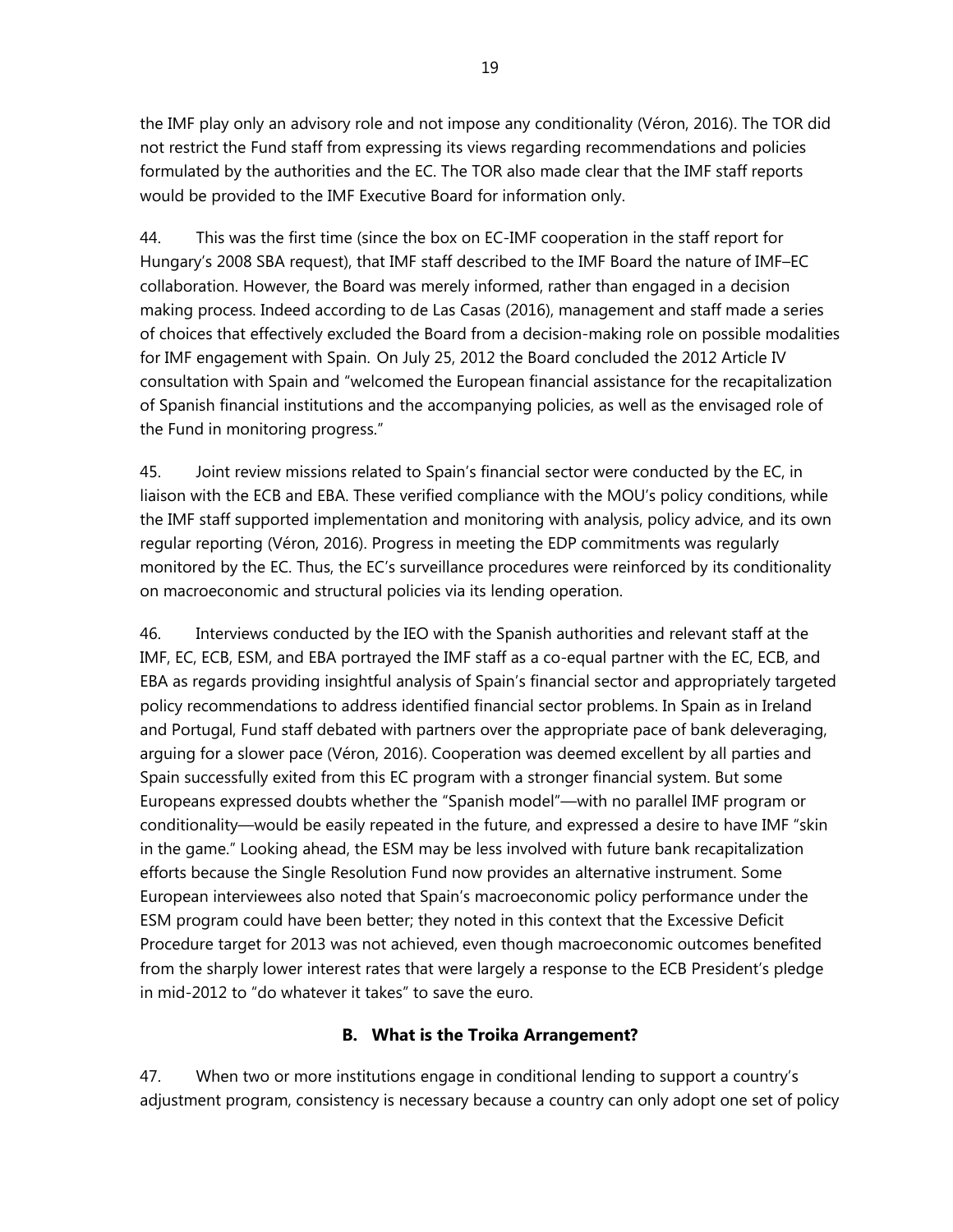the IMF play only an advisory role and not impose any conditionality (Véron, 2016). The TOR did not restrict the Fund staff from expressing its views regarding recommendations and policies formulated by the authorities and the EC. The TOR also made clear that the IMF staff reports would be provided to the IMF Executive Board for information only.

44. This was the first time (since the box on EC-IMF cooperation in the staff report for Hungary's 2008 SBA request), that IMF staff described to the IMF Board the nature of IMF–EC collaboration. However, the Board was merely informed, rather than engaged in a decision making process. Indeed according to de Las Casas (2016), management and staff made a series of choices that effectively excluded the Board from a decision-making role on possible modalities for IMF engagement with Spain. On July 25, 2012 the Board concluded the 2012 Article IV consultation with Spain and "welcomed the European financial assistance for the recapitalization of Spanish financial institutions and the accompanying policies, as well as the envisaged role of the Fund in monitoring progress."

45. Joint review missions related to Spain's financial sector were conducted by the EC, in liaison with the ECB and EBA. These verified compliance with the MOU's policy conditions, while the IMF staff supported implementation and monitoring with analysis, policy advice, and its own regular reporting (Véron, 2016). Progress in meeting the EDP commitments was regularly monitored by the EC. Thus, the EC's surveillance procedures were reinforced by its conditionality on macroeconomic and structural policies via its lending operation.

46. Interviews conducted by the IEO with the Spanish authorities and relevant staff at the IMF, EC, ECB, ESM, and EBA portrayed the IMF staff as a co-equal partner with the EC, ECB, and EBA as regards providing insightful analysis of Spain's financial sector and appropriately targeted policy recommendations to address identified financial sector problems. In Spain as in Ireland and Portugal, Fund staff debated with partners over the appropriate pace of bank deleveraging, arguing for a slower pace (Véron, 2016). Cooperation was deemed excellent by all parties and Spain successfully exited from this EC program with a stronger financial system. But some Europeans expressed doubts whether the "Spanish model"—with no parallel IMF program or conditionality—would be easily repeated in the future, and expressed a desire to have IMF "skin in the game." Looking ahead, the ESM may be less involved with future bank recapitalization efforts because the Single Resolution Fund now provides an alternative instrument. Some European interviewees also noted that Spain's macroeconomic policy performance under the ESM program could have been better; they noted in this context that the Excessive Deficit Procedure target for 2013 was not achieved, even though macroeconomic outcomes benefited from the sharply lower interest rates that were largely a response to the ECB President's pledge in mid-2012 to "do whatever it takes" to save the euro.

## **B. What is the Troika Arrangement?**

47. When two or more institutions engage in conditional lending to support a country's adjustment program, consistency is necessary because a country can only adopt one set of policy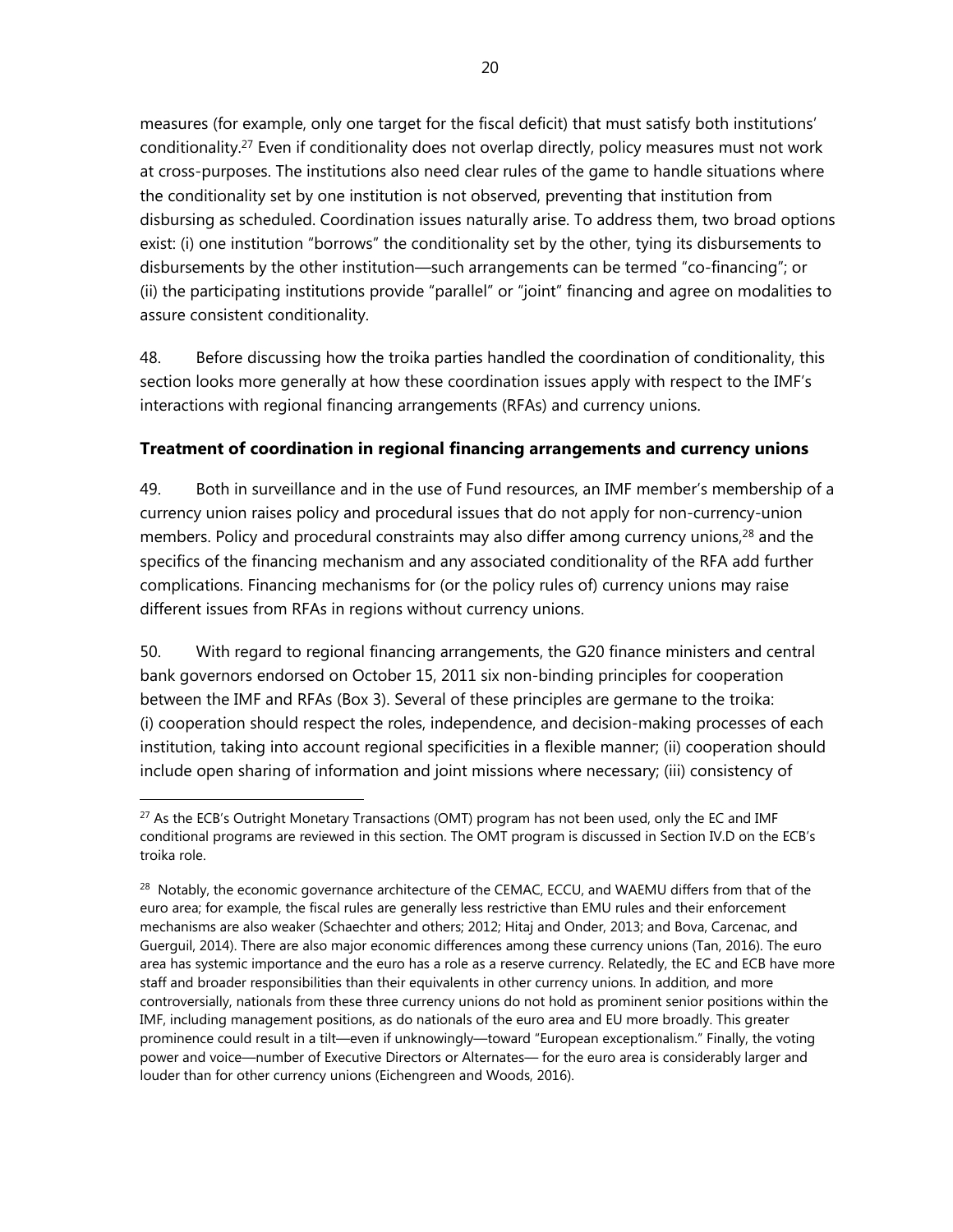measures (for example, only one target for the fiscal deficit) that must satisfy both institutions' conditionality.27 Even if conditionality does not overlap directly, policy measures must not work at cross-purposes. The institutions also need clear rules of the game to handle situations where the conditionality set by one institution is not observed, preventing that institution from disbursing as scheduled. Coordination issues naturally arise. To address them, two broad options exist: (i) one institution "borrows" the conditionality set by the other, tying its disbursements to disbursements by the other institution—such arrangements can be termed "co-financing"; or (ii) the participating institutions provide "parallel" or "joint" financing and agree on modalities to assure consistent conditionality.

48. Before discussing how the troika parties handled the coordination of conditionality, this section looks more generally at how these coordination issues apply with respect to the IMF's interactions with regional financing arrangements (RFAs) and currency unions.

## **Treatment of coordination in regional financing arrangements and currency unions**

49. Both in surveillance and in the use of Fund resources, an IMF member's membership of a currency union raises policy and procedural issues that do not apply for non-currency-union members. Policy and procedural constraints may also differ among currency unions, $^{28}$  and the specifics of the financing mechanism and any associated conditionality of the RFA add further complications. Financing mechanisms for (or the policy rules of) currency unions may raise different issues from RFAs in regions without currency unions.

50. With regard to regional financing arrangements, the G20 finance ministers and central bank governors endorsed on October 15, 2011 six non-binding principles for cooperation between the IMF and RFAs (Box 3). Several of these principles are germane to the troika: (i) cooperation should respect the roles, independence, and decision-making processes of each institution, taking into account regional specificities in a flexible manner; (ii) cooperation should include open sharing of information and joint missions where necessary; (iii) consistency of

 $\overline{a}$  $^{27}$  As the ECB's Outright Monetary Transactions (OMT) program has not been used, only the EC and IMF conditional programs are reviewed in this section. The OMT program is discussed in Section IV.D on the ECB's troika role.

<sup>&</sup>lt;sup>28</sup> Notably, the economic governance architecture of the CEMAC, ECCU, and WAEMU differs from that of the euro area; for example, the fiscal rules are generally less restrictive than EMU rules and their enforcement mechanisms are also weaker (Schaechter and others; 2012; Hitaj and Onder, 2013; and Bova, Carcenac, and Guerguil, 2014). There are also major economic differences among these currency unions (Tan, 2016). The euro area has systemic importance and the euro has a role as a reserve currency. Relatedly, the EC and ECB have more staff and broader responsibilities than their equivalents in other currency unions. In addition, and more controversially, nationals from these three currency unions do not hold as prominent senior positions within the IMF, including management positions, as do nationals of the euro area and EU more broadly. This greater prominence could result in a tilt—even if unknowingly—toward "European exceptionalism." Finally, the voting power and voice—number of Executive Directors or Alternates— for the euro area is considerably larger and louder than for other currency unions (Eichengreen and Woods, 2016).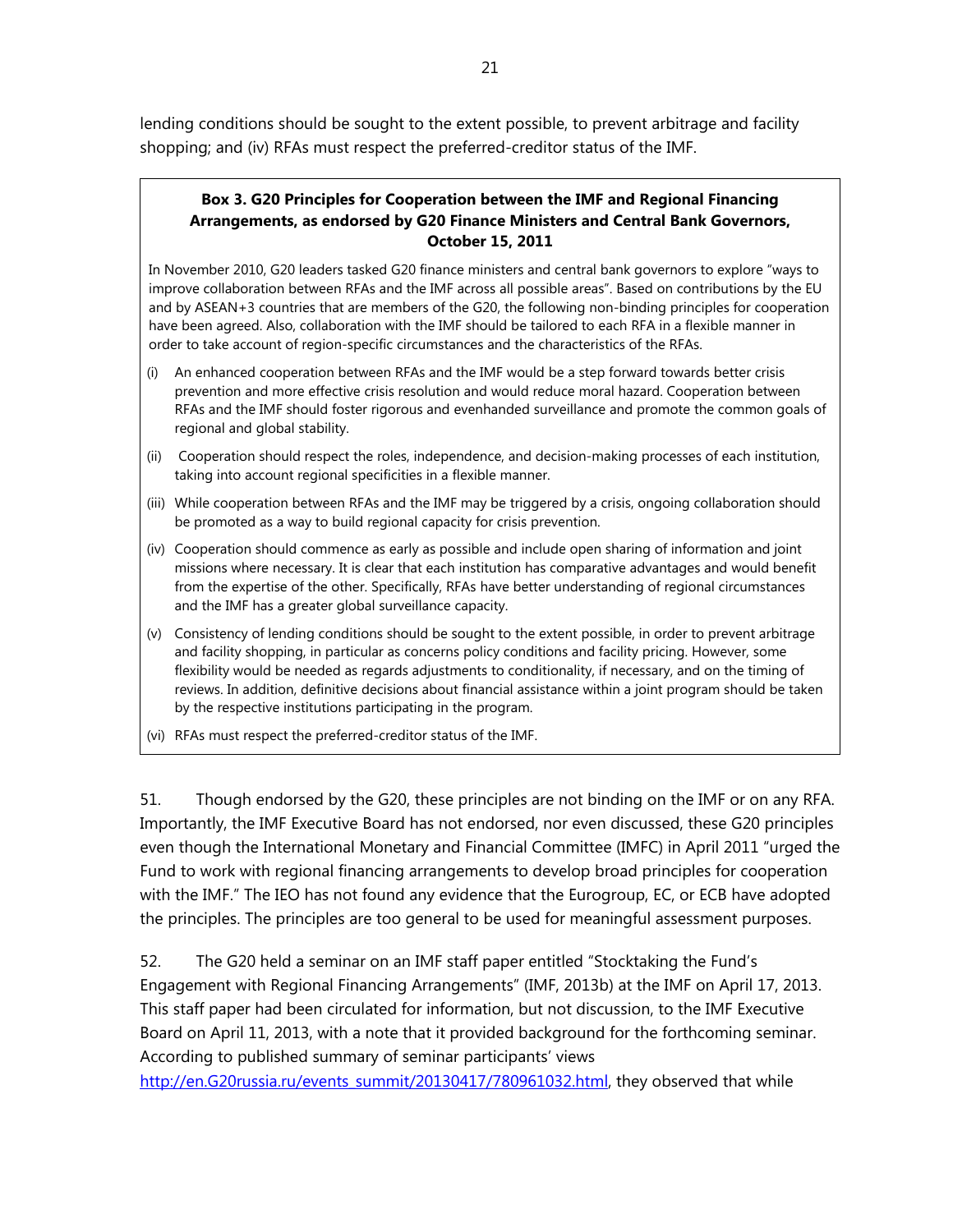lending conditions should be sought to the extent possible, to prevent arbitrage and facility shopping; and (iv) RFAs must respect the preferred-creditor status of the IMF.

#### **Box 3. G20 Principles for Cooperation between the IMF and Regional Financing Arrangements, as endorsed by G20 Finance Ministers and Central Bank Governors, October 15, 2011**

In November 2010, G20 leaders tasked G20 finance ministers and central bank governors to explore "ways to improve collaboration between RFAs and the IMF across all possible areas". Based on contributions by the EU and by ASEAN+3 countries that are members of the G20, the following non-binding principles for cooperation have been agreed. Also, collaboration with the IMF should be tailored to each RFA in a flexible manner in order to take account of region-specific circumstances and the characteristics of the RFAs.

- (i) An enhanced cooperation between RFAs and the IMF would be a step forward towards better crisis prevention and more effective crisis resolution and would reduce moral hazard. Cooperation between RFAs and the IMF should foster rigorous and evenhanded surveillance and promote the common goals of regional and global stability.
- (ii) Cooperation should respect the roles, independence, and decision-making processes of each institution, taking into account regional specificities in a flexible manner.
- (iii) While cooperation between RFAs and the IMF may be triggered by a crisis, ongoing collaboration should be promoted as a way to build regional capacity for crisis prevention.
- (iv) Cooperation should commence as early as possible and include open sharing of information and joint missions where necessary. It is clear that each institution has comparative advantages and would benefit from the expertise of the other. Specifically, RFAs have better understanding of regional circumstances and the IMF has a greater global surveillance capacity.
- (v) Consistency of lending conditions should be sought to the extent possible, in order to prevent arbitrage and facility shopping, in particular as concerns policy conditions and facility pricing. However, some flexibility would be needed as regards adjustments to conditionality, if necessary, and on the timing of reviews. In addition, definitive decisions about financial assistance within a joint program should be taken by the respective institutions participating in the program.
- (vi) RFAs must respect the preferred-creditor status of the IMF.

51. Though endorsed by the G20, these principles are not binding on the IMF or on any RFA. Importantly, the IMF Executive Board has not endorsed, nor even discussed, these G20 principles even though the International Monetary and Financial Committee (IMFC) in April 2011 "urged the Fund to work with regional financing arrangements to develop broad principles for cooperation with the IMF." The IEO has not found any evidence that the Eurogroup, EC, or ECB have adopted the principles. The principles are too general to be used for meaningful assessment purposes.

52. The G20 held a seminar on an IMF staff paper entitled "Stocktaking the Fund's Engagement with Regional Financing Arrangements" (IMF, 2013b) at the IMF on April 17, 2013. This staff paper had been circulated for information, but not discussion, to the IMF Executive Board on April 11, 2013, with a note that it provided background for the forthcoming seminar. According to published summary of seminar participants' views

http://en.G20russia.ru/events\_summit/20130417/780961032.html, they observed that while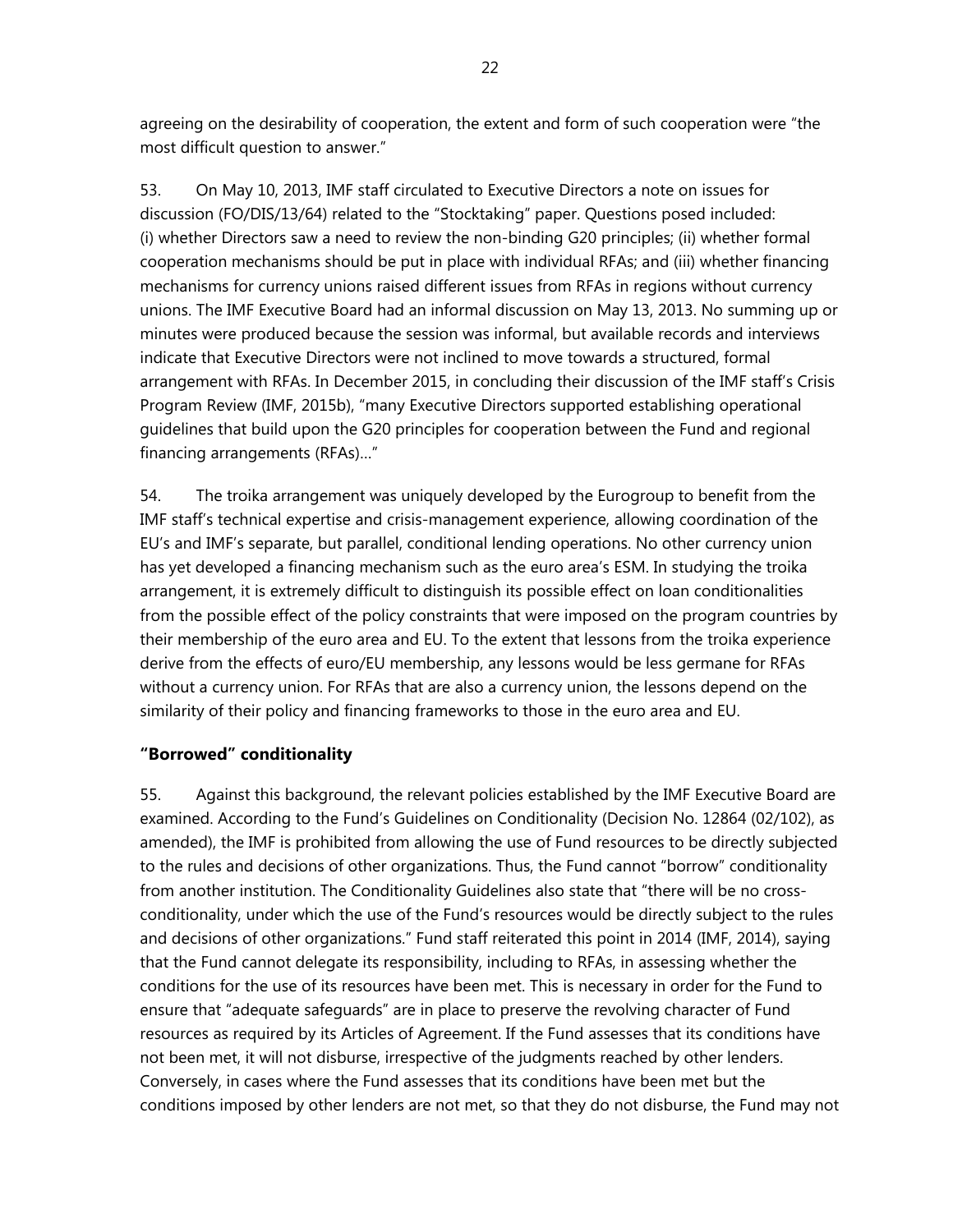agreeing on the desirability of cooperation, the extent and form of such cooperation were "the most difficult question to answer."

53. On May 10, 2013, IMF staff circulated to Executive Directors a note on issues for discussion (FO/DIS/13/64) related to the "Stocktaking" paper. Questions posed included: (i) whether Directors saw a need to review the non-binding G20 principles; (ii) whether formal cooperation mechanisms should be put in place with individual RFAs; and (iii) whether financing mechanisms for currency unions raised different issues from RFAs in regions without currency unions. The IMF Executive Board had an informal discussion on May 13, 2013. No summing up or minutes were produced because the session was informal, but available records and interviews indicate that Executive Directors were not inclined to move towards a structured, formal arrangement with RFAs. In December 2015, in concluding their discussion of the IMF staff's Crisis Program Review (IMF, 2015b), "many Executive Directors supported establishing operational guidelines that build upon the G20 principles for cooperation between the Fund and regional financing arrangements (RFAs)…"

54. The troika arrangement was uniquely developed by the Eurogroup to benefit from the IMF staff's technical expertise and crisis-management experience, allowing coordination of the EU's and IMF's separate, but parallel, conditional lending operations. No other currency union has yet developed a financing mechanism such as the euro area's ESM. In studying the troika arrangement, it is extremely difficult to distinguish its possible effect on loan conditionalities from the possible effect of the policy constraints that were imposed on the program countries by their membership of the euro area and EU. To the extent that lessons from the troika experience derive from the effects of euro/EU membership, any lessons would be less germane for RFAs without a currency union. For RFAs that are also a currency union, the lessons depend on the similarity of their policy and financing frameworks to those in the euro area and EU.

### **"Borrowed" conditionality**

55. Against this background, the relevant policies established by the IMF Executive Board are examined. According to the Fund's Guidelines on Conditionality (Decision No. 12864 (02/102), as amended), the IMF is prohibited from allowing the use of Fund resources to be directly subjected to the rules and decisions of other organizations. Thus, the Fund cannot "borrow" conditionality from another institution. The Conditionality Guidelines also state that "there will be no crossconditionality, under which the use of the Fund's resources would be directly subject to the rules and decisions of other organizations." Fund staff reiterated this point in 2014 (IMF, 2014), saying that the Fund cannot delegate its responsibility, including to RFAs, in assessing whether the conditions for the use of its resources have been met. This is necessary in order for the Fund to ensure that "adequate safeguards" are in place to preserve the revolving character of Fund resources as required by its Articles of Agreement. If the Fund assesses that its conditions have not been met, it will not disburse, irrespective of the judgments reached by other lenders. Conversely, in cases where the Fund assesses that its conditions have been met but the conditions imposed by other lenders are not met, so that they do not disburse, the Fund may not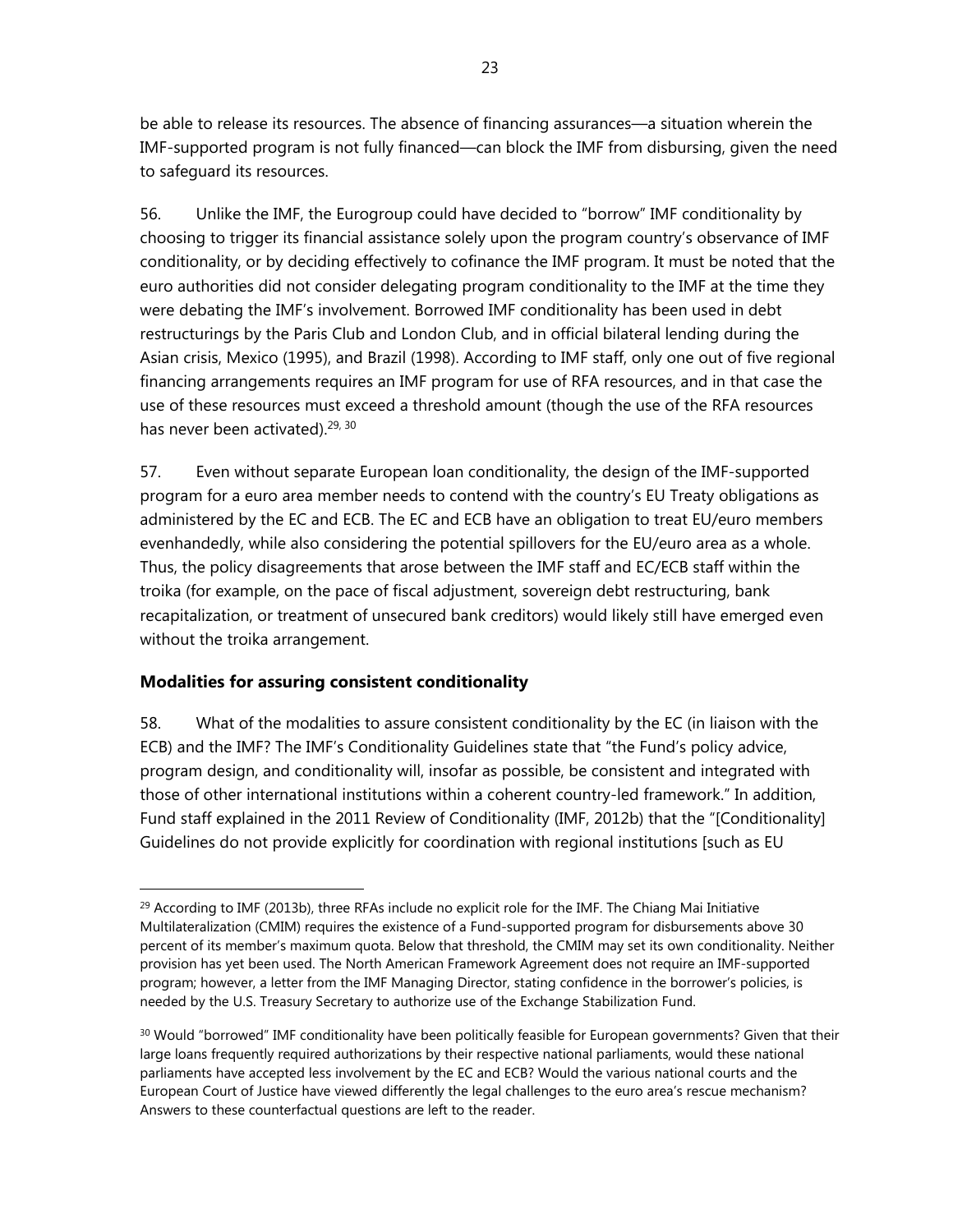be able to release its resources. The absence of financing assurances—a situation wherein the IMF-supported program is not fully financed—can block the IMF from disbursing, given the need to safeguard its resources.

56. Unlike the IMF, the Eurogroup could have decided to "borrow" IMF conditionality by choosing to trigger its financial assistance solely upon the program country's observance of IMF conditionality, or by deciding effectively to cofinance the IMF program. It must be noted that the euro authorities did not consider delegating program conditionality to the IMF at the time they were debating the IMF's involvement. Borrowed IMF conditionality has been used in debt restructurings by the Paris Club and London Club, and in official bilateral lending during the Asian crisis, Mexico (1995), and Brazil (1998). According to IMF staff, only one out of five regional financing arrangements requires an IMF program for use of RFA resources, and in that case the use of these resources must exceed a threshold amount (though the use of the RFA resources has never been activated).<sup>29, 30</sup>

57. Even without separate European loan conditionality, the design of the IMF-supported program for a euro area member needs to contend with the country's EU Treaty obligations as administered by the EC and ECB. The EC and ECB have an obligation to treat EU/euro members evenhandedly, while also considering the potential spillovers for the EU/euro area as a whole. Thus, the policy disagreements that arose between the IMF staff and EC/ECB staff within the troika (for example, on the pace of fiscal adjustment, sovereign debt restructuring, bank recapitalization, or treatment of unsecured bank creditors) would likely still have emerged even without the troika arrangement.

## **Modalities for assuring consistent conditionality**

 $\overline{a}$ 

58. What of the modalities to assure consistent conditionality by the EC (in liaison with the ECB) and the IMF? The IMF's Conditionality Guidelines state that "the Fund's policy advice, program design, and conditionality will, insofar as possible, be consistent and integrated with those of other international institutions within a coherent country-led framework." In addition, Fund staff explained in the 2011 Review of Conditionality (IMF, 2012b) that the "[Conditionality] Guidelines do not provide explicitly for coordination with regional institutions [such as EU

 $^{29}$  According to IMF (2013b), three RFAs include no explicit role for the IMF. The Chiang Mai Initiative Multilateralization (CMIM) requires the existence of a Fund-supported program for disbursements above 30 percent of its member's maximum quota. Below that threshold, the CMIM may set its own conditionality. Neither provision has yet been used. The North American Framework Agreement does not require an IMF-supported program; however, a letter from the IMF Managing Director, stating confidence in the borrower's policies, is needed by the U.S. Treasury Secretary to authorize use of the Exchange Stabilization Fund.

<sup>&</sup>lt;sup>30</sup> Would "borrowed" IMF conditionality have been politically feasible for European governments? Given that their large loans frequently required authorizations by their respective national parliaments, would these national parliaments have accepted less involvement by the EC and ECB? Would the various national courts and the European Court of Justice have viewed differently the legal challenges to the euro area's rescue mechanism? Answers to these counterfactual questions are left to the reader.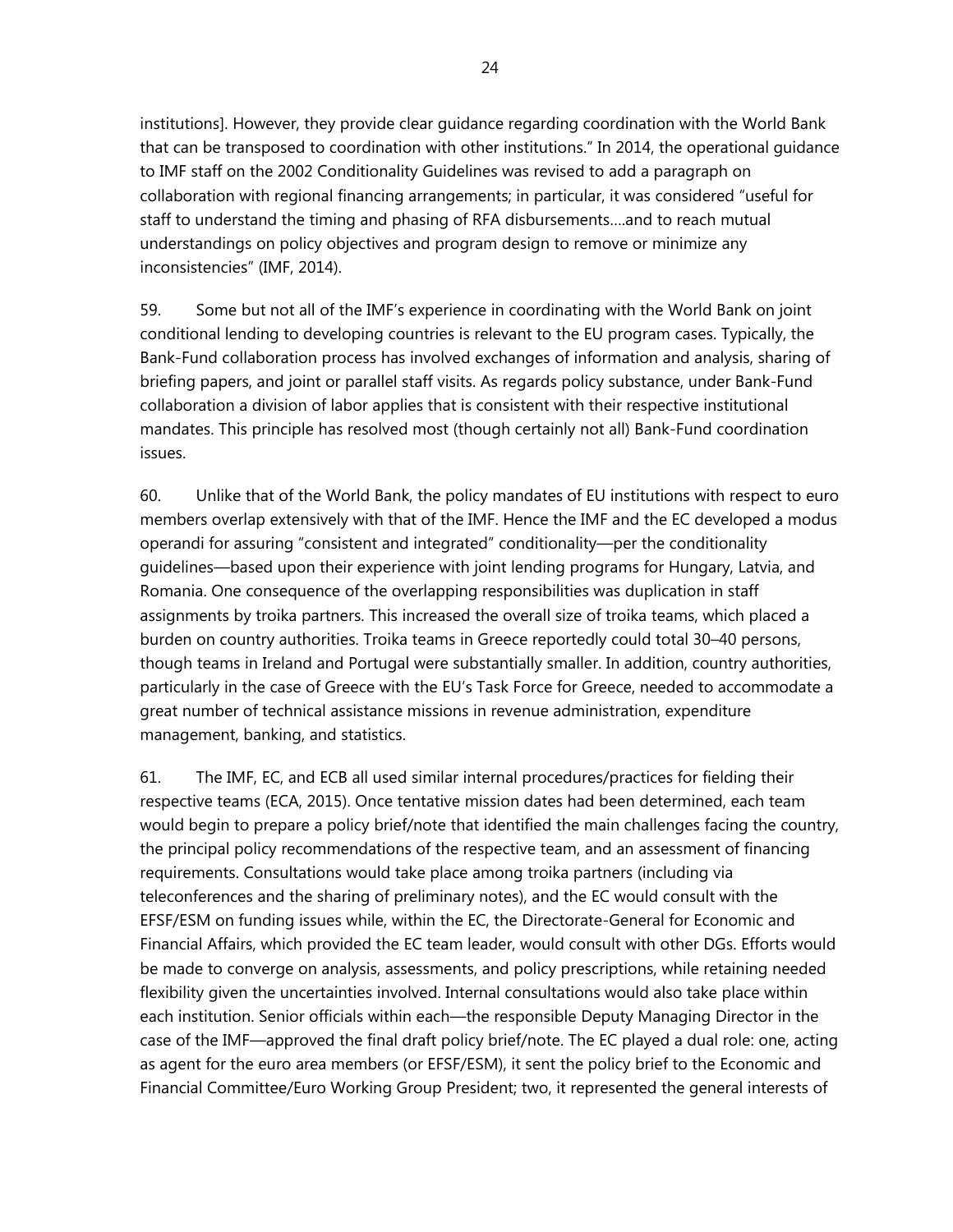institutions]. However, they provide clear guidance regarding coordination with the World Bank that can be transposed to coordination with other institutions." In 2014, the operational guidance to IMF staff on the 2002 Conditionality Guidelines was revised to add a paragraph on collaboration with regional financing arrangements; in particular, it was considered "useful for staff to understand the timing and phasing of RFA disbursements….and to reach mutual understandings on policy objectives and program design to remove or minimize any inconsistencies" (IMF, 2014).

59. Some but not all of the IMF's experience in coordinating with the World Bank on joint conditional lending to developing countries is relevant to the EU program cases. Typically, the Bank-Fund collaboration process has involved exchanges of information and analysis, sharing of briefing papers, and joint or parallel staff visits. As regards policy substance, under Bank-Fund collaboration a division of labor applies that is consistent with their respective institutional mandates. This principle has resolved most (though certainly not all) Bank-Fund coordination issues.

60. Unlike that of the World Bank, the policy mandates of EU institutions with respect to euro members overlap extensively with that of the IMF. Hence the IMF and the EC developed a modus operandi for assuring "consistent and integrated" conditionality—per the conditionality guidelines—based upon their experience with joint lending programs for Hungary, Latvia, and Romania. One consequence of the overlapping responsibilities was duplication in staff assignments by troika partners. This increased the overall size of troika teams, which placed a burden on country authorities. Troika teams in Greece reportedly could total 30–40 persons, though teams in Ireland and Portugal were substantially smaller. In addition, country authorities, particularly in the case of Greece with the EU's Task Force for Greece, needed to accommodate a great number of technical assistance missions in revenue administration, expenditure management, banking, and statistics.

61. The IMF, EC, and ECB all used similar internal procedures/practices for fielding their respective teams (ECA, 2015). Once tentative mission dates had been determined, each team would begin to prepare a policy brief/note that identified the main challenges facing the country, the principal policy recommendations of the respective team, and an assessment of financing requirements. Consultations would take place among troika partners (including via teleconferences and the sharing of preliminary notes), and the EC would consult with the EFSF/ESM on funding issues while, within the EC, the Directorate-General for Economic and Financial Affairs, which provided the EC team leader, would consult with other DGs. Efforts would be made to converge on analysis, assessments, and policy prescriptions, while retaining needed flexibility given the uncertainties involved. Internal consultations would also take place within each institution. Senior officials within each—the responsible Deputy Managing Director in the case of the IMF—approved the final draft policy brief/note. The EC played a dual role: one, acting as agent for the euro area members (or EFSF/ESM), it sent the policy brief to the Economic and Financial Committee/Euro Working Group President; two, it represented the general interests of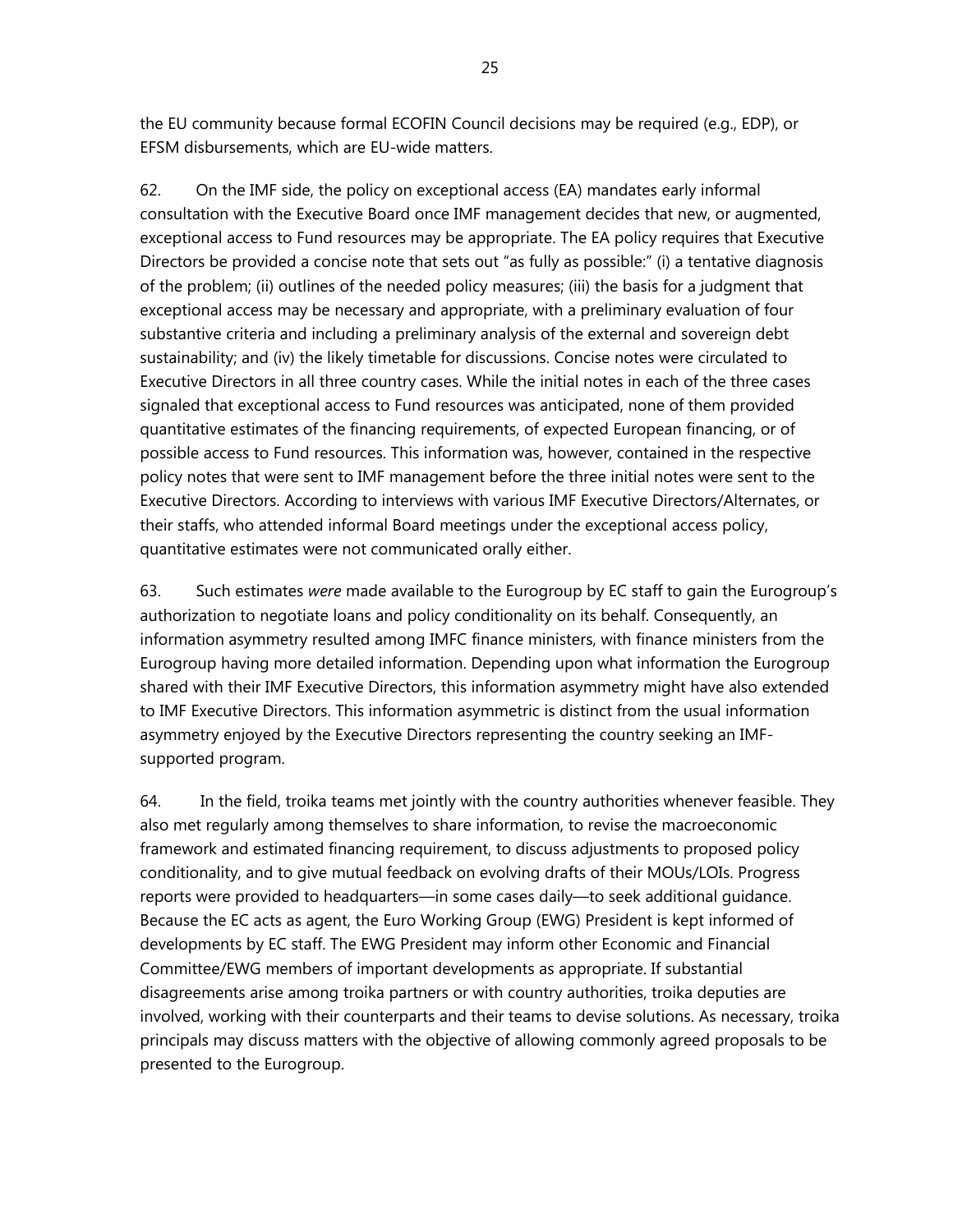the EU community because formal ECOFIN Council decisions may be required (e.g., EDP), or EFSM disbursements, which are EU-wide matters.

62. On the IMF side, the policy on exceptional access (EA) mandates early informal consultation with the Executive Board once IMF management decides that new, or augmented, exceptional access to Fund resources may be appropriate. The EA policy requires that Executive Directors be provided a concise note that sets out "as fully as possible:" (i) a tentative diagnosis of the problem; (ii) outlines of the needed policy measures; (iii) the basis for a judgment that exceptional access may be necessary and appropriate, with a preliminary evaluation of four substantive criteria and including a preliminary analysis of the external and sovereign debt sustainability; and (iv) the likely timetable for discussions. Concise notes were circulated to Executive Directors in all three country cases. While the initial notes in each of the three cases signaled that exceptional access to Fund resources was anticipated, none of them provided quantitative estimates of the financing requirements, of expected European financing, or of possible access to Fund resources. This information was, however, contained in the respective policy notes that were sent to IMF management before the three initial notes were sent to the Executive Directors. According to interviews with various IMF Executive Directors/Alternates, or their staffs, who attended informal Board meetings under the exceptional access policy, quantitative estimates were not communicated orally either.

63. Such estimates *were* made available to the Eurogroup by EC staff to gain the Eurogroup's authorization to negotiate loans and policy conditionality on its behalf. Consequently, an information asymmetry resulted among IMFC finance ministers, with finance ministers from the Eurogroup having more detailed information. Depending upon what information the Eurogroup shared with their IMF Executive Directors, this information asymmetry might have also extended to IMF Executive Directors. This information asymmetric is distinct from the usual information asymmetry enjoyed by the Executive Directors representing the country seeking an IMFsupported program.

64. In the field, troika teams met jointly with the country authorities whenever feasible. They also met regularly among themselves to share information, to revise the macroeconomic framework and estimated financing requirement, to discuss adjustments to proposed policy conditionality, and to give mutual feedback on evolving drafts of their MOUs/LOIs. Progress reports were provided to headquarters—in some cases daily—to seek additional guidance. Because the EC acts as agent, the Euro Working Group (EWG) President is kept informed of developments by EC staff. The EWG President may inform other Economic and Financial Committee/EWG members of important developments as appropriate. If substantial disagreements arise among troika partners or with country authorities, troika deputies are involved, working with their counterparts and their teams to devise solutions. As necessary, troika principals may discuss matters with the objective of allowing commonly agreed proposals to be presented to the Eurogroup.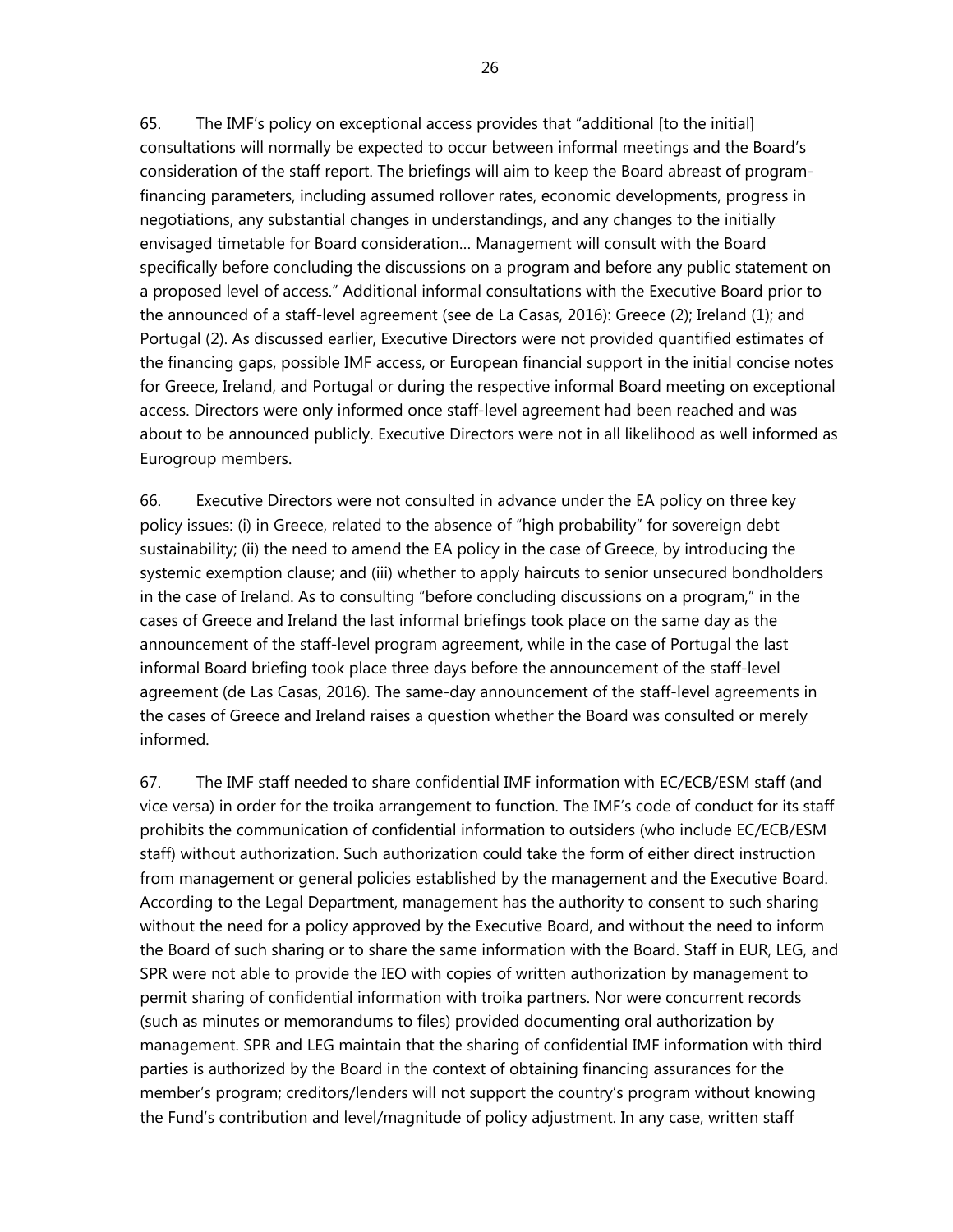65. The IMF's policy on exceptional access provides that "additional [to the initial] consultations will normally be expected to occur between informal meetings and the Board's consideration of the staff report. The briefings will aim to keep the Board abreast of programfinancing parameters, including assumed rollover rates, economic developments, progress in negotiations, any substantial changes in understandings, and any changes to the initially envisaged timetable for Board consideration… Management will consult with the Board specifically before concluding the discussions on a program and before any public statement on a proposed level of access." Additional informal consultations with the Executive Board prior to the announced of a staff-level agreement (see de La Casas, 2016): Greece (2); Ireland (1); and Portugal (2). As discussed earlier, Executive Directors were not provided quantified estimates of the financing gaps, possible IMF access, or European financial support in the initial concise notes for Greece, Ireland, and Portugal or during the respective informal Board meeting on exceptional access. Directors were only informed once staff-level agreement had been reached and was about to be announced publicly. Executive Directors were not in all likelihood as well informed as Eurogroup members.

66. Executive Directors were not consulted in advance under the EA policy on three key policy issues: (i) in Greece, related to the absence of "high probability" for sovereign debt sustainability; (ii) the need to amend the EA policy in the case of Greece, by introducing the systemic exemption clause; and (iii) whether to apply haircuts to senior unsecured bondholders in the case of Ireland. As to consulting "before concluding discussions on a program," in the cases of Greece and Ireland the last informal briefings took place on the same day as the announcement of the staff-level program agreement, while in the case of Portugal the last informal Board briefing took place three days before the announcement of the staff-level agreement (de Las Casas, 2016). The same-day announcement of the staff-level agreements in the cases of Greece and Ireland raises a question whether the Board was consulted or merely informed.

67. The IMF staff needed to share confidential IMF information with EC/ECB/ESM staff (and vice versa) in order for the troika arrangement to function. The IMF's code of conduct for its staff prohibits the communication of confidential information to outsiders (who include EC/ECB/ESM staff) without authorization. Such authorization could take the form of either direct instruction from management or general policies established by the management and the Executive Board. According to the Legal Department, management has the authority to consent to such sharing without the need for a policy approved by the Executive Board, and without the need to inform the Board of such sharing or to share the same information with the Board. Staff in EUR, LEG, and SPR were not able to provide the IEO with copies of written authorization by management to permit sharing of confidential information with troika partners. Nor were concurrent records (such as minutes or memorandums to files) provided documenting oral authorization by management. SPR and LEG maintain that the sharing of confidential IMF information with third parties is authorized by the Board in the context of obtaining financing assurances for the member's program; creditors/lenders will not support the country's program without knowing the Fund's contribution and level/magnitude of policy adjustment. In any case, written staff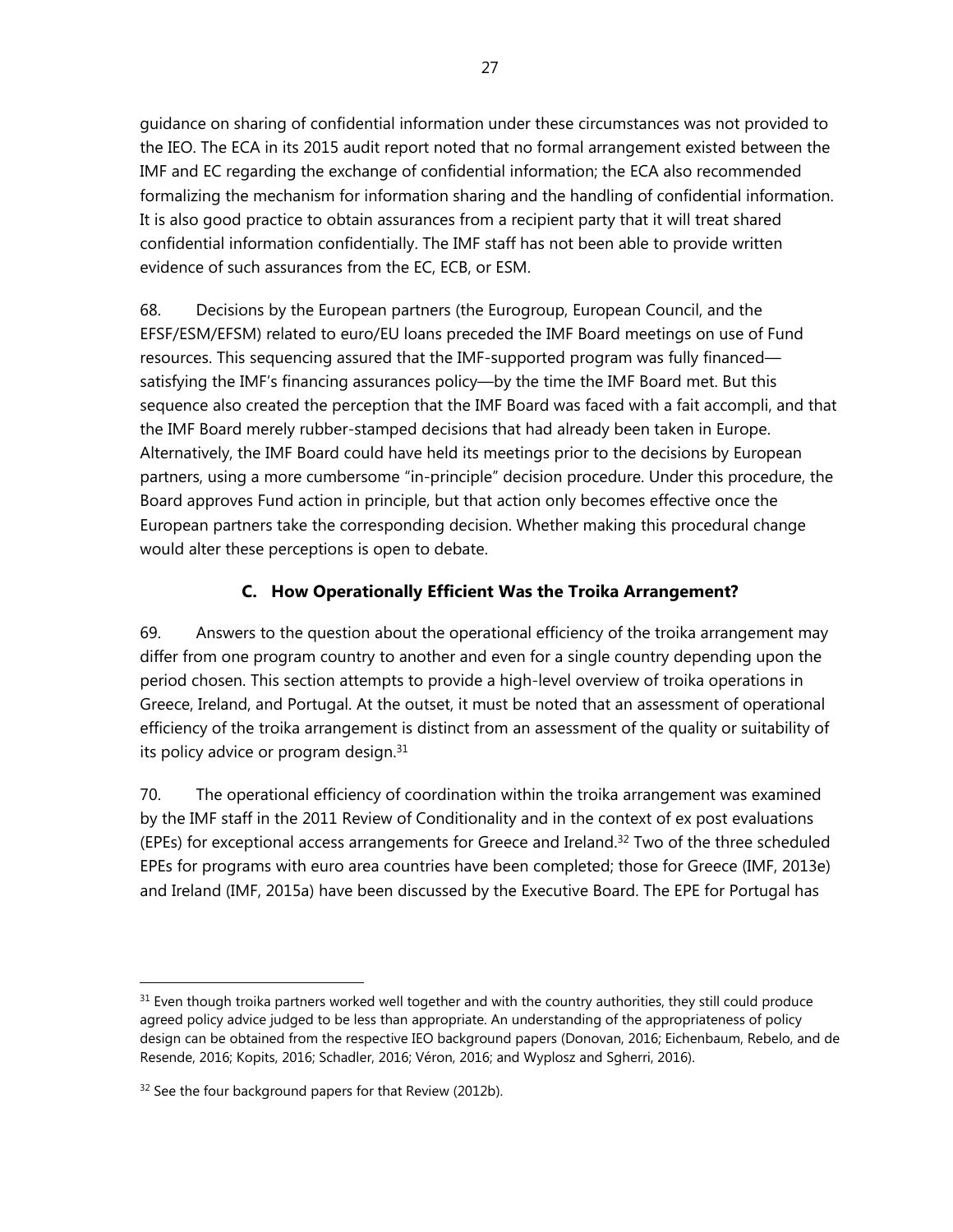guidance on sharing of confidential information under these circumstances was not provided to the IEO. The ECA in its 2015 audit report noted that no formal arrangement existed between the IMF and EC regarding the exchange of confidential information; the ECA also recommended formalizing the mechanism for information sharing and the handling of confidential information. It is also good practice to obtain assurances from a recipient party that it will treat shared confidential information confidentially. The IMF staff has not been able to provide written evidence of such assurances from the EC, ECB, or ESM.

68. Decisions by the European partners (the Eurogroup, European Council, and the EFSF/ESM/EFSM) related to euro/EU loans preceded the IMF Board meetings on use of Fund resources. This sequencing assured that the IMF-supported program was fully financed satisfying the IMF's financing assurances policy—by the time the IMF Board met. But this sequence also created the perception that the IMF Board was faced with a fait accompli, and that the IMF Board merely rubber-stamped decisions that had already been taken in Europe. Alternatively, the IMF Board could have held its meetings prior to the decisions by European partners, using a more cumbersome "in-principle" decision procedure. Under this procedure, the Board approves Fund action in principle, but that action only becomes effective once the European partners take the corresponding decision. Whether making this procedural change would alter these perceptions is open to debate.

## **C. How Operationally Efficient Was the Troika Arrangement?**

69. Answers to the question about the operational efficiency of the troika arrangement may differ from one program country to another and even for a single country depending upon the period chosen. This section attempts to provide a high-level overview of troika operations in Greece, Ireland, and Portugal. At the outset, it must be noted that an assessment of operational efficiency of the troika arrangement is distinct from an assessment of the quality or suitability of its policy advice or program design.<sup>31</sup>

70. The operational efficiency of coordination within the troika arrangement was examined by the IMF staff in the 2011 Review of Conditionality and in the context of ex post evaluations (EPEs) for exceptional access arrangements for Greece and Ireland.32 Two of the three scheduled EPEs for programs with euro area countries have been completed; those for Greece (IMF, 2013e) and Ireland (IMF, 2015a) have been discussed by the Executive Board. The EPE for Portugal has

 $31$  Even though troika partners worked well together and with the country authorities, they still could produce agreed policy advice judged to be less than appropriate. An understanding of the appropriateness of policy design can be obtained from the respective IEO background papers (Donovan, 2016; Eichenbaum, Rebelo, and de Resende, 2016; Kopits, 2016; Schadler, 2016; Véron, 2016; and Wyplosz and Sgherri, 2016).

<sup>&</sup>lt;sup>32</sup> See the four background papers for that Review (2012b).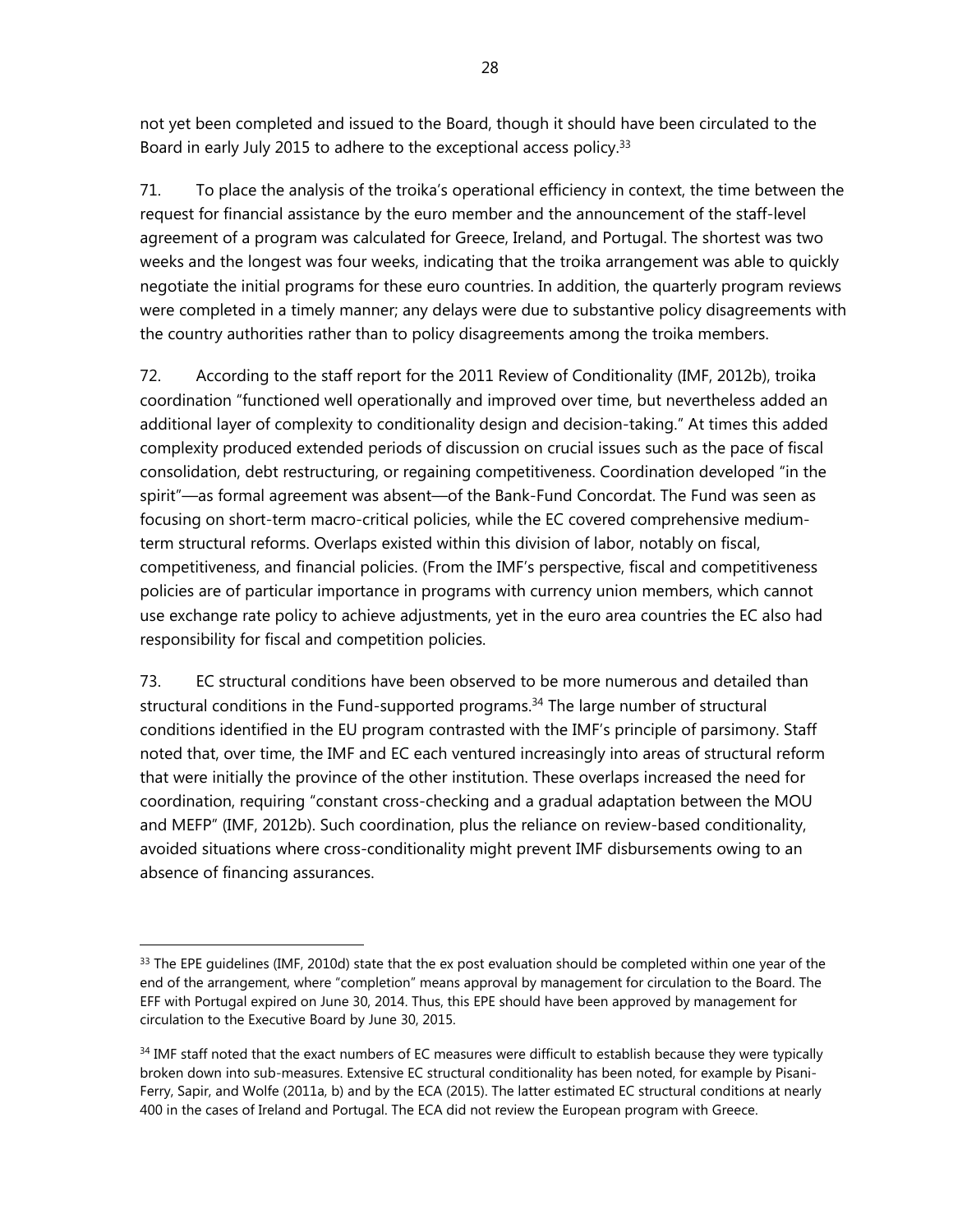not yet been completed and issued to the Board, though it should have been circulated to the Board in early July 2015 to adhere to the exceptional access policy.<sup>33</sup>

71. To place the analysis of the troika's operational efficiency in context, the time between the request for financial assistance by the euro member and the announcement of the staff-level agreement of a program was calculated for Greece, Ireland, and Portugal. The shortest was two weeks and the longest was four weeks, indicating that the troika arrangement was able to quickly negotiate the initial programs for these euro countries. In addition, the quarterly program reviews were completed in a timely manner; any delays were due to substantive policy disagreements with the country authorities rather than to policy disagreements among the troika members.

72. According to the staff report for the 2011 Review of Conditionality (IMF, 2012b), troika coordination "functioned well operationally and improved over time, but nevertheless added an additional layer of complexity to conditionality design and decision-taking." At times this added complexity produced extended periods of discussion on crucial issues such as the pace of fiscal consolidation, debt restructuring, or regaining competitiveness. Coordination developed "in the spirit"—as formal agreement was absent—of the Bank-Fund Concordat. The Fund was seen as focusing on short-term macro-critical policies, while the EC covered comprehensive mediumterm structural reforms. Overlaps existed within this division of labor, notably on fiscal, competitiveness, and financial policies. (From the IMF's perspective, fiscal and competitiveness policies are of particular importance in programs with currency union members, which cannot use exchange rate policy to achieve adjustments, yet in the euro area countries the EC also had responsibility for fiscal and competition policies.

73. EC structural conditions have been observed to be more numerous and detailed than structural conditions in the Fund-supported programs.<sup>34</sup> The large number of structural conditions identified in the EU program contrasted with the IMF's principle of parsimony. Staff noted that, over time, the IMF and EC each ventured increasingly into areas of structural reform that were initially the province of the other institution. These overlaps increased the need for coordination, requiring "constant cross-checking and a gradual adaptation between the MOU and MEFP" (IMF, 2012b). Such coordination, plus the reliance on review-based conditionality, avoided situations where cross-conditionality might prevent IMF disbursements owing to an absence of financing assurances.

 $33$  The EPE guidelines (IMF, 2010d) state that the ex post evaluation should be completed within one year of the end of the arrangement, where "completion" means approval by management for circulation to the Board. The EFF with Portugal expired on June 30, 2014. Thus, this EPE should have been approved by management for circulation to the Executive Board by June 30, 2015.

<sup>&</sup>lt;sup>34</sup> IMF staff noted that the exact numbers of EC measures were difficult to establish because they were typically broken down into sub-measures. Extensive EC structural conditionality has been noted, for example by Pisani-Ferry, Sapir, and Wolfe (2011a, b) and by the ECA (2015). The latter estimated EC structural conditions at nearly 400 in the cases of Ireland and Portugal. The ECA did not review the European program with Greece.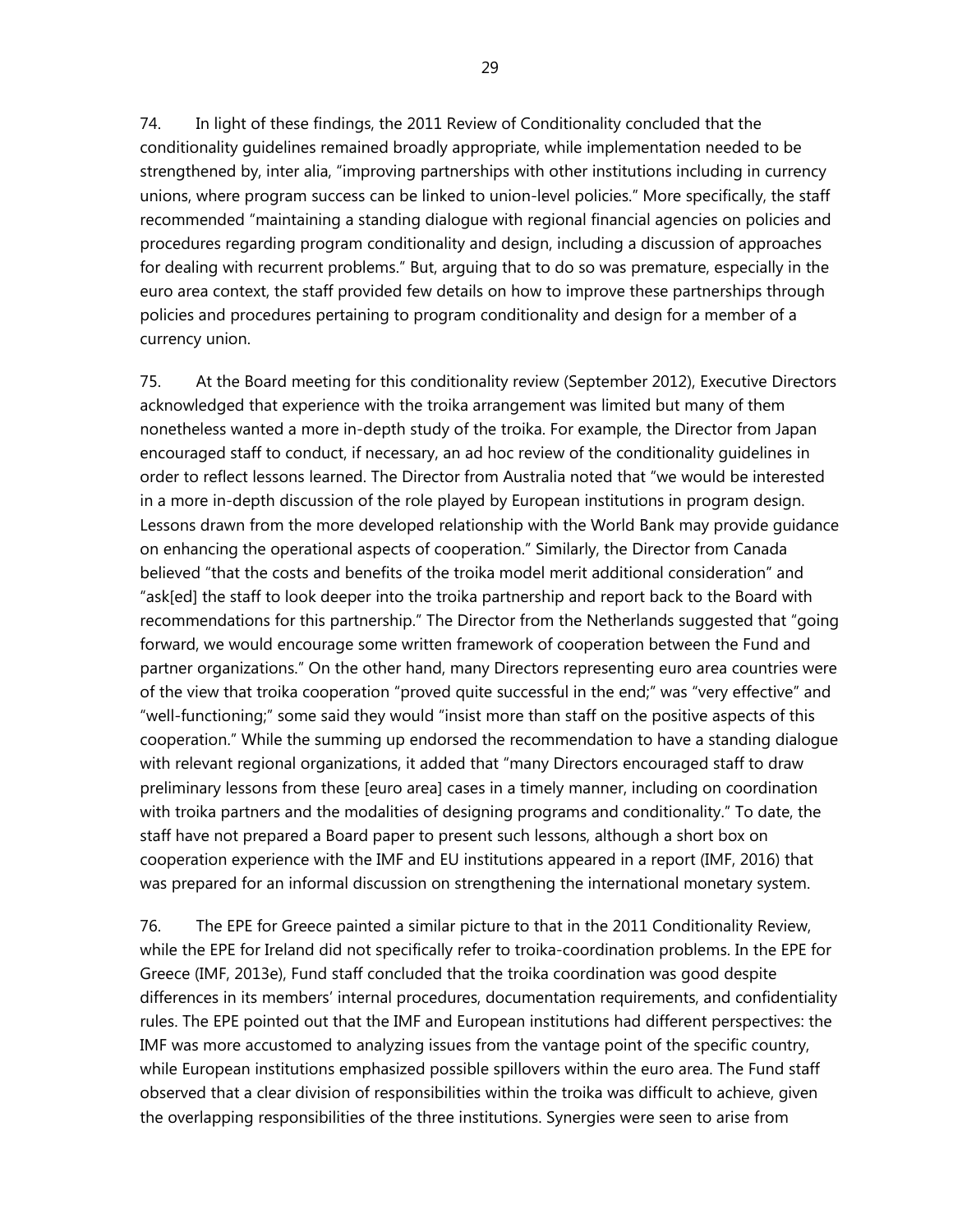29

74. In light of these findings, the 2011 Review of Conditionality concluded that the conditionality guidelines remained broadly appropriate, while implementation needed to be strengthened by, inter alia, "improving partnerships with other institutions including in currency unions, where program success can be linked to union-level policies." More specifically, the staff recommended "maintaining a standing dialogue with regional financial agencies on policies and procedures regarding program conditionality and design, including a discussion of approaches for dealing with recurrent problems." But, arguing that to do so was premature, especially in the euro area context, the staff provided few details on how to improve these partnerships through policies and procedures pertaining to program conditionality and design for a member of a currency union.

75. At the Board meeting for this conditionality review (September 2012), Executive Directors acknowledged that experience with the troika arrangement was limited but many of them nonetheless wanted a more in-depth study of the troika. For example, the Director from Japan encouraged staff to conduct, if necessary, an ad hoc review of the conditionality guidelines in order to reflect lessons learned. The Director from Australia noted that "we would be interested in a more in-depth discussion of the role played by European institutions in program design. Lessons drawn from the more developed relationship with the World Bank may provide guidance on enhancing the operational aspects of cooperation." Similarly, the Director from Canada believed "that the costs and benefits of the troika model merit additional consideration" and "ask[ed] the staff to look deeper into the troika partnership and report back to the Board with recommendations for this partnership." The Director from the Netherlands suggested that "going forward, we would encourage some written framework of cooperation between the Fund and partner organizations." On the other hand, many Directors representing euro area countries were of the view that troika cooperation "proved quite successful in the end;" was "very effective" and "well-functioning;" some said they would "insist more than staff on the positive aspects of this cooperation." While the summing up endorsed the recommendation to have a standing dialogue with relevant regional organizations, it added that "many Directors encouraged staff to draw preliminary lessons from these [euro area] cases in a timely manner, including on coordination with troika partners and the modalities of designing programs and conditionality." To date, the staff have not prepared a Board paper to present such lessons, although a short box on cooperation experience with the IMF and EU institutions appeared in a report (IMF, 2016) that was prepared for an informal discussion on strengthening the international monetary system.

76. The EPE for Greece painted a similar picture to that in the 2011 Conditionality Review, while the EPE for Ireland did not specifically refer to troika-coordination problems. In the EPE for Greece (IMF, 2013e), Fund staff concluded that the troika coordination was good despite differences in its members' internal procedures, documentation requirements, and confidentiality rules. The EPE pointed out that the IMF and European institutions had different perspectives: the IMF was more accustomed to analyzing issues from the vantage point of the specific country, while European institutions emphasized possible spillovers within the euro area. The Fund staff observed that a clear division of responsibilities within the troika was difficult to achieve, given the overlapping responsibilities of the three institutions. Synergies were seen to arise from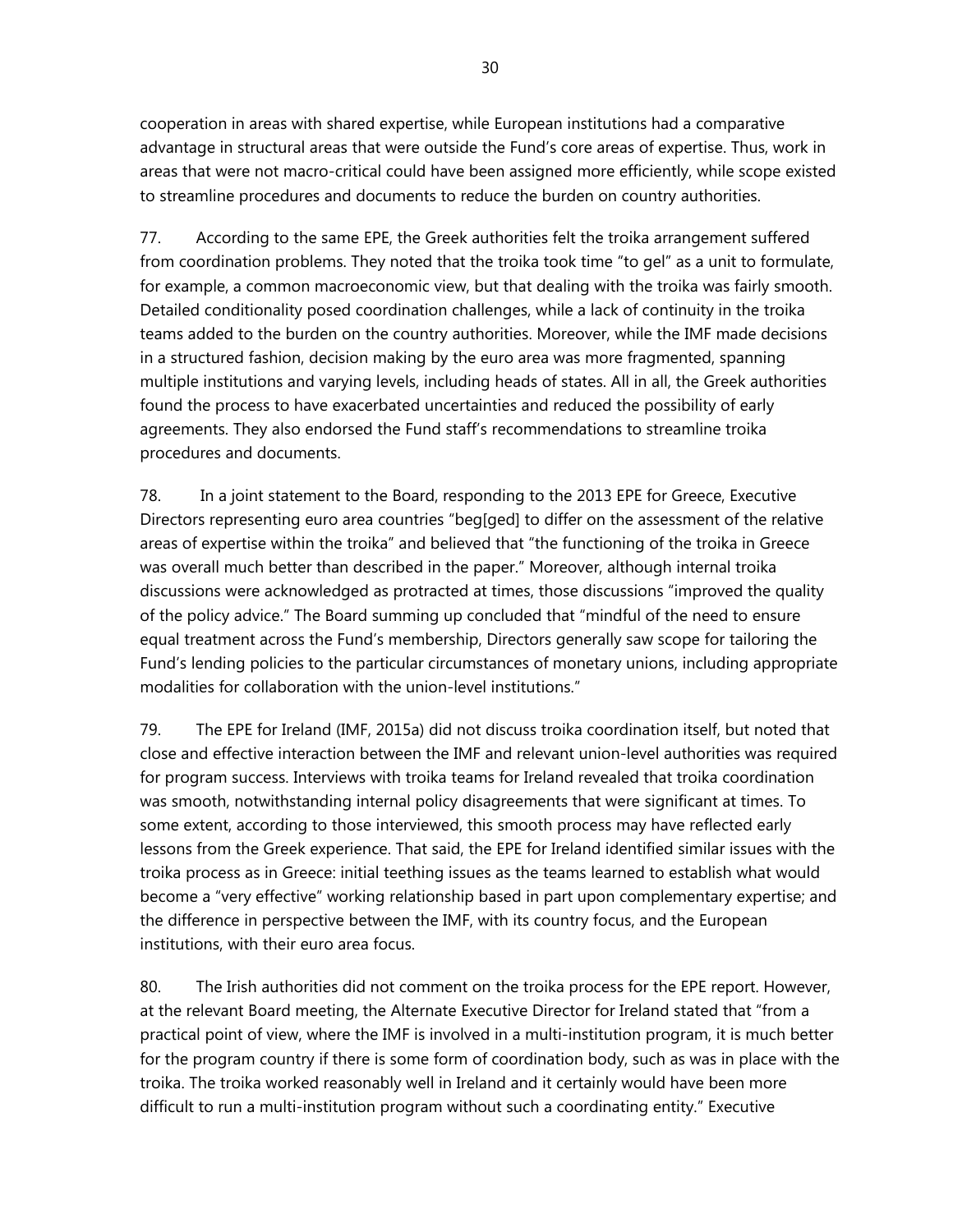cooperation in areas with shared expertise, while European institutions had a comparative advantage in structural areas that were outside the Fund's core areas of expertise. Thus, work in areas that were not macro-critical could have been assigned more efficiently, while scope existed to streamline procedures and documents to reduce the burden on country authorities.

77. According to the same EPE, the Greek authorities felt the troika arrangement suffered from coordination problems. They noted that the troika took time "to gel" as a unit to formulate, for example, a common macroeconomic view, but that dealing with the troika was fairly smooth. Detailed conditionality posed coordination challenges, while a lack of continuity in the troika teams added to the burden on the country authorities. Moreover, while the IMF made decisions in a structured fashion, decision making by the euro area was more fragmented, spanning multiple institutions and varying levels, including heads of states. All in all, the Greek authorities found the process to have exacerbated uncertainties and reduced the possibility of early agreements. They also endorsed the Fund staff's recommendations to streamline troika procedures and documents.

78. In a joint statement to the Board, responding to the 2013 EPE for Greece, Executive Directors representing euro area countries "beg[ged] to differ on the assessment of the relative areas of expertise within the troika" and believed that "the functioning of the troika in Greece was overall much better than described in the paper." Moreover, although internal troika discussions were acknowledged as protracted at times, those discussions "improved the quality of the policy advice." The Board summing up concluded that "mindful of the need to ensure equal treatment across the Fund's membership, Directors generally saw scope for tailoring the Fund's lending policies to the particular circumstances of monetary unions, including appropriate modalities for collaboration with the union-level institutions."

79. The EPE for Ireland (IMF, 2015a) did not discuss troika coordination itself, but noted that close and effective interaction between the IMF and relevant union-level authorities was required for program success. Interviews with troika teams for Ireland revealed that troika coordination was smooth, notwithstanding internal policy disagreements that were significant at times. To some extent, according to those interviewed, this smooth process may have reflected early lessons from the Greek experience. That said, the EPE for Ireland identified similar issues with the troika process as in Greece: initial teething issues as the teams learned to establish what would become a "very effective" working relationship based in part upon complementary expertise; and the difference in perspective between the IMF, with its country focus, and the European institutions, with their euro area focus.

80. The Irish authorities did not comment on the troika process for the EPE report. However, at the relevant Board meeting, the Alternate Executive Director for Ireland stated that "from a practical point of view, where the IMF is involved in a multi-institution program, it is much better for the program country if there is some form of coordination body, such as was in place with the troika. The troika worked reasonably well in Ireland and it certainly would have been more difficult to run a multi-institution program without such a coordinating entity." Executive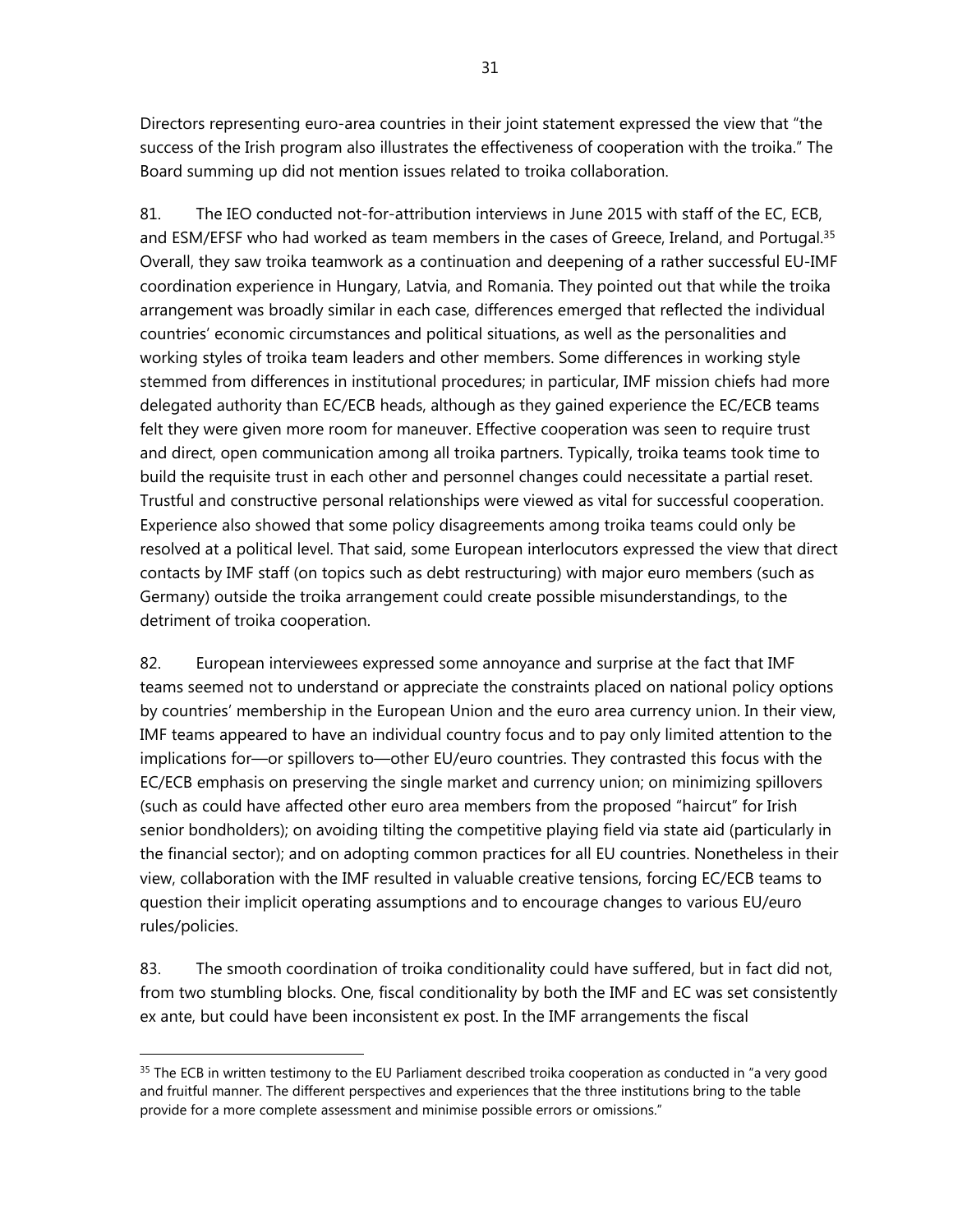Directors representing euro-area countries in their joint statement expressed the view that "the success of the Irish program also illustrates the effectiveness of cooperation with the troika." The Board summing up did not mention issues related to troika collaboration.

81. The IEO conducted not-for-attribution interviews in June 2015 with staff of the EC, ECB, and ESM/EFSF who had worked as team members in the cases of Greece, Ireland, and Portugal.<sup>35</sup> Overall, they saw troika teamwork as a continuation and deepening of a rather successful EU-IMF coordination experience in Hungary, Latvia, and Romania. They pointed out that while the troika arrangement was broadly similar in each case, differences emerged that reflected the individual countries' economic circumstances and political situations, as well as the personalities and working styles of troika team leaders and other members. Some differences in working style stemmed from differences in institutional procedures; in particular, IMF mission chiefs had more delegated authority than EC/ECB heads, although as they gained experience the EC/ECB teams felt they were given more room for maneuver. Effective cooperation was seen to require trust and direct, open communication among all troika partners. Typically, troika teams took time to build the requisite trust in each other and personnel changes could necessitate a partial reset. Trustful and constructive personal relationships were viewed as vital for successful cooperation. Experience also showed that some policy disagreements among troika teams could only be resolved at a political level. That said, some European interlocutors expressed the view that direct contacts by IMF staff (on topics such as debt restructuring) with major euro members (such as Germany) outside the troika arrangement could create possible misunderstandings, to the detriment of troika cooperation.

82. European interviewees expressed some annoyance and surprise at the fact that IMF teams seemed not to understand or appreciate the constraints placed on national policy options by countries' membership in the European Union and the euro area currency union. In their view, IMF teams appeared to have an individual country focus and to pay only limited attention to the implications for—or spillovers to—other EU/euro countries. They contrasted this focus with the EC/ECB emphasis on preserving the single market and currency union; on minimizing spillovers (such as could have affected other euro area members from the proposed "haircut" for Irish senior bondholders); on avoiding tilting the competitive playing field via state aid (particularly in the financial sector); and on adopting common practices for all EU countries. Nonetheless in their view, collaboration with the IMF resulted in valuable creative tensions, forcing EC/ECB teams to question their implicit operating assumptions and to encourage changes to various EU/euro rules/policies.

83. The smooth coordination of troika conditionality could have suffered, but in fact did not, from two stumbling blocks. One, fiscal conditionality by both the IMF and EC was set consistently ex ante, but could have been inconsistent ex post. In the IMF arrangements the fiscal

<sup>&</sup>lt;sup>35</sup> The ECB in written testimony to the EU Parliament described troika cooperation as conducted in "a very good and fruitful manner. The different perspectives and experiences that the three institutions bring to the table provide for a more complete assessment and minimise possible errors or omissions."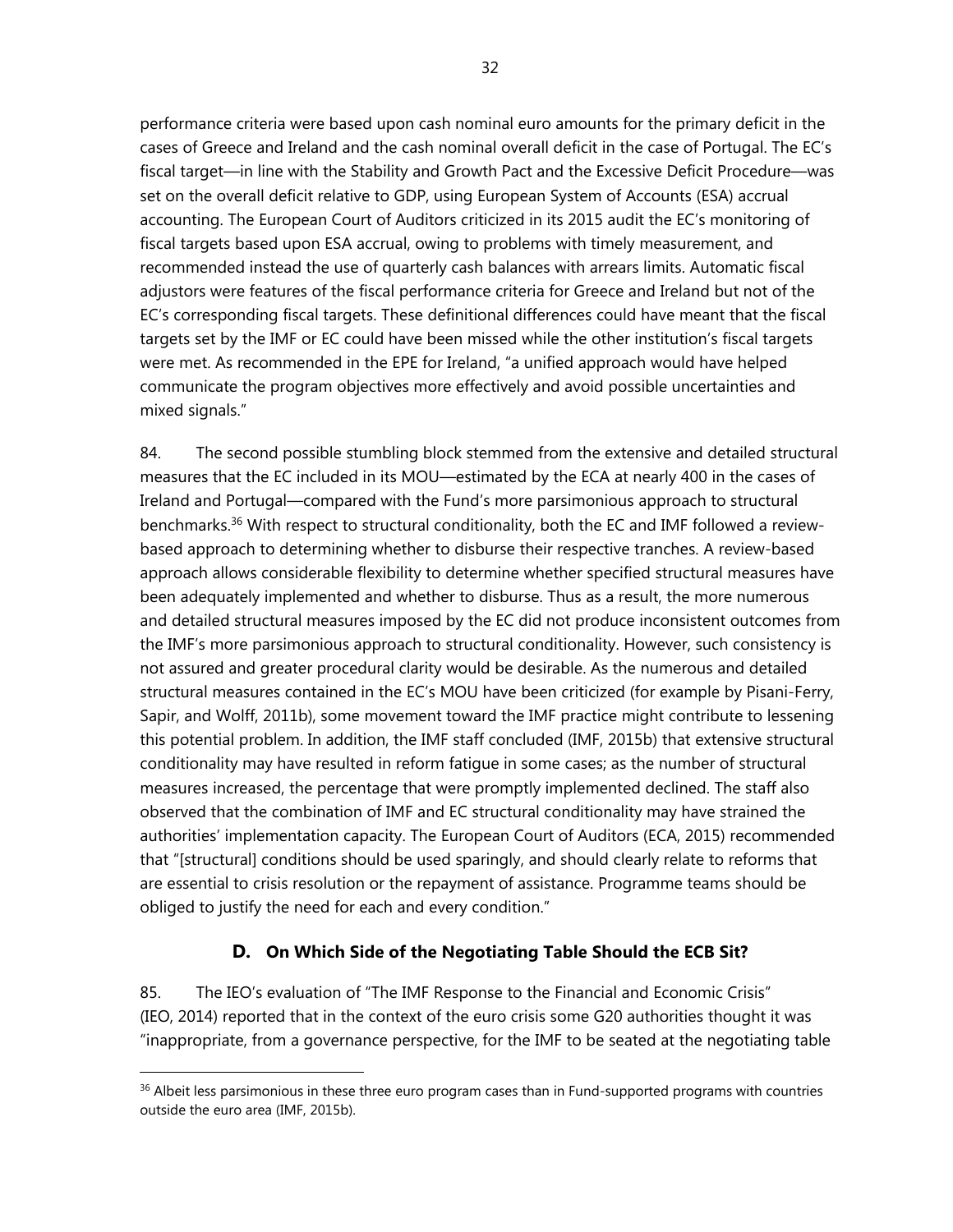performance criteria were based upon cash nominal euro amounts for the primary deficit in the cases of Greece and Ireland and the cash nominal overall deficit in the case of Portugal. The EC's fiscal target—in line with the Stability and Growth Pact and the Excessive Deficit Procedure—was set on the overall deficit relative to GDP, using European System of Accounts (ESA) accrual accounting. The European Court of Auditors criticized in its 2015 audit the EC's monitoring of fiscal targets based upon ESA accrual, owing to problems with timely measurement, and recommended instead the use of quarterly cash balances with arrears limits. Automatic fiscal adjustors were features of the fiscal performance criteria for Greece and Ireland but not of the EC's corresponding fiscal targets. These definitional differences could have meant that the fiscal targets set by the IMF or EC could have been missed while the other institution's fiscal targets were met. As recommended in the EPE for Ireland, "a unified approach would have helped communicate the program objectives more effectively and avoid possible uncertainties and mixed signals."

84. The second possible stumbling block stemmed from the extensive and detailed structural measures that the EC included in its MOU—estimated by the ECA at nearly 400 in the cases of Ireland and Portugal—compared with the Fund's more parsimonious approach to structural benchmarks.<sup>36</sup> With respect to structural conditionality, both the EC and IMF followed a reviewbased approach to determining whether to disburse their respective tranches. A review-based approach allows considerable flexibility to determine whether specified structural measures have been adequately implemented and whether to disburse. Thus as a result, the more numerous and detailed structural measures imposed by the EC did not produce inconsistent outcomes from the IMF's more parsimonious approach to structural conditionality. However, such consistency is not assured and greater procedural clarity would be desirable. As the numerous and detailed structural measures contained in the EC's MOU have been criticized (for example by Pisani-Ferry, Sapir, and Wolff, 2011b), some movement toward the IMF practice might contribute to lessening this potential problem. In addition, the IMF staff concluded (IMF, 2015b) that extensive structural conditionality may have resulted in reform fatigue in some cases; as the number of structural measures increased, the percentage that were promptly implemented declined. The staff also observed that the combination of IMF and EC structural conditionality may have strained the authorities' implementation capacity. The European Court of Auditors (ECA, 2015) recommended that "[structural] conditions should be used sparingly, and should clearly relate to reforms that are essential to crisis resolution or the repayment of assistance. Programme teams should be obliged to justify the need for each and every condition."

## **D. On Which Side of the Negotiating Table Should the ECB Sit?**

85. The IEO's evaluation of "The IMF Response to the Financial and Economic Crisis" (IEO, 2014) reported that in the context of the euro crisis some G20 authorities thought it was "inappropriate, from a governance perspective, for the IMF to be seated at the negotiating table

<sup>&</sup>lt;sup>36</sup> Albeit less parsimonious in these three euro program cases than in Fund-supported programs with countries outside the euro area (IMF, 2015b).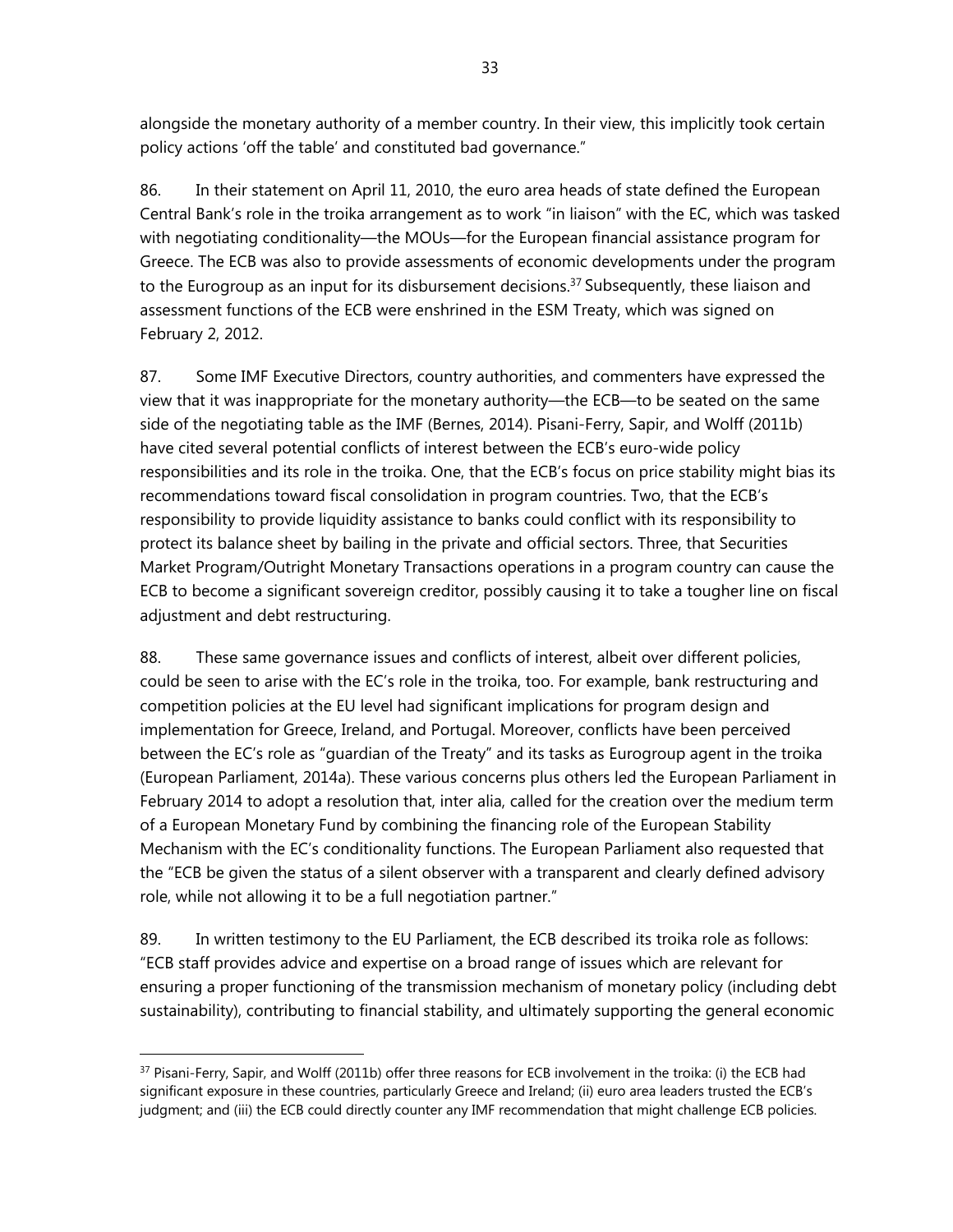alongside the monetary authority of a member country. In their view, this implicitly took certain policy actions 'off the table' and constituted bad governance."

86. In their statement on April 11, 2010, the euro area heads of state defined the European Central Bank's role in the troika arrangement as to work "in liaison" with the EC, which was tasked with negotiating conditionality—the MOUs—for the European financial assistance program for Greece. The ECB was also to provide assessments of economic developments under the program to the Eurogroup as an input for its disbursement decisions.<sup>37</sup> Subsequently, these liaison and assessment functions of the ECB were enshrined in the ESM Treaty, which was signed on February 2, 2012.

87. Some IMF Executive Directors, country authorities, and commenters have expressed the view that it was inappropriate for the monetary authority—the ECB—to be seated on the same side of the negotiating table as the IMF (Bernes, 2014). Pisani-Ferry, Sapir, and Wolff (2011b) have cited several potential conflicts of interest between the ECB's euro-wide policy responsibilities and its role in the troika. One, that the ECB's focus on price stability might bias its recommendations toward fiscal consolidation in program countries. Two, that the ECB's responsibility to provide liquidity assistance to banks could conflict with its responsibility to protect its balance sheet by bailing in the private and official sectors. Three, that Securities Market Program/Outright Monetary Transactions operations in a program country can cause the ECB to become a significant sovereign creditor, possibly causing it to take a tougher line on fiscal adjustment and debt restructuring.

88. These same governance issues and conflicts of interest, albeit over different policies, could be seen to arise with the EC's role in the troika, too. For example, bank restructuring and competition policies at the EU level had significant implications for program design and implementation for Greece, Ireland, and Portugal. Moreover, conflicts have been perceived between the EC's role as "guardian of the Treaty" and its tasks as Eurogroup agent in the troika (European Parliament, 2014a). These various concerns plus others led the European Parliament in February 2014 to adopt a resolution that, inter alia, called for the creation over the medium term of a European Monetary Fund by combining the financing role of the European Stability Mechanism with the EC's conditionality functions. The European Parliament also requested that the "ECB be given the status of a silent observer with a transparent and clearly defined advisory role, while not allowing it to be a full negotiation partner."

89. In written testimony to the EU Parliament, the ECB described its troika role as follows: "ECB staff provides advice and expertise on a broad range of issues which are relevant for ensuring a proper functioning of the transmission mechanism of monetary policy (including debt sustainability), contributing to financial stability, and ultimately supporting the general economic

<sup>&</sup>lt;sup>37</sup> Pisani-Ferry, Sapir, and Wolff (2011b) offer three reasons for ECB involvement in the troika: (i) the ECB had significant exposure in these countries, particularly Greece and Ireland; (ii) euro area leaders trusted the ECB's judgment; and (iii) the ECB could directly counter any IMF recommendation that might challenge ECB policies.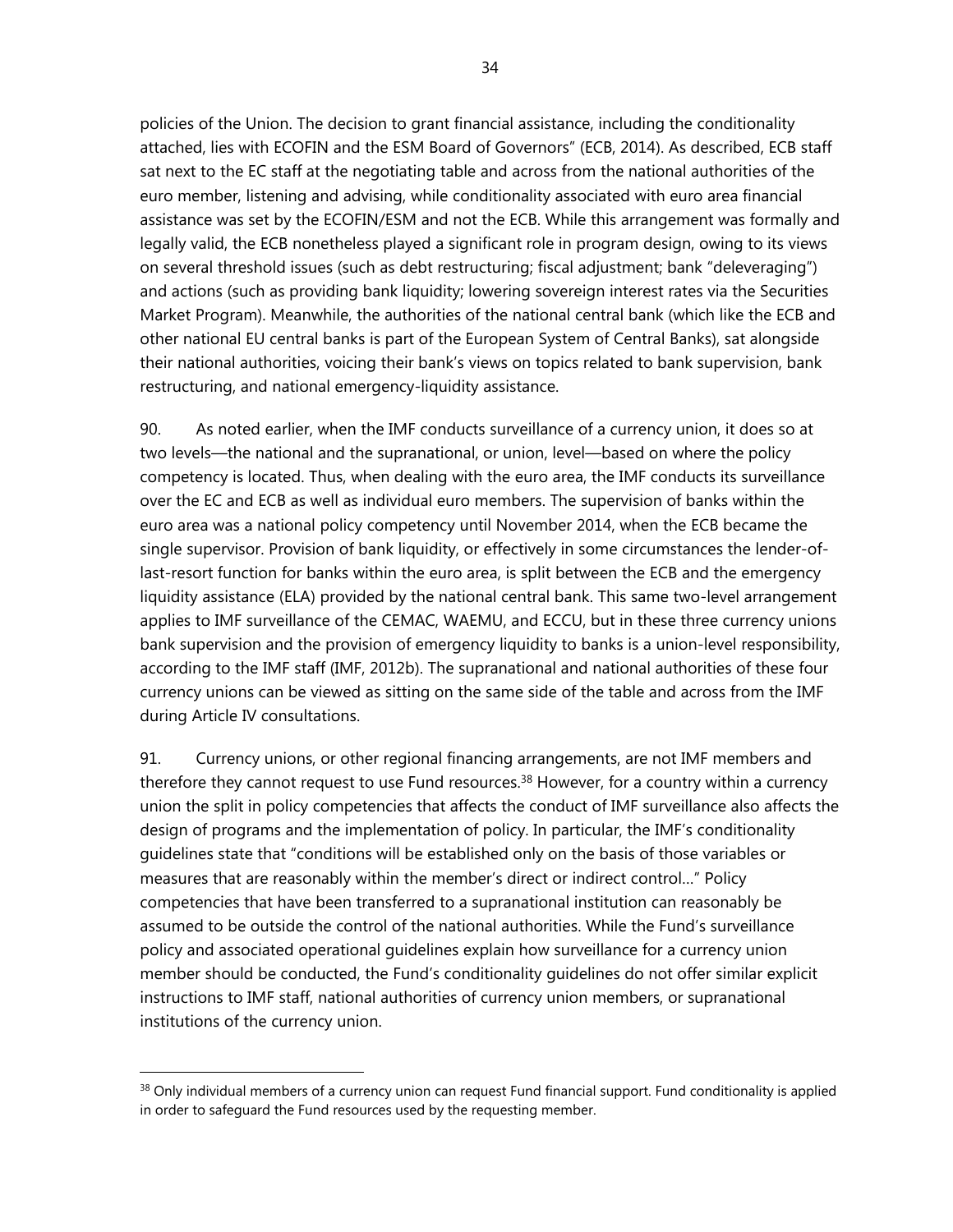policies of the Union. The decision to grant financial assistance, including the conditionality attached, lies with ECOFIN and the ESM Board of Governors" (ECB, 2014). As described, ECB staff sat next to the EC staff at the negotiating table and across from the national authorities of the euro member, listening and advising, while conditionality associated with euro area financial assistance was set by the ECOFIN/ESM and not the ECB. While this arrangement was formally and legally valid, the ECB nonetheless played a significant role in program design, owing to its views on several threshold issues (such as debt restructuring; fiscal adjustment; bank "deleveraging") and actions (such as providing bank liquidity; lowering sovereign interest rates via the Securities Market Program). Meanwhile, the authorities of the national central bank (which like the ECB and other national EU central banks is part of the European System of Central Banks), sat alongside their national authorities, voicing their bank's views on topics related to bank supervision, bank restructuring, and national emergency-liquidity assistance.

90. As noted earlier, when the IMF conducts surveillance of a currency union, it does so at two levels—the national and the supranational, or union, level—based on where the policy competency is located. Thus, when dealing with the euro area, the IMF conducts its surveillance over the EC and ECB as well as individual euro members. The supervision of banks within the euro area was a national policy competency until November 2014, when the ECB became the single supervisor. Provision of bank liquidity, or effectively in some circumstances the lender-oflast-resort function for banks within the euro area, is split between the ECB and the emergency liquidity assistance (ELA) provided by the national central bank. This same two-level arrangement applies to IMF surveillance of the CEMAC, WAEMU, and ECCU, but in these three currency unions bank supervision and the provision of emergency liquidity to banks is a union-level responsibility, according to the IMF staff (IMF, 2012b). The supranational and national authorities of these four currency unions can be viewed as sitting on the same side of the table and across from the IMF during Article IV consultations.

91. Currency unions, or other regional financing arrangements, are not IMF members and therefore they cannot request to use Fund resources.<sup>38</sup> However, for a country within a currency union the split in policy competencies that affects the conduct of IMF surveillance also affects the design of programs and the implementation of policy. In particular, the IMF's conditionality guidelines state that "conditions will be established only on the basis of those variables or measures that are reasonably within the member's direct or indirect control…" Policy competencies that have been transferred to a supranational institution can reasonably be assumed to be outside the control of the national authorities. While the Fund's surveillance policy and associated operational guidelines explain how surveillance for a currency union member should be conducted, the Fund's conditionality guidelines do not offer similar explicit instructions to IMF staff, national authorities of currency union members, or supranational institutions of the currency union.

<sup>&</sup>lt;sup>38</sup> Only individual members of a currency union can request Fund financial support. Fund conditionality is applied in order to safeguard the Fund resources used by the requesting member.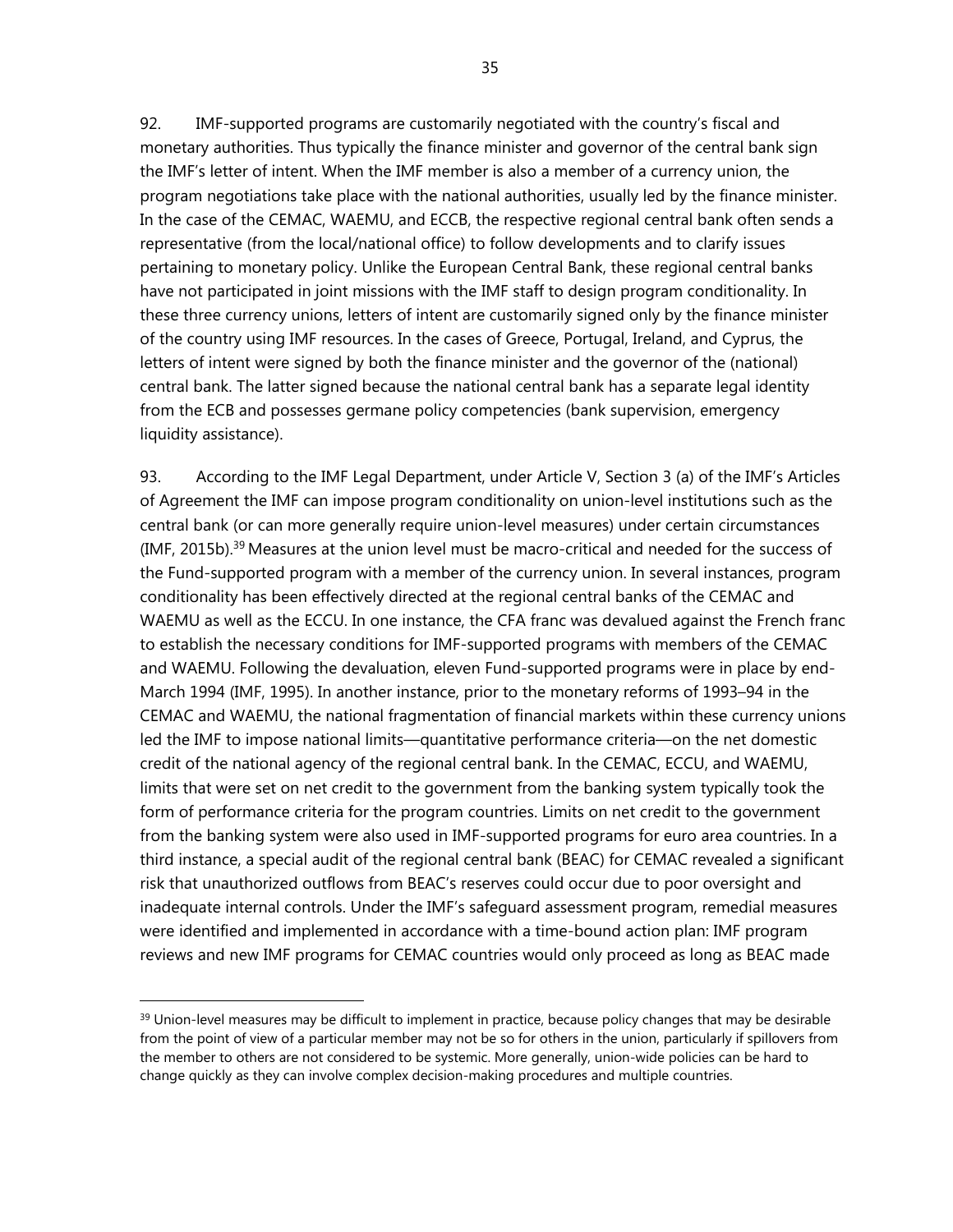92. IMF-supported programs are customarily negotiated with the country's fiscal and monetary authorities. Thus typically the finance minister and governor of the central bank sign the IMF's letter of intent. When the IMF member is also a member of a currency union, the program negotiations take place with the national authorities, usually led by the finance minister. In the case of the CEMAC, WAEMU, and ECCB, the respective regional central bank often sends a representative (from the local/national office) to follow developments and to clarify issues pertaining to monetary policy. Unlike the European Central Bank, these regional central banks have not participated in joint missions with the IMF staff to design program conditionality. In these three currency unions, letters of intent are customarily signed only by the finance minister of the country using IMF resources. In the cases of Greece, Portugal, Ireland, and Cyprus, the letters of intent were signed by both the finance minister and the governor of the (national) central bank. The latter signed because the national central bank has a separate legal identity from the ECB and possesses germane policy competencies (bank supervision, emergency liquidity assistance).

93. According to the IMF Legal Department, under Article V, Section 3 (a) of the IMF's Articles of Agreement the IMF can impose program conditionality on union-level institutions such as the central bank (or can more generally require union-level measures) under certain circumstances (IMF, 2015b).<sup>39</sup> Measures at the union level must be macro-critical and needed for the success of the Fund-supported program with a member of the currency union. In several instances, program conditionality has been effectively directed at the regional central banks of the CEMAC and WAEMU as well as the ECCU. In one instance, the CFA franc was devalued against the French franc to establish the necessary conditions for IMF-supported programs with members of the CEMAC and WAEMU. Following the devaluation, eleven Fund-supported programs were in place by end-March 1994 (IMF, 1995). In another instance, prior to the monetary reforms of 1993–94 in the CEMAC and WAEMU, the national fragmentation of financial markets within these currency unions led the IMF to impose national limits—quantitative performance criteria—on the net domestic credit of the national agency of the regional central bank. In the CEMAC, ECCU, and WAEMU, limits that were set on net credit to the government from the banking system typically took the form of performance criteria for the program countries. Limits on net credit to the government from the banking system were also used in IMF-supported programs for euro area countries. In a third instance, a special audit of the regional central bank (BEAC) for CEMAC revealed a significant risk that unauthorized outflows from BEAC's reserves could occur due to poor oversight and inadequate internal controls. Under the IMF's safeguard assessment program, remedial measures were identified and implemented in accordance with a time-bound action plan: IMF program reviews and new IMF programs for CEMAC countries would only proceed as long as BEAC made

<sup>&</sup>lt;sup>39</sup> Union-level measures may be difficult to implement in practice, because policy changes that may be desirable from the point of view of a particular member may not be so for others in the union, particularly if spillovers from the member to others are not considered to be systemic. More generally, union-wide policies can be hard to change quickly as they can involve complex decision-making procedures and multiple countries.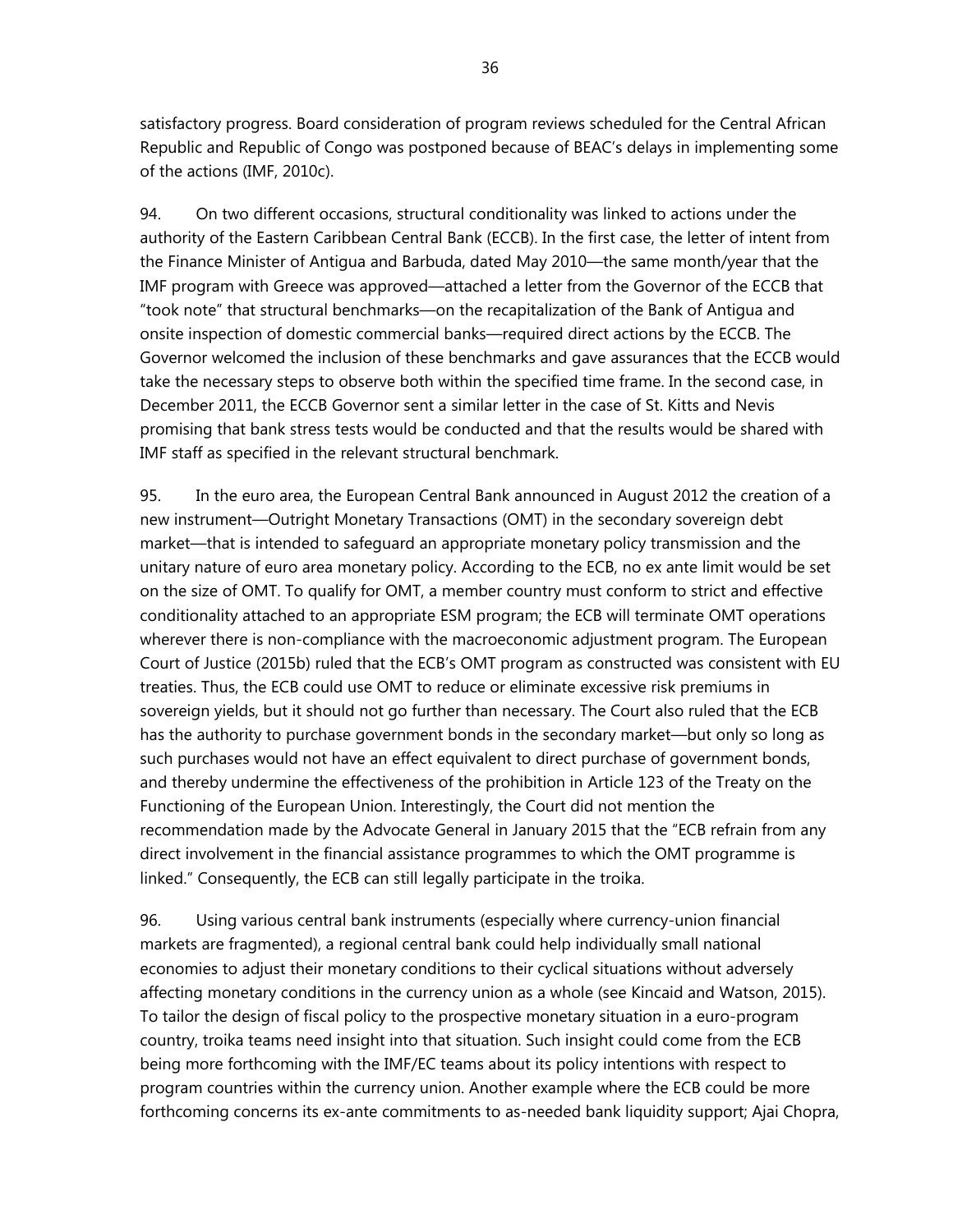satisfactory progress. Board consideration of program reviews scheduled for the Central African Republic and Republic of Congo was postponed because of BEAC's delays in implementing some of the actions (IMF, 2010c).

94. On two different occasions, structural conditionality was linked to actions under the authority of the Eastern Caribbean Central Bank (ECCB). In the first case, the letter of intent from the Finance Minister of Antigua and Barbuda, dated May 2010—the same month/year that the IMF program with Greece was approved—attached a letter from the Governor of the ECCB that "took note" that structural benchmarks—on the recapitalization of the Bank of Antigua and onsite inspection of domestic commercial banks—required direct actions by the ECCB. The Governor welcomed the inclusion of these benchmarks and gave assurances that the ECCB would take the necessary steps to observe both within the specified time frame. In the second case, in December 2011, the ECCB Governor sent a similar letter in the case of St. Kitts and Nevis promising that bank stress tests would be conducted and that the results would be shared with IMF staff as specified in the relevant structural benchmark.

95. In the euro area, the European Central Bank announced in August 2012 the creation of a new instrument—Outright Monetary Transactions (OMT) in the secondary sovereign debt market—that is intended to safeguard an appropriate monetary policy transmission and the unitary nature of euro area monetary policy. According to the ECB, no ex ante limit would be set on the size of OMT. To qualify for OMT, a member country must conform to strict and effective conditionality attached to an appropriate ESM program; the ECB will terminate OMT operations wherever there is non-compliance with the macroeconomic adjustment program. The European Court of Justice (2015b) ruled that the ECB's OMT program as constructed was consistent with EU treaties. Thus, the ECB could use OMT to reduce or eliminate excessive risk premiums in sovereign yields, but it should not go further than necessary. The Court also ruled that the ECB has the authority to purchase government bonds in the secondary market—but only so long as such purchases would not have an effect equivalent to direct purchase of government bonds, and thereby undermine the effectiveness of the prohibition in Article 123 of the Treaty on the Functioning of the European Union. Interestingly, the Court did not mention the recommendation made by the Advocate General in January 2015 that the "ECB refrain from any direct involvement in the financial assistance programmes to which the OMT programme is linked." Consequently, the ECB can still legally participate in the troika.

96. Using various central bank instruments (especially where currency-union financial markets are fragmented), a regional central bank could help individually small national economies to adjust their monetary conditions to their cyclical situations without adversely affecting monetary conditions in the currency union as a whole (see Kincaid and Watson, 2015). To tailor the design of fiscal policy to the prospective monetary situation in a euro-program country, troika teams need insight into that situation. Such insight could come from the ECB being more forthcoming with the IMF/EC teams about its policy intentions with respect to program countries within the currency union. Another example where the ECB could be more forthcoming concerns its ex-ante commitments to as-needed bank liquidity support; Ajai Chopra,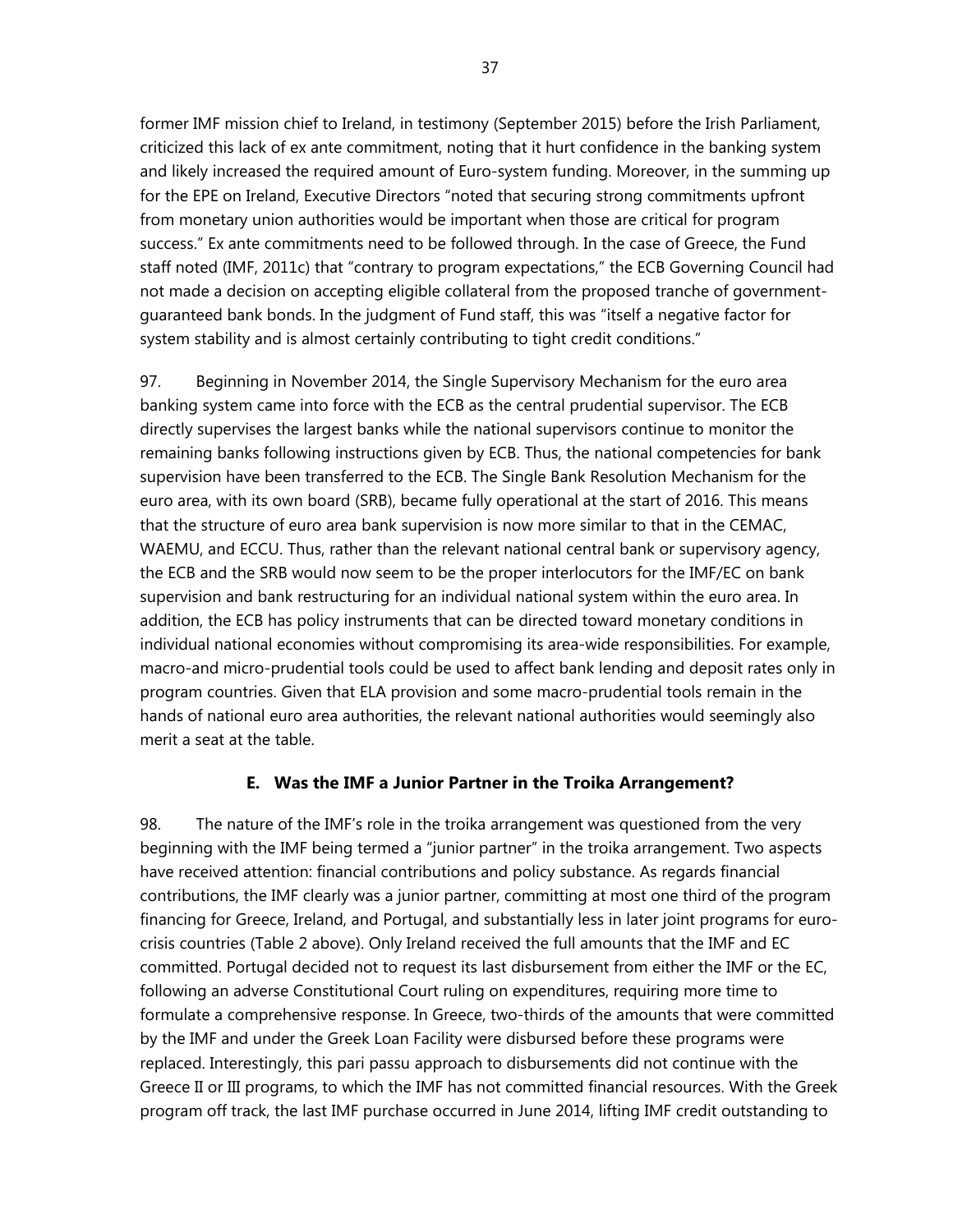former IMF mission chief to Ireland, in testimony (September 2015) before the Irish Parliament, criticized this lack of ex ante commitment, noting that it hurt confidence in the banking system and likely increased the required amount of Euro-system funding. Moreover, in the summing up for the EPE on Ireland, Executive Directors "noted that securing strong commitments upfront from monetary union authorities would be important when those are critical for program success." Ex ante commitments need to be followed through. In the case of Greece, the Fund staff noted (IMF, 2011c) that "contrary to program expectations," the ECB Governing Council had not made a decision on accepting eligible collateral from the proposed tranche of governmentguaranteed bank bonds. In the judgment of Fund staff, this was "itself a negative factor for system stability and is almost certainly contributing to tight credit conditions."

97. Beginning in November 2014, the Single Supervisory Mechanism for the euro area banking system came into force with the ECB as the central prudential supervisor. The ECB directly supervises the largest banks while the national supervisors continue to monitor the remaining banks following instructions given by ECB. Thus, the national competencies for bank supervision have been transferred to the ECB. The Single Bank Resolution Mechanism for the euro area, with its own board (SRB), became fully operational at the start of 2016. This means that the structure of euro area bank supervision is now more similar to that in the CEMAC, WAEMU, and ECCU. Thus, rather than the relevant national central bank or supervisory agency, the ECB and the SRB would now seem to be the proper interlocutors for the IMF/EC on bank supervision and bank restructuring for an individual national system within the euro area. In addition, the ECB has policy instruments that can be directed toward monetary conditions in individual national economies without compromising its area-wide responsibilities. For example, macro-and micro-prudential tools could be used to affect bank lending and deposit rates only in program countries. Given that ELA provision and some macro-prudential tools remain in the hands of national euro area authorities, the relevant national authorities would seemingly also merit a seat at the table.

## **E. Was the IMF a Junior Partner in the Troika Arrangement?**

98. The nature of the IMF's role in the troika arrangement was questioned from the very beginning with the IMF being termed a "junior partner" in the troika arrangement. Two aspects have received attention: financial contributions and policy substance. As regards financial contributions, the IMF clearly was a junior partner, committing at most one third of the program financing for Greece, Ireland, and Portugal, and substantially less in later joint programs for eurocrisis countries (Table 2 above). Only Ireland received the full amounts that the IMF and EC committed. Portugal decided not to request its last disbursement from either the IMF or the EC, following an adverse Constitutional Court ruling on expenditures, requiring more time to formulate a comprehensive response. In Greece, two-thirds of the amounts that were committed by the IMF and under the Greek Loan Facility were disbursed before these programs were replaced. Interestingly, this pari passu approach to disbursements did not continue with the Greece II or III programs, to which the IMF has not committed financial resources. With the Greek program off track, the last IMF purchase occurred in June 2014, lifting IMF credit outstanding to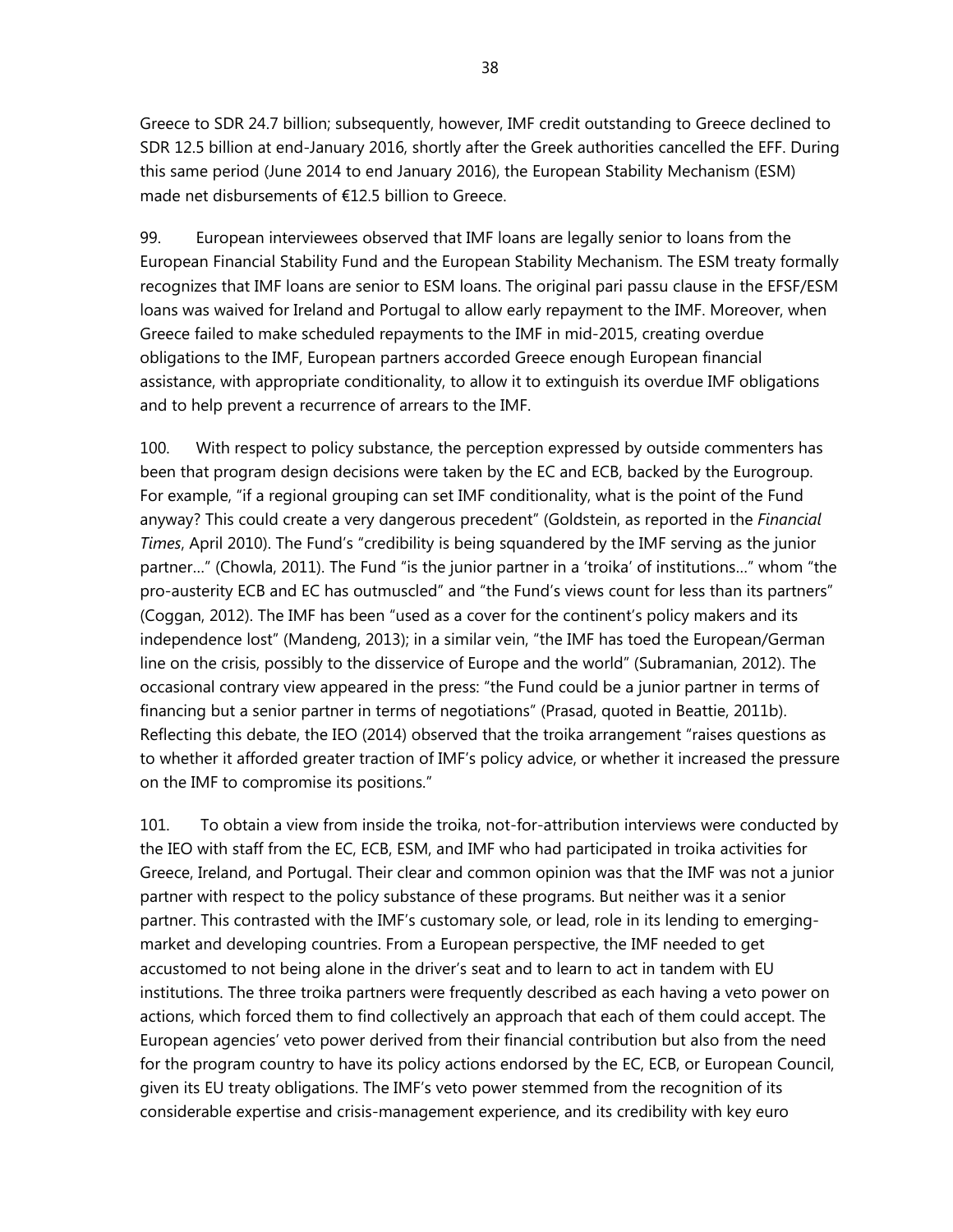Greece to SDR 24.7 billion; subsequently, however, IMF credit outstanding to Greece declined to SDR 12.5 billion at end-January 2016, shortly after the Greek authorities cancelled the EFF. During this same period (June 2014 to end January 2016), the European Stability Mechanism (ESM) made net disbursements of €12.5 billion to Greece.

99. European interviewees observed that IMF loans are legally senior to loans from the European Financial Stability Fund and the European Stability Mechanism. The ESM treaty formally recognizes that IMF loans are senior to ESM loans. The original pari passu clause in the EFSF/ESM loans was waived for Ireland and Portugal to allow early repayment to the IMF. Moreover, when Greece failed to make scheduled repayments to the IMF in mid-2015, creating overdue obligations to the IMF, European partners accorded Greece enough European financial assistance, with appropriate conditionality, to allow it to extinguish its overdue IMF obligations and to help prevent a recurrence of arrears to the IMF.

100. With respect to policy substance, the perception expressed by outside commenters has been that program design decisions were taken by the EC and ECB, backed by the Eurogroup. For example, "if a regional grouping can set IMF conditionality, what is the point of the Fund anyway? This could create a very dangerous precedent" (Goldstein, as reported in the *Financial Times*, April 2010). The Fund's "credibility is being squandered by the IMF serving as the junior partner…" (Chowla, 2011). The Fund "is the junior partner in a 'troika' of institutions…" whom "the pro-austerity ECB and EC has outmuscled" and "the Fund's views count for less than its partners" (Coggan, 2012). The IMF has been "used as a cover for the continent's policy makers and its independence lost" (Mandeng, 2013); in a similar vein, "the IMF has toed the European/German line on the crisis, possibly to the disservice of Europe and the world" (Subramanian, 2012). The occasional contrary view appeared in the press: "the Fund could be a junior partner in terms of financing but a senior partner in terms of negotiations" (Prasad, quoted in Beattie, 2011b). Reflecting this debate, the IEO (2014) observed that the troika arrangement "raises questions as to whether it afforded greater traction of IMF's policy advice, or whether it increased the pressure on the IMF to compromise its positions."

101. To obtain a view from inside the troika, not-for-attribution interviews were conducted by the IEO with staff from the EC, ECB, ESM, and IMF who had participated in troika activities for Greece, Ireland, and Portugal. Their clear and common opinion was that the IMF was not a junior partner with respect to the policy substance of these programs. But neither was it a senior partner. This contrasted with the IMF's customary sole, or lead, role in its lending to emergingmarket and developing countries. From a European perspective, the IMF needed to get accustomed to not being alone in the driver's seat and to learn to act in tandem with EU institutions. The three troika partners were frequently described as each having a veto power on actions, which forced them to find collectively an approach that each of them could accept. The European agencies' veto power derived from their financial contribution but also from the need for the program country to have its policy actions endorsed by the EC, ECB, or European Council, given its EU treaty obligations. The IMF's veto power stemmed from the recognition of its considerable expertise and crisis-management experience, and its credibility with key euro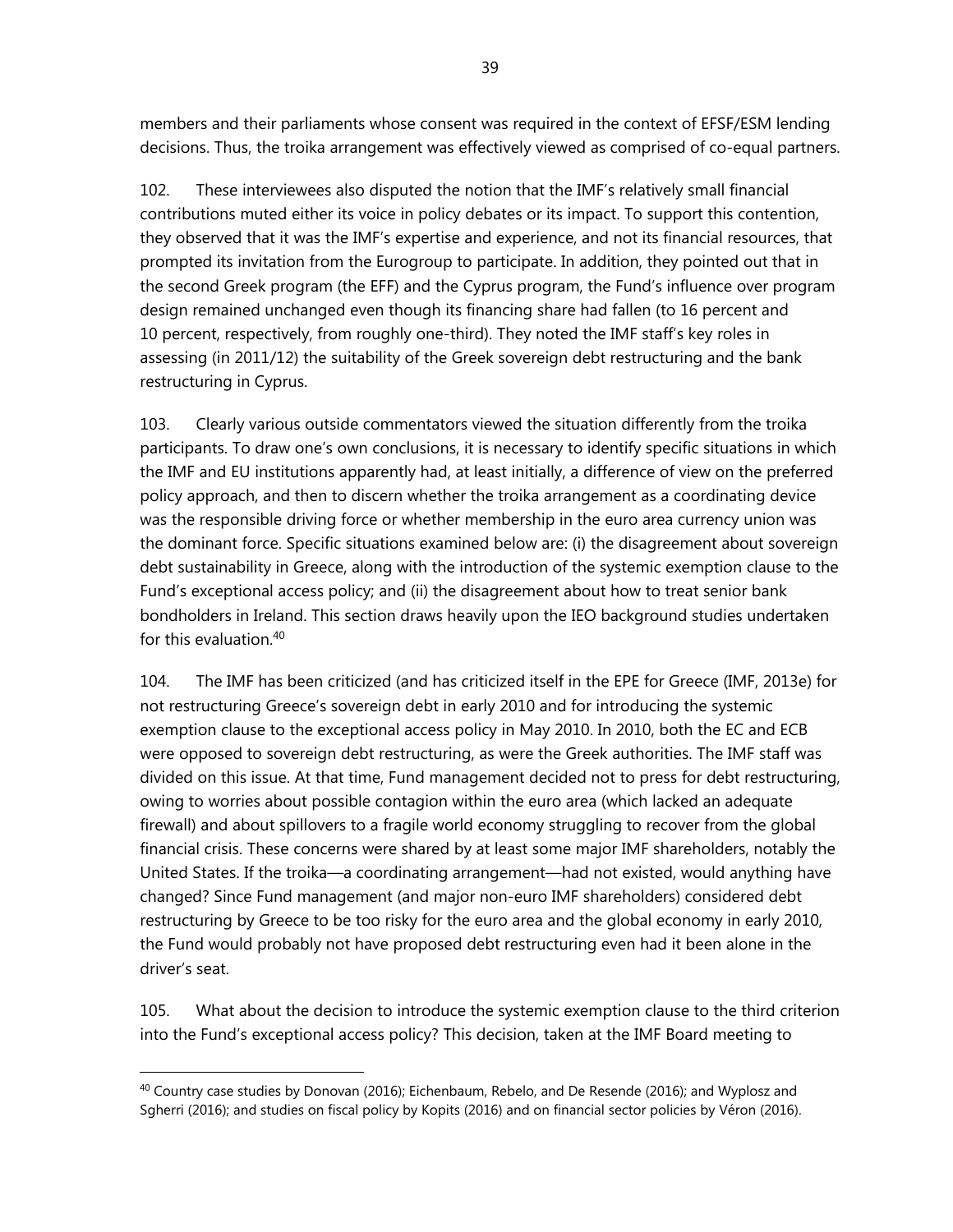members and their parliaments whose consent was required in the context of EFSF/ESM lending decisions. Thus, the troika arrangement was effectively viewed as comprised of co-equal partners.

102. These interviewees also disputed the notion that the IMF's relatively small financial contributions muted either its voice in policy debates or its impact. To support this contention, they observed that it was the IMF's expertise and experience, and not its financial resources, that prompted its invitation from the Eurogroup to participate. In addition, they pointed out that in the second Greek program (the EFF) and the Cyprus program, the Fund's influence over program design remained unchanged even though its financing share had fallen (to 16 percent and 10 percent, respectively, from roughly one-third). They noted the IMF staff's key roles in assessing (in 2011/12) the suitability of the Greek sovereign debt restructuring and the bank restructuring in Cyprus.

103. Clearly various outside commentators viewed the situation differently from the troika participants. To draw one's own conclusions, it is necessary to identify specific situations in which the IMF and EU institutions apparently had, at least initially, a difference of view on the preferred policy approach, and then to discern whether the troika arrangement as a coordinating device was the responsible driving force or whether membership in the euro area currency union was the dominant force. Specific situations examined below are: (i) the disagreement about sovereign debt sustainability in Greece, along with the introduction of the systemic exemption clause to the Fund's exceptional access policy; and (ii) the disagreement about how to treat senior bank bondholders in Ireland. This section draws heavily upon the IEO background studies undertaken for this evaluation.<sup>40</sup>

104. The IMF has been criticized (and has criticized itself in the EPE for Greece (IMF, 2013e) for not restructuring Greece's sovereign debt in early 2010 and for introducing the systemic exemption clause to the exceptional access policy in May 2010. In 2010, both the EC and ECB were opposed to sovereign debt restructuring, as were the Greek authorities. The IMF staff was divided on this issue. At that time, Fund management decided not to press for debt restructuring, owing to worries about possible contagion within the euro area (which lacked an adequate firewall) and about spillovers to a fragile world economy struggling to recover from the global financial crisis. These concerns were shared by at least some major IMF shareholders, notably the United States. If the troika—a coordinating arrangement—had not existed, would anything have changed? Since Fund management (and major non-euro IMF shareholders) considered debt restructuring by Greece to be too risky for the euro area and the global economy in early 2010, the Fund would probably not have proposed debt restructuring even had it been alone in the driver's seat.

105. What about the decision to introduce the systemic exemption clause to the third criterion into the Fund's exceptional access policy? This decision, taken at the IMF Board meeting to

 $40$  Country case studies by Donovan (2016); Eichenbaum, Rebelo, and De Resende (2016); and Wyplosz and Sgherri (2016); and studies on fiscal policy by Kopits (2016) and on financial sector policies by Véron (2016).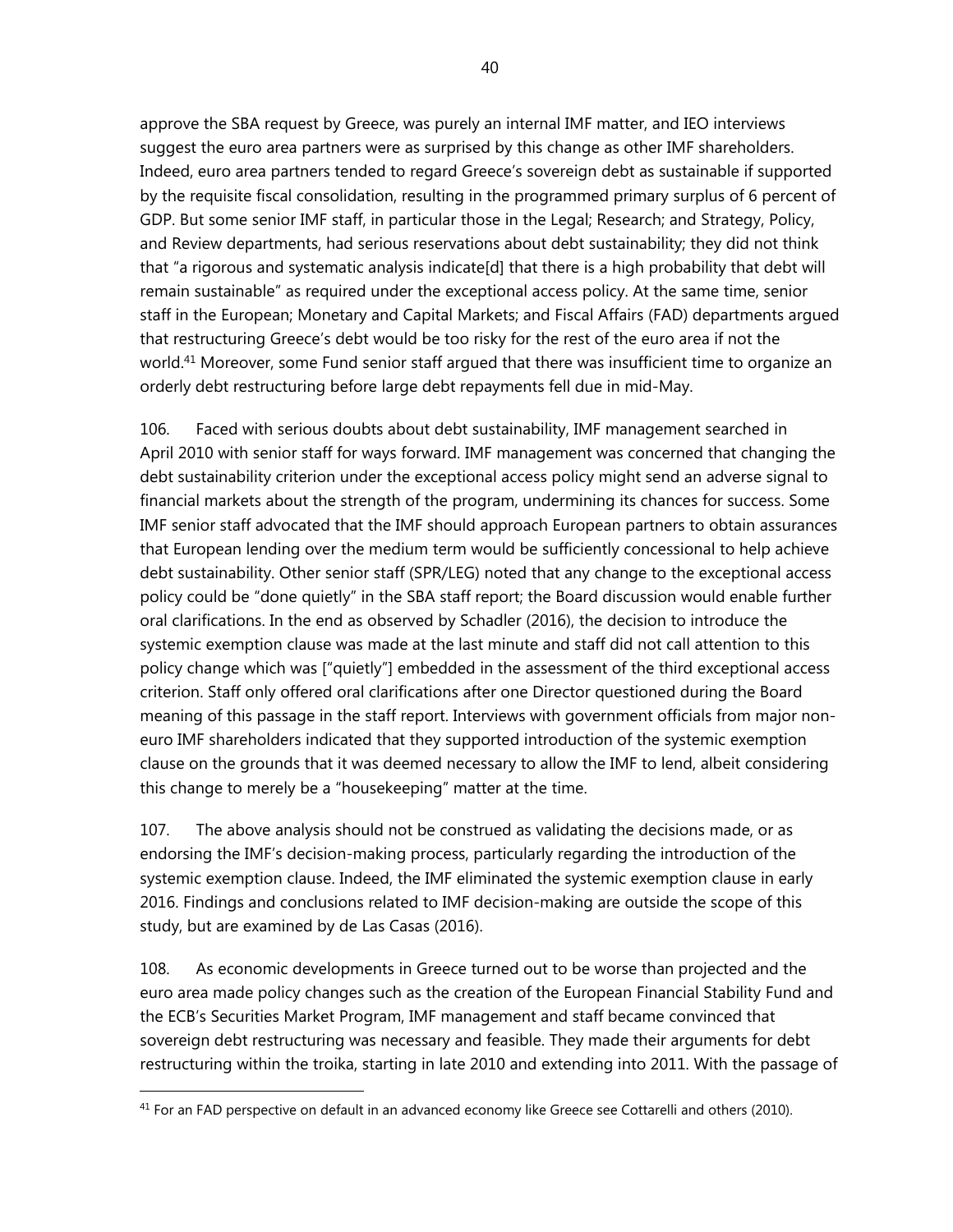approve the SBA request by Greece, was purely an internal IMF matter, and IEO interviews suggest the euro area partners were as surprised by this change as other IMF shareholders. Indeed, euro area partners tended to regard Greece's sovereign debt as sustainable if supported by the requisite fiscal consolidation, resulting in the programmed primary surplus of 6 percent of GDP. But some senior IMF staff, in particular those in the Legal; Research; and Strategy, Policy, and Review departments, had serious reservations about debt sustainability; they did not think that "a rigorous and systematic analysis indicate[d] that there is a high probability that debt will remain sustainable" as required under the exceptional access policy. At the same time, senior staff in the European; Monetary and Capital Markets; and Fiscal Affairs (FAD) departments argued that restructuring Greece's debt would be too risky for the rest of the euro area if not the world.<sup>41</sup> Moreover, some Fund senior staff argued that there was insufficient time to organize an orderly debt restructuring before large debt repayments fell due in mid-May.

106. Faced with serious doubts about debt sustainability, IMF management searched in April 2010 with senior staff for ways forward. IMF management was concerned that changing the debt sustainability criterion under the exceptional access policy might send an adverse signal to financial markets about the strength of the program, undermining its chances for success. Some IMF senior staff advocated that the IMF should approach European partners to obtain assurances that European lending over the medium term would be sufficiently concessional to help achieve debt sustainability. Other senior staff (SPR/LEG) noted that any change to the exceptional access policy could be "done quietly" in the SBA staff report; the Board discussion would enable further oral clarifications. In the end as observed by Schadler (2016), the decision to introduce the systemic exemption clause was made at the last minute and staff did not call attention to this policy change which was ["quietly"] embedded in the assessment of the third exceptional access criterion. Staff only offered oral clarifications after one Director questioned during the Board meaning of this passage in the staff report. Interviews with government officials from major noneuro IMF shareholders indicated that they supported introduction of the systemic exemption clause on the grounds that it was deemed necessary to allow the IMF to lend, albeit considering this change to merely be a "housekeeping" matter at the time.

107. The above analysis should not be construed as validating the decisions made, or as endorsing the IMF's decision-making process, particularly regarding the introduction of the systemic exemption clause. Indeed, the IMF eliminated the systemic exemption clause in early 2016. Findings and conclusions related to IMF decision-making are outside the scope of this study, but are examined by de Las Casas (2016).

108. As economic developments in Greece turned out to be worse than projected and the euro area made policy changes such as the creation of the European Financial Stability Fund and the ECB's Securities Market Program, IMF management and staff became convinced that sovereign debt restructuring was necessary and feasible. They made their arguments for debt restructuring within the troika, starting in late 2010 and extending into 2011. With the passage of

 $41$  For an FAD perspective on default in an advanced economy like Greece see Cottarelli and others (2010).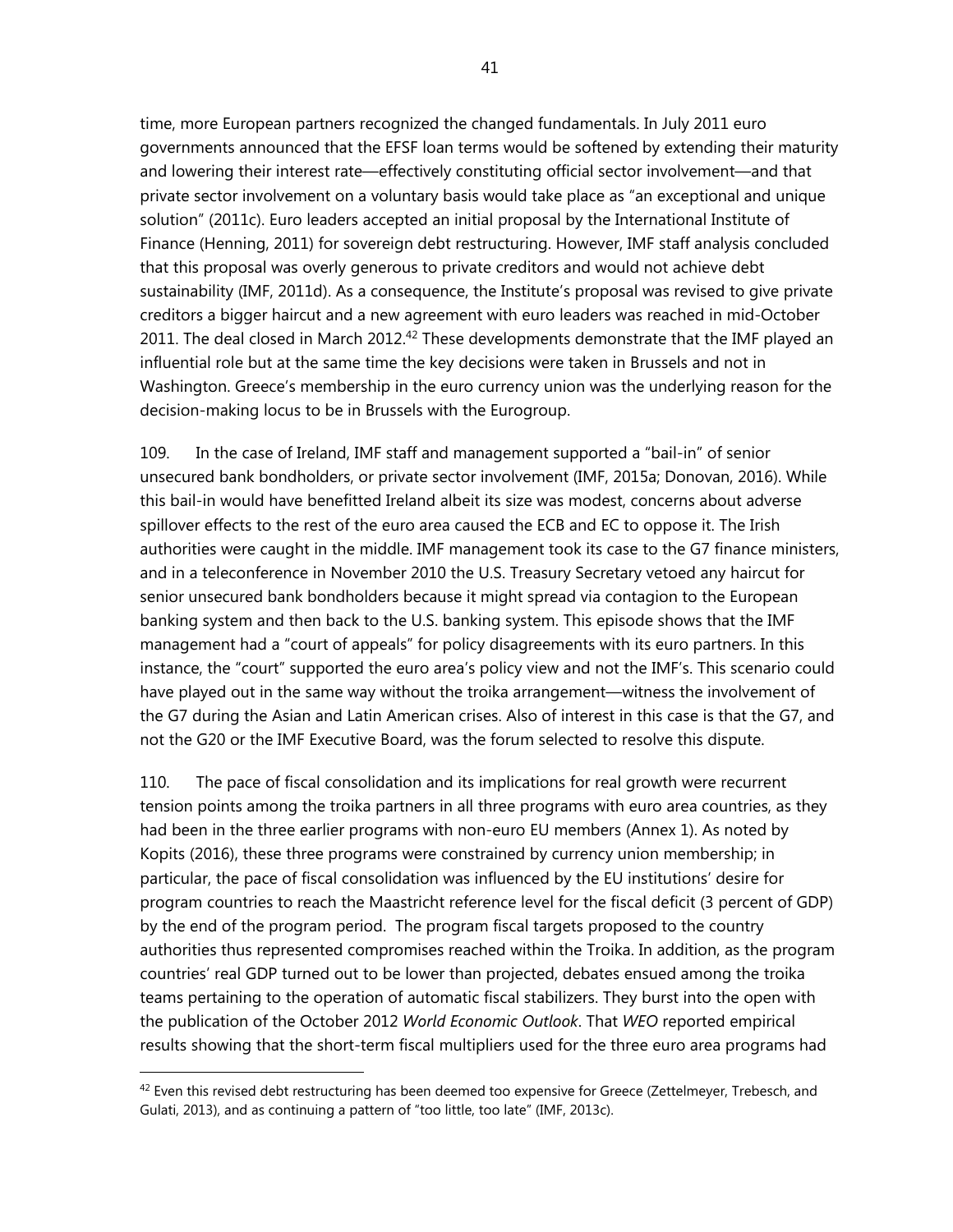time, more European partners recognized the changed fundamentals. In July 2011 euro governments announced that the EFSF loan terms would be softened by extending their maturity and lowering their interest rate—effectively constituting official sector involvement—and that private sector involvement on a voluntary basis would take place as "an exceptional and unique solution" (2011c). Euro leaders accepted an initial proposal by the International Institute of Finance (Henning, 2011) for sovereign debt restructuring. However, IMF staff analysis concluded that this proposal was overly generous to private creditors and would not achieve debt sustainability (IMF, 2011d). As a consequence, the Institute's proposal was revised to give private creditors a bigger haircut and a new agreement with euro leaders was reached in mid-October 2011. The deal closed in March 2012.<sup>42</sup> These developments demonstrate that the IMF played an influential role but at the same time the key decisions were taken in Brussels and not in Washington. Greece's membership in the euro currency union was the underlying reason for the decision-making locus to be in Brussels with the Eurogroup.

109. In the case of Ireland, IMF staff and management supported a "bail-in" of senior unsecured bank bondholders, or private sector involvement (IMF, 2015a; Donovan, 2016). While this bail-in would have benefitted Ireland albeit its size was modest, concerns about adverse spillover effects to the rest of the euro area caused the ECB and EC to oppose it. The Irish authorities were caught in the middle. IMF management took its case to the G7 finance ministers, and in a teleconference in November 2010 the U.S. Treasury Secretary vetoed any haircut for senior unsecured bank bondholders because it might spread via contagion to the European banking system and then back to the U.S. banking system. This episode shows that the IMF management had a "court of appeals" for policy disagreements with its euro partners. In this instance, the "court" supported the euro area's policy view and not the IMF's. This scenario could have played out in the same way without the troika arrangement—witness the involvement of the G7 during the Asian and Latin American crises. Also of interest in this case is that the G7, and not the G20 or the IMF Executive Board, was the forum selected to resolve this dispute.

110. The pace of fiscal consolidation and its implications for real growth were recurrent tension points among the troika partners in all three programs with euro area countries, as they had been in the three earlier programs with non-euro EU members (Annex 1). As noted by Kopits (2016), these three programs were constrained by currency union membership; in particular, the pace of fiscal consolidation was influenced by the EU institutions' desire for program countries to reach the Maastricht reference level for the fiscal deficit (3 percent of GDP) by the end of the program period. The program fiscal targets proposed to the country authorities thus represented compromises reached within the Troika. In addition, as the program countries' real GDP turned out to be lower than projected, debates ensued among the troika teams pertaining to the operation of automatic fiscal stabilizers. They burst into the open with the publication of the October 2012 *World Economic Outlook*. That *WEO* reported empirical results showing that the short-term fiscal multipliers used for the three euro area programs had

 $42$  Even this revised debt restructuring has been deemed too expensive for Greece (Zettelmeyer, Trebesch, and Gulati, 2013), and as continuing a pattern of "too little, too late" (IMF, 2013c).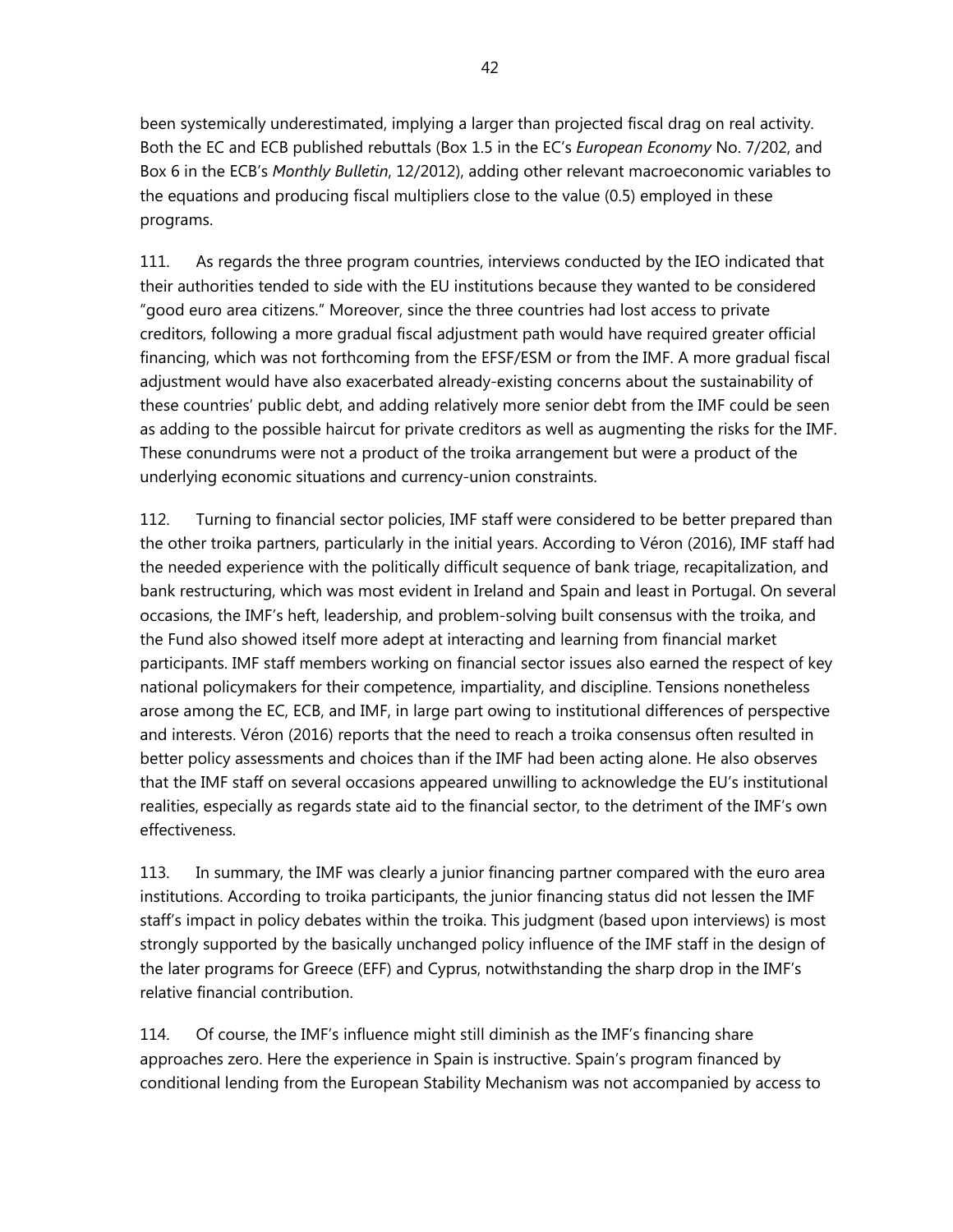been systemically underestimated, implying a larger than projected fiscal drag on real activity. Both the EC and ECB published rebuttals (Box 1.5 in the EC's *European Economy* No. 7/202, and Box 6 in the ECB's *Monthly Bulletin*, 12/2012), adding other relevant macroeconomic variables to the equations and producing fiscal multipliers close to the value (0.5) employed in these programs.

111. As regards the three program countries, interviews conducted by the IEO indicated that their authorities tended to side with the EU institutions because they wanted to be considered "good euro area citizens." Moreover, since the three countries had lost access to private creditors, following a more gradual fiscal adjustment path would have required greater official financing, which was not forthcoming from the EFSF/ESM or from the IMF. A more gradual fiscal adjustment would have also exacerbated already-existing concerns about the sustainability of these countries' public debt, and adding relatively more senior debt from the IMF could be seen as adding to the possible haircut for private creditors as well as augmenting the risks for the IMF. These conundrums were not a product of the troika arrangement but were a product of the underlying economic situations and currency-union constraints.

112. Turning to financial sector policies, IMF staff were considered to be better prepared than the other troika partners, particularly in the initial years. According to Véron (2016), IMF staff had the needed experience with the politically difficult sequence of bank triage, recapitalization, and bank restructuring, which was most evident in Ireland and Spain and least in Portugal. On several occasions, the IMF's heft, leadership, and problem-solving built consensus with the troika, and the Fund also showed itself more adept at interacting and learning from financial market participants. IMF staff members working on financial sector issues also earned the respect of key national policymakers for their competence, impartiality, and discipline. Tensions nonetheless arose among the EC, ECB, and IMF, in large part owing to institutional differences of perspective and interests. Véron (2016) reports that the need to reach a troika consensus often resulted in better policy assessments and choices than if the IMF had been acting alone. He also observes that the IMF staff on several occasions appeared unwilling to acknowledge the EU's institutional realities, especially as regards state aid to the financial sector, to the detriment of the IMF's own effectiveness.

113. In summary, the IMF was clearly a junior financing partner compared with the euro area institutions. According to troika participants, the junior financing status did not lessen the IMF staff's impact in policy debates within the troika. This judgment (based upon interviews) is most strongly supported by the basically unchanged policy influence of the IMF staff in the design of the later programs for Greece (EFF) and Cyprus, notwithstanding the sharp drop in the IMF's relative financial contribution.

114. Of course, the IMF's influence might still diminish as the IMF's financing share approaches zero. Here the experience in Spain is instructive. Spain's program financed by conditional lending from the European Stability Mechanism was not accompanied by access to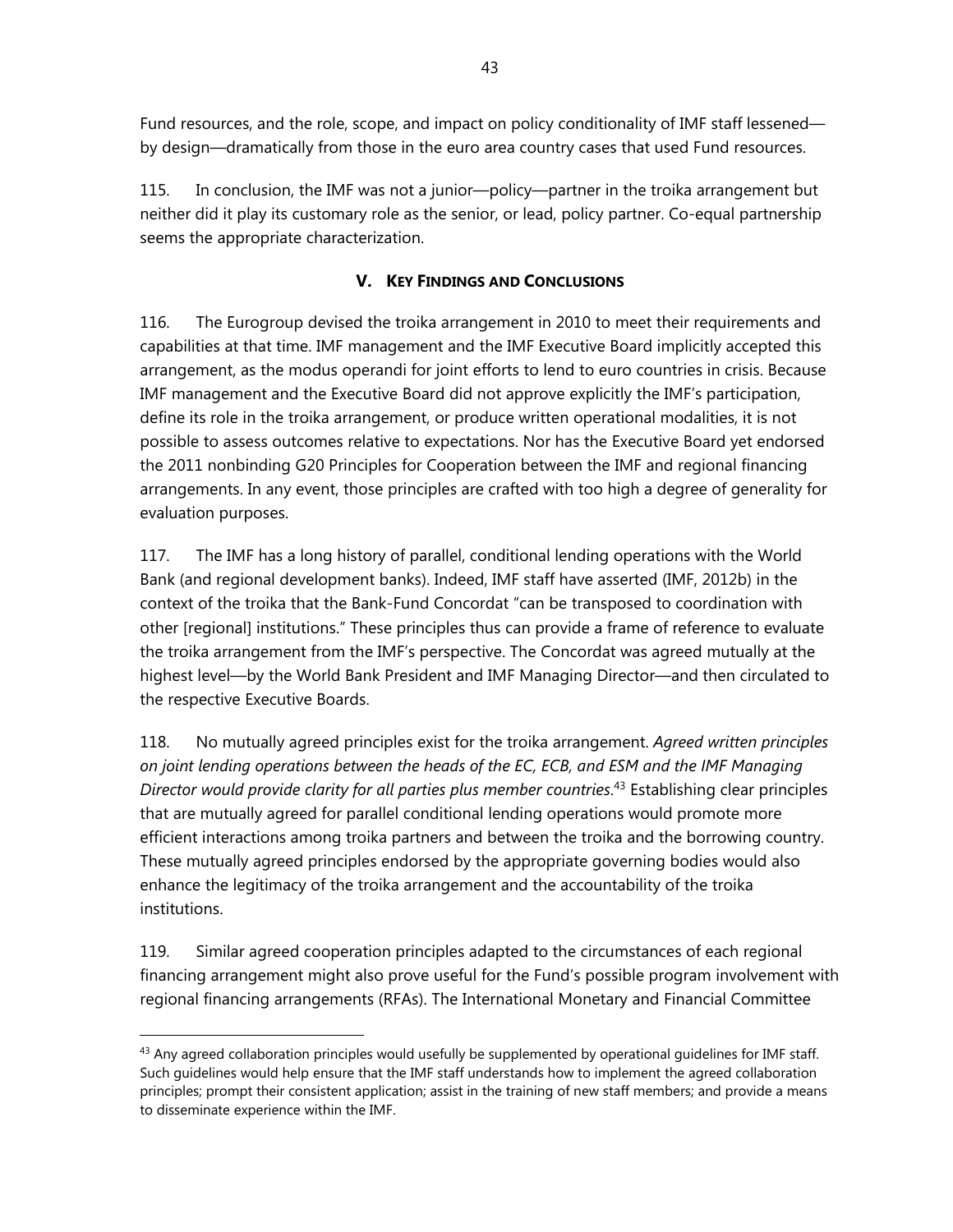Fund resources, and the role, scope, and impact on policy conditionality of IMF staff lessened by design—dramatically from those in the euro area country cases that used Fund resources.

115. In conclusion, the IMF was not a junior—policy—partner in the troika arrangement but neither did it play its customary role as the senior, or lead, policy partner. Co-equal partnership seems the appropriate characterization.

# **V. KEY FINDINGS AND CONCLUSIONS**

116. The Eurogroup devised the troika arrangement in 2010 to meet their requirements and capabilities at that time. IMF management and the IMF Executive Board implicitly accepted this arrangement, as the modus operandi for joint efforts to lend to euro countries in crisis. Because IMF management and the Executive Board did not approve explicitly the IMF's participation, define its role in the troika arrangement, or produce written operational modalities, it is not possible to assess outcomes relative to expectations. Nor has the Executive Board yet endorsed the 2011 nonbinding G20 Principles for Cooperation between the IMF and regional financing arrangements. In any event, those principles are crafted with too high a degree of generality for evaluation purposes.

117. The IMF has a long history of parallel, conditional lending operations with the World Bank (and regional development banks). Indeed, IMF staff have asserted (IMF, 2012b) in the context of the troika that the Bank-Fund Concordat "can be transposed to coordination with other [regional] institutions." These principles thus can provide a frame of reference to evaluate the troika arrangement from the IMF's perspective. The Concordat was agreed mutually at the highest level—by the World Bank President and IMF Managing Director—and then circulated to the respective Executive Boards.

118. No mutually agreed principles exist for the troika arrangement. *Agreed written principles on joint lending operations between the heads of the EC, ECB, and ESM and the IMF Managing Director would provide clarity for all parties plus member countries*. 43 Establishing clear principles that are mutually agreed for parallel conditional lending operations would promote more efficient interactions among troika partners and between the troika and the borrowing country. These mutually agreed principles endorsed by the appropriate governing bodies would also enhance the legitimacy of the troika arrangement and the accountability of the troika institutions.

119. Similar agreed cooperation principles adapted to the circumstances of each regional financing arrangement might also prove useful for the Fund's possible program involvement with regional financing arrangements (RFAs). The International Monetary and Financial Committee

 $43$  Any agreed collaboration principles would usefully be supplemented by operational quidelines for IMF staff. Such guidelines would help ensure that the IMF staff understands how to implement the agreed collaboration principles; prompt their consistent application; assist in the training of new staff members; and provide a means to disseminate experience within the IMF.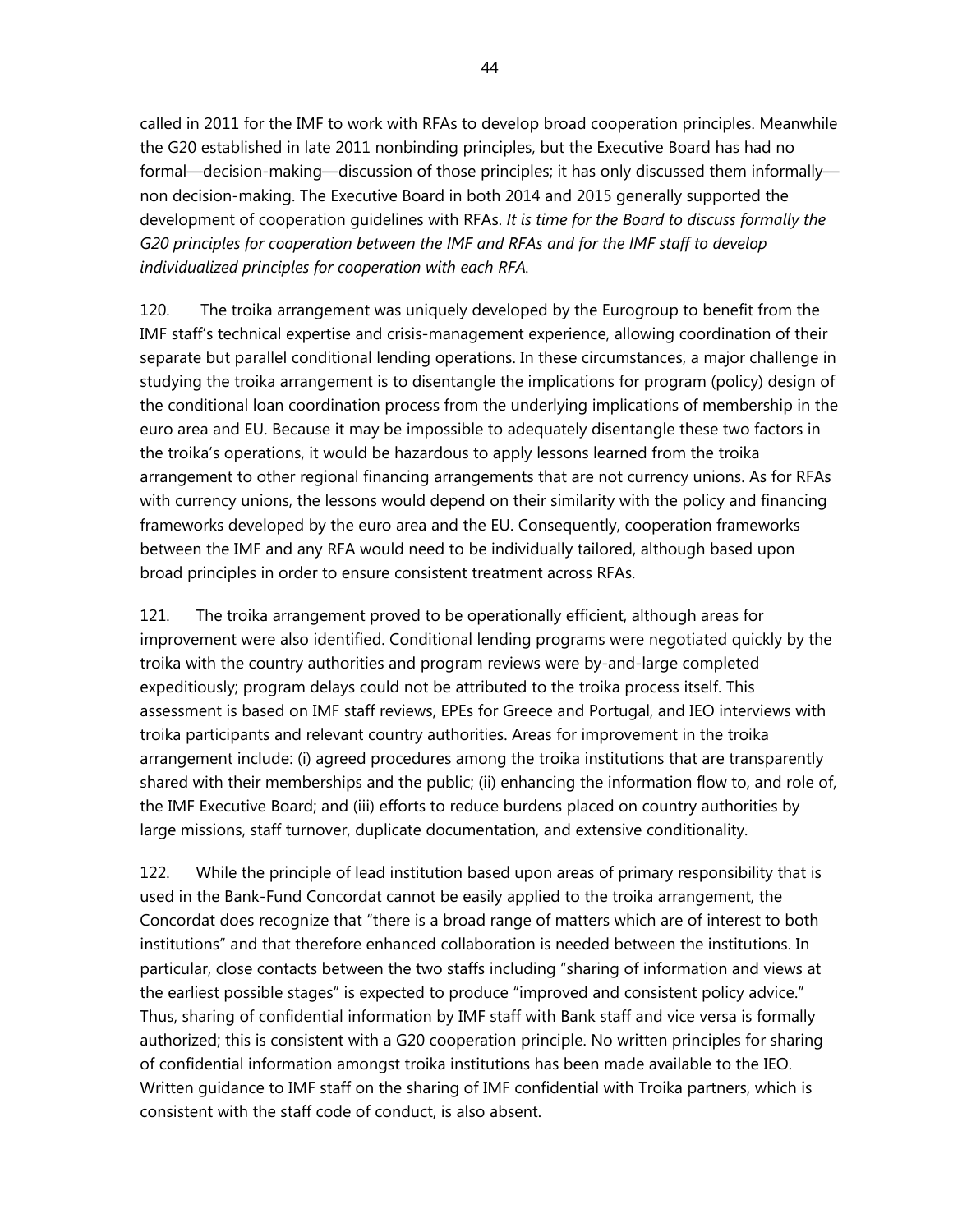called in 2011 for the IMF to work with RFAs to develop broad cooperation principles. Meanwhile the G20 established in late 2011 nonbinding principles, but the Executive Board has had no formal—decision-making—discussion of those principles; it has only discussed them informally non decision-making. The Executive Board in both 2014 and 2015 generally supported the development of cooperation guidelines with RFAs. *It is time for the Board to discuss formally the G20 principles for cooperation between the IMF and RFAs and for the IMF staff to develop individualized principles for cooperation with each RFA.* 

120. The troika arrangement was uniquely developed by the Eurogroup to benefit from the IMF staff's technical expertise and crisis-management experience, allowing coordination of their separate but parallel conditional lending operations. In these circumstances, a major challenge in studying the troika arrangement is to disentangle the implications for program (policy) design of the conditional loan coordination process from the underlying implications of membership in the euro area and EU. Because it may be impossible to adequately disentangle these two factors in the troika's operations, it would be hazardous to apply lessons learned from the troika arrangement to other regional financing arrangements that are not currency unions. As for RFAs with currency unions, the lessons would depend on their similarity with the policy and financing frameworks developed by the euro area and the EU. Consequently, cooperation frameworks between the IMF and any RFA would need to be individually tailored, although based upon broad principles in order to ensure consistent treatment across RFAs.

121. The troika arrangement proved to be operationally efficient, although areas for improvement were also identified. Conditional lending programs were negotiated quickly by the troika with the country authorities and program reviews were by-and-large completed expeditiously; program delays could not be attributed to the troika process itself. This assessment is based on IMF staff reviews, EPEs for Greece and Portugal, and IEO interviews with troika participants and relevant country authorities. Areas for improvement in the troika arrangement include: (i) agreed procedures among the troika institutions that are transparently shared with their memberships and the public; (ii) enhancing the information flow to, and role of, the IMF Executive Board; and (iii) efforts to reduce burdens placed on country authorities by large missions, staff turnover, duplicate documentation, and extensive conditionality.

122. While the principle of lead institution based upon areas of primary responsibility that is used in the Bank-Fund Concordat cannot be easily applied to the troika arrangement, the Concordat does recognize that "there is a broad range of matters which are of interest to both institutions" and that therefore enhanced collaboration is needed between the institutions. In particular, close contacts between the two staffs including "sharing of information and views at the earliest possible stages" is expected to produce "improved and consistent policy advice." Thus, sharing of confidential information by IMF staff with Bank staff and vice versa is formally authorized; this is consistent with a G20 cooperation principle. No written principles for sharing of confidential information amongst troika institutions has been made available to the IEO. Written guidance to IMF staff on the sharing of IMF confidential with Troika partners, which is consistent with the staff code of conduct, is also absent.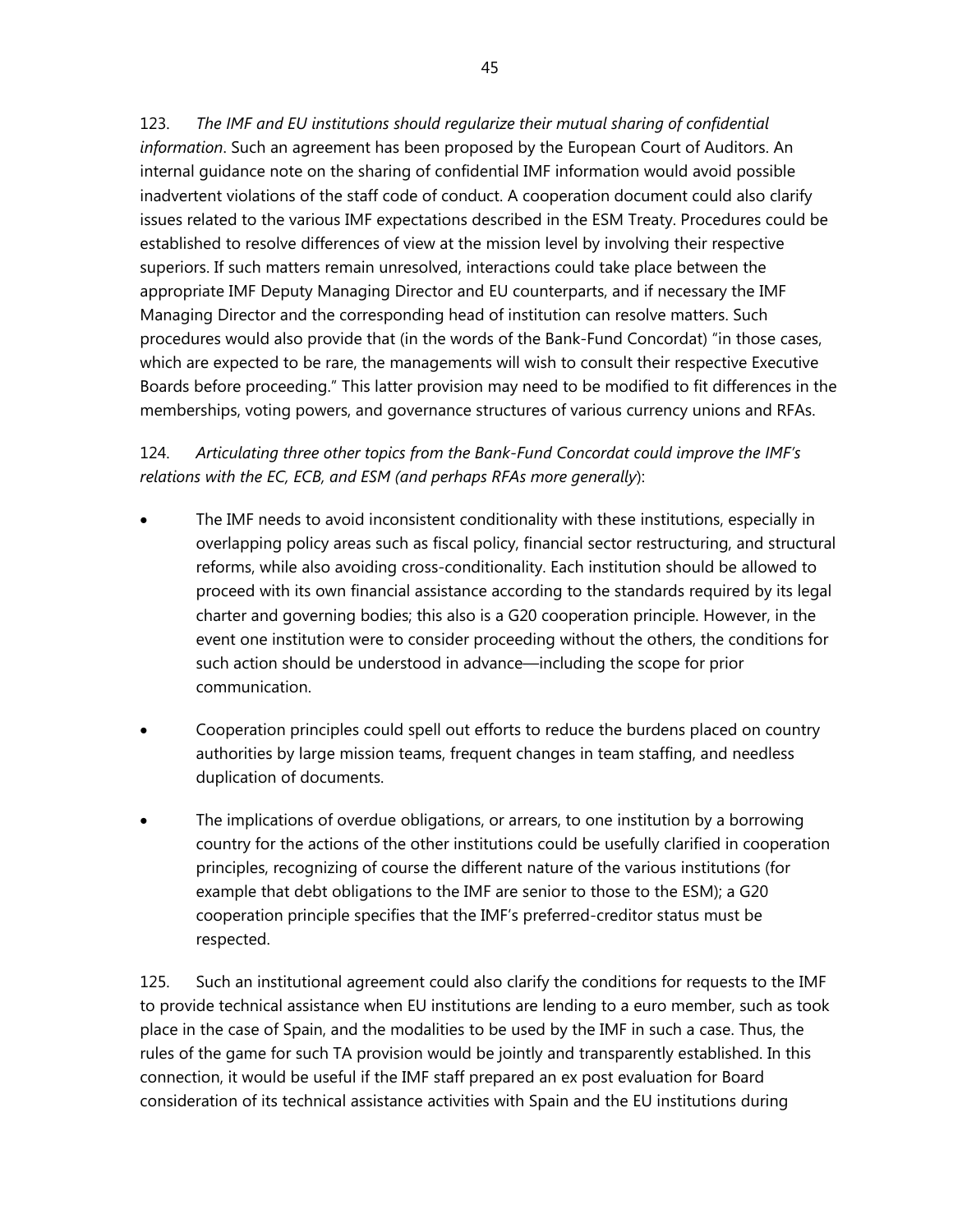123. *The IMF and EU institutions should regularize their mutual sharing of confidential information*. Such an agreement has been proposed by the European Court of Auditors. An internal guidance note on the sharing of confidential IMF information would avoid possible inadvertent violations of the staff code of conduct. A cooperation document could also clarify issues related to the various IMF expectations described in the ESM Treaty. Procedures could be established to resolve differences of view at the mission level by involving their respective superiors. If such matters remain unresolved, interactions could take place between the appropriate IMF Deputy Managing Director and EU counterparts, and if necessary the IMF Managing Director and the corresponding head of institution can resolve matters. Such procedures would also provide that (in the words of the Bank-Fund Concordat) "in those cases, which are expected to be rare, the managements will wish to consult their respective Executive Boards before proceeding." This latter provision may need to be modified to fit differences in the memberships, voting powers, and governance structures of various currency unions and RFAs.

124. *Articulating three other topics from the Bank-Fund Concordat could improve the IMF's relations with the EC, ECB, and ESM (and perhaps RFAs more generally*):

- The IMF needs to avoid inconsistent conditionality with these institutions, especially in overlapping policy areas such as fiscal policy, financial sector restructuring, and structural reforms, while also avoiding cross-conditionality. Each institution should be allowed to proceed with its own financial assistance according to the standards required by its legal charter and governing bodies; this also is a G20 cooperation principle. However, in the event one institution were to consider proceeding without the others, the conditions for such action should be understood in advance—including the scope for prior communication.
- Cooperation principles could spell out efforts to reduce the burdens placed on country authorities by large mission teams, frequent changes in team staffing, and needless duplication of documents.
- The implications of overdue obligations, or arrears, to one institution by a borrowing country for the actions of the other institutions could be usefully clarified in cooperation principles, recognizing of course the different nature of the various institutions (for example that debt obligations to the IMF are senior to those to the ESM); a G20 cooperation principle specifies that the IMF's preferred-creditor status must be respected.

125. Such an institutional agreement could also clarify the conditions for requests to the IMF to provide technical assistance when EU institutions are lending to a euro member, such as took place in the case of Spain, and the modalities to be used by the IMF in such a case. Thus, the rules of the game for such TA provision would be jointly and transparently established. In this connection, it would be useful if the IMF staff prepared an ex post evaluation for Board consideration of its technical assistance activities with Spain and the EU institutions during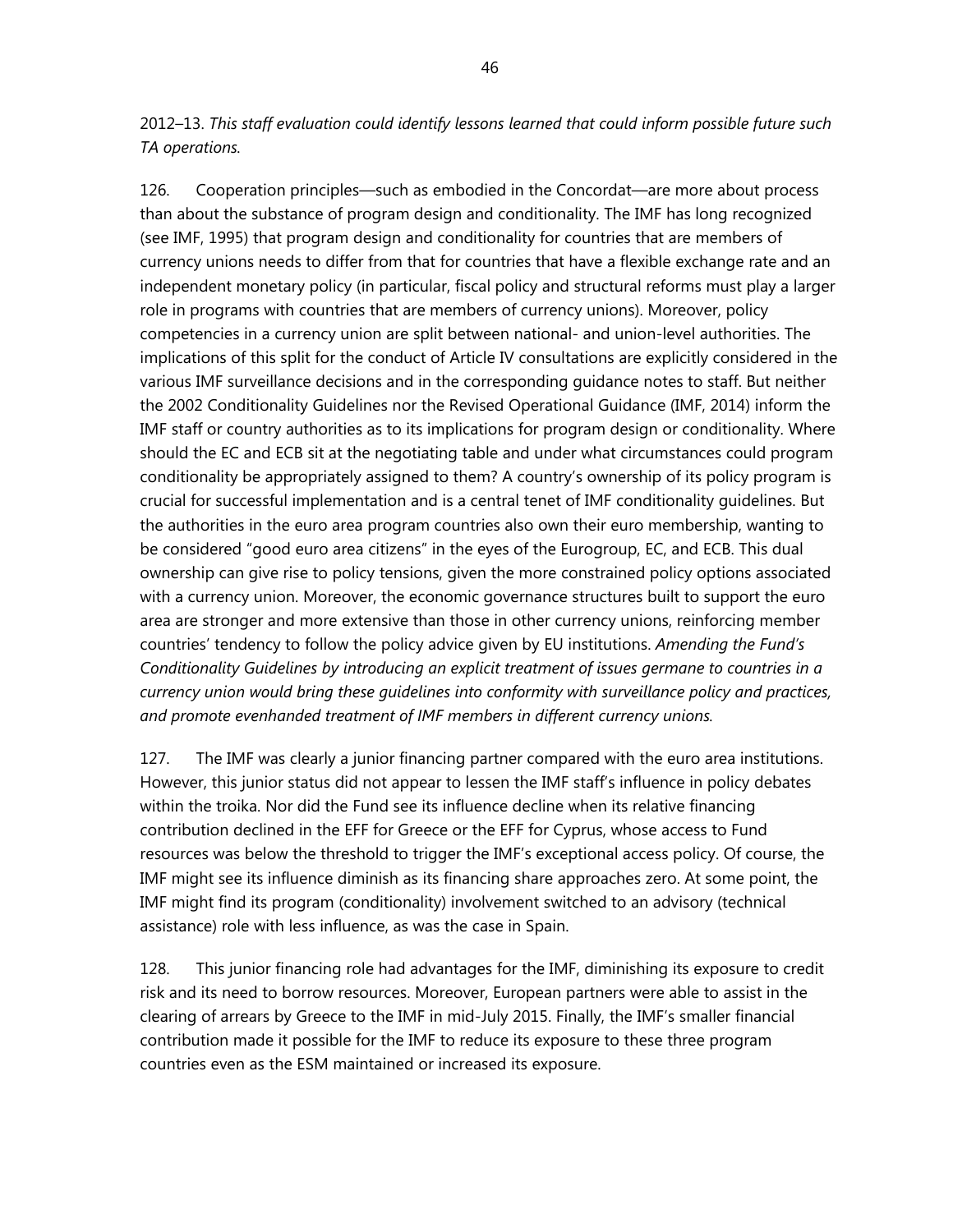2012–13. *This staff evaluation could identify lessons learned that could inform possible future such TA operations.*

126. Cooperation principles—such as embodied in the Concordat—are more about process than about the substance of program design and conditionality. The IMF has long recognized (see IMF, 1995) that program design and conditionality for countries that are members of currency unions needs to differ from that for countries that have a flexible exchange rate and an independent monetary policy (in particular, fiscal policy and structural reforms must play a larger role in programs with countries that are members of currency unions). Moreover, policy competencies in a currency union are split between national- and union-level authorities. The implications of this split for the conduct of Article IV consultations are explicitly considered in the various IMF surveillance decisions and in the corresponding guidance notes to staff. But neither the 2002 Conditionality Guidelines nor the Revised Operational Guidance (IMF, 2014) inform the IMF staff or country authorities as to its implications for program design or conditionality. Where should the EC and ECB sit at the negotiating table and under what circumstances could program conditionality be appropriately assigned to them? A country's ownership of its policy program is crucial for successful implementation and is a central tenet of IMF conditionality guidelines. But the authorities in the euro area program countries also own their euro membership, wanting to be considered "good euro area citizens" in the eyes of the Eurogroup, EC, and ECB. This dual ownership can give rise to policy tensions, given the more constrained policy options associated with a currency union. Moreover, the economic governance structures built to support the euro area are stronger and more extensive than those in other currency unions, reinforcing member countries' tendency to follow the policy advice given by EU institutions. *Amending the Fund's Conditionality Guidelines by introducing an explicit treatment of issues germane to countries in a currency union would bring these guidelines into conformity with surveillance policy and practices, and promote evenhanded treatment of IMF members in different currency unions.*

127. The IMF was clearly a junior financing partner compared with the euro area institutions. However, this junior status did not appear to lessen the IMF staff's influence in policy debates within the troika. Nor did the Fund see its influence decline when its relative financing contribution declined in the EFF for Greece or the EFF for Cyprus, whose access to Fund resources was below the threshold to trigger the IMF's exceptional access policy. Of course, the IMF might see its influence diminish as its financing share approaches zero. At some point, the IMF might find its program (conditionality) involvement switched to an advisory (technical assistance) role with less influence, as was the case in Spain.

128. This junior financing role had advantages for the IMF, diminishing its exposure to credit risk and its need to borrow resources. Moreover, European partners were able to assist in the clearing of arrears by Greece to the IMF in mid-July 2015. Finally, the IMF's smaller financial contribution made it possible for the IMF to reduce its exposure to these three program countries even as the ESM maintained or increased its exposure.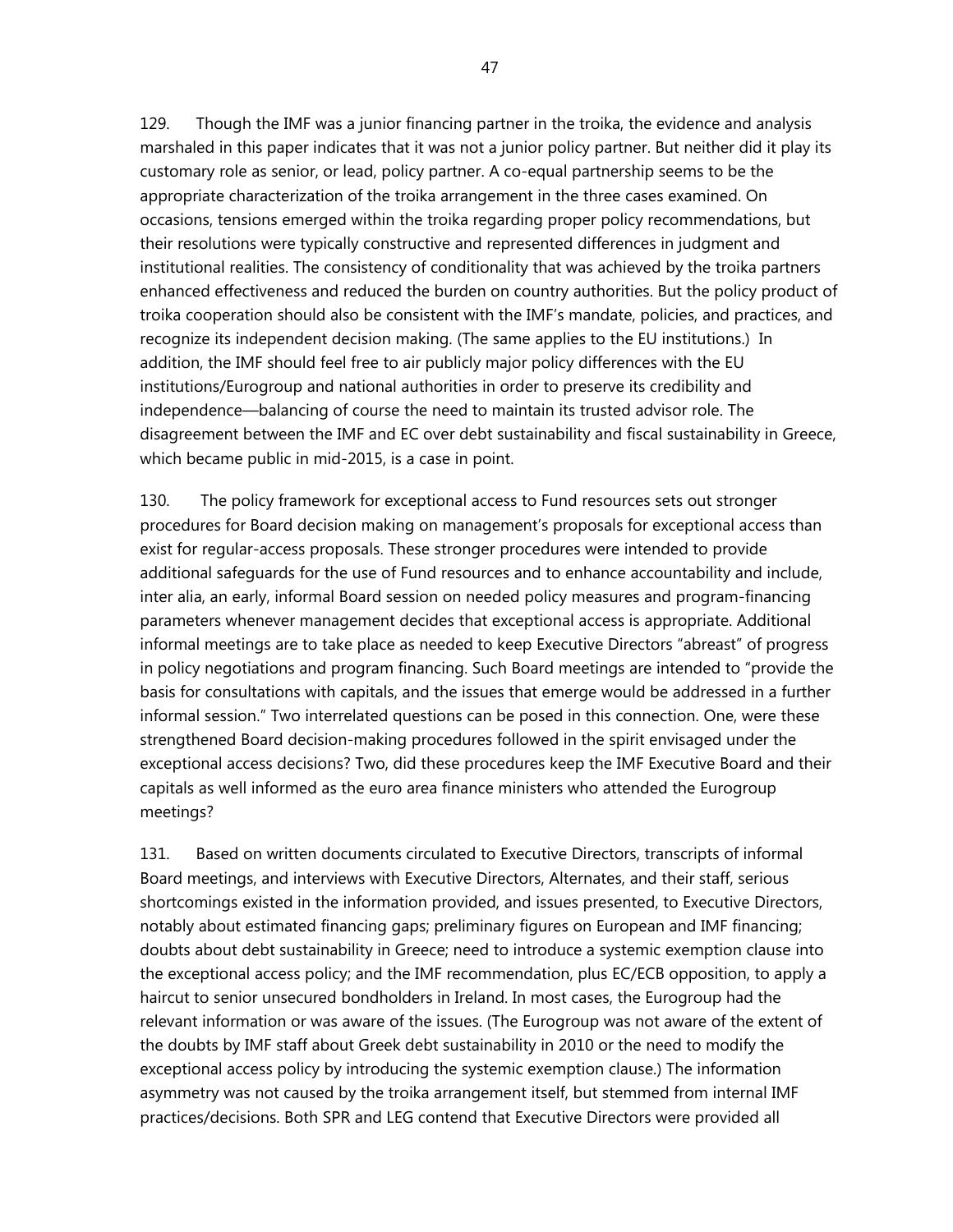129. Though the IMF was a junior financing partner in the troika, the evidence and analysis marshaled in this paper indicates that it was not a junior policy partner. But neither did it play its customary role as senior, or lead, policy partner. A co-equal partnership seems to be the appropriate characterization of the troika arrangement in the three cases examined. On occasions, tensions emerged within the troika regarding proper policy recommendations, but their resolutions were typically constructive and represented differences in judgment and institutional realities. The consistency of conditionality that was achieved by the troika partners enhanced effectiveness and reduced the burden on country authorities. But the policy product of troika cooperation should also be consistent with the IMF's mandate, policies, and practices, and recognize its independent decision making. (The same applies to the EU institutions.) In addition, the IMF should feel free to air publicly major policy differences with the EU institutions/Eurogroup and national authorities in order to preserve its credibility and independence—balancing of course the need to maintain its trusted advisor role. The disagreement between the IMF and EC over debt sustainability and fiscal sustainability in Greece, which became public in mid-2015, is a case in point.

130. The policy framework for exceptional access to Fund resources sets out stronger procedures for Board decision making on management's proposals for exceptional access than exist for regular-access proposals. These stronger procedures were intended to provide additional safeguards for the use of Fund resources and to enhance accountability and include, inter alia, an early, informal Board session on needed policy measures and program-financing parameters whenever management decides that exceptional access is appropriate. Additional informal meetings are to take place as needed to keep Executive Directors "abreast" of progress in policy negotiations and program financing. Such Board meetings are intended to "provide the basis for consultations with capitals, and the issues that emerge would be addressed in a further informal session." Two interrelated questions can be posed in this connection. One, were these strengthened Board decision-making procedures followed in the spirit envisaged under the exceptional access decisions? Two, did these procedures keep the IMF Executive Board and their capitals as well informed as the euro area finance ministers who attended the Eurogroup meetings?

131. Based on written documents circulated to Executive Directors, transcripts of informal Board meetings, and interviews with Executive Directors, Alternates, and their staff, serious shortcomings existed in the information provided, and issues presented, to Executive Directors, notably about estimated financing gaps; preliminary figures on European and IMF financing; doubts about debt sustainability in Greece; need to introduce a systemic exemption clause into the exceptional access policy; and the IMF recommendation, plus EC/ECB opposition, to apply a haircut to senior unsecured bondholders in Ireland. In most cases, the Eurogroup had the relevant information or was aware of the issues. (The Eurogroup was not aware of the extent of the doubts by IMF staff about Greek debt sustainability in 2010 or the need to modify the exceptional access policy by introducing the systemic exemption clause.) The information asymmetry was not caused by the troika arrangement itself, but stemmed from internal IMF practices/decisions. Both SPR and LEG contend that Executive Directors were provided all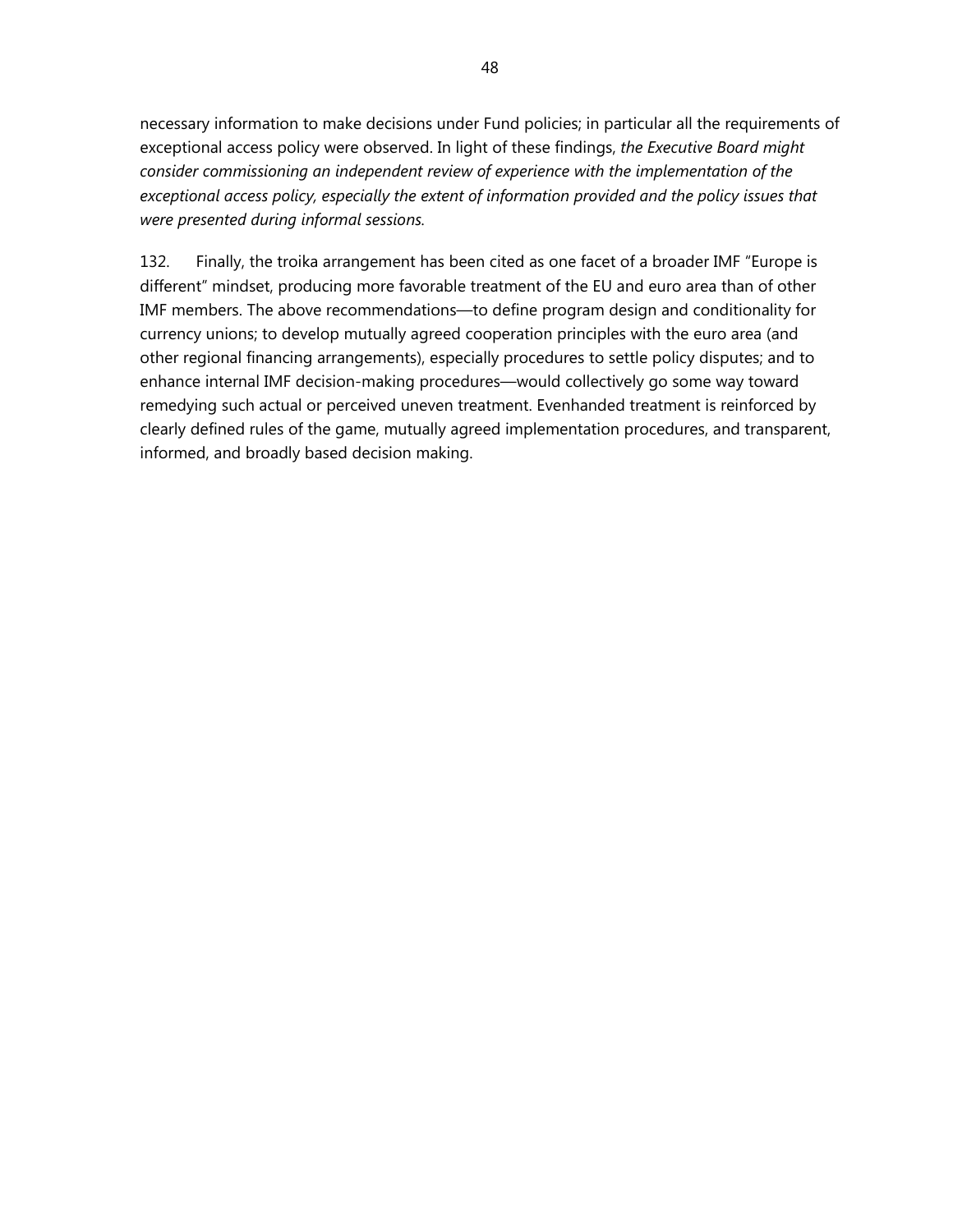necessary information to make decisions under Fund policies; in particular all the requirements of exceptional access policy were observed. In light of these findings, *the Executive Board might consider commissioning an independent review of experience with the implementation of the*  exceptional access policy, especially the extent of information provided and the policy issues that *were presented during informal sessions.*

132. Finally, the troika arrangement has been cited as one facet of a broader IMF "Europe is different" mindset, producing more favorable treatment of the EU and euro area than of other IMF members. The above recommendations—to define program design and conditionality for currency unions; to develop mutually agreed cooperation principles with the euro area (and other regional financing arrangements), especially procedures to settle policy disputes; and to enhance internal IMF decision-making procedures—would collectively go some way toward remedying such actual or perceived uneven treatment. Evenhanded treatment is reinforced by clearly defined rules of the game, mutually agreed implementation procedures, and transparent, informed, and broadly based decision making.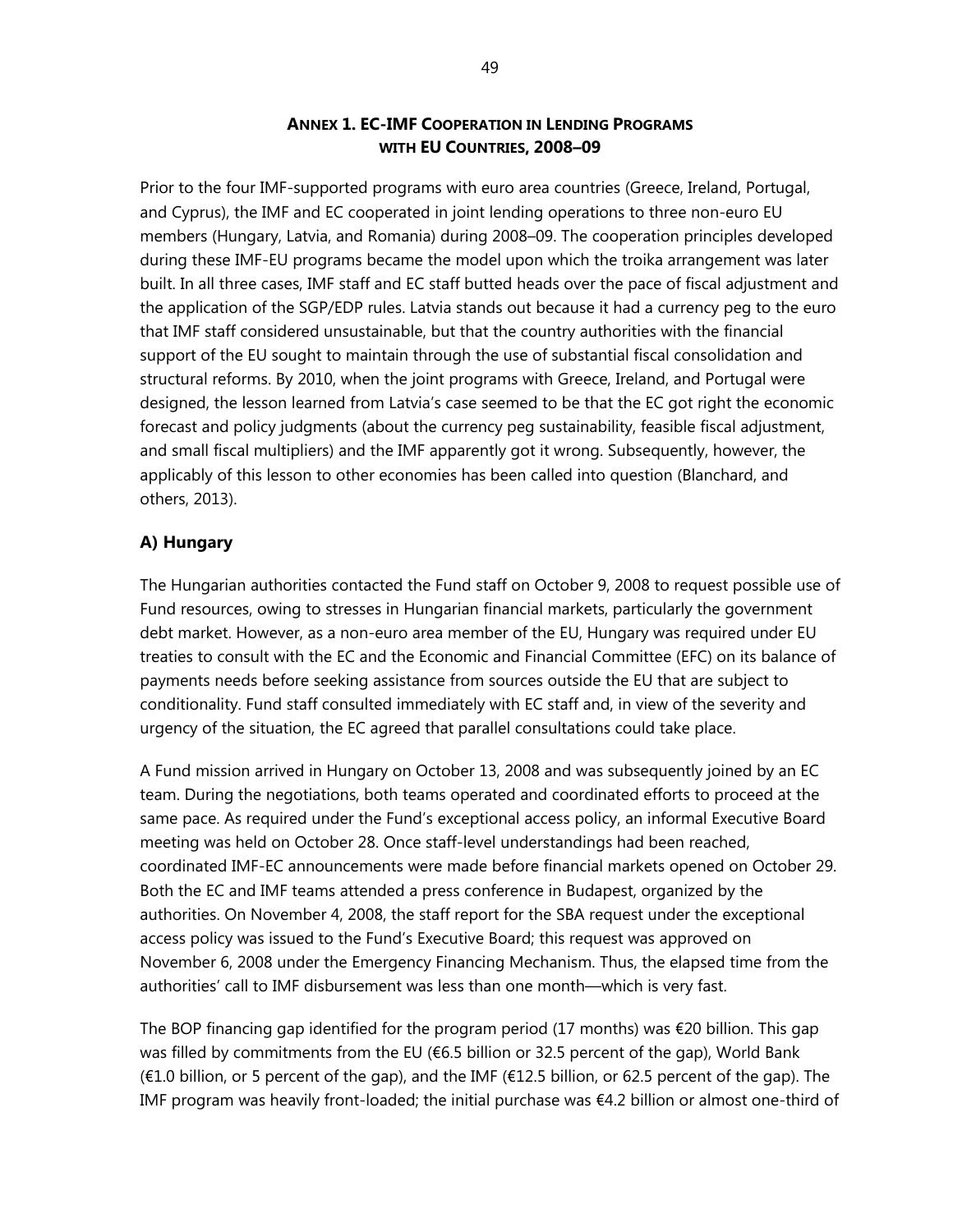## **ANNEX 1. EC-IMF COOPERATION IN LENDING PROGRAMS WITH EU COUNTRIES, 2008–09**

Prior to the four IMF-supported programs with euro area countries (Greece, Ireland, Portugal, and Cyprus), the IMF and EC cooperated in joint lending operations to three non-euro EU members (Hungary, Latvia, and Romania) during 2008–09. The cooperation principles developed during these IMF-EU programs became the model upon which the troika arrangement was later built. In all three cases, IMF staff and EC staff butted heads over the pace of fiscal adjustment and the application of the SGP/EDP rules. Latvia stands out because it had a currency peg to the euro that IMF staff considered unsustainable, but that the country authorities with the financial support of the EU sought to maintain through the use of substantial fiscal consolidation and structural reforms. By 2010, when the joint programs with Greece, Ireland, and Portugal were designed, the lesson learned from Latvia's case seemed to be that the EC got right the economic forecast and policy judgments (about the currency peg sustainability, feasible fiscal adjustment, and small fiscal multipliers) and the IMF apparently got it wrong. Subsequently, however, the applicably of this lesson to other economies has been called into question (Blanchard, and others, 2013).

## **A) Hungary**

The Hungarian authorities contacted the Fund staff on October 9, 2008 to request possible use of Fund resources, owing to stresses in Hungarian financial markets, particularly the government debt market. However, as a non-euro area member of the EU, Hungary was required under EU treaties to consult with the EC and the Economic and Financial Committee (EFC) on its balance of payments needs before seeking assistance from sources outside the EU that are subject to conditionality. Fund staff consulted immediately with EC staff and, in view of the severity and urgency of the situation, the EC agreed that parallel consultations could take place.

A Fund mission arrived in Hungary on October 13, 2008 and was subsequently joined by an EC team. During the negotiations, both teams operated and coordinated efforts to proceed at the same pace. As required under the Fund's exceptional access policy, an informal Executive Board meeting was held on October 28. Once staff-level understandings had been reached, coordinated IMF-EC announcements were made before financial markets opened on October 29. Both the EC and IMF teams attended a press conference in Budapest, organized by the authorities. On November 4, 2008, the staff report for the SBA request under the exceptional access policy was issued to the Fund's Executive Board; this request was approved on November 6, 2008 under the Emergency Financing Mechanism. Thus, the elapsed time from the authorities' call to IMF disbursement was less than one month—which is very fast.

The BOP financing gap identified for the program period (17 months) was €20 billion. This gap was filled by commitments from the EU (€6.5 billion or 32.5 percent of the gap), World Bank  $(E1.0)$  billion, or 5 percent of the gap), and the IMF (€12.5 billion, or 62.5 percent of the gap). The IMF program was heavily front-loaded; the initial purchase was €4.2 billion or almost one-third of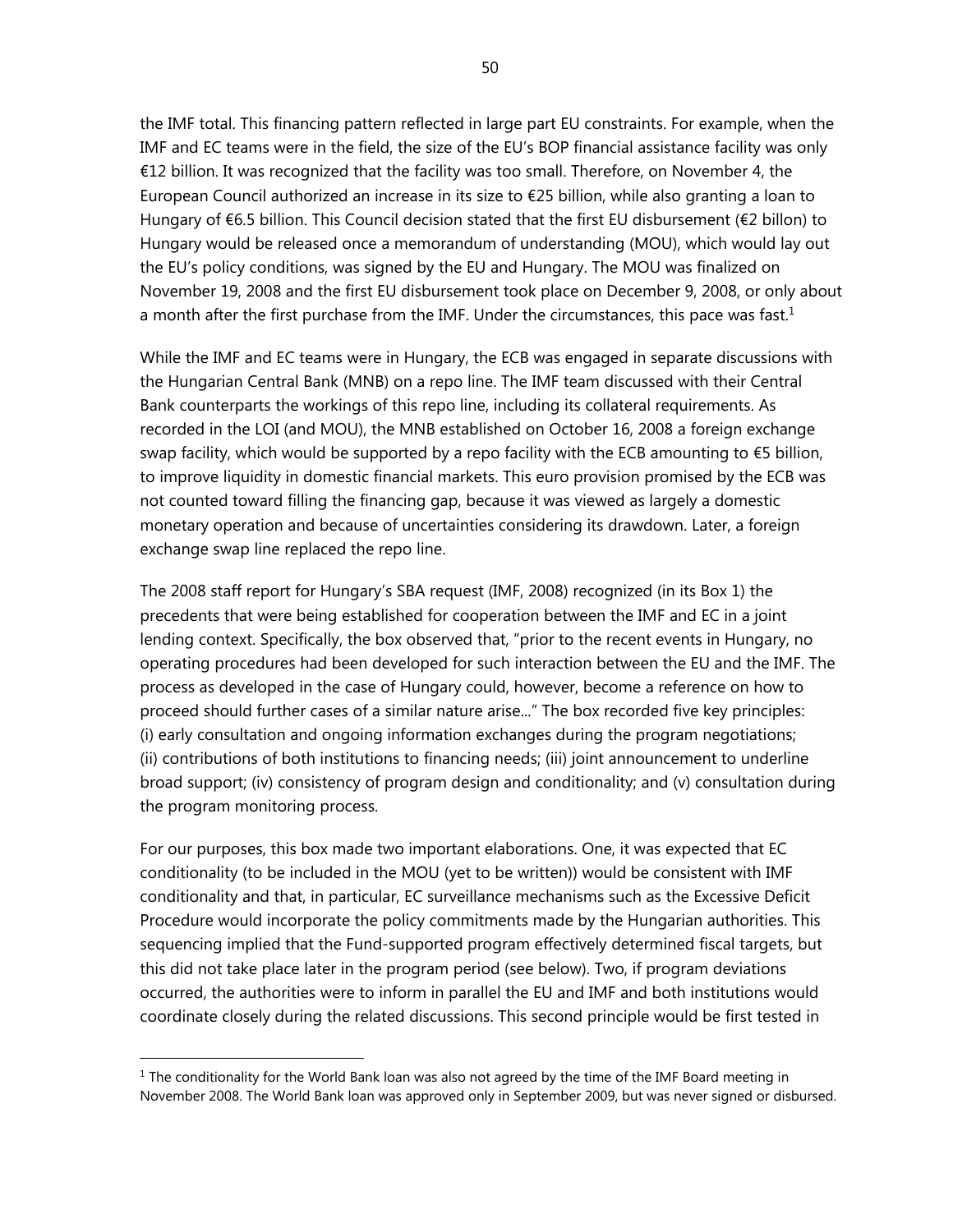the IMF total. This financing pattern reflected in large part EU constraints. For example, when the IMF and EC teams were in the field, the size of the EU's BOP financial assistance facility was only €12 billion. It was recognized that the facility was too small. Therefore, on November 4, the European Council authorized an increase in its size to €25 billion, while also granting a loan to Hungary of €6.5 billion. This Council decision stated that the first EU disbursement (€2 billon) to Hungary would be released once a memorandum of understanding (MOU), which would lay out the EU's policy conditions, was signed by the EU and Hungary. The MOU was finalized on November 19, 2008 and the first EU disbursement took place on December 9, 2008, or only about a month after the first purchase from the IMF. Under the circumstances, this pace was fast.<sup>1</sup>

While the IMF and EC teams were in Hungary, the ECB was engaged in separate discussions with the Hungarian Central Bank (MNB) on a repo line. The IMF team discussed with their Central Bank counterparts the workings of this repo line, including its collateral requirements. As recorded in the LOI (and MOU), the MNB established on October 16, 2008 a foreign exchange swap facility, which would be supported by a repo facility with the ECB amounting to  $\epsilon$ 5 billion, to improve liquidity in domestic financial markets. This euro provision promised by the ECB was not counted toward filling the financing gap, because it was viewed as largely a domestic monetary operation and because of uncertainties considering its drawdown. Later, a foreign exchange swap line replaced the repo line.

The 2008 staff report for Hungary's SBA request (IMF, 2008) recognized (in its Box 1) the precedents that were being established for cooperation between the IMF and EC in a joint lending context. Specifically, the box observed that, "prior to the recent events in Hungary, no operating procedures had been developed for such interaction between the EU and the IMF. The process as developed in the case of Hungary could, however, become a reference on how to proceed should further cases of a similar nature arise..." The box recorded five key principles: (i) early consultation and ongoing information exchanges during the program negotiations; (ii) contributions of both institutions to financing needs; (iii) joint announcement to underline broad support; (iv) consistency of program design and conditionality; and (v) consultation during the program monitoring process.

For our purposes, this box made two important elaborations. One, it was expected that EC conditionality (to be included in the MOU (yet to be written)) would be consistent with IMF conditionality and that, in particular, EC surveillance mechanisms such as the Excessive Deficit Procedure would incorporate the policy commitments made by the Hungarian authorities. This sequencing implied that the Fund-supported program effectively determined fiscal targets, but this did not take place later in the program period (see below). Two, if program deviations occurred, the authorities were to inform in parallel the EU and IMF and both institutions would coordinate closely during the related discussions. This second principle would be first tested in

 $1$  The conditionality for the World Bank loan was also not agreed by the time of the IMF Board meeting in November 2008. The World Bank loan was approved only in September 2009, but was never signed or disbursed.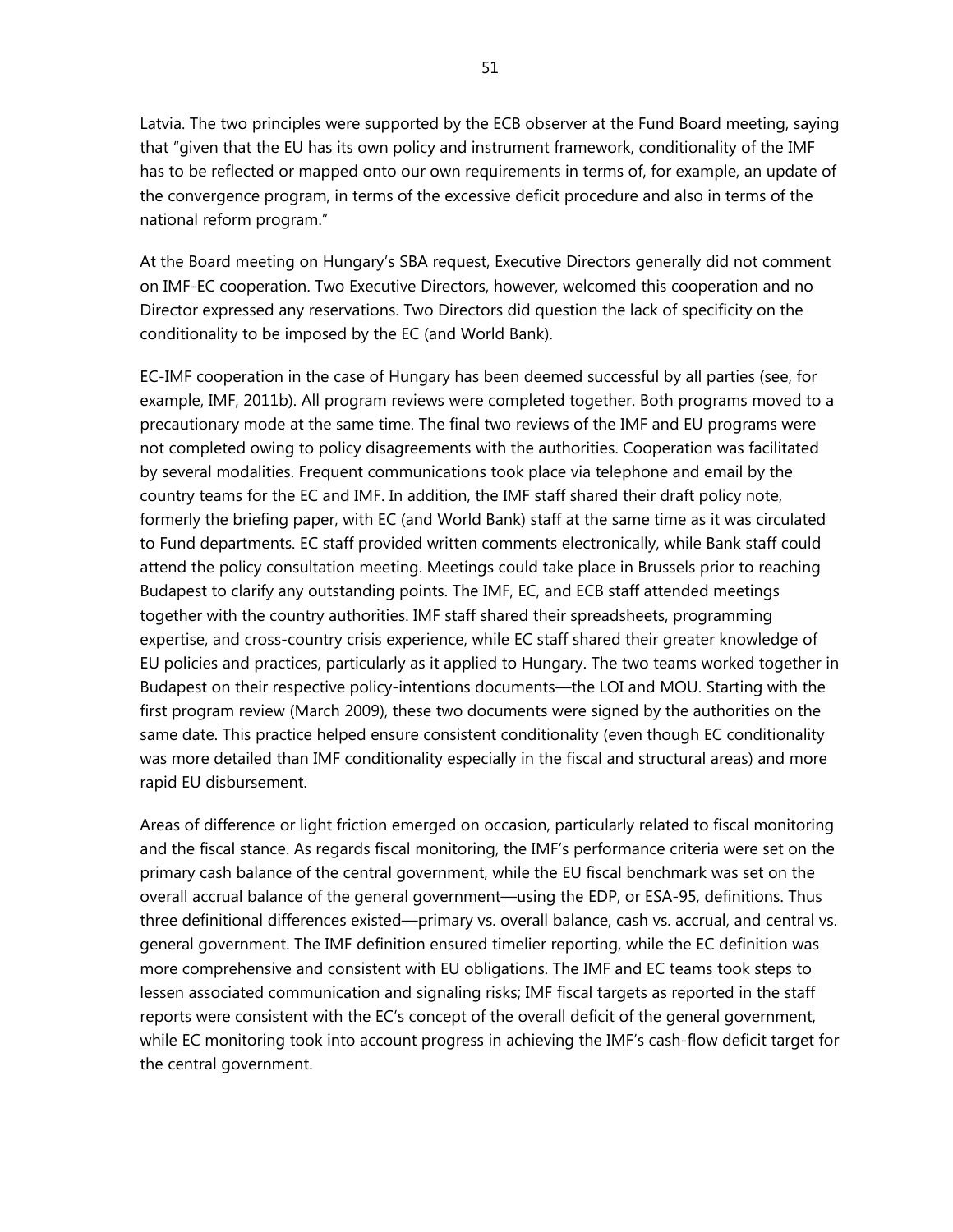Latvia. The two principles were supported by the ECB observer at the Fund Board meeting, saying that "given that the EU has its own policy and instrument framework, conditionality of the IMF has to be reflected or mapped onto our own requirements in terms of, for example, an update of the convergence program, in terms of the excessive deficit procedure and also in terms of the national reform program."

At the Board meeting on Hungary's SBA request, Executive Directors generally did not comment on IMF-EC cooperation. Two Executive Directors, however, welcomed this cooperation and no Director expressed any reservations. Two Directors did question the lack of specificity on the conditionality to be imposed by the EC (and World Bank).

EC-IMF cooperation in the case of Hungary has been deemed successful by all parties (see, for example, IMF, 2011b). All program reviews were completed together. Both programs moved to a precautionary mode at the same time. The final two reviews of the IMF and EU programs were not completed owing to policy disagreements with the authorities. Cooperation was facilitated by several modalities. Frequent communications took place via telephone and email by the country teams for the EC and IMF. In addition, the IMF staff shared their draft policy note, formerly the briefing paper, with EC (and World Bank) staff at the same time as it was circulated to Fund departments. EC staff provided written comments electronically, while Bank staff could attend the policy consultation meeting. Meetings could take place in Brussels prior to reaching Budapest to clarify any outstanding points. The IMF, EC, and ECB staff attended meetings together with the country authorities. IMF staff shared their spreadsheets, programming expertise, and cross-country crisis experience, while EC staff shared their greater knowledge of EU policies and practices, particularly as it applied to Hungary. The two teams worked together in Budapest on their respective policy-intentions documents—the LOI and MOU. Starting with the first program review (March 2009), these two documents were signed by the authorities on the same date. This practice helped ensure consistent conditionality (even though EC conditionality was more detailed than IMF conditionality especially in the fiscal and structural areas) and more rapid EU disbursement.

Areas of difference or light friction emerged on occasion, particularly related to fiscal monitoring and the fiscal stance. As regards fiscal monitoring, the IMF's performance criteria were set on the primary cash balance of the central government, while the EU fiscal benchmark was set on the overall accrual balance of the general government—using the EDP, or ESA-95, definitions. Thus three definitional differences existed—primary vs. overall balance, cash vs. accrual, and central vs. general government. The IMF definition ensured timelier reporting, while the EC definition was more comprehensive and consistent with EU obligations. The IMF and EC teams took steps to lessen associated communication and signaling risks; IMF fiscal targets as reported in the staff reports were consistent with the EC's concept of the overall deficit of the general government, while EC monitoring took into account progress in achieving the IMF's cash-flow deficit target for the central government.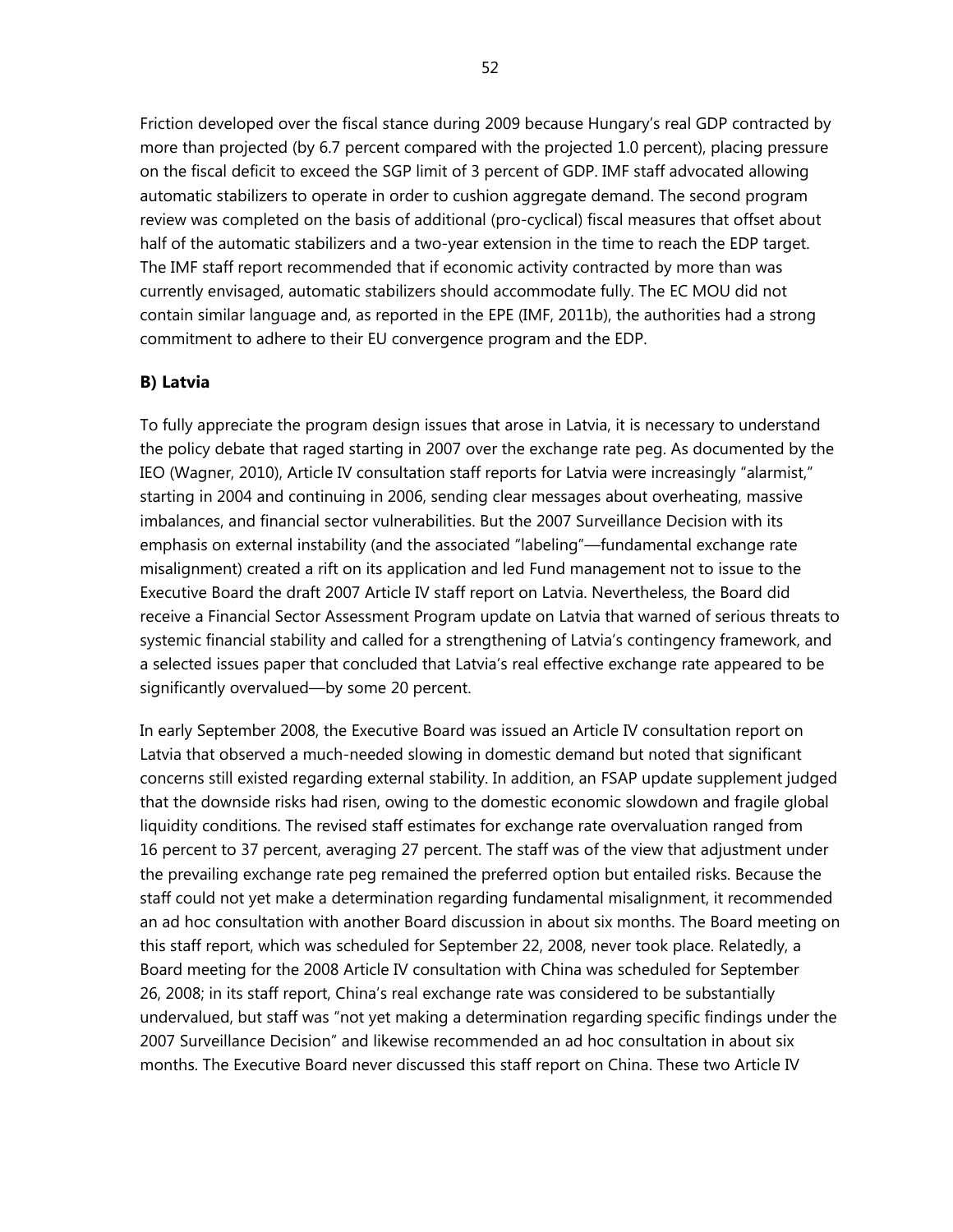Friction developed over the fiscal stance during 2009 because Hungary's real GDP contracted by more than projected (by 6.7 percent compared with the projected 1.0 percent), placing pressure on the fiscal deficit to exceed the SGP limit of 3 percent of GDP. IMF staff advocated allowing automatic stabilizers to operate in order to cushion aggregate demand. The second program review was completed on the basis of additional (pro-cyclical) fiscal measures that offset about half of the automatic stabilizers and a two-year extension in the time to reach the EDP target. The IMF staff report recommended that if economic activity contracted by more than was currently envisaged, automatic stabilizers should accommodate fully. The EC MOU did not contain similar language and, as reported in the EPE (IMF, 2011b), the authorities had a strong commitment to adhere to their EU convergence program and the EDP.

## **B) Latvia**

To fully appreciate the program design issues that arose in Latvia, it is necessary to understand the policy debate that raged starting in 2007 over the exchange rate peg. As documented by the IEO (Wagner, 2010), Article IV consultation staff reports for Latvia were increasingly "alarmist," starting in 2004 and continuing in 2006, sending clear messages about overheating, massive imbalances, and financial sector vulnerabilities. But the 2007 Surveillance Decision with its emphasis on external instability (and the associated "labeling"—fundamental exchange rate misalignment) created a rift on its application and led Fund management not to issue to the Executive Board the draft 2007 Article IV staff report on Latvia. Nevertheless, the Board did receive a Financial Sector Assessment Program update on Latvia that warned of serious threats to systemic financial stability and called for a strengthening of Latvia's contingency framework, and a selected issues paper that concluded that Latvia's real effective exchange rate appeared to be significantly overvalued—by some 20 percent.

In early September 2008, the Executive Board was issued an Article IV consultation report on Latvia that observed a much-needed slowing in domestic demand but noted that significant concerns still existed regarding external stability. In addition, an FSAP update supplement judged that the downside risks had risen, owing to the domestic economic slowdown and fragile global liquidity conditions. The revised staff estimates for exchange rate overvaluation ranged from 16 percent to 37 percent, averaging 27 percent. The staff was of the view that adjustment under the prevailing exchange rate peg remained the preferred option but entailed risks. Because the staff could not yet make a determination regarding fundamental misalignment, it recommended an ad hoc consultation with another Board discussion in about six months. The Board meeting on this staff report, which was scheduled for September 22, 2008, never took place. Relatedly, a Board meeting for the 2008 Article IV consultation with China was scheduled for September 26, 2008; in its staff report, China's real exchange rate was considered to be substantially undervalued, but staff was "not yet making a determination regarding specific findings under the 2007 Surveillance Decision" and likewise recommended an ad hoc consultation in about six months. The Executive Board never discussed this staff report on China. These two Article IV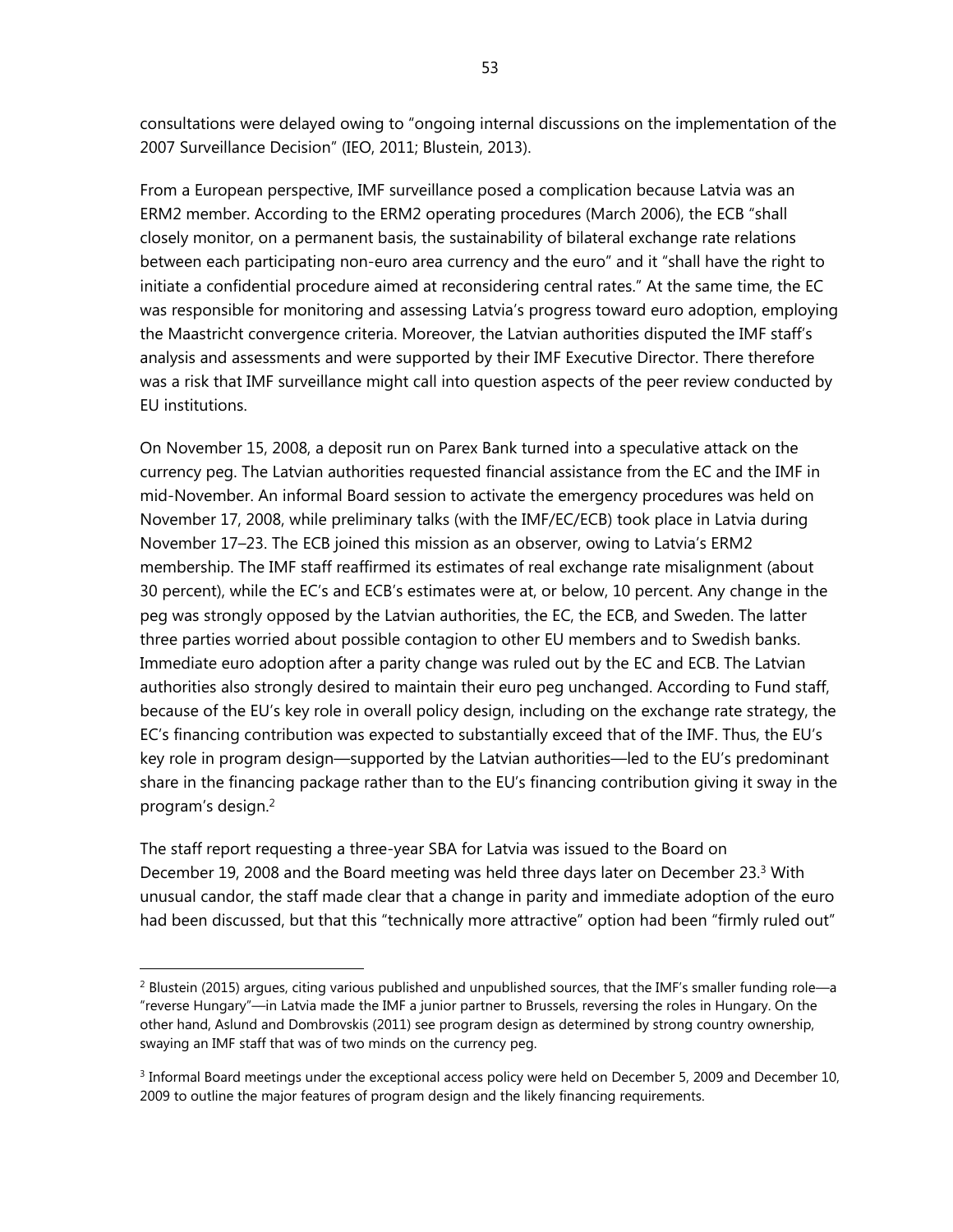consultations were delayed owing to "ongoing internal discussions on the implementation of the 2007 Surveillance Decision" (IEO, 2011; Blustein, 2013).

From a European perspective, IMF surveillance posed a complication because Latvia was an ERM2 member. According to the ERM2 operating procedures (March 2006), the ECB "shall closely monitor, on a permanent basis, the sustainability of bilateral exchange rate relations between each participating non-euro area currency and the euro" and it "shall have the right to initiate a confidential procedure aimed at reconsidering central rates." At the same time, the EC was responsible for monitoring and assessing Latvia's progress toward euro adoption, employing the Maastricht convergence criteria. Moreover, the Latvian authorities disputed the IMF staff's analysis and assessments and were supported by their IMF Executive Director. There therefore was a risk that IMF surveillance might call into question aspects of the peer review conducted by EU institutions.

On November 15, 2008, a deposit run on Parex Bank turned into a speculative attack on the currency peg. The Latvian authorities requested financial assistance from the EC and the IMF in mid-November. An informal Board session to activate the emergency procedures was held on November 17, 2008, while preliminary talks (with the IMF/EC/ECB) took place in Latvia during November 17–23. The ECB joined this mission as an observer, owing to Latvia's ERM2 membership. The IMF staff reaffirmed its estimates of real exchange rate misalignment (about 30 percent), while the EC's and ECB's estimates were at, or below, 10 percent. Any change in the peg was strongly opposed by the Latvian authorities, the EC, the ECB, and Sweden. The latter three parties worried about possible contagion to other EU members and to Swedish banks. Immediate euro adoption after a parity change was ruled out by the EC and ECB. The Latvian authorities also strongly desired to maintain their euro peg unchanged. According to Fund staff, because of the EU's key role in overall policy design, including on the exchange rate strategy, the EC's financing contribution was expected to substantially exceed that of the IMF. Thus, the EU's key role in program design—supported by the Latvian authorities—led to the EU's predominant share in the financing package rather than to the EU's financing contribution giving it sway in the program's design.2

The staff report requesting a three-year SBA for Latvia was issued to the Board on December 19, 2008 and the Board meeting was held three days later on December 23.<sup>3</sup> With unusual candor, the staff made clear that a change in parity and immediate adoption of the euro had been discussed, but that this "technically more attractive" option had been "firmly ruled out"

 $^2$  Blustein (2015) argues, citing various published and unpublished sources, that the IMF's smaller funding role—a "reverse Hungary"—in Latvia made the IMF a junior partner to Brussels, reversing the roles in Hungary. On the other hand, Aslund and Dombrovskis (2011) see program design as determined by strong country ownership, swaying an IMF staff that was of two minds on the currency peg.

<sup>&</sup>lt;sup>3</sup> Informal Board meetings under the exceptional access policy were held on December 5, 2009 and December 10, 2009 to outline the major features of program design and the likely financing requirements.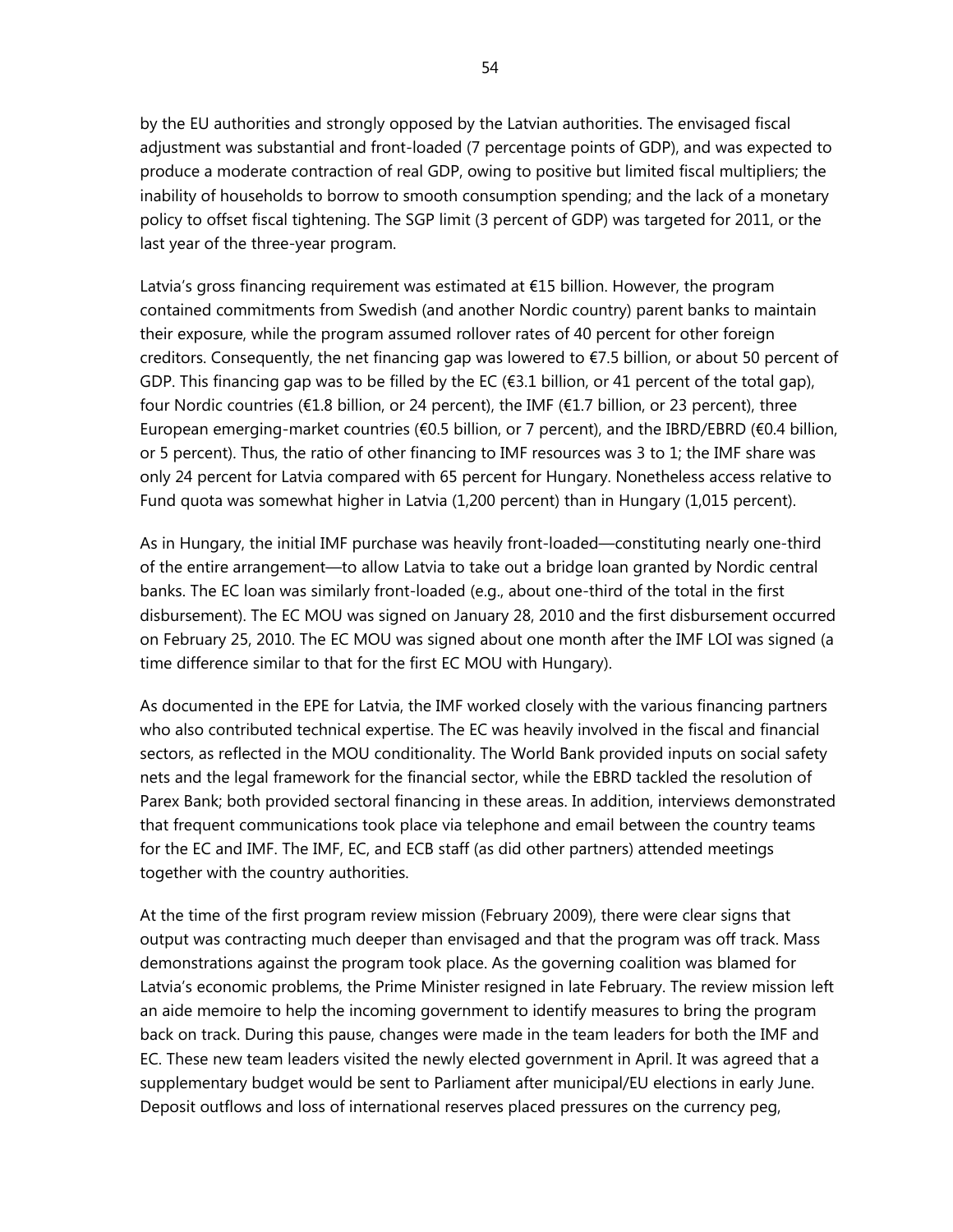by the EU authorities and strongly opposed by the Latvian authorities. The envisaged fiscal adjustment was substantial and front-loaded (7 percentage points of GDP), and was expected to produce a moderate contraction of real GDP, owing to positive but limited fiscal multipliers; the inability of households to borrow to smooth consumption spending; and the lack of a monetary policy to offset fiscal tightening. The SGP limit (3 percent of GDP) was targeted for 2011, or the last year of the three-year program.

Latvia's gross financing requirement was estimated at €15 billion. However, the program contained commitments from Swedish (and another Nordic country) parent banks to maintain their exposure, while the program assumed rollover rates of 40 percent for other foreign creditors. Consequently, the net financing gap was lowered to €7.5 billion, or about 50 percent of GDP. This financing gap was to be filled by the EC ( $\epsilon$ 3.1 billion, or 41 percent of the total gap), four Nordic countries (€1.8 billion, or 24 percent), the IMF (€1.7 billion, or 23 percent), three European emerging-market countries (€0.5 billion, or 7 percent), and the IBRD/EBRD (€0.4 billion, or 5 percent). Thus, the ratio of other financing to IMF resources was 3 to 1; the IMF share was only 24 percent for Latvia compared with 65 percent for Hungary. Nonetheless access relative to Fund quota was somewhat higher in Latvia (1,200 percent) than in Hungary (1,015 percent).

As in Hungary, the initial IMF purchase was heavily front-loaded—constituting nearly one-third of the entire arrangement—to allow Latvia to take out a bridge loan granted by Nordic central banks. The EC loan was similarly front-loaded (e.g., about one-third of the total in the first disbursement). The EC MOU was signed on January 28, 2010 and the first disbursement occurred on February 25, 2010. The EC MOU was signed about one month after the IMF LOI was signed (a time difference similar to that for the first EC MOU with Hungary).

As documented in the EPE for Latvia, the IMF worked closely with the various financing partners who also contributed technical expertise. The EC was heavily involved in the fiscal and financial sectors, as reflected in the MOU conditionality. The World Bank provided inputs on social safety nets and the legal framework for the financial sector, while the EBRD tackled the resolution of Parex Bank; both provided sectoral financing in these areas. In addition, interviews demonstrated that frequent communications took place via telephone and email between the country teams for the EC and IMF. The IMF, EC, and ECB staff (as did other partners) attended meetings together with the country authorities.

At the time of the first program review mission (February 2009), there were clear signs that output was contracting much deeper than envisaged and that the program was off track. Mass demonstrations against the program took place. As the governing coalition was blamed for Latvia's economic problems, the Prime Minister resigned in late February. The review mission left an aide memoire to help the incoming government to identify measures to bring the program back on track. During this pause, changes were made in the team leaders for both the IMF and EC. These new team leaders visited the newly elected government in April. It was agreed that a supplementary budget would be sent to Parliament after municipal/EU elections in early June. Deposit outflows and loss of international reserves placed pressures on the currency peg,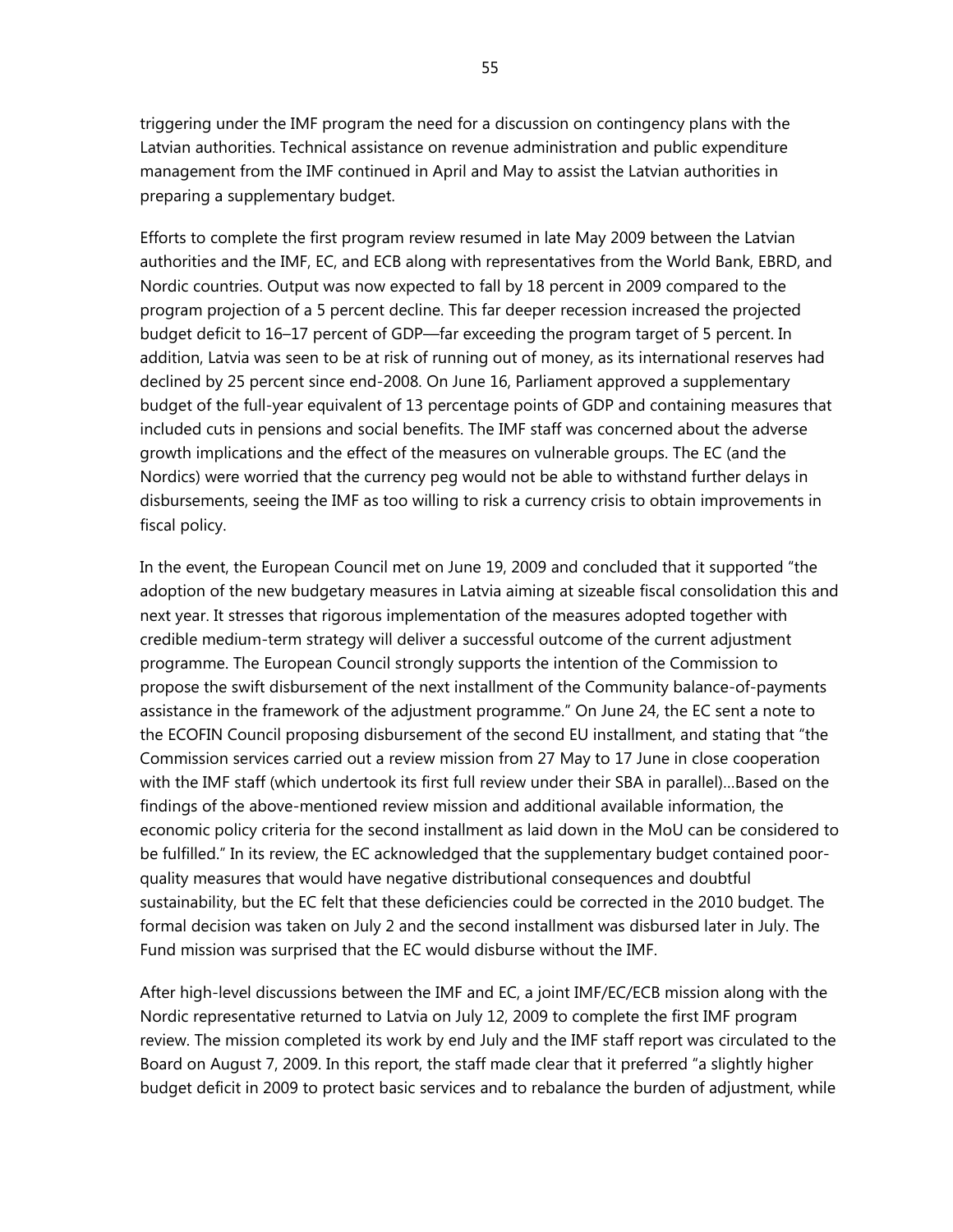triggering under the IMF program the need for a discussion on contingency plans with the Latvian authorities. Technical assistance on revenue administration and public expenditure management from the IMF continued in April and May to assist the Latvian authorities in preparing a supplementary budget.

Efforts to complete the first program review resumed in late May 2009 between the Latvian authorities and the IMF, EC, and ECB along with representatives from the World Bank, EBRD, and Nordic countries. Output was now expected to fall by 18 percent in 2009 compared to the program projection of a 5 percent decline. This far deeper recession increased the projected budget deficit to 16–17 percent of GDP—far exceeding the program target of 5 percent. In addition, Latvia was seen to be at risk of running out of money, as its international reserves had declined by 25 percent since end-2008. On June 16, Parliament approved a supplementary budget of the full-year equivalent of 13 percentage points of GDP and containing measures that included cuts in pensions and social benefits. The IMF staff was concerned about the adverse growth implications and the effect of the measures on vulnerable groups. The EC (and the Nordics) were worried that the currency peg would not be able to withstand further delays in disbursements, seeing the IMF as too willing to risk a currency crisis to obtain improvements in fiscal policy.

In the event, the European Council met on June 19, 2009 and concluded that it supported "the adoption of the new budgetary measures in Latvia aiming at sizeable fiscal consolidation this and next year. It stresses that rigorous implementation of the measures adopted together with credible medium-term strategy will deliver a successful outcome of the current adjustment programme. The European Council strongly supports the intention of the Commission to propose the swift disbursement of the next installment of the Community balance-of-payments assistance in the framework of the adjustment programme." On June 24, the EC sent a note to the ECOFIN Council proposing disbursement of the second EU installment, and stating that "the Commission services carried out a review mission from 27 May to 17 June in close cooperation with the IMF staff (which undertook its first full review under their SBA in parallel)…Based on the findings of the above-mentioned review mission and additional available information, the economic policy criteria for the second installment as laid down in the MoU can be considered to be fulfilled." In its review, the EC acknowledged that the supplementary budget contained poorquality measures that would have negative distributional consequences and doubtful sustainability, but the EC felt that these deficiencies could be corrected in the 2010 budget. The formal decision was taken on July 2 and the second installment was disbursed later in July. The Fund mission was surprised that the EC would disburse without the IMF.

After high-level discussions between the IMF and EC, a joint IMF/EC/ECB mission along with the Nordic representative returned to Latvia on July 12, 2009 to complete the first IMF program review. The mission completed its work by end July and the IMF staff report was circulated to the Board on August 7, 2009. In this report, the staff made clear that it preferred "a slightly higher budget deficit in 2009 to protect basic services and to rebalance the burden of adjustment, while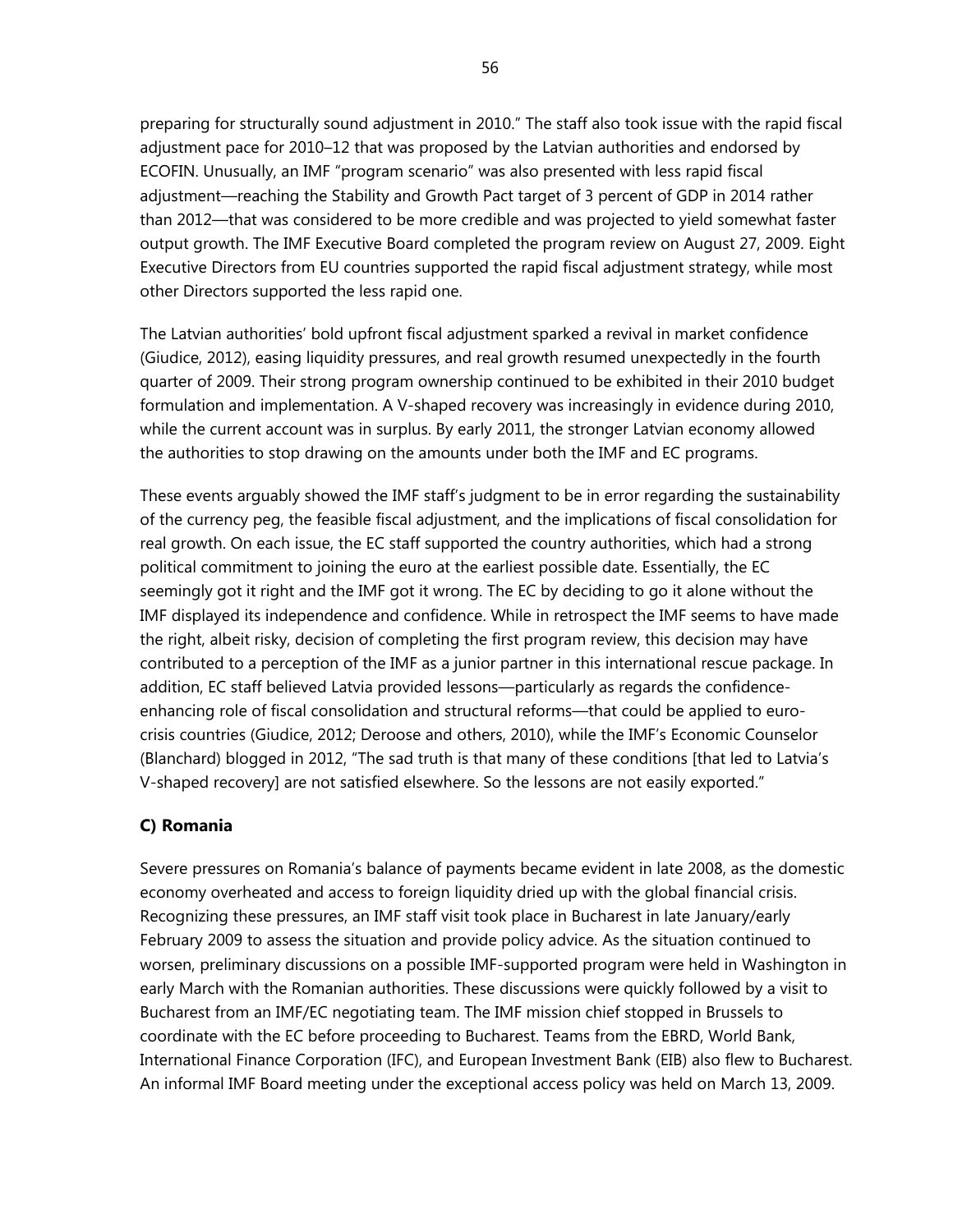preparing for structurally sound adjustment in 2010." The staff also took issue with the rapid fiscal adjustment pace for 2010–12 that was proposed by the Latvian authorities and endorsed by ECOFIN. Unusually, an IMF "program scenario" was also presented with less rapid fiscal adjustment—reaching the Stability and Growth Pact target of 3 percent of GDP in 2014 rather than 2012—that was considered to be more credible and was projected to yield somewhat faster output growth. The IMF Executive Board completed the program review on August 27, 2009. Eight Executive Directors from EU countries supported the rapid fiscal adjustment strategy, while most other Directors supported the less rapid one.

The Latvian authorities' bold upfront fiscal adjustment sparked a revival in market confidence (Giudice, 2012), easing liquidity pressures, and real growth resumed unexpectedly in the fourth quarter of 2009. Their strong program ownership continued to be exhibited in their 2010 budget formulation and implementation. A V-shaped recovery was increasingly in evidence during 2010, while the current account was in surplus. By early 2011, the stronger Latvian economy allowed the authorities to stop drawing on the amounts under both the IMF and EC programs.

These events arguably showed the IMF staff's judgment to be in error regarding the sustainability of the currency peg, the feasible fiscal adjustment, and the implications of fiscal consolidation for real growth. On each issue, the EC staff supported the country authorities, which had a strong political commitment to joining the euro at the earliest possible date. Essentially, the EC seemingly got it right and the IMF got it wrong. The EC by deciding to go it alone without the IMF displayed its independence and confidence. While in retrospect the IMF seems to have made the right, albeit risky, decision of completing the first program review, this decision may have contributed to a perception of the IMF as a junior partner in this international rescue package. In addition, EC staff believed Latvia provided lessons—particularly as regards the confidenceenhancing role of fiscal consolidation and structural reforms—that could be applied to eurocrisis countries (Giudice, 2012; Deroose and others, 2010), while the IMF's Economic Counselor (Blanchard) blogged in 2012, "The sad truth is that many of these conditions [that led to Latvia's V-shaped recovery] are not satisfied elsewhere. So the lessons are not easily exported."

# **C) Romania**

Severe pressures on Romania's balance of payments became evident in late 2008, as the domestic economy overheated and access to foreign liquidity dried up with the global financial crisis. Recognizing these pressures, an IMF staff visit took place in Bucharest in late January/early February 2009 to assess the situation and provide policy advice. As the situation continued to worsen, preliminary discussions on a possible IMF-supported program were held in Washington in early March with the Romanian authorities. These discussions were quickly followed by a visit to Bucharest from an IMF/EC negotiating team. The IMF mission chief stopped in Brussels to coordinate with the EC before proceeding to Bucharest. Teams from the EBRD, World Bank, International Finance Corporation (IFC), and European Investment Bank (EIB) also flew to Bucharest. An informal IMF Board meeting under the exceptional access policy was held on March 13, 2009.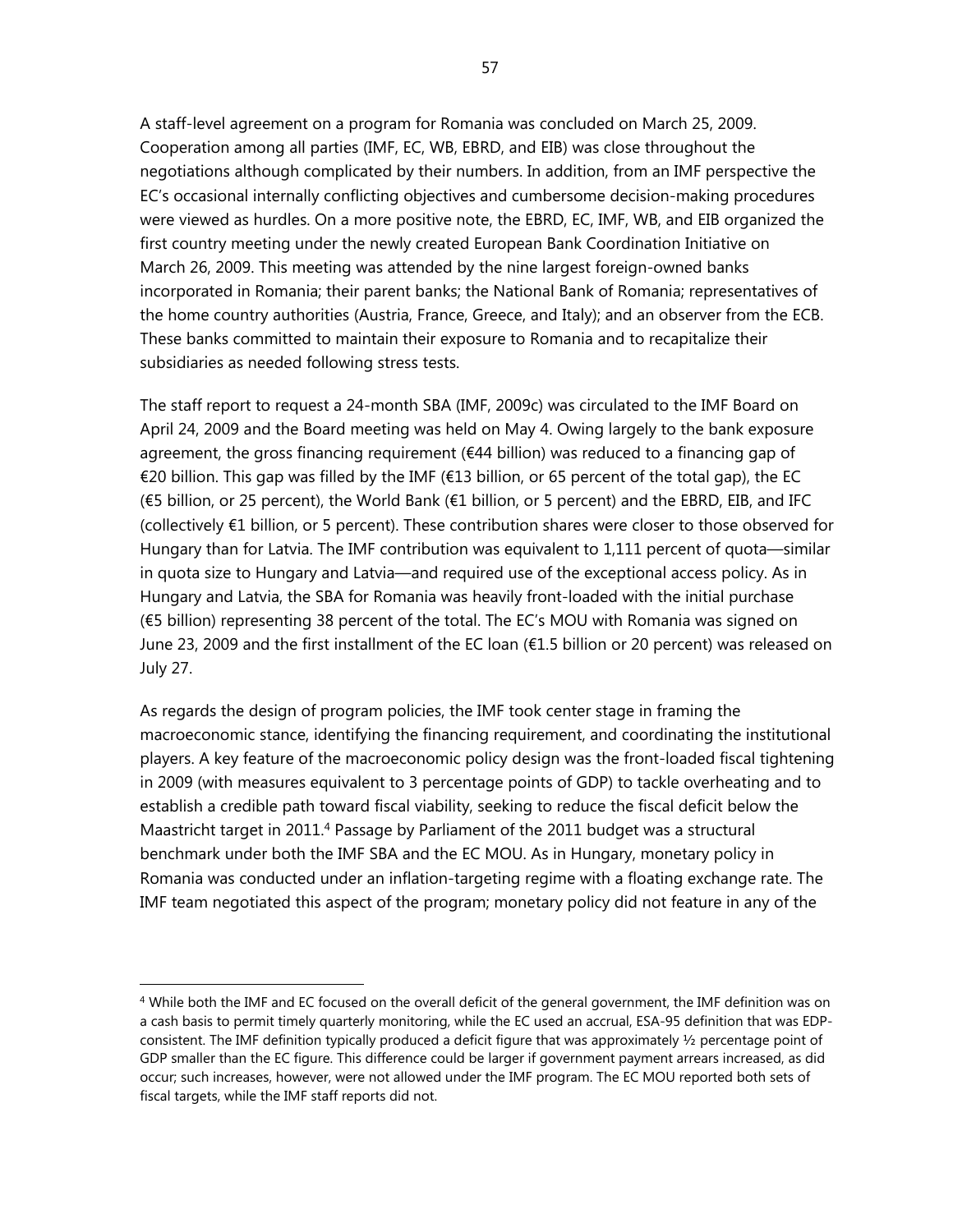A staff-level agreement on a program for Romania was concluded on March 25, 2009. Cooperation among all parties (IMF, EC, WB, EBRD, and EIB) was close throughout the negotiations although complicated by their numbers. In addition, from an IMF perspective the EC's occasional internally conflicting objectives and cumbersome decision-making procedures were viewed as hurdles. On a more positive note, the EBRD, EC, IMF, WB, and EIB organized the first country meeting under the newly created European Bank Coordination Initiative on March 26, 2009. This meeting was attended by the nine largest foreign-owned banks incorporated in Romania; their parent banks; the National Bank of Romania; representatives of the home country authorities (Austria, France, Greece, and Italy); and an observer from the ECB. These banks committed to maintain their exposure to Romania and to recapitalize their subsidiaries as needed following stress tests.

The staff report to request a 24-month SBA (IMF, 2009c) was circulated to the IMF Board on April 24, 2009 and the Board meeting was held on May 4. Owing largely to the bank exposure agreement, the gross financing requirement (€44 billion) was reduced to a financing gap of €20 billion. This gap was filled by the IMF (€13 billion, or 65 percent of the total gap), the EC (€5 billion, or 25 percent), the World Bank (€1 billion, or 5 percent) and the EBRD, EIB, and IFC (collectively €1 billion, or 5 percent). These contribution shares were closer to those observed for Hungary than for Latvia. The IMF contribution was equivalent to 1,111 percent of quota—similar in quota size to Hungary and Latvia—and required use of the exceptional access policy. As in Hungary and Latvia, the SBA for Romania was heavily front-loaded with the initial purchase (€5 billion) representing 38 percent of the total. The EC's MOU with Romania was signed on June 23, 2009 and the first installment of the EC loan (€1.5 billion or 20 percent) was released on July 27.

As regards the design of program policies, the IMF took center stage in framing the macroeconomic stance, identifying the financing requirement, and coordinating the institutional players. A key feature of the macroeconomic policy design was the front-loaded fiscal tightening in 2009 (with measures equivalent to 3 percentage points of GDP) to tackle overheating and to establish a credible path toward fiscal viability, seeking to reduce the fiscal deficit below the Maastricht target in 2011.4 Passage by Parliament of the 2011 budget was a structural benchmark under both the IMF SBA and the EC MOU. As in Hungary, monetary policy in Romania was conducted under an inflation-targeting regime with a floating exchange rate. The IMF team negotiated this aspect of the program; monetary policy did not feature in any of the

<sup>&</sup>lt;sup>4</sup> While both the IMF and EC focused on the overall deficit of the general government, the IMF definition was on a cash basis to permit timely quarterly monitoring, while the EC used an accrual, ESA-95 definition that was EDPconsistent. The IMF definition typically produced a deficit figure that was approximately ½ percentage point of GDP smaller than the EC figure. This difference could be larger if government payment arrears increased, as did occur; such increases, however, were not allowed under the IMF program. The EC MOU reported both sets of fiscal targets, while the IMF staff reports did not.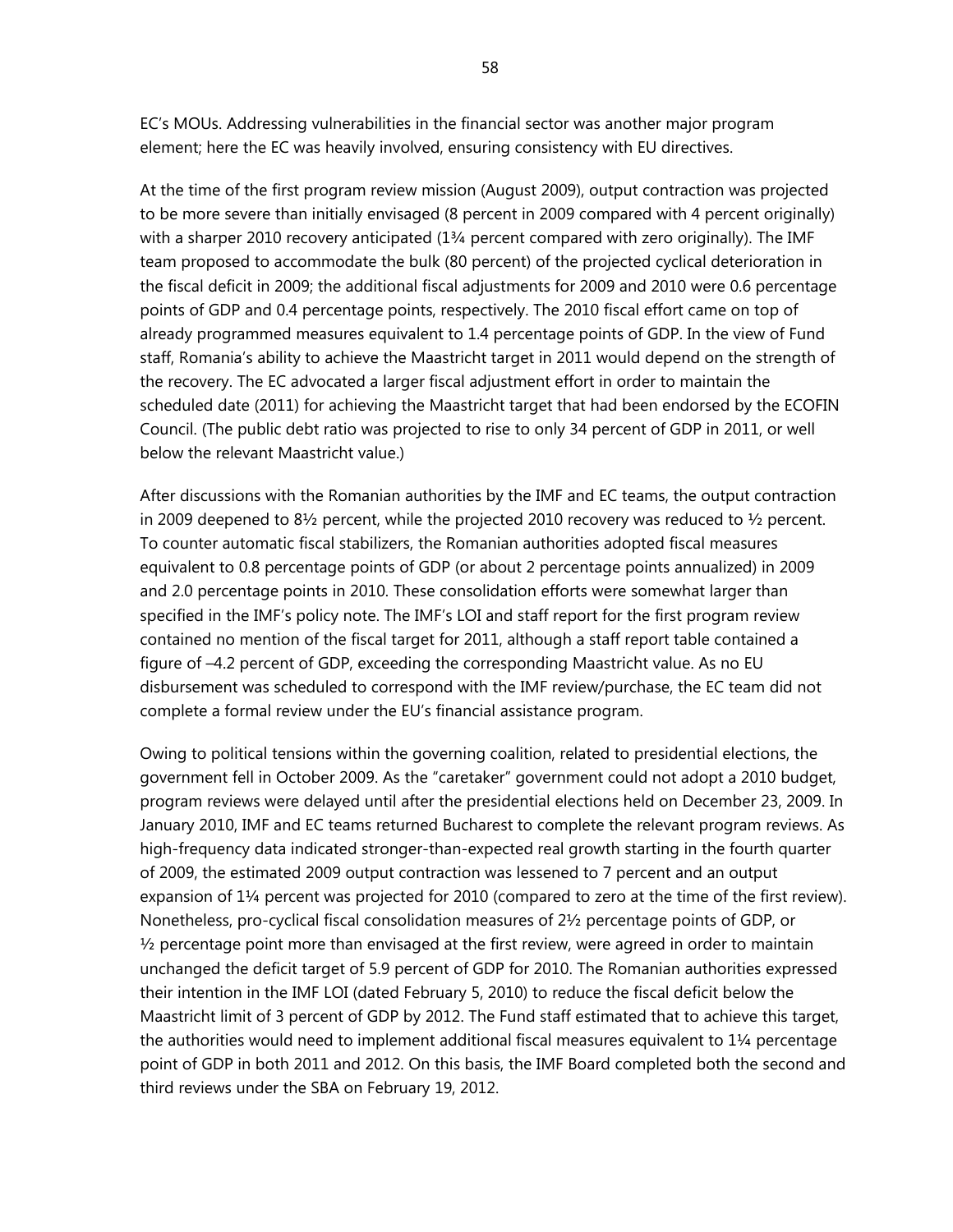EC's MOUs. Addressing vulnerabilities in the financial sector was another major program element; here the EC was heavily involved, ensuring consistency with EU directives.

At the time of the first program review mission (August 2009), output contraction was projected to be more severe than initially envisaged (8 percent in 2009 compared with 4 percent originally) with a sharper 2010 recovery anticipated (1¾ percent compared with zero originally). The IMF team proposed to accommodate the bulk (80 percent) of the projected cyclical deterioration in the fiscal deficit in 2009; the additional fiscal adjustments for 2009 and 2010 were 0.6 percentage points of GDP and 0.4 percentage points, respectively. The 2010 fiscal effort came on top of already programmed measures equivalent to 1.4 percentage points of GDP. In the view of Fund staff, Romania's ability to achieve the Maastricht target in 2011 would depend on the strength of the recovery. The EC advocated a larger fiscal adjustment effort in order to maintain the scheduled date (2011) for achieving the Maastricht target that had been endorsed by the ECOFIN Council. (The public debt ratio was projected to rise to only 34 percent of GDP in 2011, or well below the relevant Maastricht value.)

After discussions with the Romanian authorities by the IMF and EC teams, the output contraction in 2009 deepened to  $8\frac{1}{2}$  percent, while the projected 2010 recovery was reduced to  $\frac{1}{2}$  percent. To counter automatic fiscal stabilizers, the Romanian authorities adopted fiscal measures equivalent to 0.8 percentage points of GDP (or about 2 percentage points annualized) in 2009 and 2.0 percentage points in 2010. These consolidation efforts were somewhat larger than specified in the IMF's policy note. The IMF's LOI and staff report for the first program review contained no mention of the fiscal target for 2011, although a staff report table contained a figure of –4.2 percent of GDP, exceeding the corresponding Maastricht value. As no EU disbursement was scheduled to correspond with the IMF review/purchase, the EC team did not complete a formal review under the EU's financial assistance program.

Owing to political tensions within the governing coalition, related to presidential elections, the government fell in October 2009. As the "caretaker" government could not adopt a 2010 budget, program reviews were delayed until after the presidential elections held on December 23, 2009. In January 2010, IMF and EC teams returned Bucharest to complete the relevant program reviews. As high-frequency data indicated stronger-than-expected real growth starting in the fourth quarter of 2009, the estimated 2009 output contraction was lessened to 7 percent and an output expansion of 1¼ percent was projected for 2010 (compared to zero at the time of the first review). Nonetheless, pro-cyclical fiscal consolidation measures of 2½ percentage points of GDP, or  $\frac{1}{2}$  percentage point more than envisaged at the first review, were agreed in order to maintain unchanged the deficit target of 5.9 percent of GDP for 2010. The Romanian authorities expressed their intention in the IMF LOI (dated February 5, 2010) to reduce the fiscal deficit below the Maastricht limit of 3 percent of GDP by 2012. The Fund staff estimated that to achieve this target, the authorities would need to implement additional fiscal measures equivalent to  $1\frac{1}{4}$  percentage point of GDP in both 2011 and 2012. On this basis, the IMF Board completed both the second and third reviews under the SBA on February 19, 2012.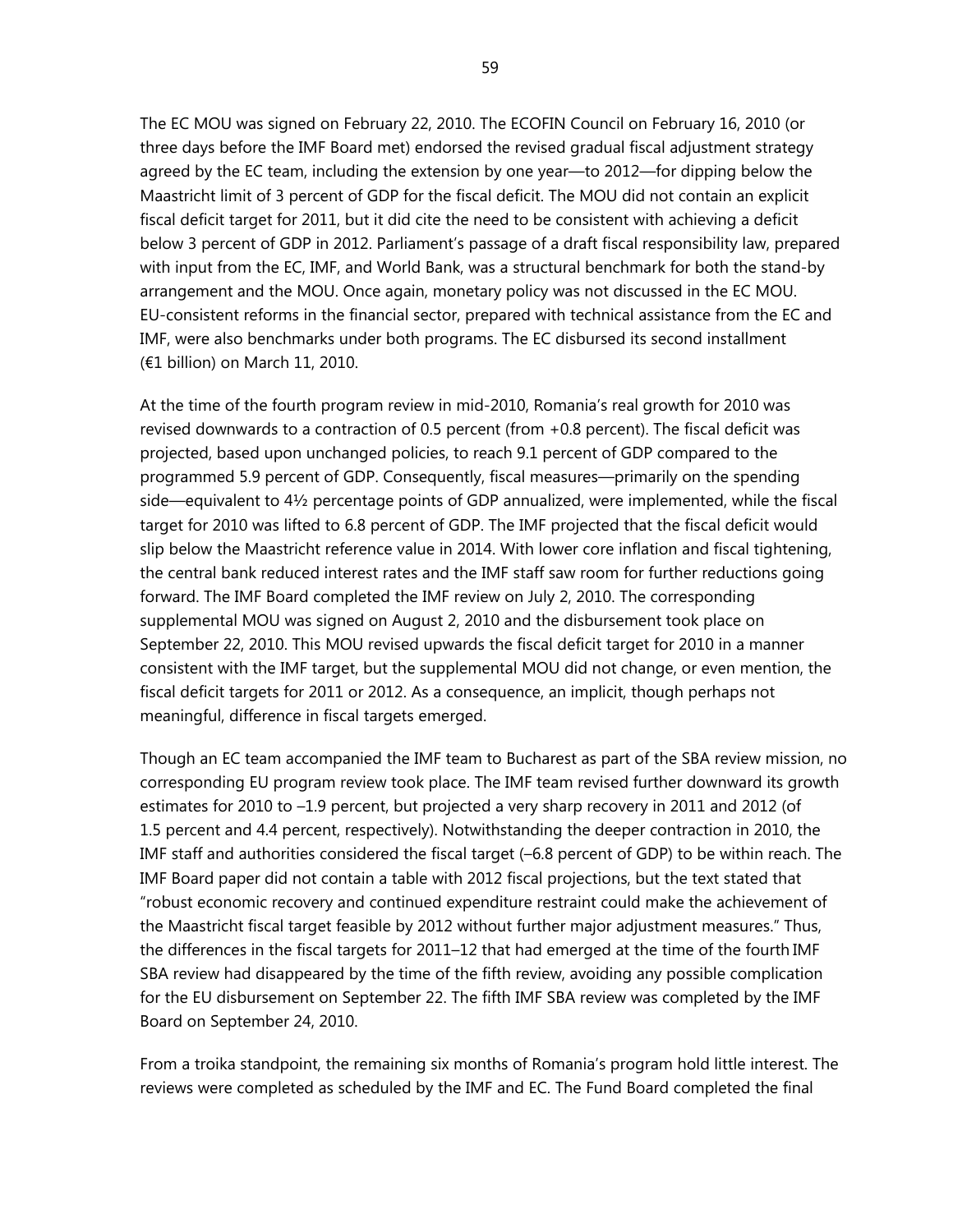The EC MOU was signed on February 22, 2010. The ECOFIN Council on February 16, 2010 (or three days before the IMF Board met) endorsed the revised gradual fiscal adjustment strategy agreed by the EC team, including the extension by one year—to 2012—for dipping below the Maastricht limit of 3 percent of GDP for the fiscal deficit. The MOU did not contain an explicit fiscal deficit target for 2011, but it did cite the need to be consistent with achieving a deficit below 3 percent of GDP in 2012. Parliament's passage of a draft fiscal responsibility law, prepared with input from the EC, IMF, and World Bank, was a structural benchmark for both the stand-by arrangement and the MOU. Once again, monetary policy was not discussed in the EC MOU. EU-consistent reforms in the financial sector, prepared with technical assistance from the EC and IMF, were also benchmarks under both programs. The EC disbursed its second installment (€1 billion) on March 11, 2010.

At the time of the fourth program review in mid-2010, Romania's real growth for 2010 was revised downwards to a contraction of 0.5 percent (from +0.8 percent). The fiscal deficit was projected, based upon unchanged policies, to reach 9.1 percent of GDP compared to the programmed 5.9 percent of GDP. Consequently, fiscal measures—primarily on the spending side—equivalent to 4½ percentage points of GDP annualized, were implemented, while the fiscal target for 2010 was lifted to 6.8 percent of GDP. The IMF projected that the fiscal deficit would slip below the Maastricht reference value in 2014. With lower core inflation and fiscal tightening, the central bank reduced interest rates and the IMF staff saw room for further reductions going forward. The IMF Board completed the IMF review on July 2, 2010. The corresponding supplemental MOU was signed on August 2, 2010 and the disbursement took place on September 22, 2010. This MOU revised upwards the fiscal deficit target for 2010 in a manner consistent with the IMF target, but the supplemental MOU did not change, or even mention, the fiscal deficit targets for 2011 or 2012. As a consequence, an implicit, though perhaps not meaningful, difference in fiscal targets emerged.

Though an EC team accompanied the IMF team to Bucharest as part of the SBA review mission, no corresponding EU program review took place. The IMF team revised further downward its growth estimates for 2010 to –1.9 percent, but projected a very sharp recovery in 2011 and 2012 (of 1.5 percent and 4.4 percent, respectively). Notwithstanding the deeper contraction in 2010, the IMF staff and authorities considered the fiscal target (–6.8 percent of GDP) to be within reach. The IMF Board paper did not contain a table with 2012 fiscal projections, but the text stated that "robust economic recovery and continued expenditure restraint could make the achievement of the Maastricht fiscal target feasible by 2012 without further major adjustment measures." Thus, the differences in the fiscal targets for 2011–12 that had emerged at the time of the fourth IMF SBA review had disappeared by the time of the fifth review, avoiding any possible complication for the EU disbursement on September 22. The fifth IMF SBA review was completed by the IMF Board on September 24, 2010.

From a troika standpoint, the remaining six months of Romania's program hold little interest. The reviews were completed as scheduled by the IMF and EC. The Fund Board completed the final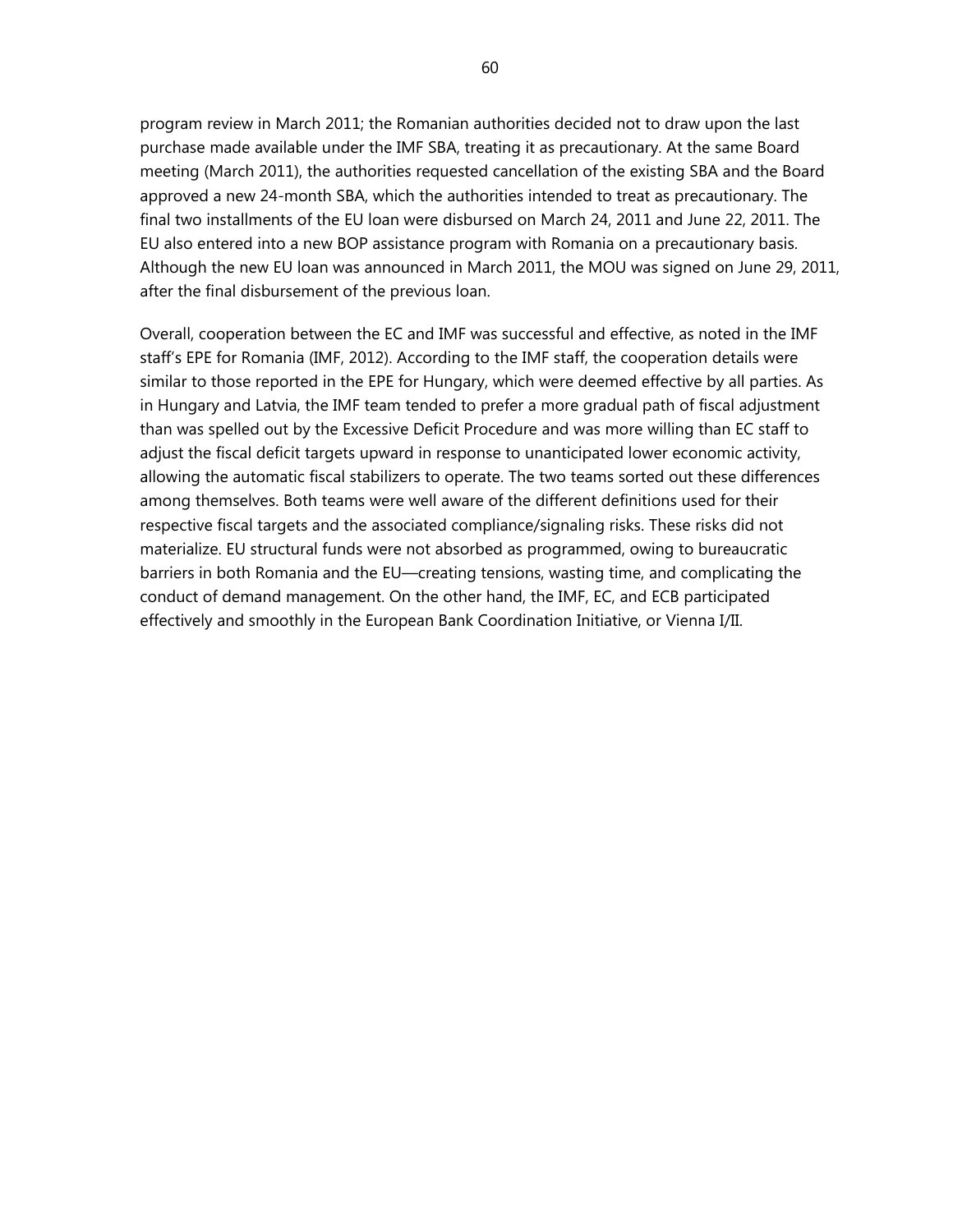program review in March 2011; the Romanian authorities decided not to draw upon the last purchase made available under the IMF SBA, treating it as precautionary. At the same Board meeting (March 2011), the authorities requested cancellation of the existing SBA and the Board approved a new 24-month SBA, which the authorities intended to treat as precautionary. The final two installments of the EU loan were disbursed on March 24, 2011 and June 22, 2011. The EU also entered into a new BOP assistance program with Romania on a precautionary basis. Although the new EU loan was announced in March 2011, the MOU was signed on June 29, 2011, after the final disbursement of the previous loan.

Overall, cooperation between the EC and IMF was successful and effective, as noted in the IMF staff's EPE for Romania (IMF, 2012). According to the IMF staff, the cooperation details were similar to those reported in the EPE for Hungary, which were deemed effective by all parties. As in Hungary and Latvia, the IMF team tended to prefer a more gradual path of fiscal adjustment than was spelled out by the Excessive Deficit Procedure and was more willing than EC staff to adjust the fiscal deficit targets upward in response to unanticipated lower economic activity, allowing the automatic fiscal stabilizers to operate. The two teams sorted out these differences among themselves. Both teams were well aware of the different definitions used for their respective fiscal targets and the associated compliance/signaling risks. These risks did not materialize. EU structural funds were not absorbed as programmed, owing to bureaucratic barriers in both Romania and the EU—creating tensions, wasting time, and complicating the conduct of demand management. On the other hand, the IMF, EC, and ECB participated effectively and smoothly in the European Bank Coordination Initiative, or Vienna I/II.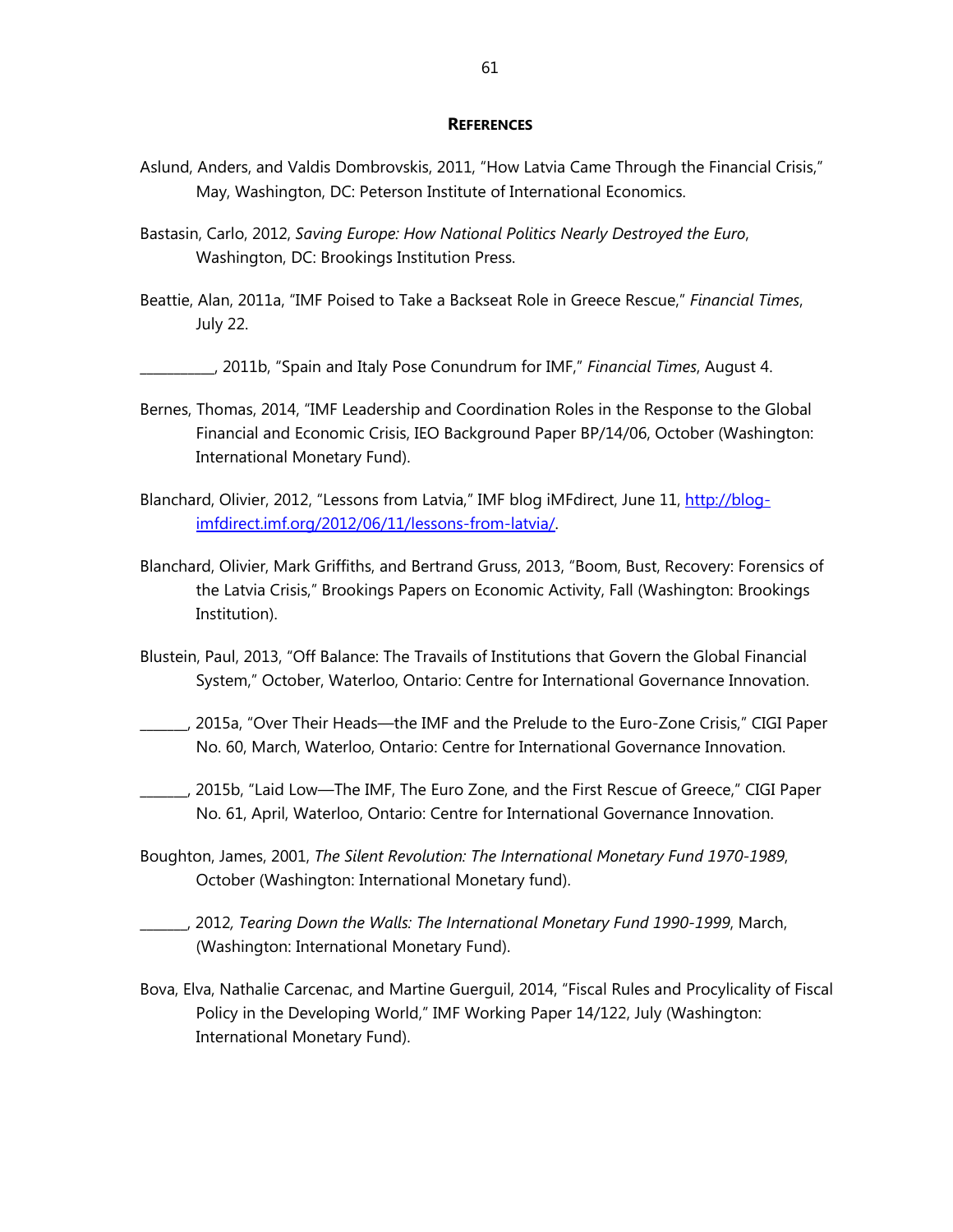#### **REFERENCES**

- Aslund, Anders, and Valdis Dombrovskis, 2011, "How Latvia Came Through the Financial Crisis," May, Washington, DC: Peterson Institute of International Economics.
- Bastasin, Carlo, 2012, *Saving Europe: How National Politics Nearly Destroyed the Euro*, Washington, DC: Brookings Institution Press.
- Beattie, Alan, 2011a, "IMF Poised to Take a Backseat Role in Greece Rescue," *Financial Times*, July 22.

\_\_\_\_\_\_\_\_\_\_\_, 2011b, "Spain and Italy Pose Conundrum for IMF," *Financial Times*, August 4.

- Bernes, Thomas, 2014, "IMF Leadership and Coordination Roles in the Response to the Global Financial and Economic Crisis, IEO Background Paper BP/14/06, October (Washington: International Monetary Fund).
- Blanchard, Olivier, 2012, "Lessons from Latvia," IMF blog iMFdirect, June 11, http://blogimfdirect.imf.org/2012/06/11/lessons-from-latvia/.
- Blanchard, Olivier, Mark Griffiths, and Bertrand Gruss, 2013, "Boom, Bust, Recovery: Forensics of the Latvia Crisis," Brookings Papers on Economic Activity, Fall (Washington: Brookings Institution).
- Blustein, Paul, 2013, "Off Balance: The Travails of Institutions that Govern the Global Financial System," October, Waterloo, Ontario: Centre for International Governance Innovation.
- \_\_\_\_\_\_\_, 2015a, "Over Their Heads—the IMF and the Prelude to the Euro-Zone Crisis," CIGI Paper No. 60, March, Waterloo, Ontario: Centre for International Governance Innovation.
- \_\_\_\_\_\_\_, 2015b, "Laid Low—The IMF, The Euro Zone, and the First Rescue of Greece," CIGI Paper No. 61, April, Waterloo, Ontario: Centre for International Governance Innovation.
- Boughton, James, 2001, *The Silent Revolution: The International Monetary Fund 1970-1989*, October (Washington: International Monetary fund).
- \_\_\_\_\_\_\_, 2012*, Tearing Down the Walls: The International Monetary Fund 1990-1999*, March, (Washington: International Monetary Fund).
- Bova, Elva, Nathalie Carcenac, and Martine Guerguil, 2014, "Fiscal Rules and Procylicality of Fiscal Policy in the Developing World," IMF Working Paper 14/122, July (Washington: International Monetary Fund).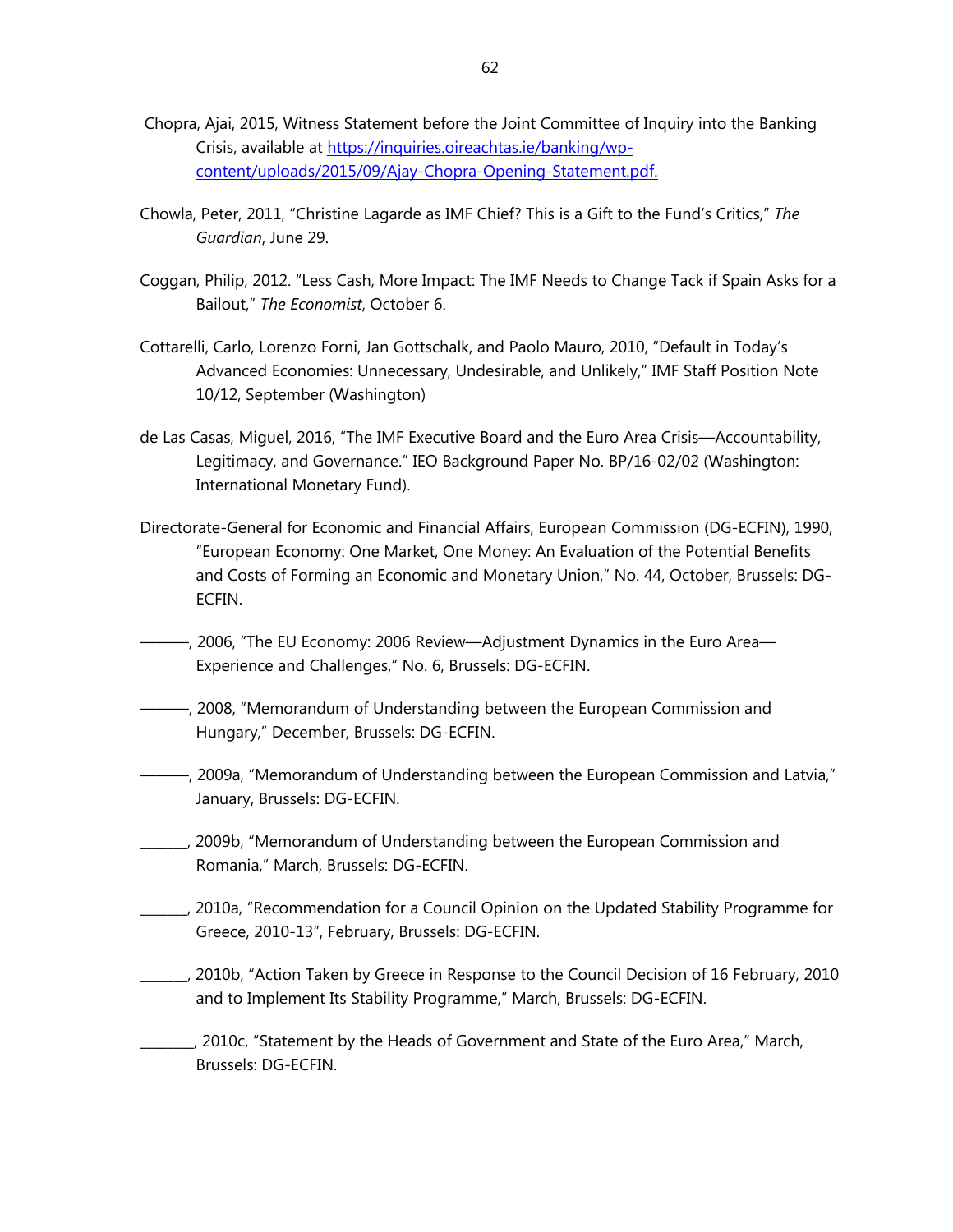- Chopra, Ajai, 2015, Witness Statement before the Joint Committee of Inquiry into the Banking Crisis, available at https://inquiries.oireachtas.ie/banking/wpcontent/uploads/2015/09/Ajay-Chopra-Opening-Statement.pdf.
- Chowla, Peter, 2011, "Christine Lagarde as IMF Chief? This is a Gift to the Fund's Critics," *The Guardian*, June 29.
- Coggan, Philip, 2012. "Less Cash, More Impact: The IMF Needs to Change Tack if Spain Asks for a Bailout," *The Economist*, October 6.
- Cottarelli, Carlo, Lorenzo Forni, Jan Gottschalk, and Paolo Mauro, 2010, "Default in Today's Advanced Economies: Unnecessary, Undesirable, and Unlikely," IMF Staff Position Note 10/12, September (Washington)
- de Las Casas, Miguel, 2016, "The IMF Executive Board and the Euro Area Crisis—Accountability, Legitimacy, and Governance." IEO Background Paper No. BP/16-02/02 (Washington: International Monetary Fund).
- Directorate-General for Economic and Financial Affairs, European Commission (DG-ECFIN), 1990, "European Economy: One Market, One Money: An Evaluation of the Potential Benefits and Costs of Forming an Economic and Monetary Union," No. 44, October, Brussels: DG-ECFIN.
- ———, 2006, "The EU Economy: 2006 Review—Adjustment Dynamics in the Euro Area— Experience and Challenges," No. 6, Brussels: DG-ECFIN.
- ———, 2008, "Memorandum of Understanding between the European Commission and Hungary," December, Brussels: DG-ECFIN.
- ———, 2009a, "Memorandum of Understanding between the European Commission and Latvia," January, Brussels: DG-ECFIN.
- \_\_\_\_\_\_\_, 2009b, "Memorandum of Understanding between the European Commission and Romania," March, Brussels: DG-ECFIN.
- \_\_\_\_\_\_\_, 2010a, "Recommendation for a Council Opinion on the Updated Stability Programme for Greece, 2010-13", February, Brussels: DG-ECFIN.
- \_\_\_\_\_\_\_, 2010b, "Action Taken by Greece in Response to the Council Decision of 16 February, 2010 and to Implement Its Stability Programme," March, Brussels: DG-ECFIN.
- \_\_\_\_\_\_\_\_, 2010c, "Statement by the Heads of Government and State of the Euro Area," March, Brussels: DG-ECFIN.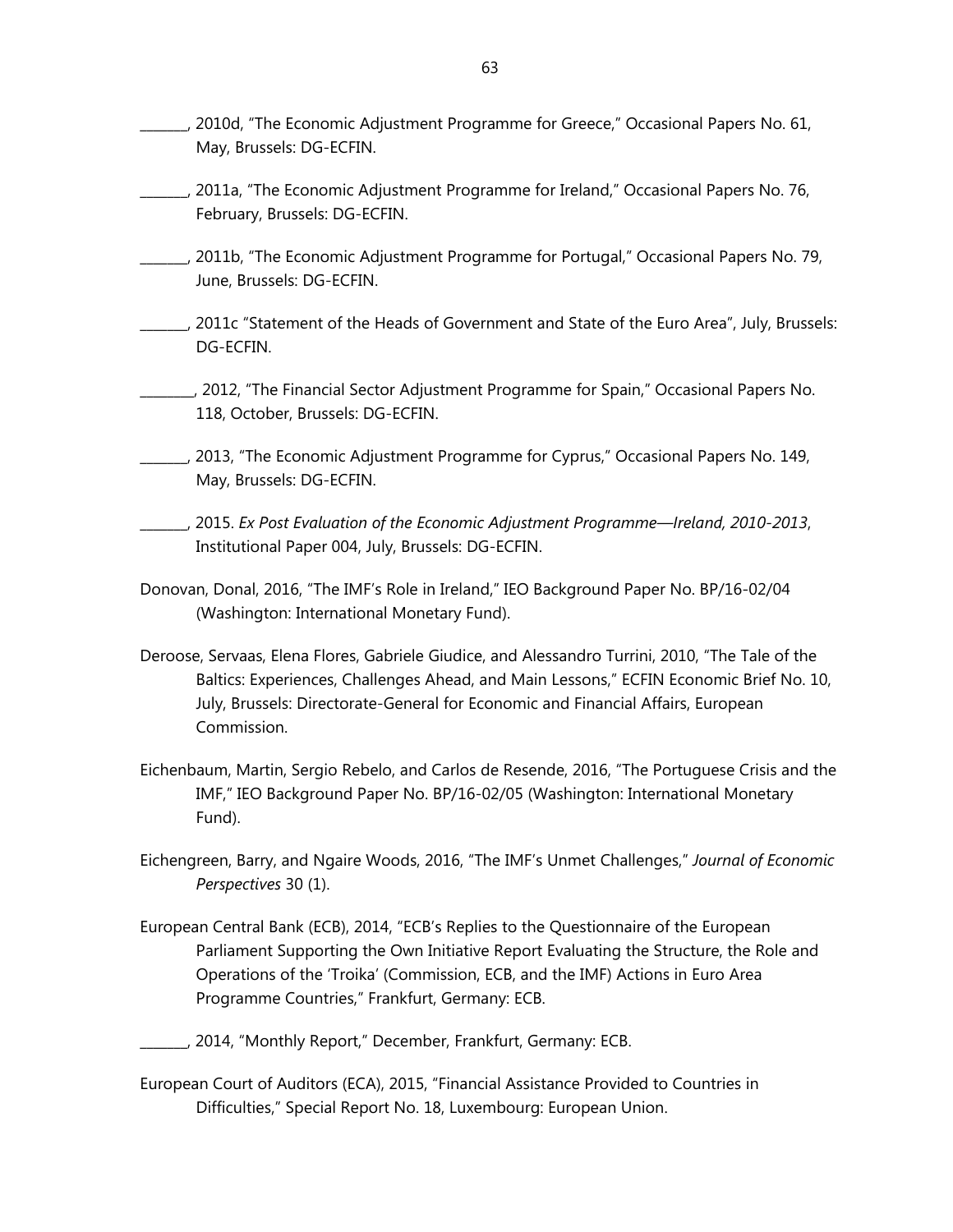- \_\_\_\_\_\_\_, 2010d, "The Economic Adjustment Programme for Greece," Occasional Papers No. 61, May, Brussels: DG-ECFIN.
- \_\_\_\_\_\_\_, 2011a, "The Economic Adjustment Programme for Ireland," Occasional Papers No. 76, February, Brussels: DG-ECFIN.
- \_\_\_\_\_\_\_, 2011b, "The Economic Adjustment Programme for Portugal," Occasional Papers No. 79, June, Brussels: DG-ECFIN.
- \_\_\_\_\_\_\_, 2011c "Statement of the Heads of Government and State of the Euro Area", July, Brussels: DG-ECFIN.
- \_\_\_\_\_\_\_\_, 2012, "The Financial Sector Adjustment Programme for Spain," Occasional Papers No. 118, October, Brussels: DG-ECFIN.
- \_\_\_\_\_\_\_, 2013, "The Economic Adjustment Programme for Cyprus," Occasional Papers No. 149, May, Brussels: DG-ECFIN.
- \_\_\_\_\_\_\_, 2015. *Ex Post Evaluation of the Economic Adjustment Programme—Ireland, 2010-2013*, Institutional Paper 004, July, Brussels: DG-ECFIN.
- Donovan, Donal, 2016, "The IMF's Role in Ireland," IEO Background Paper No. BP/16-02/04 (Washington: International Monetary Fund).
- Deroose, Servaas, Elena Flores, Gabriele Giudice, and Alessandro Turrini, 2010, "The Tale of the Baltics: Experiences, Challenges Ahead, and Main Lessons," ECFIN Economic Brief No. 10, July, Brussels: Directorate-General for Economic and Financial Affairs, European Commission.
- Eichenbaum, Martin, Sergio Rebelo, and Carlos de Resende, 2016, "The Portuguese Crisis and the IMF," IEO Background Paper No. BP/16-02/05 (Washington: International Monetary Fund).
- Eichengreen, Barry, and Ngaire Woods, 2016, "The IMF's Unmet Challenges," *Journal of Economic Perspectives* 30 (1).
- European Central Bank (ECB), 2014, "ECB's Replies to the Questionnaire of the European Parliament Supporting the Own Initiative Report Evaluating the Structure, the Role and Operations of the 'Troika' (Commission, ECB, and the IMF) Actions in Euro Area Programme Countries," Frankfurt, Germany: ECB.
- \_\_\_\_\_\_\_, 2014, "Monthly Report," December, Frankfurt, Germany: ECB.
- European Court of Auditors (ECA), 2015, "Financial Assistance Provided to Countries in Difficulties," Special Report No. 18, Luxembourg: European Union.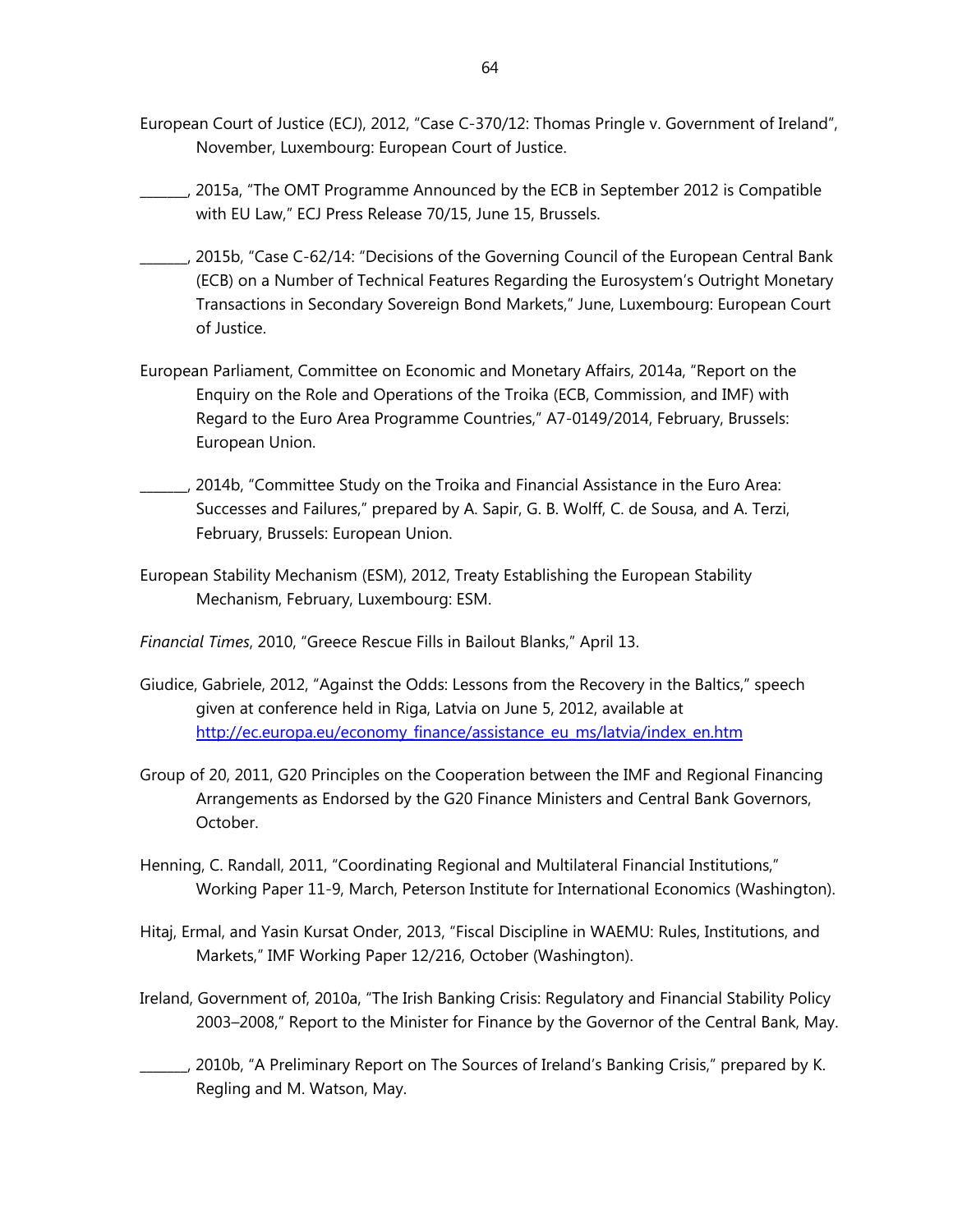- European Court of Justice (ECJ), 2012, "Case C-370/12: Thomas Pringle v. Government of Ireland", November, Luxembourg: European Court of Justice.
- \_\_\_\_\_\_\_, 2015a, "The OMT Programme Announced by the ECB in September 2012 is Compatible with EU Law," ECJ Press Release 70/15, June 15, Brussels.
- \_\_\_\_\_\_\_, 2015b, "Case C-62/14: "Decisions of the Governing Council of the European Central Bank (ECB) on a Number of Technical Features Regarding the Eurosystem's Outright Monetary Transactions in Secondary Sovereign Bond Markets," June, Luxembourg: European Court of Justice.
- European Parliament, Committee on Economic and Monetary Affairs, 2014a, "Report on the Enquiry on the Role and Operations of the Troika (ECB, Commission, and IMF) with Regard to the Euro Area Programme Countries," A7-0149/2014, February, Brussels: European Union.
- \_\_\_\_\_\_\_, 2014b, "Committee Study on the Troika and Financial Assistance in the Euro Area: Successes and Failures," prepared by A. Sapir, G. B. Wolff, C. de Sousa, and A. Terzi, February, Brussels: European Union.
- European Stability Mechanism (ESM), 2012, Treaty Establishing the European Stability Mechanism, February, Luxembourg: ESM.
- *Financial Times*, 2010, "Greece Rescue Fills in Bailout Blanks," April 13.
- Giudice, Gabriele, 2012, "Against the Odds: Lessons from the Recovery in the Baltics," speech given at conference held in Riga, Latvia on June 5, 2012, available at http://ec.europa.eu/economy\_finance/assistance\_eu\_ms/latvia/index\_en.htm
- Group of 20, 2011, G20 Principles on the Cooperation between the IMF and Regional Financing Arrangements as Endorsed by the G20 Finance Ministers and Central Bank Governors, October.
- Henning, C. Randall, 2011, "Coordinating Regional and Multilateral Financial Institutions," Working Paper 11-9, March, Peterson Institute for International Economics (Washington).
- Hitaj, Ermal, and Yasin Kursat Onder, 2013, "Fiscal Discipline in WAEMU: Rules, Institutions, and Markets," IMF Working Paper 12/216, October (Washington).
- Ireland, Government of, 2010a, "The Irish Banking Crisis: Regulatory and Financial Stability Policy 2003–2008," Report to the Minister for Finance by the Governor of the Central Bank, May.
- \_\_\_\_\_\_\_, 2010b, "A Preliminary Report on The Sources of Ireland's Banking Crisis," prepared by K. Regling and M. Watson, May.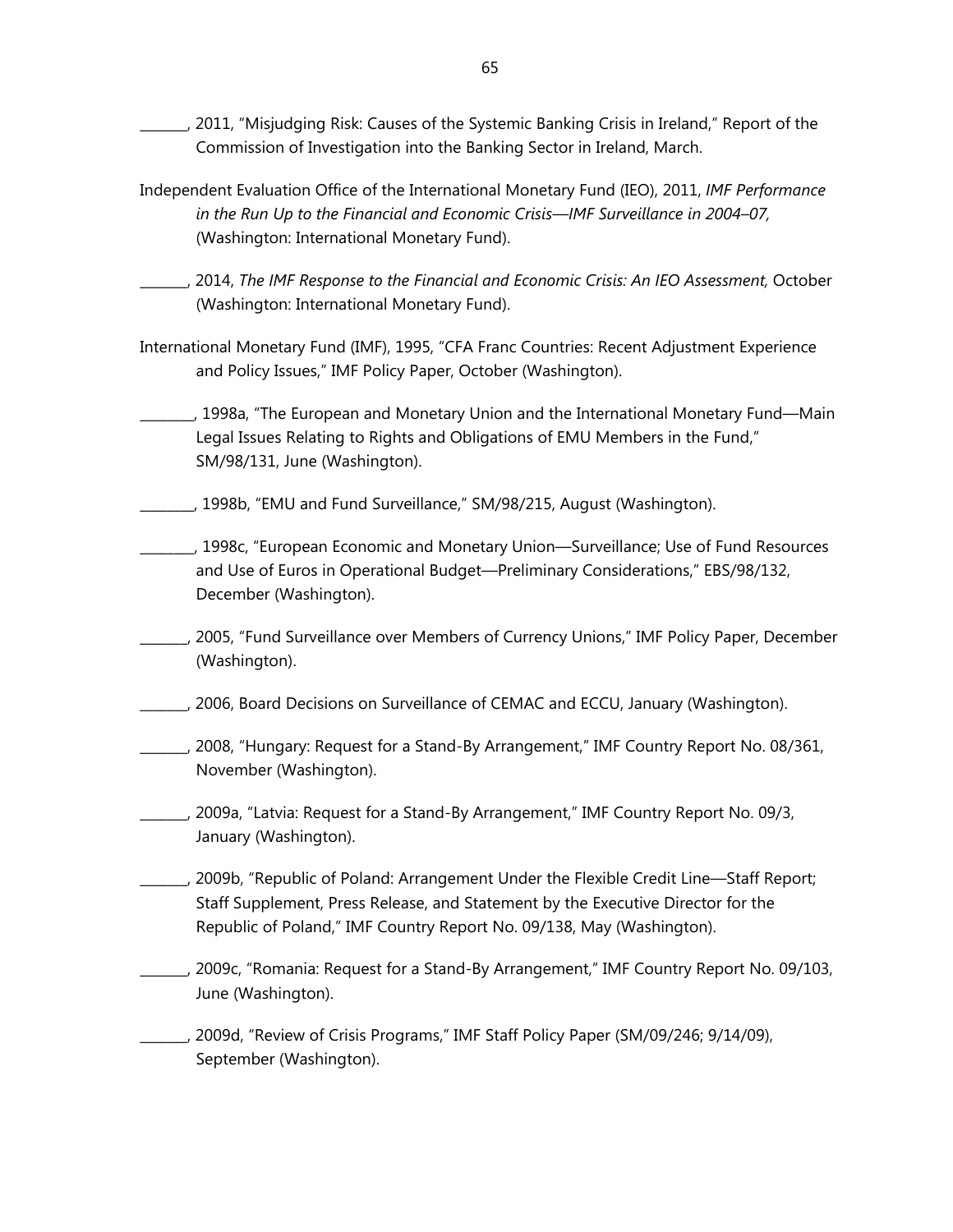\_\_\_\_\_\_\_, 2011, "Misjudging Risk: Causes of the Systemic Banking Crisis in Ireland," Report of the Commission of Investigation into the Banking Sector in Ireland, March.

- Independent Evaluation Office of the International Monetary Fund (IEO), 2011, *IMF Performance in the Run Up to the Financial and Economic Crisis—IMF Surveillance in 2004–07,* (Washington: International Monetary Fund).
- \_\_\_\_\_\_\_, 2014, *The IMF Response to the Financial and Economic Crisis: An IEO Assessment,* October (Washington: International Monetary Fund).
- International Monetary Fund (IMF), 1995, "CFA Franc Countries: Recent Adjustment Experience and Policy Issues," IMF Policy Paper, October (Washington).
- \_\_\_\_\_\_\_\_, 1998a, "The European and Monetary Union and the International Monetary Fund—Main Legal Issues Relating to Rights and Obligations of EMU Members in the Fund," SM/98/131, June (Washington).
- \_\_\_\_\_\_\_\_, 1998b, "EMU and Fund Surveillance," SM/98/215, August (Washington).
- \_\_\_\_\_\_\_\_, 1998c, "European Economic and Monetary Union—Surveillance; Use of Fund Resources and Use of Euros in Operational Budget—Preliminary Considerations," EBS/98/132, December (Washington).
- \_\_\_\_\_\_\_, 2005, "Fund Surveillance over Members of Currency Unions," IMF Policy Paper, December (Washington).
- \_\_\_\_\_\_\_, 2006, Board Decisions on Surveillance of CEMAC and ECCU, January (Washington).
- \_\_\_\_\_\_\_, 2008, "Hungary: Request for a Stand-By Arrangement," IMF Country Report No. 08/361, November (Washington).
- \_\_\_\_\_\_\_, 2009a, "Latvia: Request for a Stand-By Arrangement," IMF Country Report No. 09/3, January (Washington).
- \_\_\_\_\_\_\_, 2009b, "Republic of Poland: Arrangement Under the Flexible Credit Line—Staff Report; Staff Supplement, Press Release, and Statement by the Executive Director for the Republic of Poland," IMF Country Report No. 09/138, May (Washington).
- \_\_\_\_\_\_\_, 2009c, "Romania: Request for a Stand-By Arrangement," IMF Country Report No. 09/103, June (Washington).

\_\_\_\_\_\_\_, 2009d, "Review of Crisis Programs," IMF Staff Policy Paper (SM/09/246; 9/14/09), September (Washington).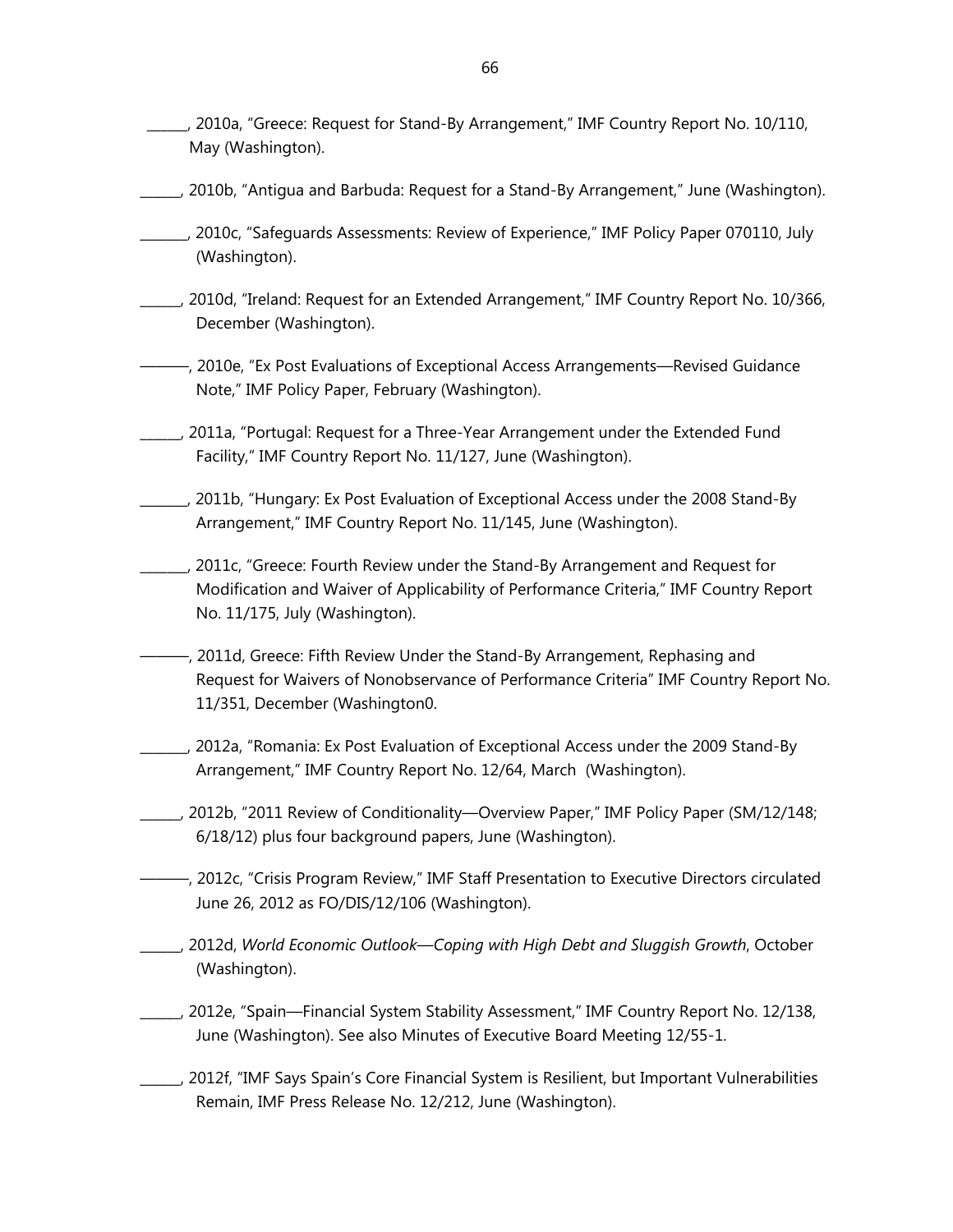- \_\_\_\_\_\_, 2010a, "Greece: Request for Stand-By Arrangement," IMF Country Report No. 10/110, May (Washington).
- \_\_\_\_\_\_, 2010b, "Antigua and Barbuda: Request for a Stand-By Arrangement," June (Washington).
- \_\_\_\_\_\_\_, 2010c, "Safeguards Assessments: Review of Experience," IMF Policy Paper 070110, July (Washington).
- \_\_\_\_\_\_, 2010d, "Ireland: Request for an Extended Arrangement," IMF Country Report No. 10/366, December (Washington).
- ———, 2010e, "Ex Post Evaluations of Exceptional Access Arrangements—Revised Guidance Note," IMF Policy Paper, February (Washington).
- \_\_\_\_\_\_, 2011a, "Portugal: Request for a Three-Year Arrangement under the Extended Fund Facility," IMF Country Report No. 11/127, June (Washington).
- \_\_\_\_\_\_\_, 2011b, "Hungary: Ex Post Evaluation of Exceptional Access under the 2008 Stand-By Arrangement," IMF Country Report No. 11/145, June (Washington).
- \_\_\_\_\_\_\_, 2011c, "Greece: Fourth Review under the Stand-By Arrangement and Request for Modification and Waiver of Applicability of Performance Criteria," IMF Country Report No. 11/175, July (Washington).
- ———, 2011d, Greece: Fifth Review Under the Stand-By Arrangement, Rephasing and Request for Waivers of Nonobservance of Performance Criteria" IMF Country Report No. 11/351, December (Washington0.
- \_\_\_\_\_\_\_, 2012a, "Romania: Ex Post Evaluation of Exceptional Access under the 2009 Stand-By Arrangement," IMF Country Report No. 12/64, March (Washington).
- \_\_\_\_\_\_, 2012b, "2011 Review of Conditionality—Overview Paper," IMF Policy Paper (SM/12/148; 6/18/12) plus four background papers, June (Washington).
- ———, 2012c, "Crisis Program Review," IMF Staff Presentation to Executive Directors circulated June 26, 2012 as FO/DIS/12/106 (Washington).
- \_\_\_\_\_\_, 2012d, *World Economic Outlook—Coping with High Debt and Sluggish Growth*, October (Washington).
- \_\_\_\_\_\_, 2012e, "Spain—Financial System Stability Assessment," IMF Country Report No. 12/138, June (Washington). See also Minutes of Executive Board Meeting 12/55-1.
- \_\_\_\_\_\_, 2012f, "IMF Says Spain's Core Financial System is Resilient, but Important Vulnerabilities Remain, IMF Press Release No. 12/212, June (Washington).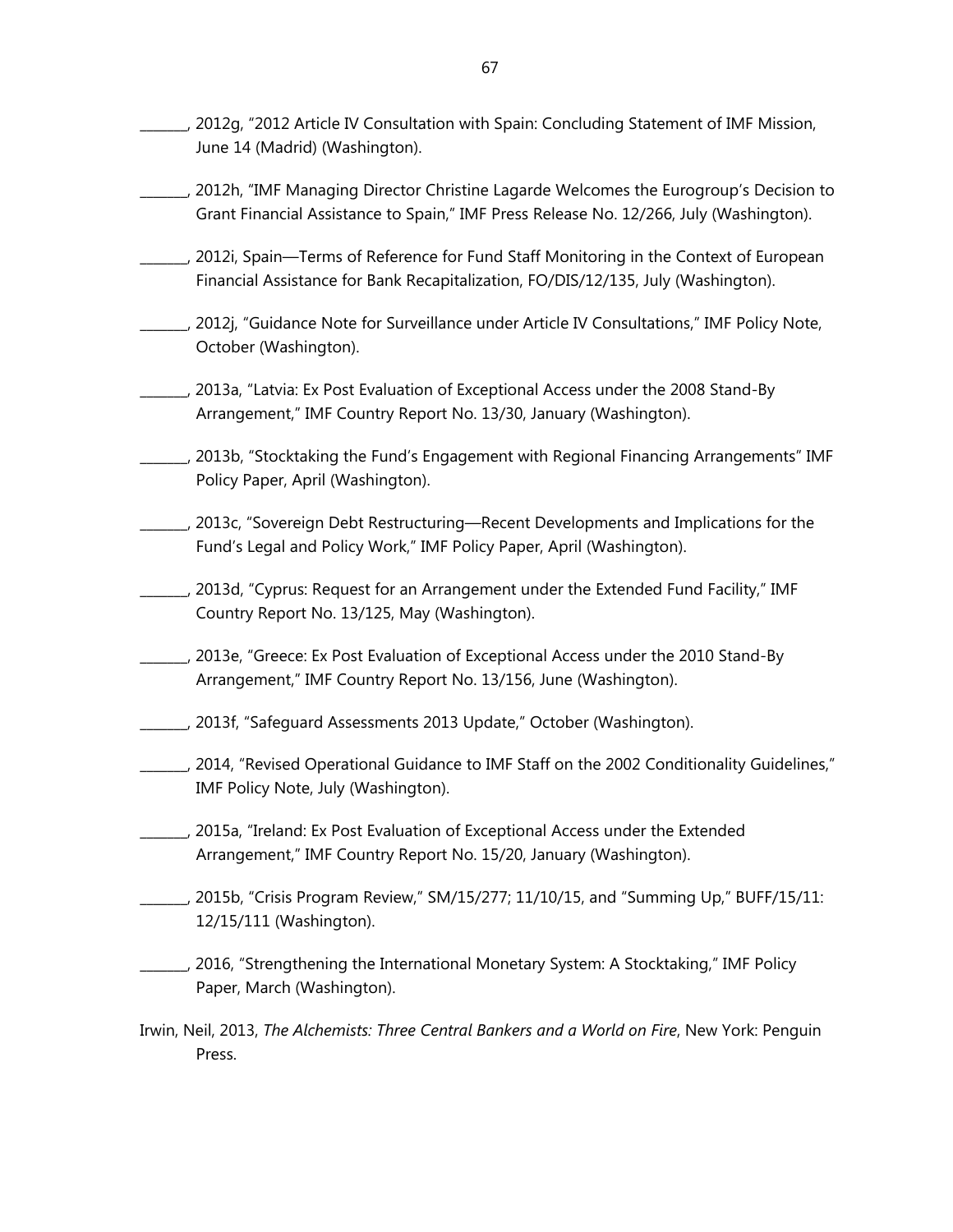- \_\_\_\_\_\_\_, 2012g, "2012 Article IV Consultation with Spain: Concluding Statement of IMF Mission, June 14 (Madrid) (Washington).
- \_\_\_\_\_\_\_, 2012h, "IMF Managing Director Christine Lagarde Welcomes the Eurogroup's Decision to Grant Financial Assistance to Spain," IMF Press Release No. 12/266, July (Washington).
- \_\_\_\_\_\_\_, 2012i, Spain—Terms of Reference for Fund Staff Monitoring in the Context of European Financial Assistance for Bank Recapitalization, FO/DIS/12/135, July (Washington).
- \_\_\_\_\_\_\_, 2012j, "Guidance Note for Surveillance under Article IV Consultations," IMF Policy Note, October (Washington).
- \_\_\_\_\_\_\_, 2013a, "Latvia: Ex Post Evaluation of Exceptional Access under the 2008 Stand-By Arrangement," IMF Country Report No. 13/30, January (Washington).
- \_\_\_\_\_\_\_, 2013b, "Stocktaking the Fund's Engagement with Regional Financing Arrangements" IMF Policy Paper, April (Washington).
- \_\_\_\_\_\_\_, 2013c, "Sovereign Debt Restructuring—Recent Developments and Implications for the Fund's Legal and Policy Work," IMF Policy Paper, April (Washington).
- \_\_\_\_\_\_\_, 2013d, "Cyprus: Request for an Arrangement under the Extended Fund Facility," IMF Country Report No. 13/125, May (Washington).
- \_\_\_\_\_\_\_, 2013e, "Greece: Ex Post Evaluation of Exceptional Access under the 2010 Stand-By Arrangement," IMF Country Report No. 13/156, June (Washington).
- \_\_\_\_\_\_\_, 2013f, "Safeguard Assessments 2013 Update," October (Washington).
- \_\_\_\_\_\_\_, 2014, "Revised Operational Guidance to IMF Staff on the 2002 Conditionality Guidelines," IMF Policy Note, July (Washington).
- \_\_\_\_\_\_\_, 2015a, "Ireland: Ex Post Evaluation of Exceptional Access under the Extended Arrangement," IMF Country Report No. 15/20, January (Washington).
- \_\_\_\_\_\_\_, 2015b, "Crisis Program Review," SM/15/277; 11/10/15, and "Summing Up," BUFF/15/11: 12/15/111 (Washington).
- \_\_\_\_\_\_\_, 2016, "Strengthening the International Monetary System: A Stocktaking," IMF Policy Paper, March (Washington).
- Irwin, Neil, 2013, *The Alchemists: Three Central Bankers and a World on Fire*, New York: Penguin Press.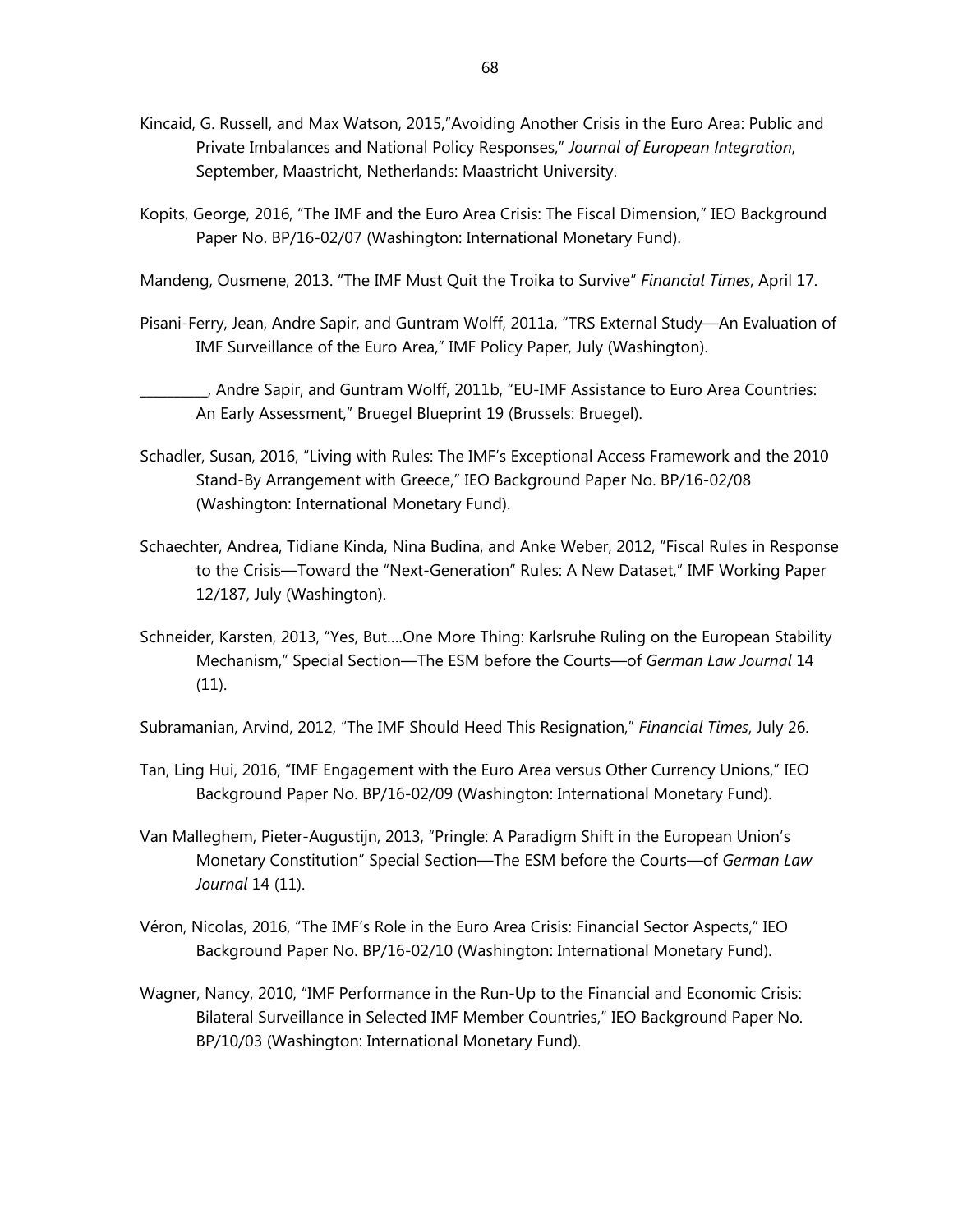- Kincaid, G. Russell, and Max Watson, 2015,"Avoiding Another Crisis in the Euro Area: Public and Private Imbalances and National Policy Responses," *Journal of European Integration*, September, Maastricht, Netherlands: Maastricht University.
- Kopits, George, 2016, "The IMF and the Euro Area Crisis: The Fiscal Dimension," IEO Background Paper No. BP/16-02/07 (Washington: International Monetary Fund).
- Mandeng, Ousmene, 2013. "The IMF Must Quit the Troika to Survive" *Financial Times*, April 17.
- Pisani-Ferry, Jean, Andre Sapir, and Guntram Wolff, 2011a, "TRS External Study—An Evaluation of IMF Surveillance of the Euro Area," IMF Policy Paper, July (Washington).

\_\_\_\_\_\_\_\_\_\_, Andre Sapir, and Guntram Wolff, 2011b, "EU-IMF Assistance to Euro Area Countries: An Early Assessment," Bruegel Blueprint 19 (Brussels: Bruegel).

- Schadler, Susan, 2016, "Living with Rules: The IMF's Exceptional Access Framework and the 2010 Stand-By Arrangement with Greece," IEO Background Paper No. BP/16-02/08 (Washington: International Monetary Fund).
- Schaechter, Andrea, Tidiane Kinda, Nina Budina, and Anke Weber, 2012, "Fiscal Rules in Response to the Crisis—Toward the "Next-Generation" Rules: A New Dataset," IMF Working Paper 12/187, July (Washington).
- Schneider, Karsten, 2013, "Yes, But….One More Thing: Karlsruhe Ruling on the European Stability Mechanism," Special Section—The ESM before the Courts—of *German Law Journal* 14 (11).

Subramanian, Arvind, 2012, "The IMF Should Heed This Resignation," *Financial Times*, July 26.

- Tan, Ling Hui, 2016, "IMF Engagement with the Euro Area versus Other Currency Unions," IEO Background Paper No. BP/16-02/09 (Washington: International Monetary Fund).
- Van Malleghem, Pieter-Augustijn, 2013, "Pringle: A Paradigm Shift in the European Union's Monetary Constitution" Special Section—The ESM before the Courts—of *German Law Journal* 14 (11).
- Véron, Nicolas, 2016, "The IMF's Role in the Euro Area Crisis: Financial Sector Aspects," IEO Background Paper No. BP/16-02/10 (Washington: International Monetary Fund).
- Wagner, Nancy, 2010, "IMF Performance in the Run-Up to the Financial and Economic Crisis: Bilateral Surveillance in Selected IMF Member Countries," IEO Background Paper No. BP/10/03 (Washington: International Monetary Fund).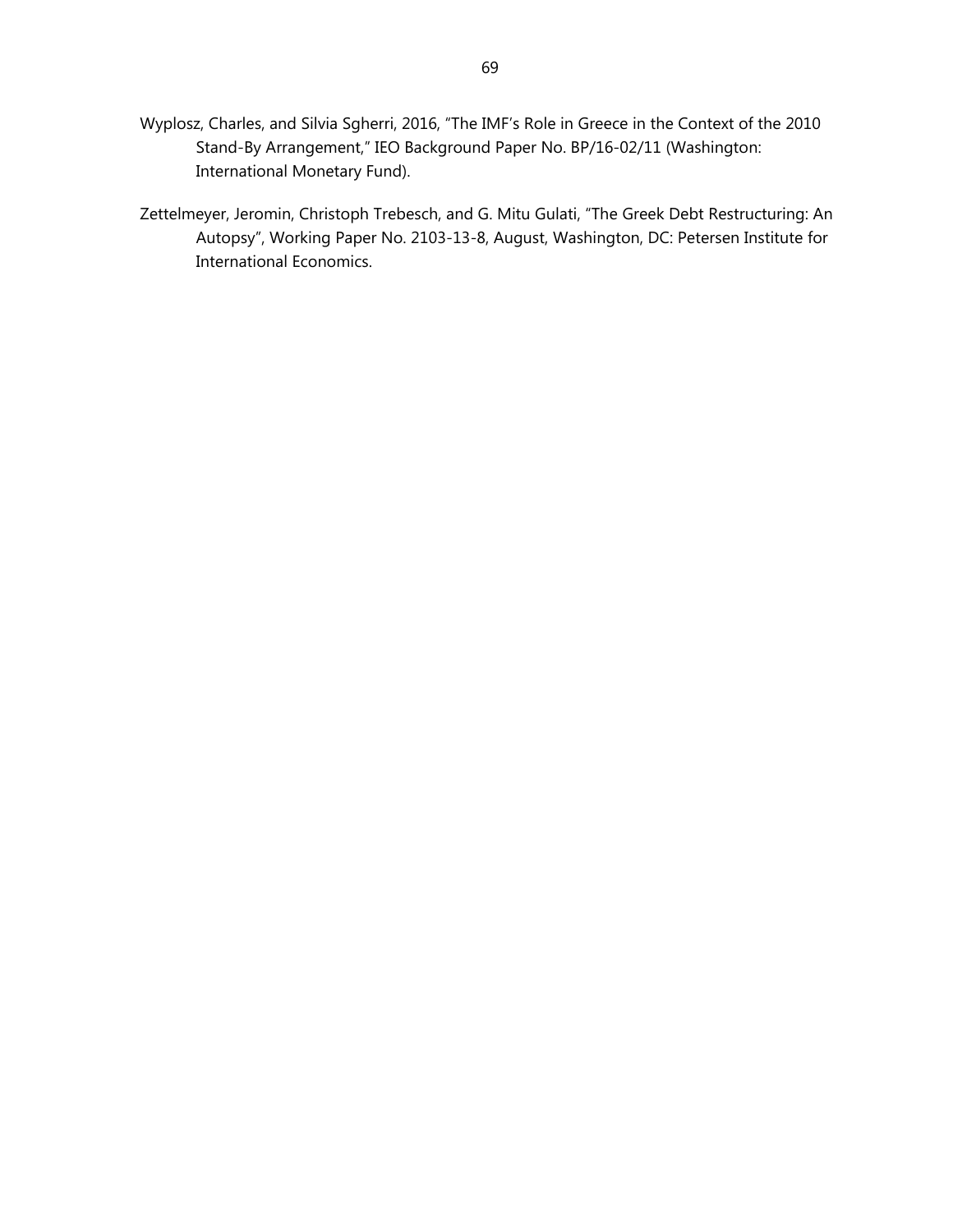- Wyplosz, Charles, and Silvia Sgherri, 2016, "The IMF's Role in Greece in the Context of the 2010 Stand-By Arrangement," IEO Background Paper No. BP/16-02/11 (Washington: International Monetary Fund).
- Zettelmeyer, Jeromin, Christoph Trebesch, and G. Mitu Gulati, "The Greek Debt Restructuring: An Autopsy", Working Paper No. 2103-13-8, August, Washington, DC: Petersen Institute for International Economics.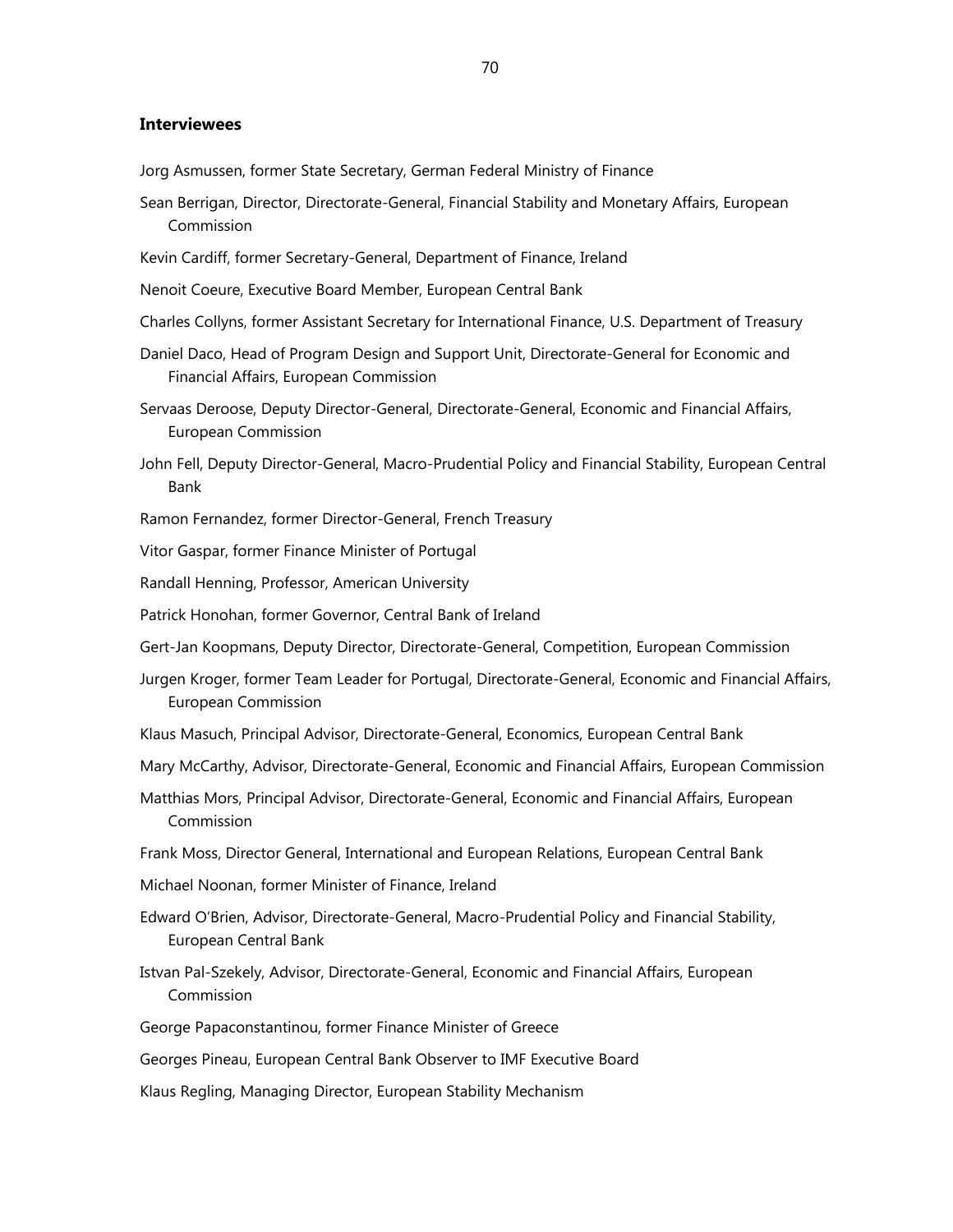## **Interviewees**

- Jorg Asmussen, former State Secretary, German Federal Ministry of Finance
- Sean Berrigan, Director, Directorate-General, Financial Stability and Monetary Affairs, European Commission
- Kevin Cardiff, former Secretary-General, Department of Finance, Ireland
- Nenoit Coeure, Executive Board Member, European Central Bank
- Charles Collyns, former Assistant Secretary for International Finance, U.S. Department of Treasury
- Daniel Daco, Head of Program Design and Support Unit, Directorate-General for Economic and Financial Affairs, European Commission
- Servaas Deroose, Deputy Director-General, Directorate-General, Economic and Financial Affairs, European Commission
- John Fell, Deputy Director-General, Macro-Prudential Policy and Financial Stability, European Central Bank
- Ramon Fernandez, former Director-General, French Treasury
- Vitor Gaspar, former Finance Minister of Portugal
- Randall Henning, Professor, American University
- Patrick Honohan, former Governor, Central Bank of Ireland
- Gert-Jan Koopmans, Deputy Director, Directorate-General, Competition, European Commission
- Jurgen Kroger, former Team Leader for Portugal, Directorate-General, Economic and Financial Affairs, European Commission
- Klaus Masuch, Principal Advisor, Directorate-General, Economics, European Central Bank
- Mary McCarthy, Advisor, Directorate-General, Economic and Financial Affairs, European Commission
- Matthias Mors, Principal Advisor, Directorate-General, Economic and Financial Affairs, European Commission
- Frank Moss, Director General, International and European Relations, European Central Bank
- Michael Noonan, former Minister of Finance, Ireland
- Edward O'Brien, Advisor, Directorate-General, Macro-Prudential Policy and Financial Stability, European Central Bank
- Istvan Pal-Szekely, Advisor, Directorate-General, Economic and Financial Affairs, European Commission
- George Papaconstantinou, former Finance Minister of Greece
- Georges Pineau, European Central Bank Observer to IMF Executive Board
- Klaus Regling, Managing Director, European Stability Mechanism